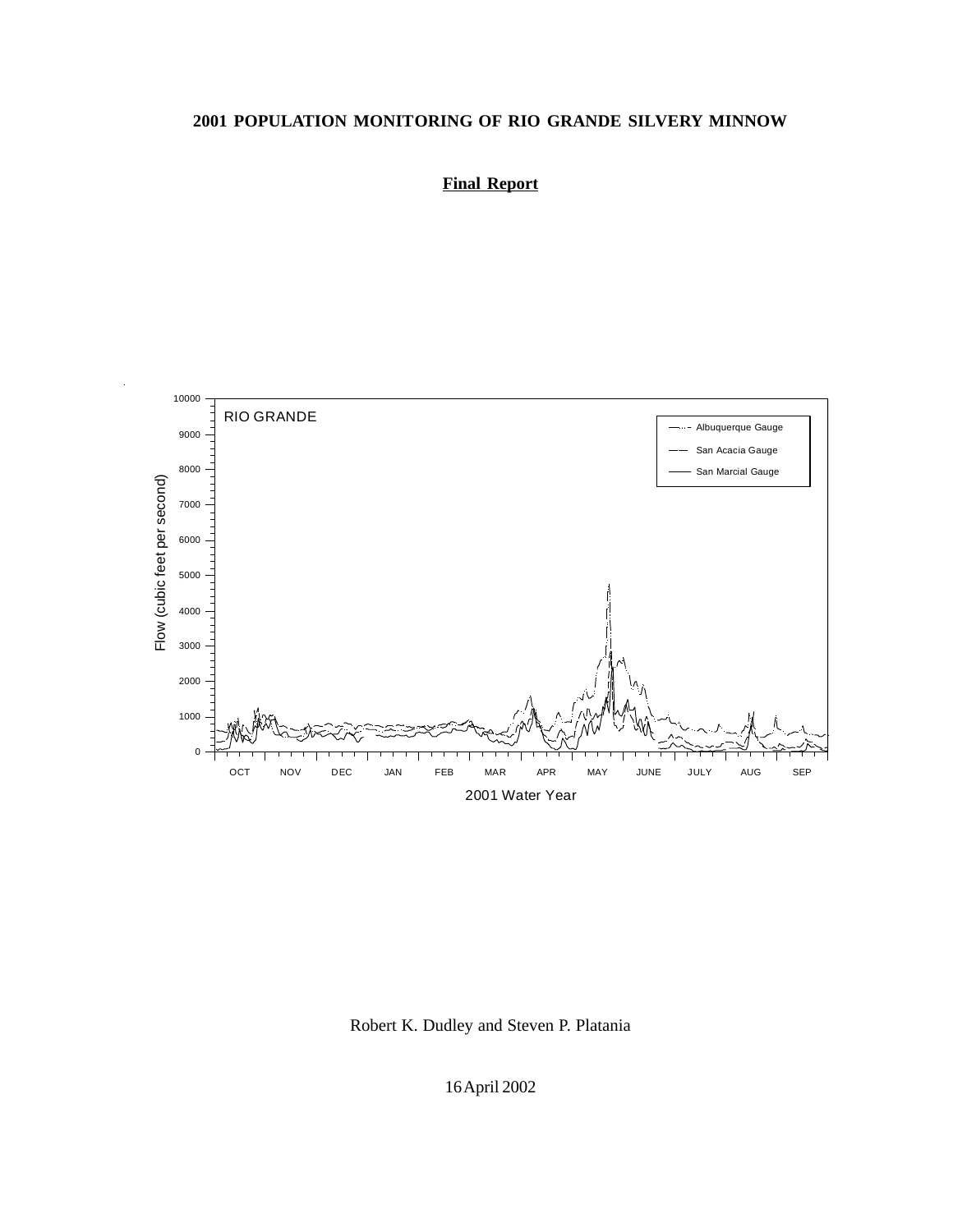# **2001 POPULATION MONITORING OF RIO GRANDE SILVERY MINNOW**





Robert K. Dudley and Steven P. Platania

16 April 2002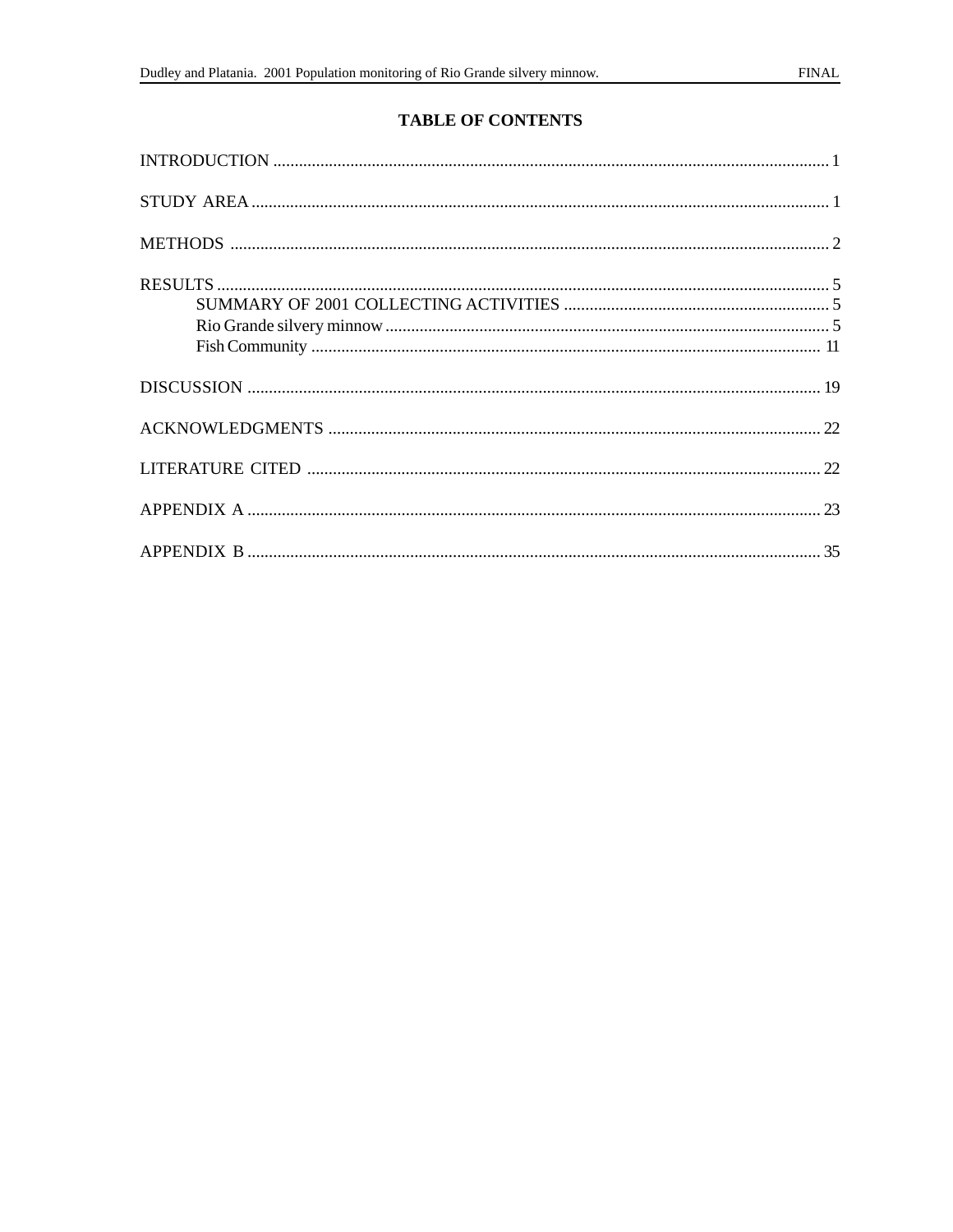# **TABLE OF CONTENTS**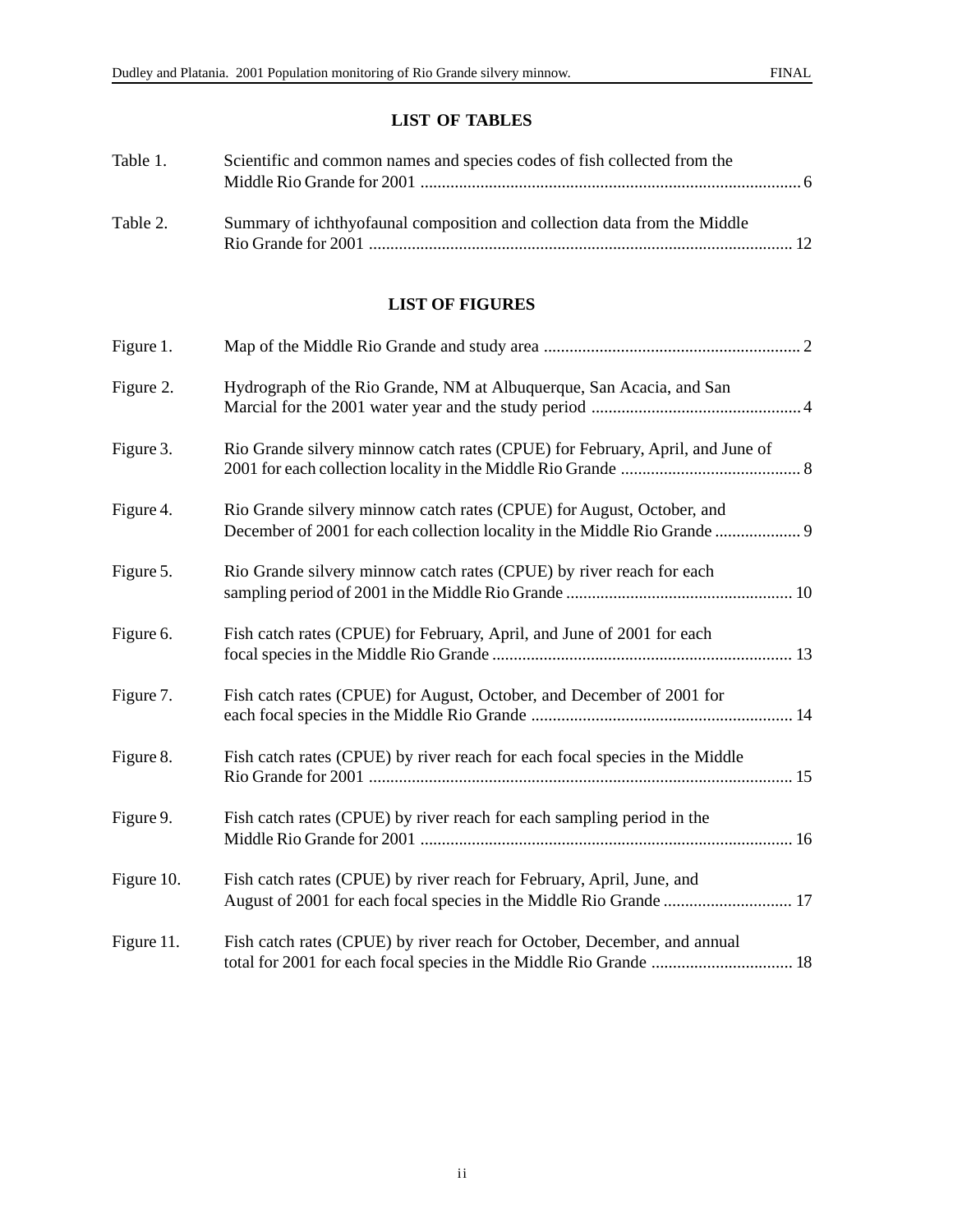## **LIST OF TABLES**

| Table 1. | Scientific and common names and species codes of fish collected from the |  |
|----------|--------------------------------------------------------------------------|--|
|          |                                                                          |  |
| Table 2. | Summary of ichthyofaunal composition and collection data from the Middle |  |
|          |                                                                          |  |

### **LIST OF FIGURES**

| Figure 1.  |                                                                                                                                                    |  |
|------------|----------------------------------------------------------------------------------------------------------------------------------------------------|--|
| Figure 2.  | Hydrograph of the Rio Grande, NM at Albuquerque, San Acacia, and San                                                                               |  |
| Figure 3.  | Rio Grande silvery minnow catch rates (CPUE) for February, April, and June of                                                                      |  |
| Figure 4.  | Rio Grande silvery minnow catch rates (CPUE) for August, October, and<br>December of 2001 for each collection locality in the Middle Rio Grande  9 |  |
| Figure 5.  | Rio Grande silvery minnow catch rates (CPUE) by river reach for each                                                                               |  |
| Figure 6.  | Fish catch rates (CPUE) for February, April, and June of 2001 for each                                                                             |  |
| Figure 7.  | Fish catch rates (CPUE) for August, October, and December of 2001 for                                                                              |  |
| Figure 8.  | Fish catch rates (CPUE) by river reach for each focal species in the Middle                                                                        |  |
| Figure 9.  | Fish catch rates (CPUE) by river reach for each sampling period in the                                                                             |  |
| Figure 10. | Fish catch rates (CPUE) by river reach for February, April, June, and<br>August of 2001 for each focal species in the Middle Rio Grande  17        |  |
| Figure 11. | Fish catch rates (CPUE) by river reach for October, December, and annual<br>total for 2001 for each focal species in the Middle Rio Grande  18     |  |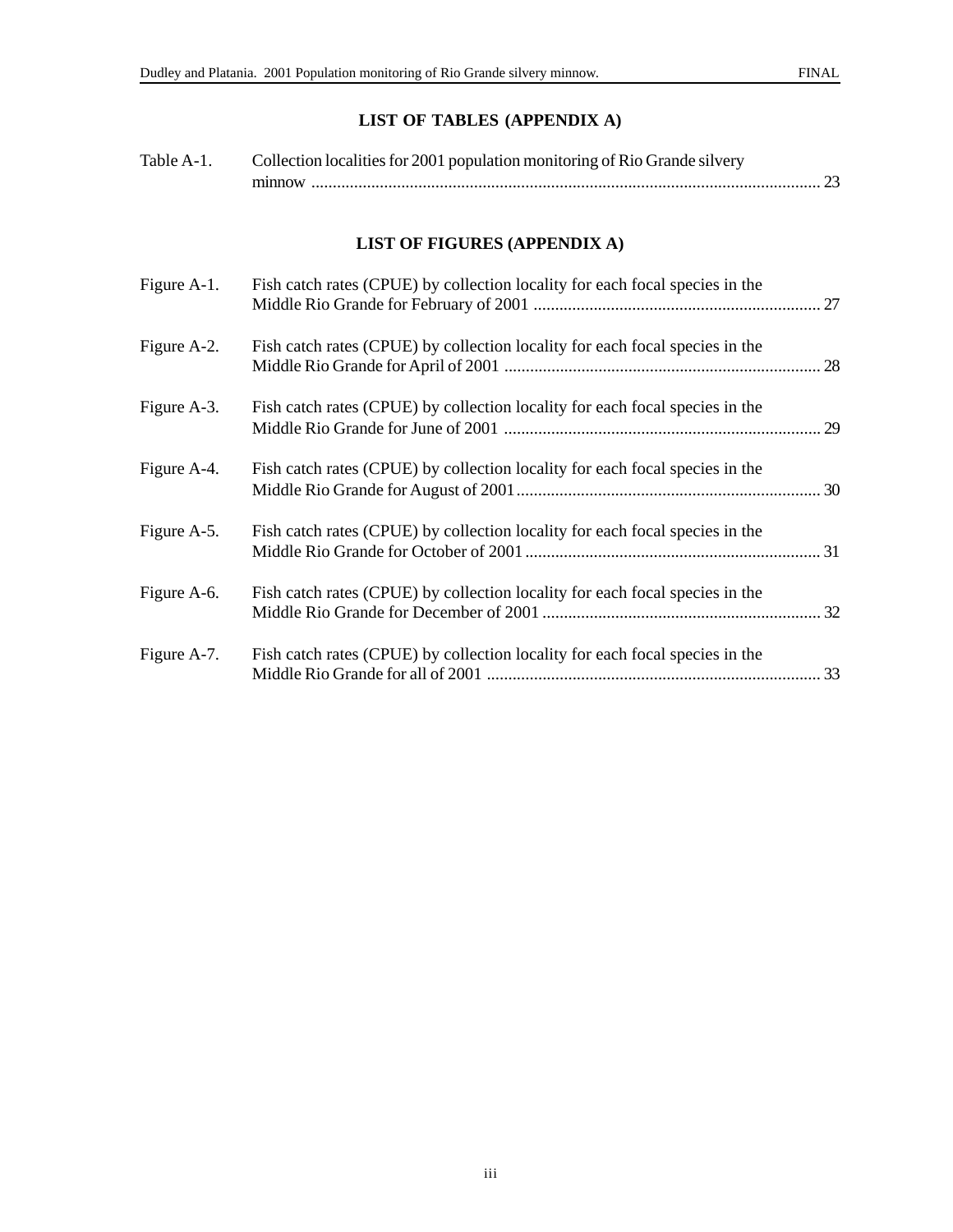# **LIST OF TABLES (APPENDIX A)**

| Table A-1. | Collection localities for 2001 population monitoring of Rio Grande silvery |
|------------|----------------------------------------------------------------------------|
|            | minnow                                                                     |

# **LIST OF FIGURES (APPENDIX A)**

| Figure A-1. | Fish catch rates (CPUE) by collection locality for each focal species in the |  |
|-------------|------------------------------------------------------------------------------|--|
| Figure A-2. | Fish catch rates (CPUE) by collection locality for each focal species in the |  |
| Figure A-3. | Fish catch rates (CPUE) by collection locality for each focal species in the |  |
| Figure A-4. | Fish catch rates (CPUE) by collection locality for each focal species in the |  |
| Figure A-5. | Fish catch rates (CPUE) by collection locality for each focal species in the |  |
| Figure A-6. | Fish catch rates (CPUE) by collection locality for each focal species in the |  |
| Figure A-7. | Fish catch rates (CPUE) by collection locality for each focal species in the |  |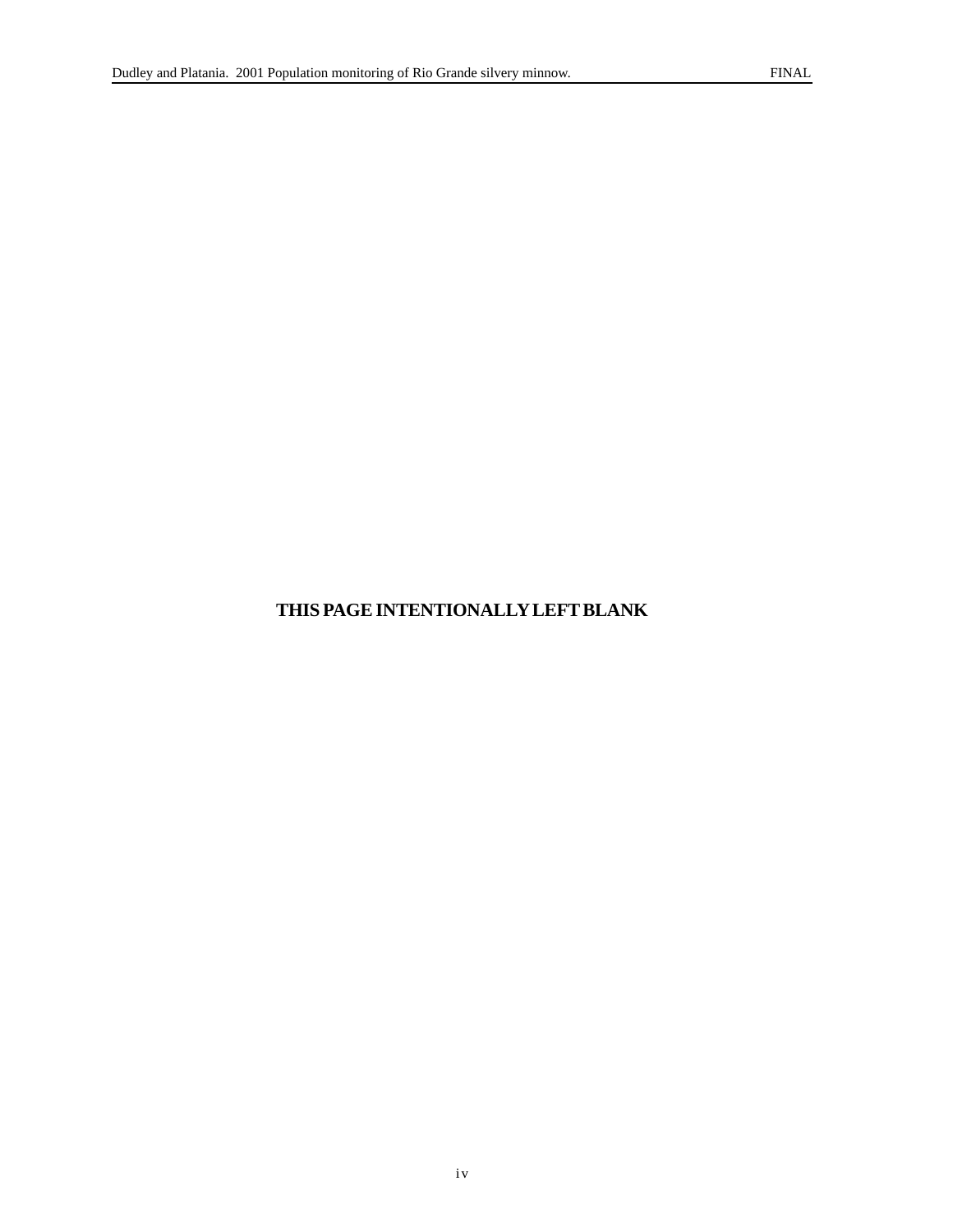# **THIS PAGE INTENTIONALLY LEFT BLANK**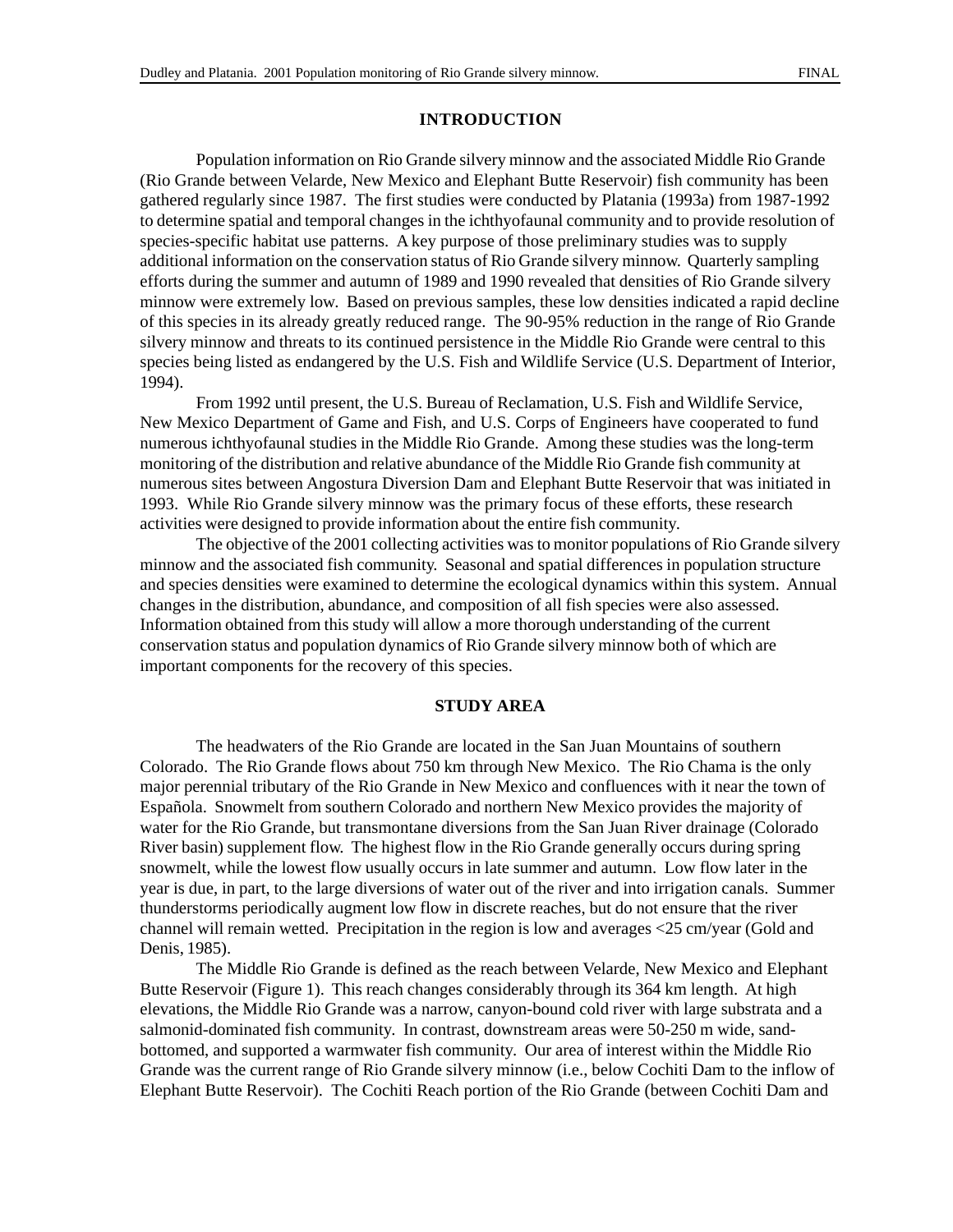#### **INTRODUCTION**

Population information on Rio Grande silvery minnow and the associated Middle Rio Grande (Rio Grande between Velarde, New Mexico and Elephant Butte Reservoir) fish community has been gathered regularly since 1987. The first studies were conducted by Platania (1993a) from 1987-1992 to determine spatial and temporal changes in the ichthyofaunal community and to provide resolution of species-specific habitat use patterns. A key purpose of those preliminary studies was to supply additional information on the conservation status of Rio Grande silvery minnow. Quarterly sampling efforts during the summer and autumn of 1989 and 1990 revealed that densities of Rio Grande silvery minnow were extremely low. Based on previous samples, these low densities indicated a rapid decline of this species in its already greatly reduced range. The 90-95% reduction in the range of Rio Grande silvery minnow and threats to its continued persistence in the Middle Rio Grande were central to this species being listed as endangered by the U.S. Fish and Wildlife Service (U.S. Department of Interior, 1994).

From 1992 until present, the U.S. Bureau of Reclamation, U.S. Fish and Wildlife Service, New Mexico Department of Game and Fish, and U.S. Corps of Engineers have cooperated to fund numerous ichthyofaunal studies in the Middle Rio Grande. Among these studies was the long-term monitoring of the distribution and relative abundance of the Middle Rio Grande fish community at numerous sites between Angostura Diversion Dam and Elephant Butte Reservoir that was initiated in 1993. While Rio Grande silvery minnow was the primary focus of these efforts, these research activities were designed to provide information about the entire fish community.

The objective of the 2001 collecting activities was to monitor populations of Rio Grande silvery minnow and the associated fish community. Seasonal and spatial differences in population structure and species densities were examined to determine the ecological dynamics within this system. Annual changes in the distribution, abundance, and composition of all fish species were also assessed. Information obtained from this study will allow a more thorough understanding of the current conservation status and population dynamics of Rio Grande silvery minnow both of which are important components for the recovery of this species.

#### **STUDY AREA**

The headwaters of the Rio Grande are located in the San Juan Mountains of southern Colorado. The Rio Grande flows about 750 km through New Mexico. The Rio Chama is the only major perennial tributary of the Rio Grande in New Mexico and confluences with it near the town of Española. Snowmelt from southern Colorado and northern New Mexico provides the majority of water for the Rio Grande, but transmontane diversions from the San Juan River drainage (Colorado River basin) supplement flow. The highest flow in the Rio Grande generally occurs during spring snowmelt, while the lowest flow usually occurs in late summer and autumn. Low flow later in the year is due, in part, to the large diversions of water out of the river and into irrigation canals. Summer thunderstorms periodically augment low flow in discrete reaches, but do not ensure that the river channel will remain wetted. Precipitation in the region is low and averages <25 cm/year (Gold and Denis, 1985).

The Middle Rio Grande is defined as the reach between Velarde, New Mexico and Elephant Butte Reservoir (Figure 1). This reach changes considerably through its 364 km length. At high elevations, the Middle Rio Grande was a narrow, canyon-bound cold river with large substrata and a salmonid-dominated fish community. In contrast, downstream areas were 50-250 m wide, sandbottomed, and supported a warmwater fish community. Our area of interest within the Middle Rio Grande was the current range of Rio Grande silvery minnow (i.e., below Cochiti Dam to the inflow of Elephant Butte Reservoir). The Cochiti Reach portion of the Rio Grande (between Cochiti Dam and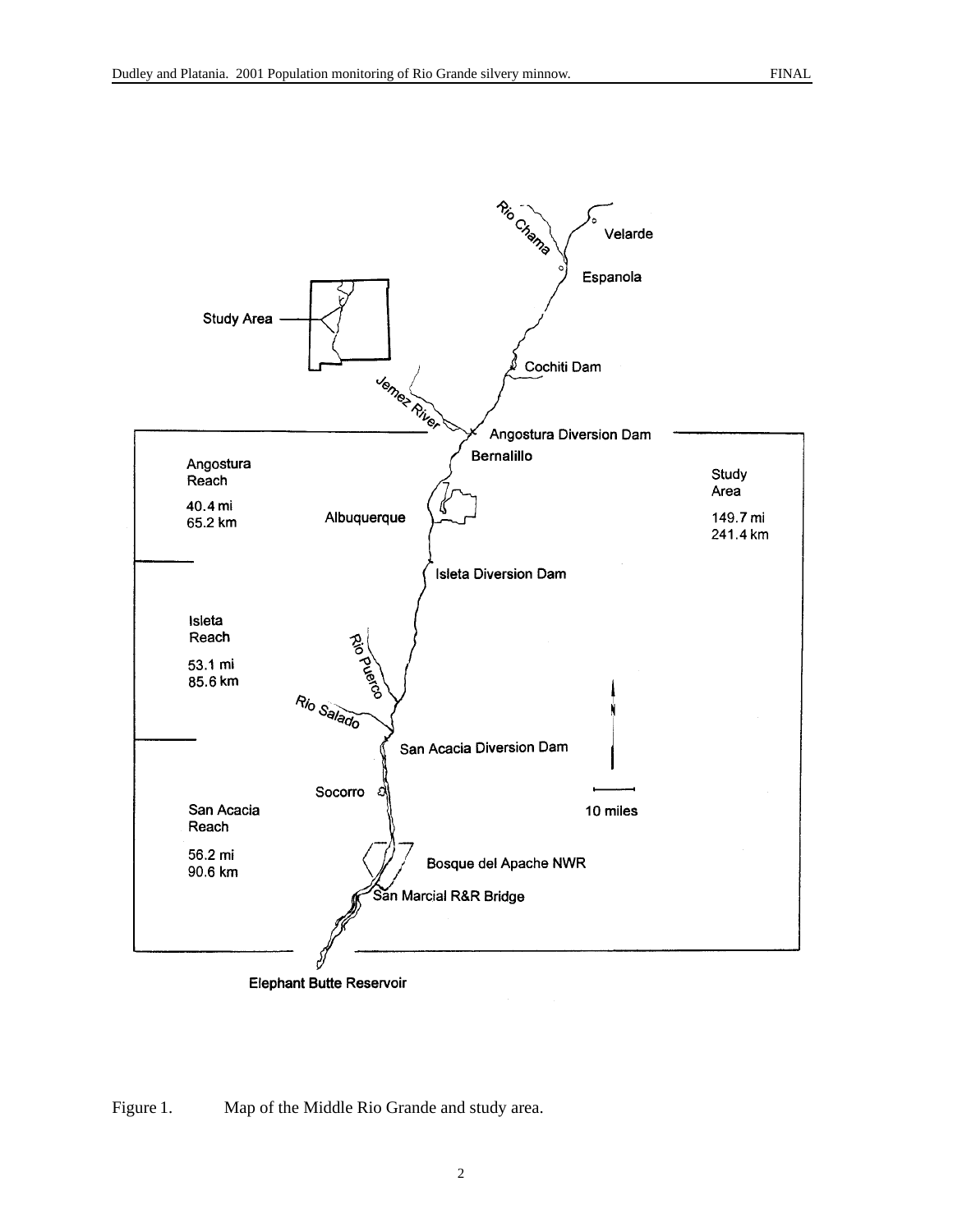

**Elephant Butte Reservoir** 

Figure 1. Map of the Middle Rio Grande and study area.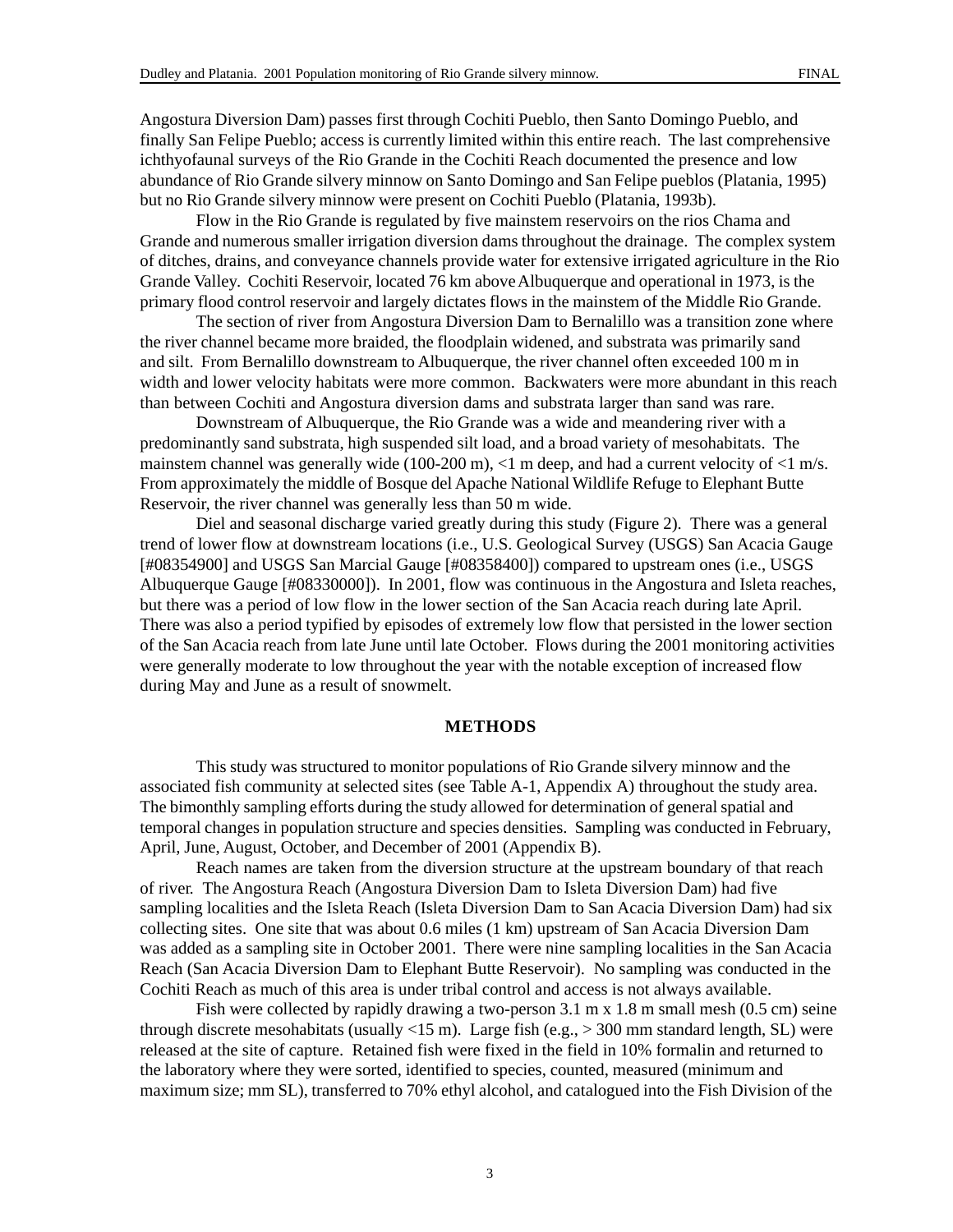Angostura Diversion Dam) passes first through Cochiti Pueblo, then Santo Domingo Pueblo, and finally San Felipe Pueblo; access is currently limited within this entire reach. The last comprehensive ichthyofaunal surveys of the Rio Grande in the Cochiti Reach documented the presence and low abundance of Rio Grande silvery minnow on Santo Domingo and San Felipe pueblos (Platania, 1995) but no Rio Grande silvery minnow were present on Cochiti Pueblo (Platania, 1993b).

Flow in the Rio Grande is regulated by five mainstem reservoirs on the rios Chama and Grande and numerous smaller irrigation diversion dams throughout the drainage. The complex system of ditches, drains, and conveyance channels provide water for extensive irrigated agriculture in the Rio Grande Valley. Cochiti Reservoir, located 76 km above Albuquerque and operational in 1973, is the primary flood control reservoir and largely dictates flows in the mainstem of the Middle Rio Grande.

The section of river from Angostura Diversion Dam to Bernalillo was a transition zone where the river channel became more braided, the floodplain widened, and substrata was primarily sand and silt. From Bernalillo downstream to Albuquerque, the river channel often exceeded 100 m in width and lower velocity habitats were more common. Backwaters were more abundant in this reach than between Cochiti and Angostura diversion dams and substrata larger than sand was rare.

Downstream of Albuquerque, the Rio Grande was a wide and meandering river with a predominantly sand substrata, high suspended silt load, and a broad variety of mesohabitats. The mainstem channel was generally wide (100-200 m),  $\lt 1$  m deep, and had a current velocity of  $\lt 1$  m/s. From approximately the middle of Bosque del Apache National Wildlife Refuge to Elephant Butte Reservoir, the river channel was generally less than 50 m wide.

Diel and seasonal discharge varied greatly during this study (Figure 2). There was a general trend of lower flow at downstream locations (i.e., U.S. Geological Survey (USGS) San Acacia Gauge [#08354900] and USGS San Marcial Gauge [#08358400]) compared to upstream ones (i.e., USGS Albuquerque Gauge [#08330000]). In 2001, flow was continuous in the Angostura and Isleta reaches, but there was a period of low flow in the lower section of the San Acacia reach during late April. There was also a period typified by episodes of extremely low flow that persisted in the lower section of the San Acacia reach from late June until late October. Flows during the 2001 monitoring activities were generally moderate to low throughout the year with the notable exception of increased flow during May and June as a result of snowmelt.

#### **METHODS**

This study was structured to monitor populations of Rio Grande silvery minnow and the associated fish community at selected sites (see Table A-1, Appendix A) throughout the study area. The bimonthly sampling efforts during the study allowed for determination of general spatial and temporal changes in population structure and species densities. Sampling was conducted in February, April, June, August, October, and December of 2001 (Appendix B).

Reach names are taken from the diversion structure at the upstream boundary of that reach of river. The Angostura Reach (Angostura Diversion Dam to Isleta Diversion Dam) had five sampling localities and the Isleta Reach (Isleta Diversion Dam to San Acacia Diversion Dam) had six collecting sites. One site that was about 0.6 miles (1 km) upstream of San Acacia Diversion Dam was added as a sampling site in October 2001. There were nine sampling localities in the San Acacia Reach (San Acacia Diversion Dam to Elephant Butte Reservoir). No sampling was conducted in the Cochiti Reach as much of this area is under tribal control and access is not always available.

Fish were collected by rapidly drawing a two-person 3.1 m x 1.8 m small mesh (0.5 cm) seine through discrete mesohabitats (usually  $\langle 15 \text{ m} \rangle$ . Large fish (e.g.,  $> 300 \text{ mm}$  standard length, SL) were released at the site of capture. Retained fish were fixed in the field in 10% formalin and returned to the laboratory where they were sorted, identified to species, counted, measured (minimum and maximum size; mm SL), transferred to 70% ethyl alcohol, and catalogued into the Fish Division of the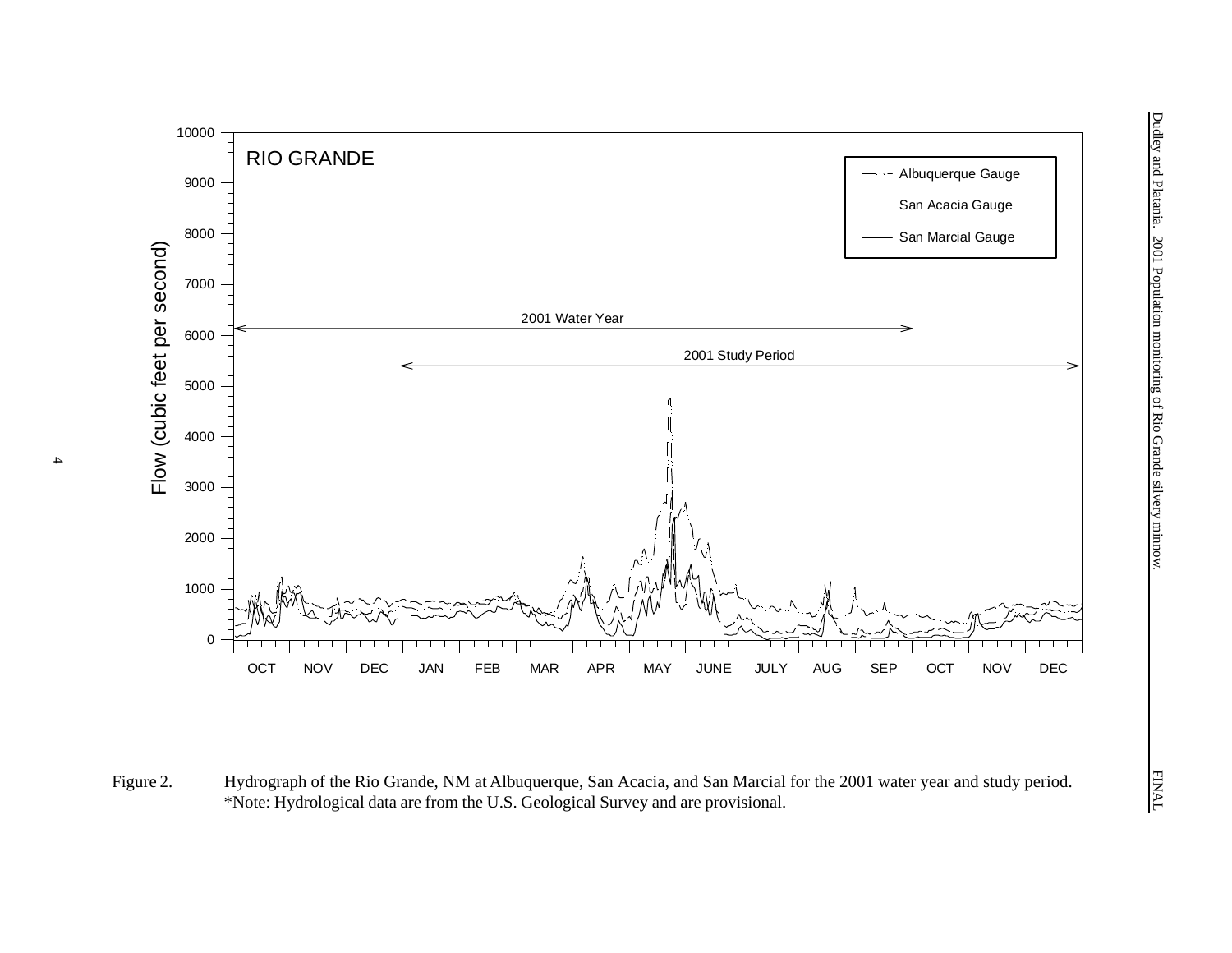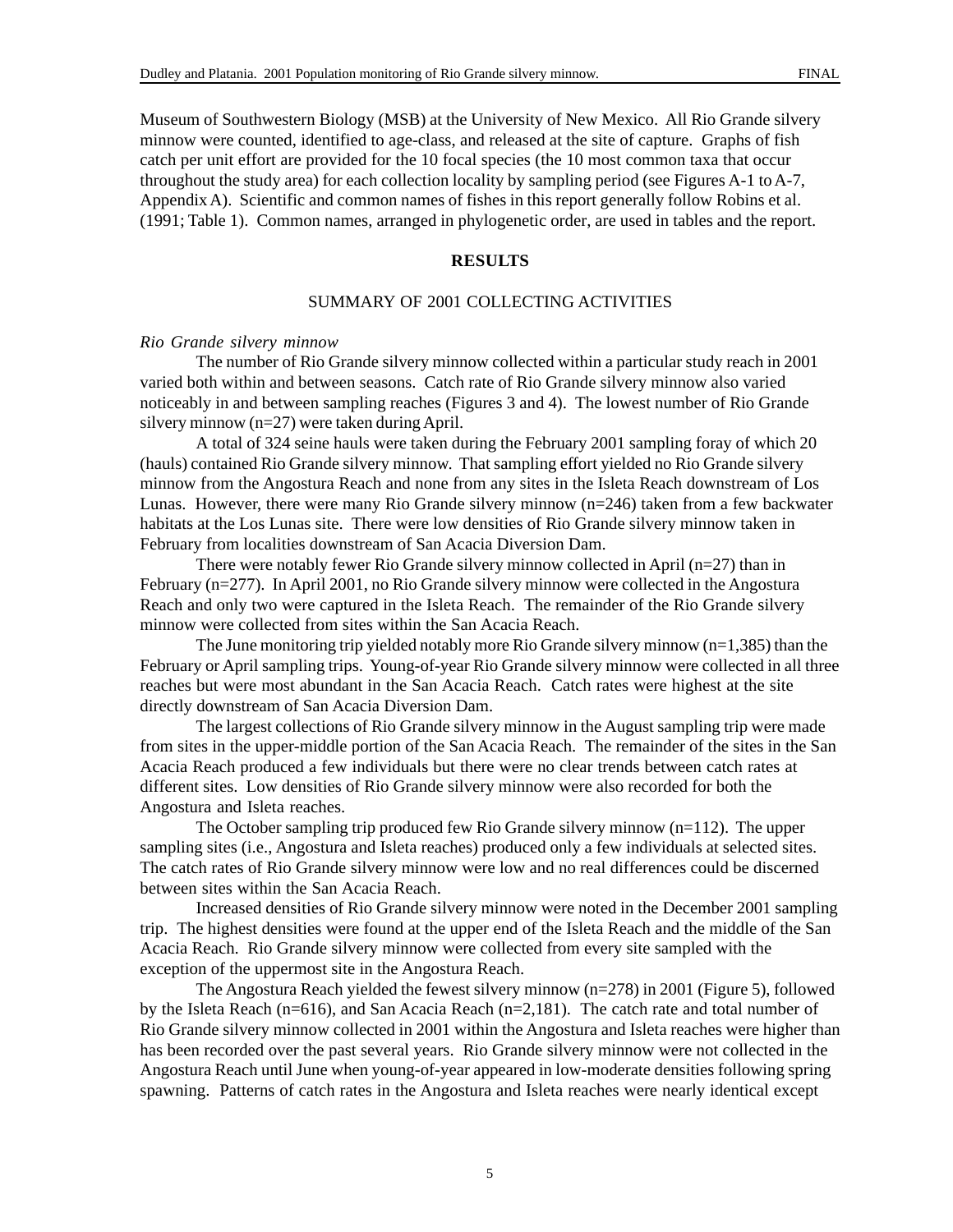Museum of Southwestern Biology (MSB) at the University of New Mexico. All Rio Grande silvery minnow were counted, identified to age-class, and released at the site of capture. Graphs of fish catch per unit effort are provided for the 10 focal species (the 10 most common taxa that occur throughout the study area) for each collection locality by sampling period (see Figures A-1 to A-7, Appendix A). Scientific and common names of fishes in this report generally follow Robins et al. (1991; Table 1). Common names, arranged in phylogenetic order, are used in tables and the report.

### **RESULTS**

### SUMMARY OF 2001 COLLECTING ACTIVITIES

#### *Rio Grande silvery minnow*

The number of Rio Grande silvery minnow collected within a particular study reach in 2001 varied both within and between seasons. Catch rate of Rio Grande silvery minnow also varied noticeably in and between sampling reaches (Figures 3 and 4). The lowest number of Rio Grande silvery minnow (n=27) were taken during April.

A total of 324 seine hauls were taken during the February 2001 sampling foray of which 20 (hauls) contained Rio Grande silvery minnow. That sampling effort yielded no Rio Grande silvery minnow from the Angostura Reach and none from any sites in the Isleta Reach downstream of Los Lunas. However, there were many Rio Grande silvery minnow (n=246) taken from a few backwater habitats at the Los Lunas site. There were low densities of Rio Grande silvery minnow taken in February from localities downstream of San Acacia Diversion Dam.

There were notably fewer Rio Grande silvery minnow collected in April (n=27) than in February (n=277). In April 2001, no Rio Grande silvery minnow were collected in the Angostura Reach and only two were captured in the Isleta Reach. The remainder of the Rio Grande silvery minnow were collected from sites within the San Acacia Reach.

The June monitoring trip yielded notably more Rio Grande silvery minnow  $(n=1,385)$  than the February or April sampling trips. Young-of-year Rio Grande silvery minnow were collected in all three reaches but were most abundant in the San Acacia Reach. Catch rates were highest at the site directly downstream of San Acacia Diversion Dam.

The largest collections of Rio Grande silvery minnow in the August sampling trip were made from sites in the upper-middle portion of the San Acacia Reach. The remainder of the sites in the San Acacia Reach produced a few individuals but there were no clear trends between catch rates at different sites. Low densities of Rio Grande silvery minnow were also recorded for both the Angostura and Isleta reaches.

The October sampling trip produced few Rio Grande silvery minnow (n=112). The upper sampling sites (i.e., Angostura and Isleta reaches) produced only a few individuals at selected sites. The catch rates of Rio Grande silvery minnow were low and no real differences could be discerned between sites within the San Acacia Reach.

Increased densities of Rio Grande silvery minnow were noted in the December 2001 sampling trip. The highest densities were found at the upper end of the Isleta Reach and the middle of the San Acacia Reach. Rio Grande silvery minnow were collected from every site sampled with the exception of the uppermost site in the Angostura Reach.

The Angostura Reach yielded the fewest silvery minnow (n=278) in 2001 (Figure 5), followed by the Isleta Reach (n=616), and San Acacia Reach (n=2,181). The catch rate and total number of Rio Grande silvery minnow collected in 2001 within the Angostura and Isleta reaches were higher than has been recorded over the past several years. Rio Grande silvery minnow were not collected in the Angostura Reach until June when young-of-year appeared in low-moderate densities following spring spawning. Patterns of catch rates in the Angostura and Isleta reaches were nearly identical except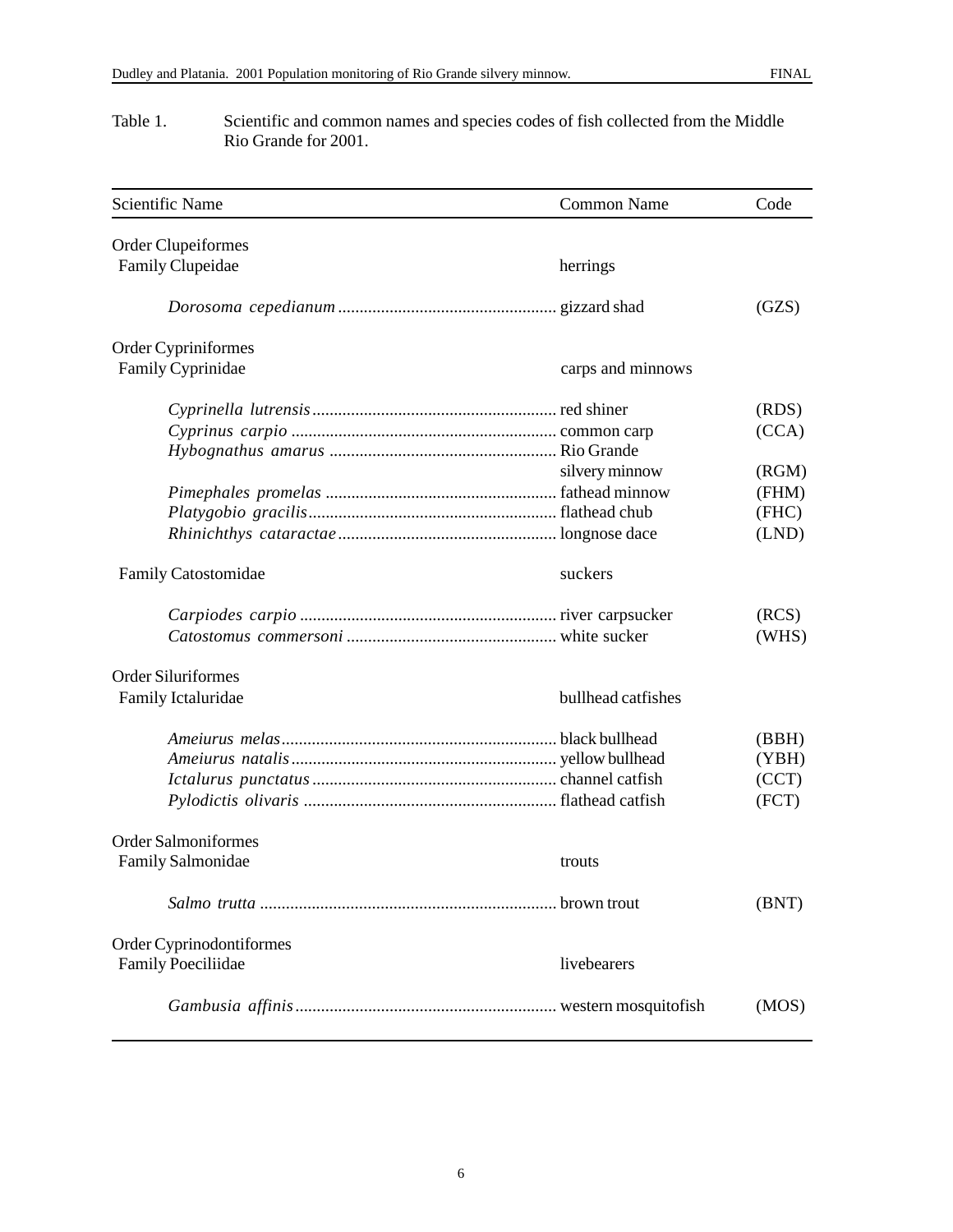| Table 1. | Scientific and common names and species codes of fish collected from the Middle |
|----------|---------------------------------------------------------------------------------|
|          | Rio Grande for 2001.                                                            |

| <b>Scientific Name</b>     | <b>Common Name</b> | Code  |
|----------------------------|--------------------|-------|
| Order Clupeiformes         |                    |       |
| Family Clupeidae           | herrings           |       |
|                            |                    | (GZS) |
| Order Cypriniformes        |                    |       |
| Family Cyprinidae          | carps and minnows  |       |
|                            |                    | (RDS) |
|                            |                    | (CCA) |
|                            |                    |       |
|                            | silvery minnow     | (RGM) |
|                            |                    | (FHM) |
|                            |                    | (FHC) |
|                            |                    | (LND) |
|                            |                    |       |
| Family Catostomidae        | suckers            |       |
|                            |                    | (RCS) |
|                            |                    | (WHS) |
| Order Siluriformes         |                    |       |
| Family Ictaluridae         | bullhead catfishes |       |
|                            |                    |       |
|                            |                    | (BBH) |
|                            |                    | (YBH) |
|                            |                    | (CCT) |
|                            |                    | (FCT) |
| <b>Order Salmoniformes</b> |                    |       |
|                            |                    |       |
| <b>Family Salmonidae</b>   | trouts             |       |
|                            |                    | (BNT) |
|                            |                    |       |
| Order Cyprinodontiformes   |                    |       |
| <b>Family Poeciliidae</b>  | livebearers        |       |
|                            |                    | (MOS) |
|                            |                    |       |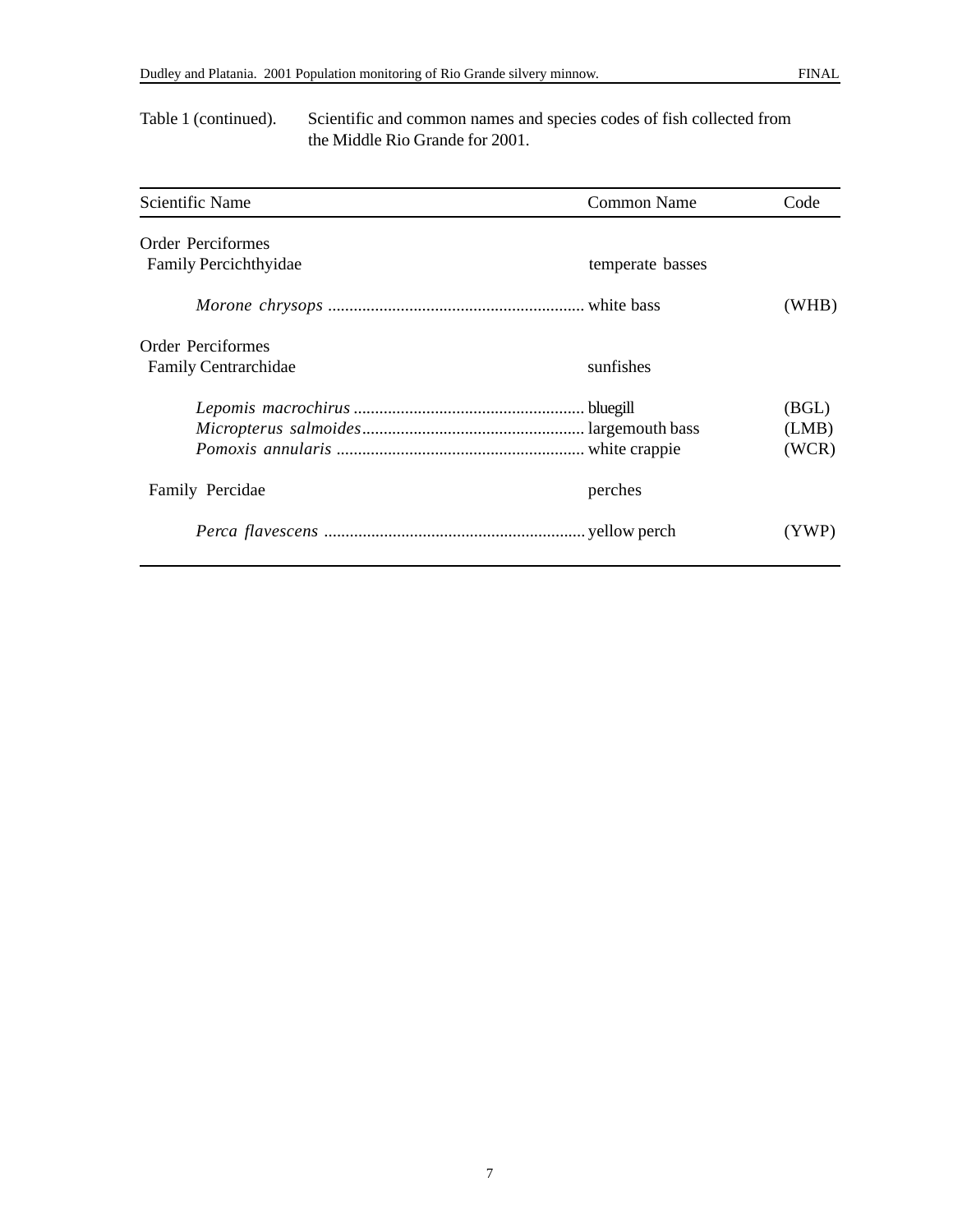# Table 1 (continued). Scientific and common names and species codes of fish collected from the Middle Rio Grande for 2001.

| Scientific Name          | Common Name      | Code  |
|--------------------------|------------------|-------|
| <b>Order Perciformes</b> |                  |       |
| Family Percichthyidae    | temperate basses |       |
|                          |                  | (WHB) |
| <b>Order Perciformes</b> |                  |       |
| Family Centrarchidae     | sunfishes        |       |
|                          |                  | (BGL) |
|                          |                  | (LMB) |
|                          |                  | (WCR) |
| Family Percidae          | perches          |       |
|                          |                  | (YWP) |
|                          |                  |       |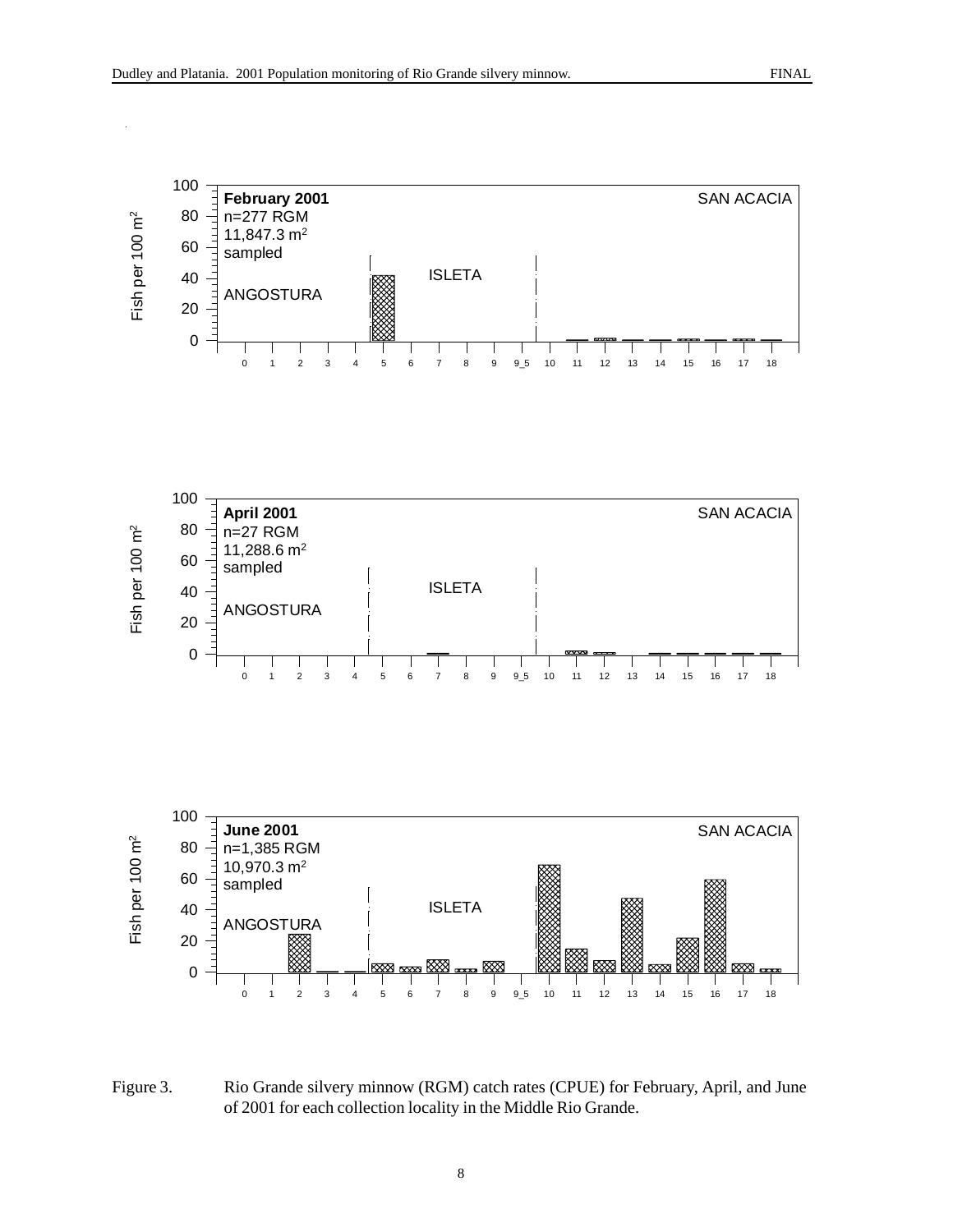$\bar{z}$ 







Figure 3. Rio Grande silvery minnow (RGM) catch rates (CPUE) for February, April, and June of 2001 for each collection locality in the Middle Rio Grande.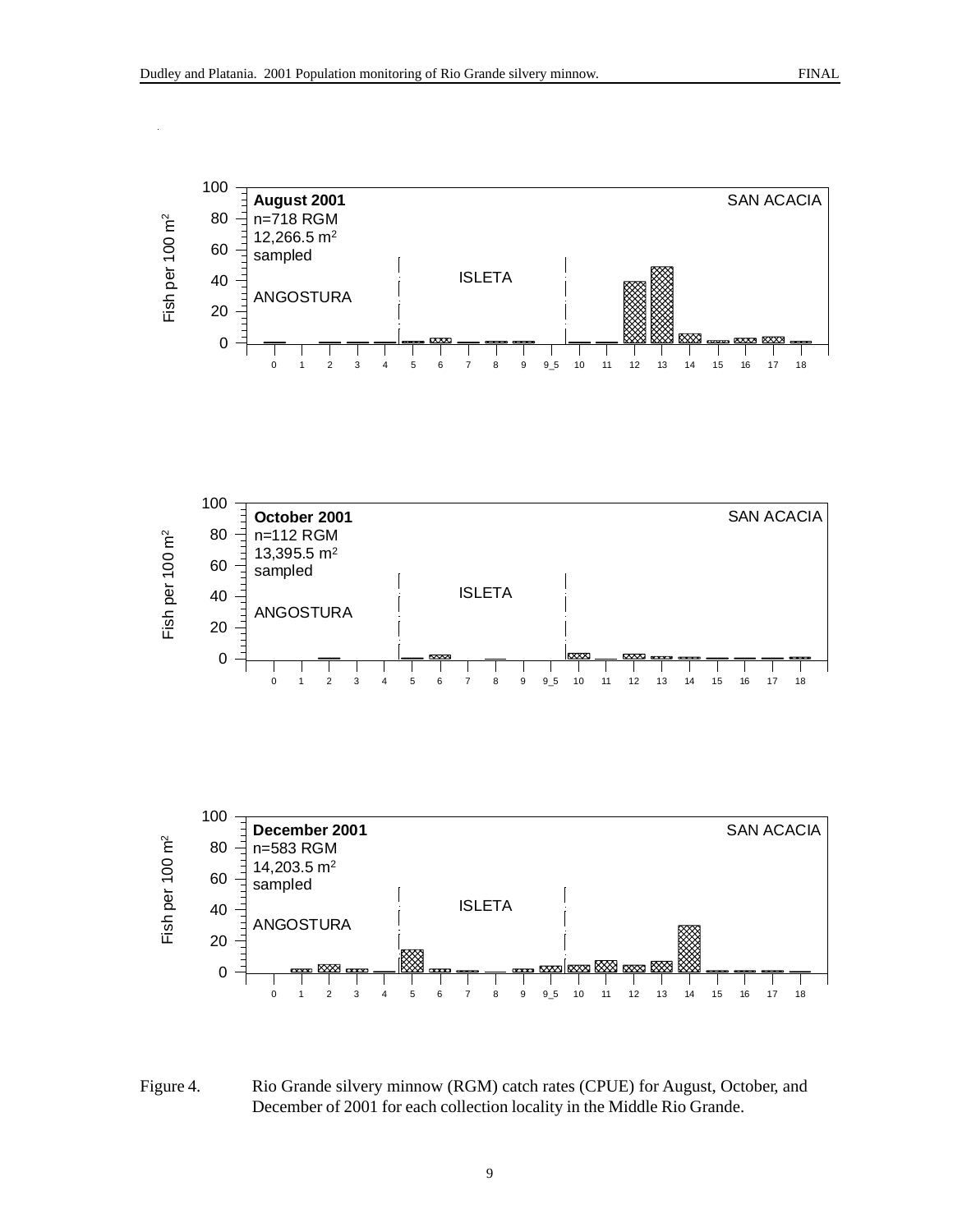





Figure 4. Rio Grande silvery minnow (RGM) catch rates (CPUE) for August, October, and December of 2001 for each collection locality in the Middle Rio Grande.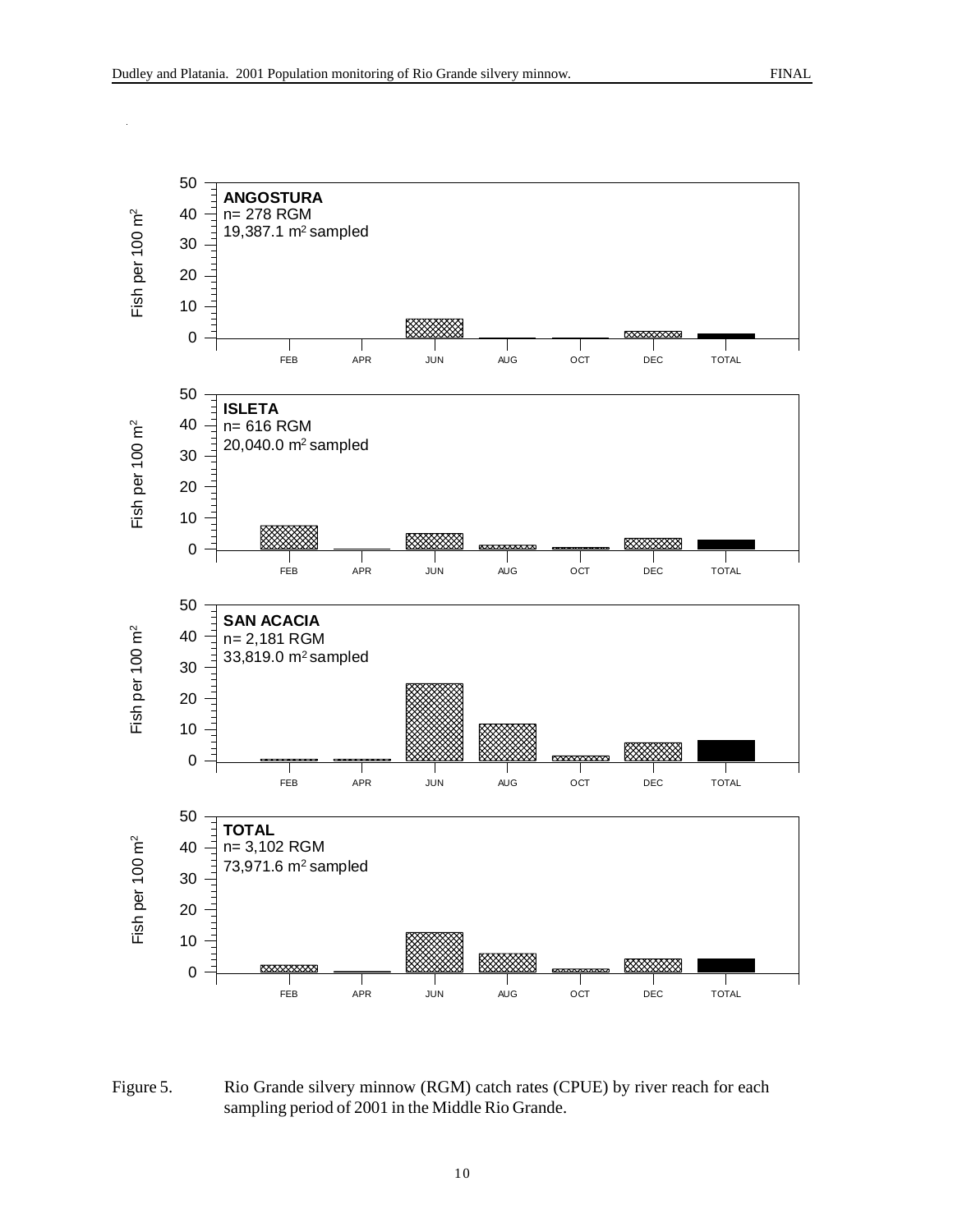

Figure 5. Rio Grande silvery minnow (RGM) catch rates (CPUE) by river reach for each sampling period of 2001 in the Middle Rio Grande.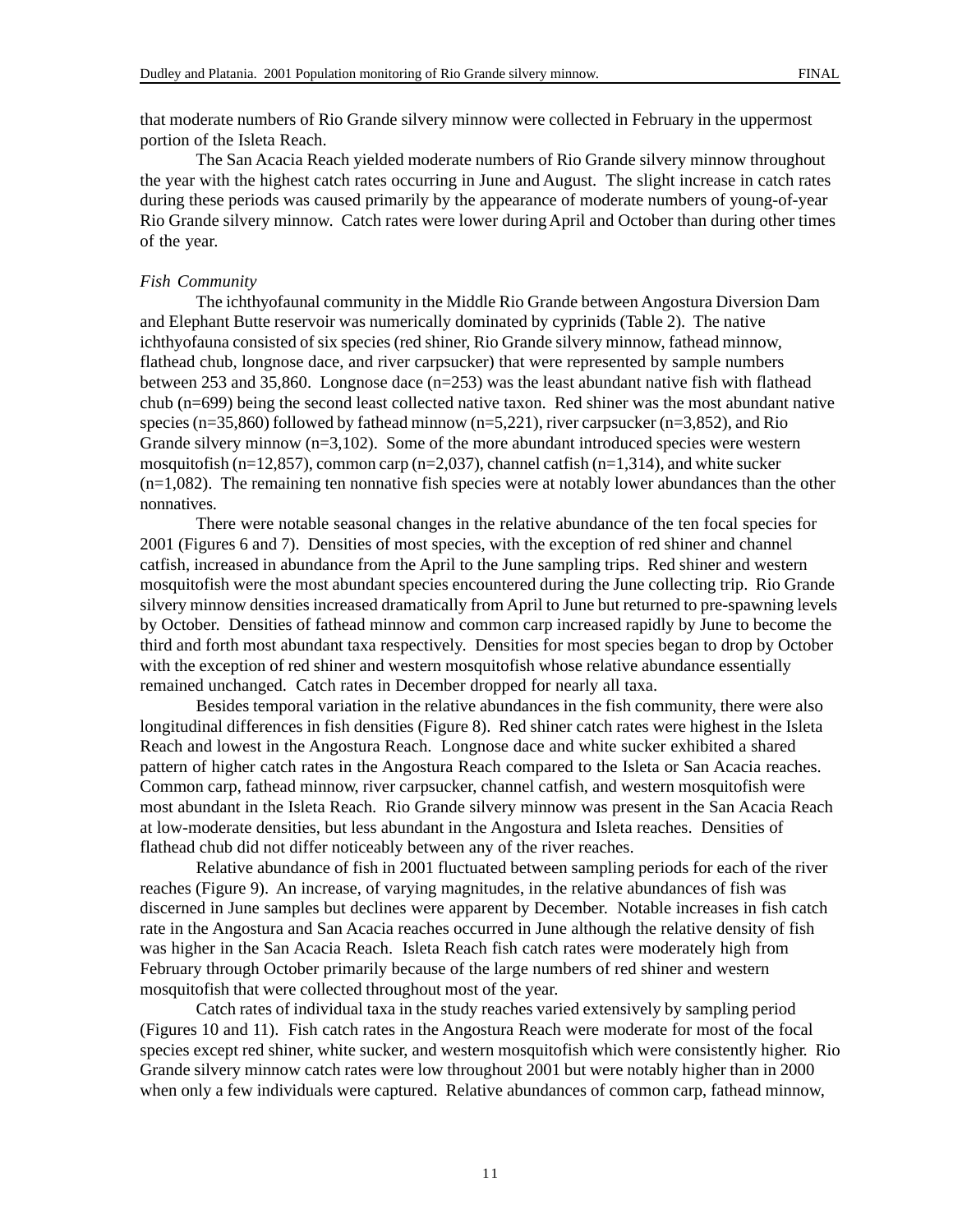that moderate numbers of Rio Grande silvery minnow were collected in February in the uppermost portion of the Isleta Reach.

The San Acacia Reach yielded moderate numbers of Rio Grande silvery minnow throughout the year with the highest catch rates occurring in June and August. The slight increase in catch rates during these periods was caused primarily by the appearance of moderate numbers of young-of-year Rio Grande silvery minnow. Catch rates were lower during April and October than during other times of the year.

#### *Fish Community*

The ichthyofaunal community in the Middle Rio Grande between Angostura Diversion Dam and Elephant Butte reservoir was numerically dominated by cyprinids (Table 2). The native ichthyofauna consisted of six species (red shiner, Rio Grande silvery minnow, fathead minnow, flathead chub, longnose dace, and river carpsucker) that were represented by sample numbers between 253 and 35,860. Longnose dace  $(n=253)$  was the least abundant native fish with flathead chub (n=699) being the second least collected native taxon. Red shiner was the most abundant native species ( $n=35,860$ ) followed by fathead minnow ( $n=5,221$ ), river carpsucker ( $n=3,852$ ), and Rio Grande silvery minnow  $(n=3,102)$ . Some of the more abundant introduced species were western mosquitofish (n=12,857), common carp (n=2,037), channel catfish (n=1,314), and white sucker  $(n=1,082)$ . The remaining ten nonnative fish species were at notably lower abundances than the other nonnatives.

There were notable seasonal changes in the relative abundance of the ten focal species for 2001 (Figures 6 and 7). Densities of most species, with the exception of red shiner and channel catfish, increased in abundance from the April to the June sampling trips. Red shiner and western mosquitofish were the most abundant species encountered during the June collecting trip. Rio Grande silvery minnow densities increased dramatically from April to June but returned to pre-spawning levels by October. Densities of fathead minnow and common carp increased rapidly by June to become the third and forth most abundant taxa respectively. Densities for most species began to drop by October with the exception of red shiner and western mosquitofish whose relative abundance essentially remained unchanged. Catch rates in December dropped for nearly all taxa.

Besides temporal variation in the relative abundances in the fish community, there were also longitudinal differences in fish densities (Figure 8). Red shiner catch rates were highest in the Isleta Reach and lowest in the Angostura Reach. Longnose dace and white sucker exhibited a shared pattern of higher catch rates in the Angostura Reach compared to the Isleta or San Acacia reaches. Common carp, fathead minnow, river carpsucker, channel catfish, and western mosquitofish were most abundant in the Isleta Reach. Rio Grande silvery minnow was present in the San Acacia Reach at low-moderate densities, but less abundant in the Angostura and Isleta reaches. Densities of flathead chub did not differ noticeably between any of the river reaches.

Relative abundance of fish in 2001 fluctuated between sampling periods for each of the river reaches (Figure 9). An increase, of varying magnitudes, in the relative abundances of fish was discerned in June samples but declines were apparent by December. Notable increases in fish catch rate in the Angostura and San Acacia reaches occurred in June although the relative density of fish was higher in the San Acacia Reach. Isleta Reach fish catch rates were moderately high from February through October primarily because of the large numbers of red shiner and western mosquitofish that were collected throughout most of the year.

Catch rates of individual taxa in the study reaches varied extensively by sampling period (Figures 10 and 11). Fish catch rates in the Angostura Reach were moderate for most of the focal species except red shiner, white sucker, and western mosquitofish which were consistently higher. Rio Grande silvery minnow catch rates were low throughout 2001 but were notably higher than in 2000 when only a few individuals were captured. Relative abundances of common carp, fathead minnow,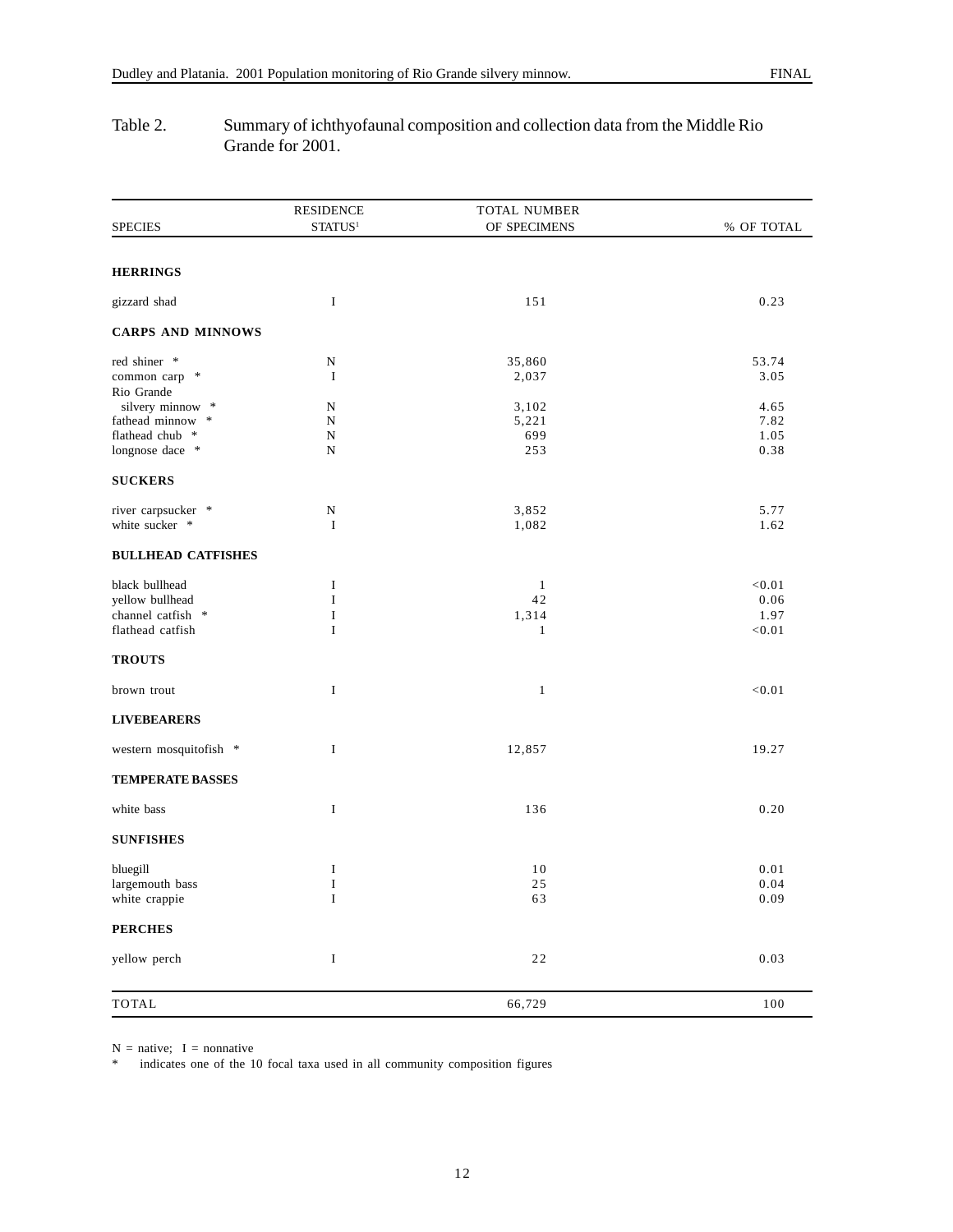|                           | <b>RESIDENCE</b>    | TOTAL NUMBER |            |
|---------------------------|---------------------|--------------|------------|
| <b>SPECIES</b>            | STATUS <sup>1</sup> | OF SPECIMENS | % OF TOTAL |
|                           |                     |              |            |
| <b>HERRINGS</b>           |                     |              |            |
| gizzard shad              | $\bf{I}$            | 151          | 0.23       |
| <b>CARPS AND MINNOWS</b>  |                     |              |            |
| red shiner *              | ${\bf N}$           | 35,860       | 53.74      |
| common carp<br>$\ast$     | $\bf{I}$            | 2,037        | 3.05       |
| Rio Grande                |                     |              |            |
| silvery minnow *          | ${\bf N}$           | 3,102        | 4.65       |
| fathead minnow *          | N                   | 5,221        | 7.82       |
| flathead chub *           | ${\bf N}$           | 699          | 1.05       |
| longnose dace *           | ${\bf N}$           | 253          | 0.38       |
| <b>SUCKERS</b>            |                     |              |            |
| river carpsucker *        | ${\bf N}$           | 3,852        | 5.77       |
| white sucker *            | $\mathbf I$         | 1,082        | 1.62       |
| <b>BULLHEAD CATFISHES</b> |                     |              |            |
| black bullhead            | I                   | -1           | < 0.01     |
| yellow bullhead           | $\bf I$             | 42           | 0.06       |
| channel catfish *         | $\bf{I}$            | 1,314        | 1.97       |
| flathead catfish          | $\bf I$             | $\mathbf{1}$ | < 0.01     |
| <b>TROUTS</b>             |                     |              |            |
| brown trout               | $\bf{I}$            | $\mathbf{1}$ | < 0.01     |
| <b>LIVEBEARERS</b>        |                     |              |            |
| western mosquitofish *    | $\bf I$             | 12,857       | 19.27      |
| <b>TEMPERATE BASSES</b>   |                     |              |            |
| white bass                | $\bf{I}$            | 136          | 0.20       |
| <b>SUNFISHES</b>          |                     |              |            |
| bluegill                  | 1                   | 10           | 0.01       |
| largemouth bass           | $\bf I$             | 25           | 0.04       |
| white crappie             | $\bf I$             | 63           | 0.09       |
| <b>PERCHES</b>            |                     |              |            |
| yellow perch              | $\bf I$             | $2\sqrt{2}$  | 0.03       |
|                           |                     |              |            |
| <b>TOTAL</b>              |                     | 66,729       | $100\,$    |

## Table 2. Summary of ichthyofaunal composition and collection data from the Middle Rio Grande for 2001.

 $N =$  native;  $I =$  nonnative

\* indicates one of the 10 focal taxa used in all community composition figures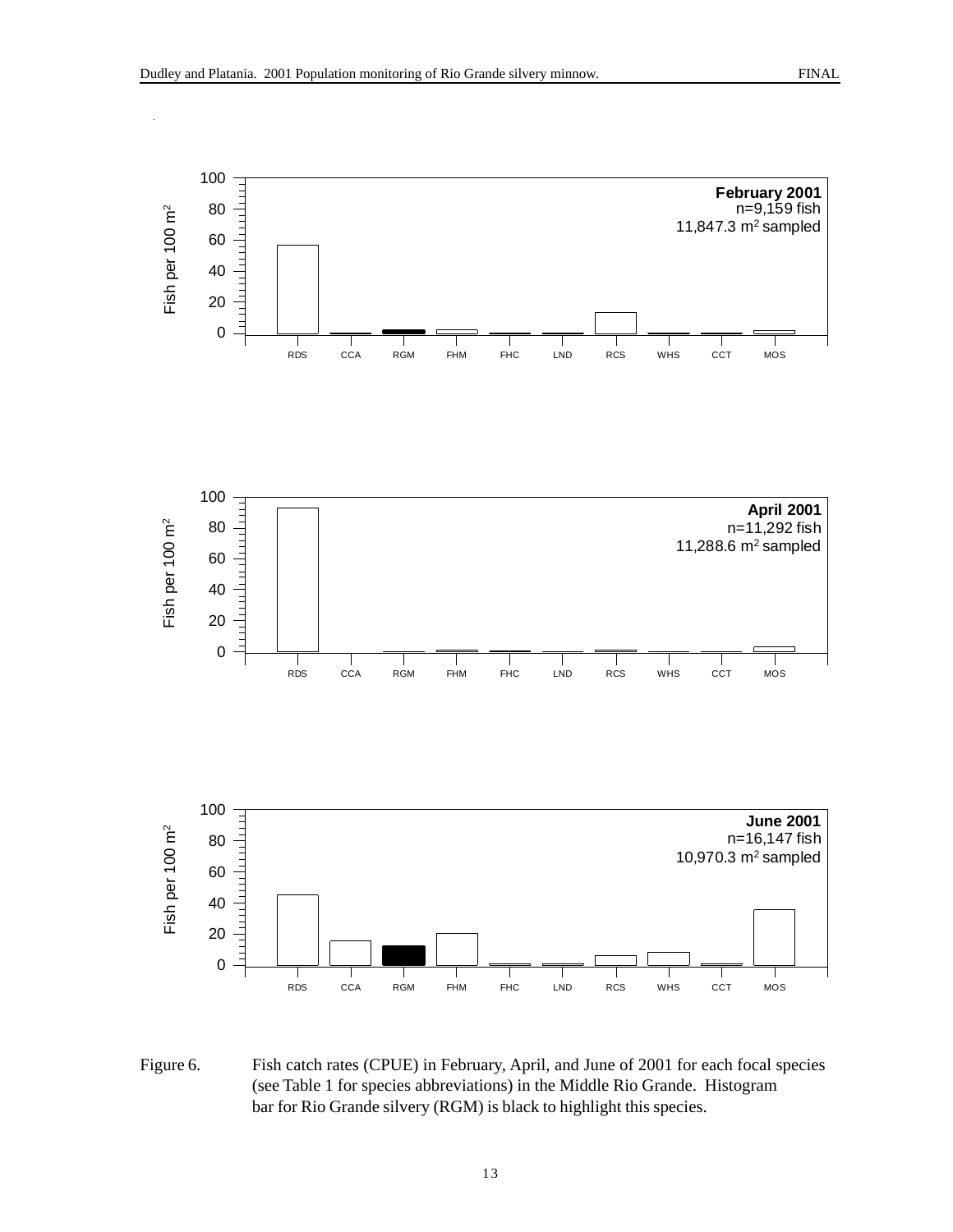l,



Figure 6. Fish catch rates (CPUE) in February, April, and June of 2001 for each focal species (see Table 1 for species abbreviations) in the Middle Rio Grande. Histogram bar for Rio Grande silvery (RGM) is black to highlight this species.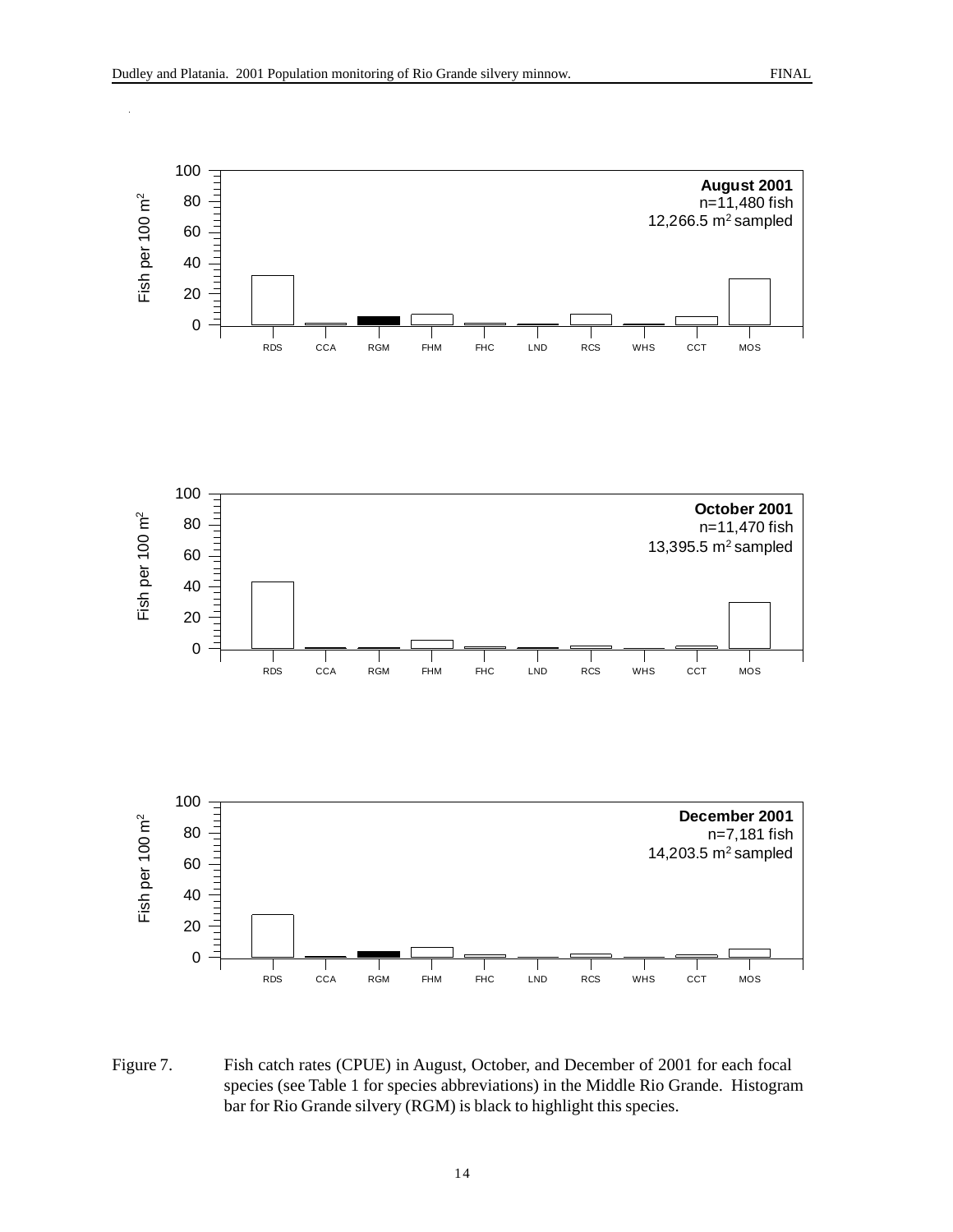

Figure 7. Fish catch rates (CPUE) in August, October, and December of 2001 for each focal species (see Table 1 for species abbreviations) in the Middle Rio Grande. Histogram bar for Rio Grande silvery (RGM) is black to highlight this species.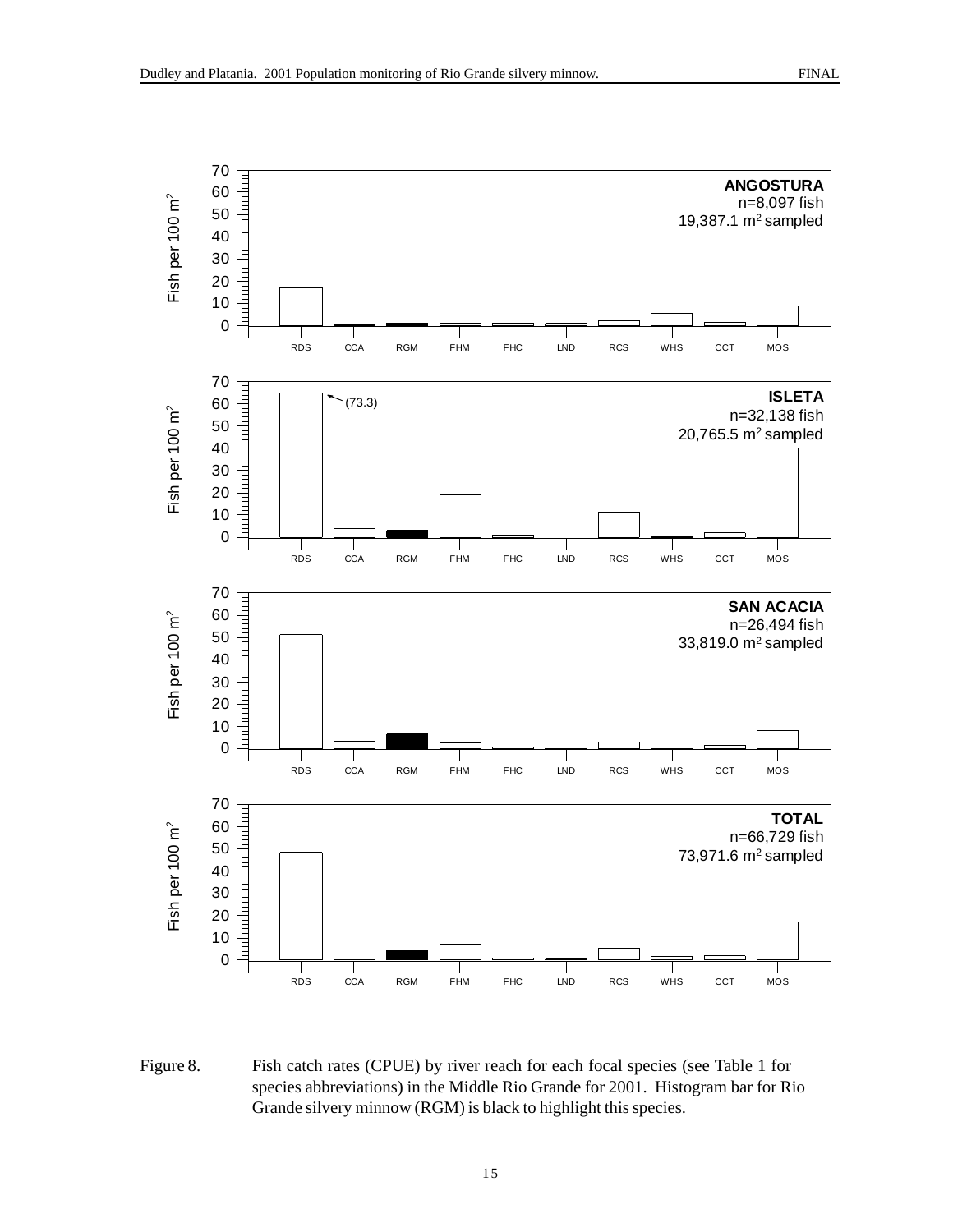

Figure 8. Fish catch rates (CPUE) by river reach for each focal species (see Table 1 for species abbreviations) in the Middle Rio Grande for 2001. Histogram bar for Rio Grande silvery minnow (RGM) is black to highlight this species.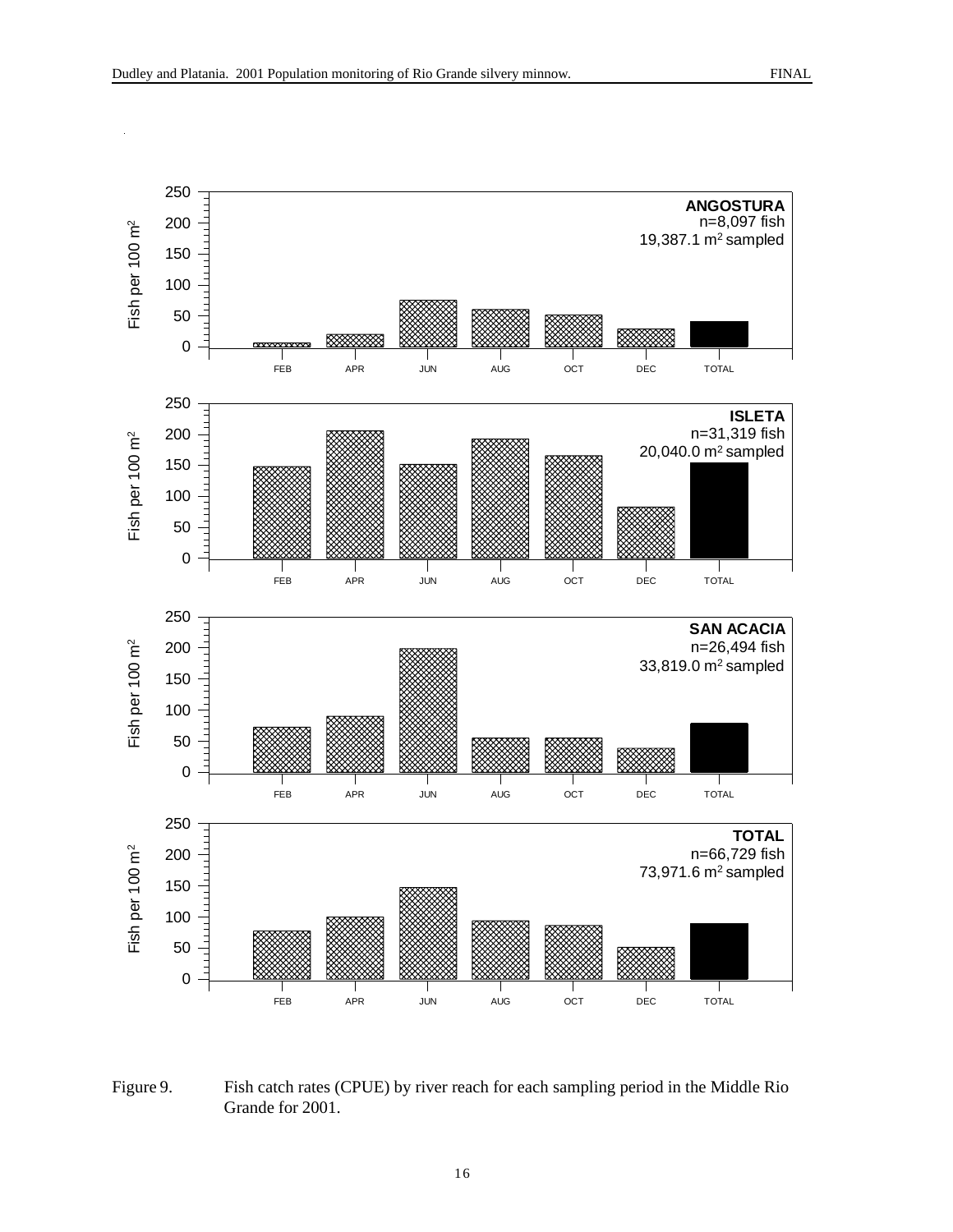

Figure 9. Fish catch rates (CPUE) by river reach for each sampling period in the Middle Rio Grande for 2001.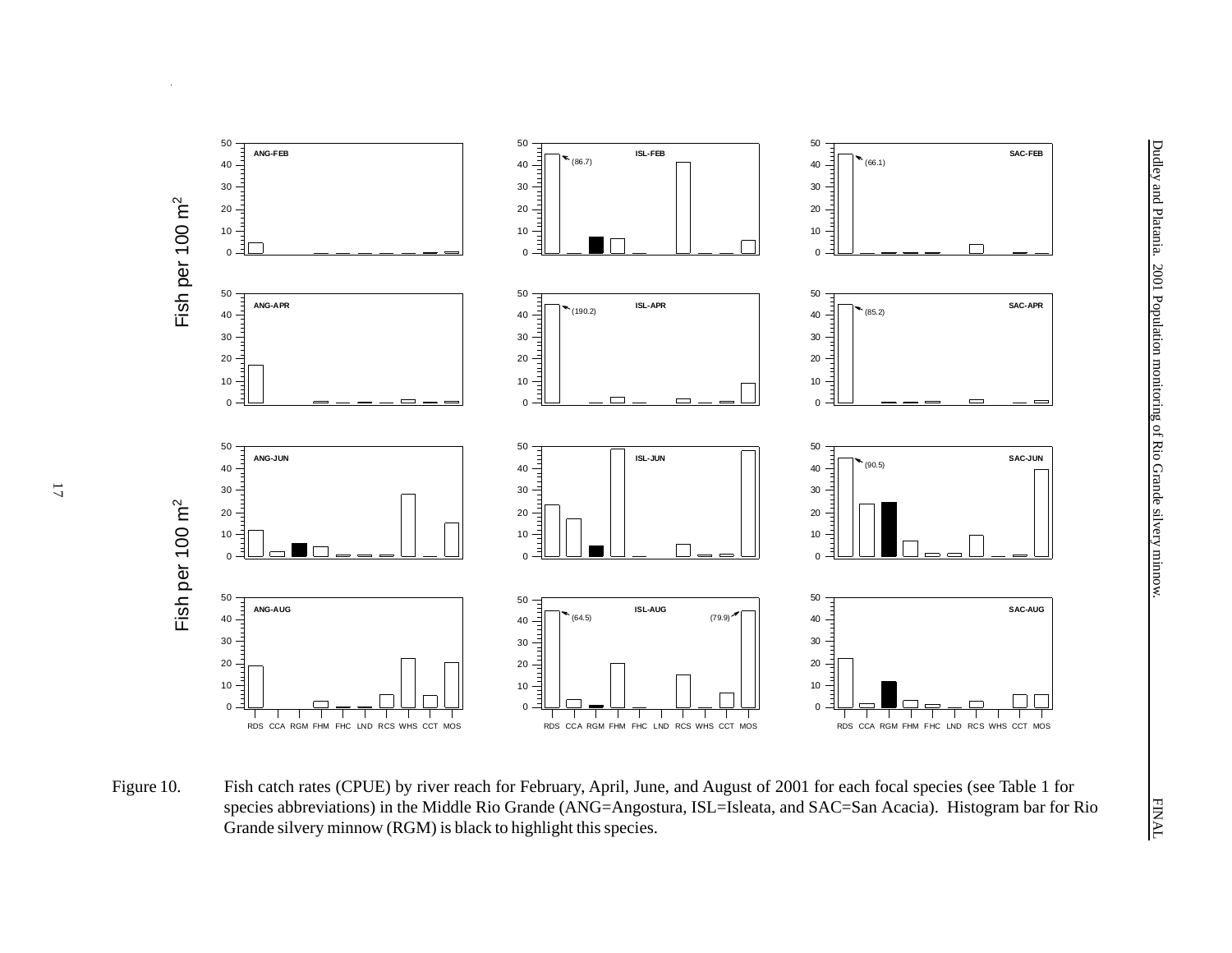

17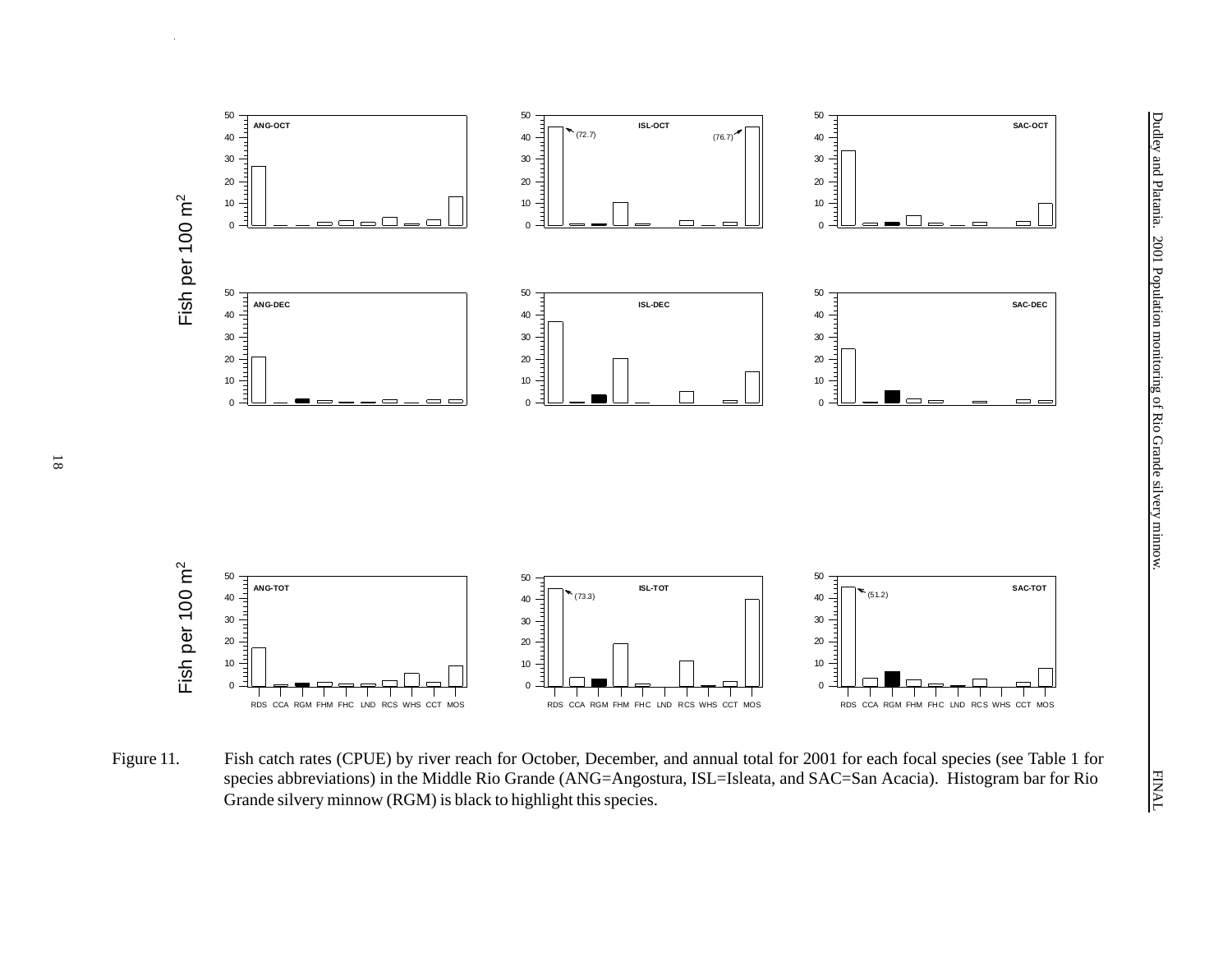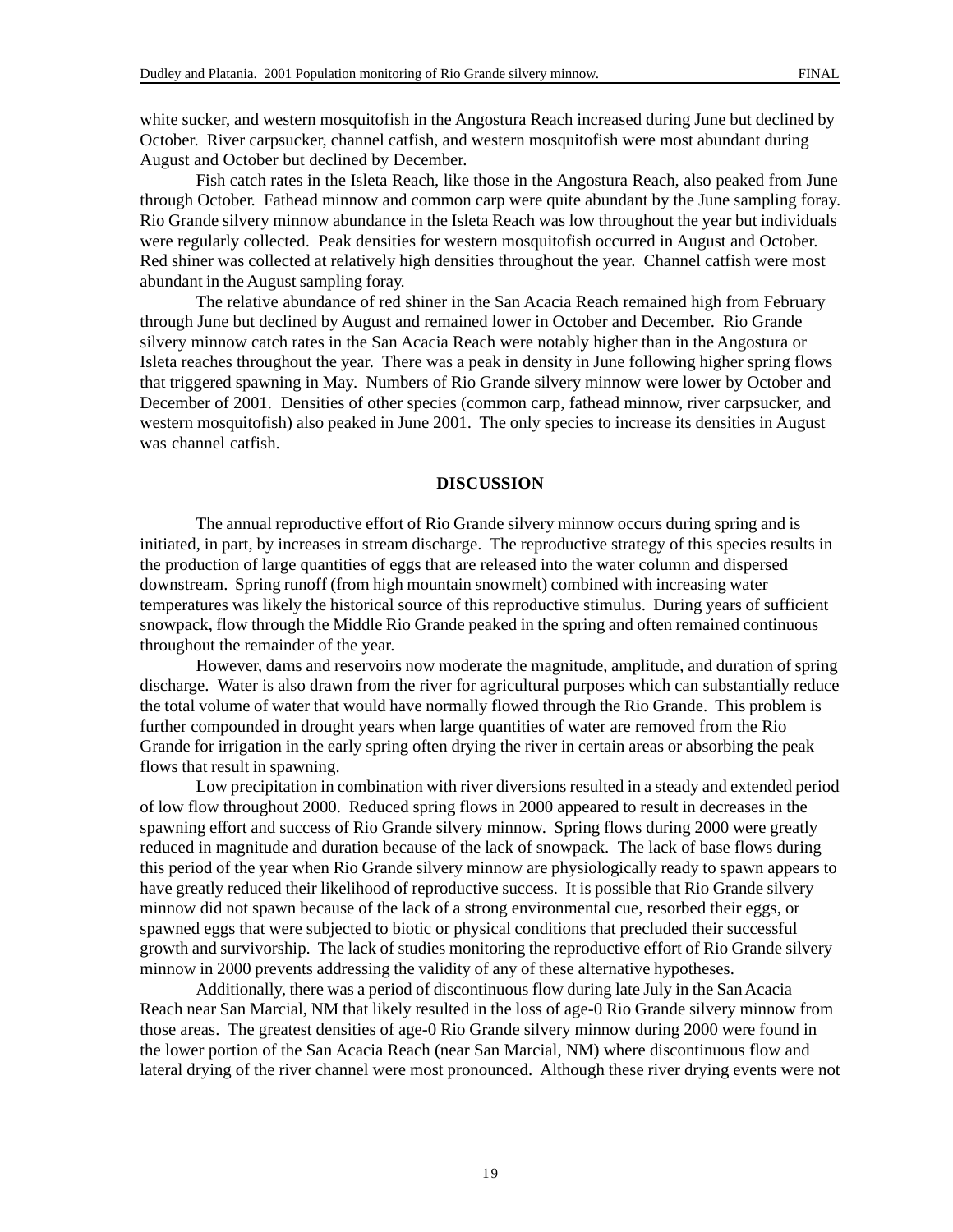white sucker, and western mosquitofish in the Angostura Reach increased during June but declined by October. River carpsucker, channel catfish, and western mosquitofish were most abundant during August and October but declined by December.

Fish catch rates in the Isleta Reach, like those in the Angostura Reach, also peaked from June through October. Fathead minnow and common carp were quite abundant by the June sampling foray. Rio Grande silvery minnow abundance in the Isleta Reach was low throughout the year but individuals were regularly collected. Peak densities for western mosquitofish occurred in August and October. Red shiner was collected at relatively high densities throughout the year. Channel catfish were most abundant in the August sampling foray.

The relative abundance of red shiner in the San Acacia Reach remained high from February through June but declined by August and remained lower in October and December. Rio Grande silvery minnow catch rates in the San Acacia Reach were notably higher than in the Angostura or Isleta reaches throughout the year. There was a peak in density in June following higher spring flows that triggered spawning in May. Numbers of Rio Grande silvery minnow were lower by October and December of 2001. Densities of other species (common carp, fathead minnow, river carpsucker, and western mosquitofish) also peaked in June 2001. The only species to increase its densities in August was channel catfish.

#### **DISCUSSION**

The annual reproductive effort of Rio Grande silvery minnow occurs during spring and is initiated, in part, by increases in stream discharge. The reproductive strategy of this species results in the production of large quantities of eggs that are released into the water column and dispersed downstream. Spring runoff (from high mountain snowmelt) combined with increasing water temperatures was likely the historical source of this reproductive stimulus. During years of sufficient snowpack, flow through the Middle Rio Grande peaked in the spring and often remained continuous throughout the remainder of the year.

However, dams and reservoirs now moderate the magnitude, amplitude, and duration of spring discharge. Water is also drawn from the river for agricultural purposes which can substantially reduce the total volume of water that would have normally flowed through the Rio Grande. This problem is further compounded in drought years when large quantities of water are removed from the Rio Grande for irrigation in the early spring often drying the river in certain areas or absorbing the peak flows that result in spawning.

Low precipitation in combination with river diversions resulted in a steady and extended period of low flow throughout 2000. Reduced spring flows in 2000 appeared to result in decreases in the spawning effort and success of Rio Grande silvery minnow. Spring flows during 2000 were greatly reduced in magnitude and duration because of the lack of snowpack. The lack of base flows during this period of the year when Rio Grande silvery minnow are physiologically ready to spawn appears to have greatly reduced their likelihood of reproductive success. It is possible that Rio Grande silvery minnow did not spawn because of the lack of a strong environmental cue, resorbed their eggs, or spawned eggs that were subjected to biotic or physical conditions that precluded their successful growth and survivorship. The lack of studies monitoring the reproductive effort of Rio Grande silvery minnow in 2000 prevents addressing the validity of any of these alternative hypotheses.

Additionally, there was a period of discontinuous flow during late July in the San Acacia Reach near San Marcial, NM that likely resulted in the loss of age-0 Rio Grande silvery minnow from those areas. The greatest densities of age-0 Rio Grande silvery minnow during 2000 were found in the lower portion of the San Acacia Reach (near San Marcial, NM) where discontinuous flow and lateral drying of the river channel were most pronounced. Although these river drying events were not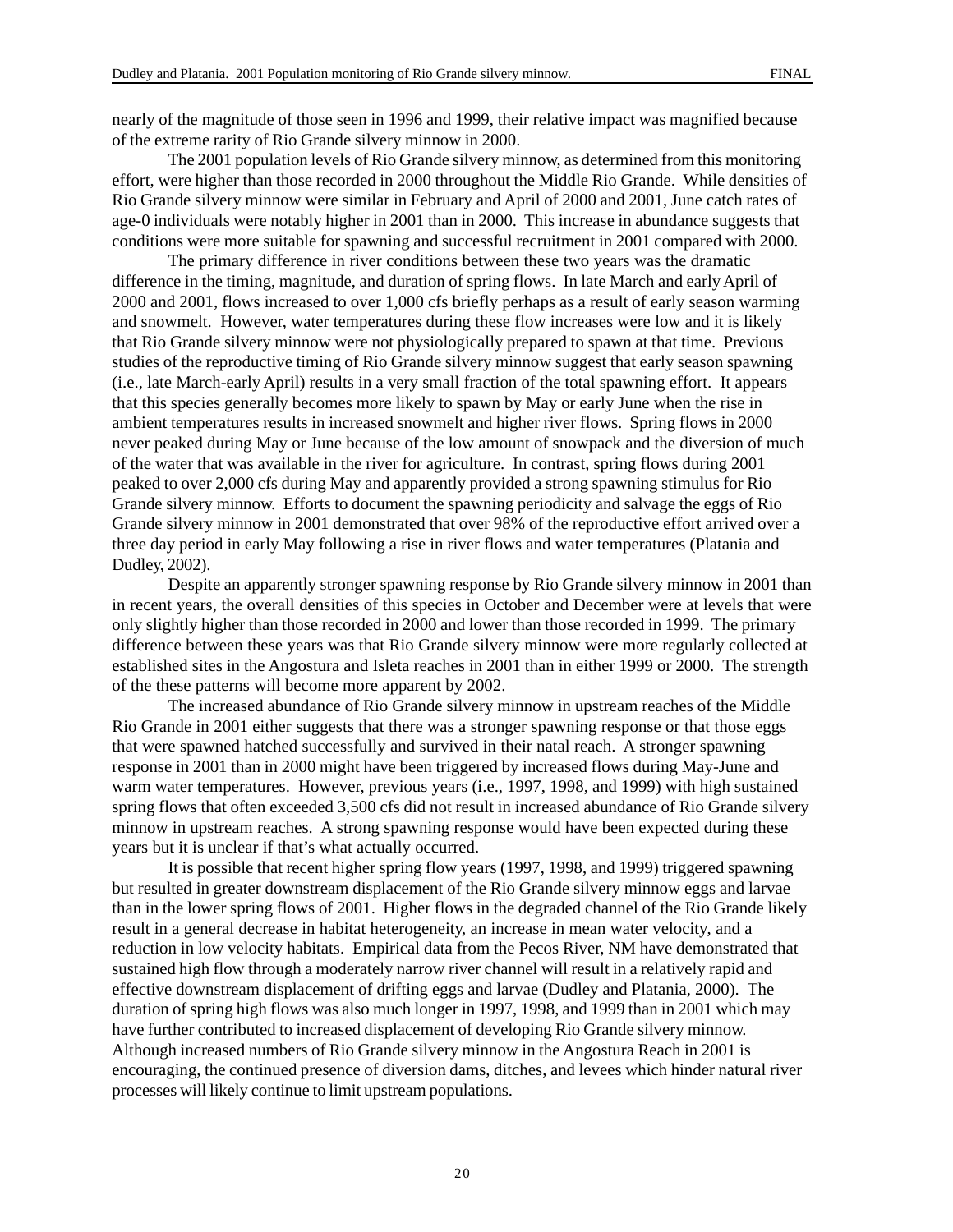nearly of the magnitude of those seen in 1996 and 1999, their relative impact was magnified because of the extreme rarity of Rio Grande silvery minnow in 2000.

The 2001 population levels of Rio Grande silvery minnow, as determined from this monitoring effort, were higher than those recorded in 2000 throughout the Middle Rio Grande. While densities of Rio Grande silvery minnow were similar in February and April of 2000 and 2001, June catch rates of age-0 individuals were notably higher in 2001 than in 2000. This increase in abundance suggests that conditions were more suitable for spawning and successful recruitment in 2001 compared with 2000.

The primary difference in river conditions between these two years was the dramatic difference in the timing, magnitude, and duration of spring flows. In late March and early April of 2000 and 2001, flows increased to over 1,000 cfs briefly perhaps as a result of early season warming and snowmelt. However, water temperatures during these flow increases were low and it is likely that Rio Grande silvery minnow were not physiologically prepared to spawn at that time. Previous studies of the reproductive timing of Rio Grande silvery minnow suggest that early season spawning (i.e., late March-early April) results in a very small fraction of the total spawning effort. It appears that this species generally becomes more likely to spawn by May or early June when the rise in ambient temperatures results in increased snowmelt and higher river flows. Spring flows in 2000 never peaked during May or June because of the low amount of snowpack and the diversion of much of the water that was available in the river for agriculture. In contrast, spring flows during 2001 peaked to over 2,000 cfs during May and apparently provided a strong spawning stimulus for Rio Grande silvery minnow. Efforts to document the spawning periodicity and salvage the eggs of Rio Grande silvery minnow in 2001 demonstrated that over 98% of the reproductive effort arrived over a three day period in early May following a rise in river flows and water temperatures (Platania and Dudley, 2002).

Despite an apparently stronger spawning response by Rio Grande silvery minnow in 2001 than in recent years, the overall densities of this species in October and December were at levels that were only slightly higher than those recorded in 2000 and lower than those recorded in 1999. The primary difference between these years was that Rio Grande silvery minnow were more regularly collected at established sites in the Angostura and Isleta reaches in 2001 than in either 1999 or 2000. The strength of the these patterns will become more apparent by 2002.

The increased abundance of Rio Grande silvery minnow in upstream reaches of the Middle Rio Grande in 2001 either suggests that there was a stronger spawning response or that those eggs that were spawned hatched successfully and survived in their natal reach. A stronger spawning response in 2001 than in 2000 might have been triggered by increased flows during May-June and warm water temperatures. However, previous years (i.e., 1997, 1998, and 1999) with high sustained spring flows that often exceeded 3,500 cfs did not result in increased abundance of Rio Grande silvery minnow in upstream reaches. A strong spawning response would have been expected during these years but it is unclear if that's what actually occurred.

It is possible that recent higher spring flow years (1997, 1998, and 1999) triggered spawning but resulted in greater downstream displacement of the Rio Grande silvery minnow eggs and larvae than in the lower spring flows of 2001. Higher flows in the degraded channel of the Rio Grande likely result in a general decrease in habitat heterogeneity, an increase in mean water velocity, and a reduction in low velocity habitats. Empirical data from the Pecos River, NM have demonstrated that sustained high flow through a moderately narrow river channel will result in a relatively rapid and effective downstream displacement of drifting eggs and larvae (Dudley and Platania, 2000). The duration of spring high flows was also much longer in 1997, 1998, and 1999 than in 2001 which may have further contributed to increased displacement of developing Rio Grande silvery minnow. Although increased numbers of Rio Grande silvery minnow in the Angostura Reach in 2001 is encouraging, the continued presence of diversion dams, ditches, and levees which hinder natural river processes will likely continue to limit upstream populations.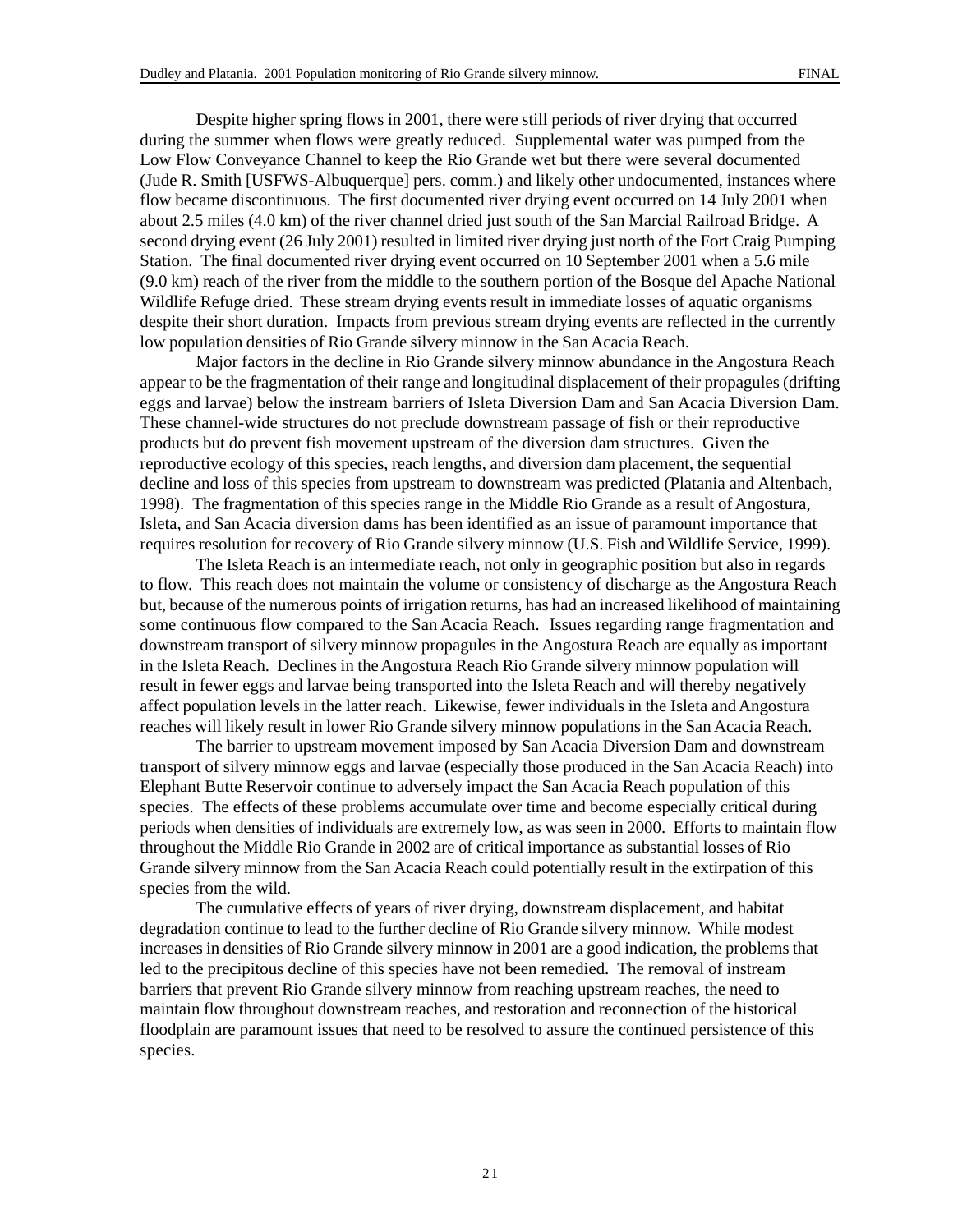Despite higher spring flows in 2001, there were still periods of river drying that occurred during the summer when flows were greatly reduced. Supplemental water was pumped from the Low Flow Conveyance Channel to keep the Rio Grande wet but there were several documented (Jude R. Smith [USFWS-Albuquerque] pers. comm.) and likely other undocumented, instances where flow became discontinuous. The first documented river drying event occurred on 14 July 2001 when about 2.5 miles (4.0 km) of the river channel dried just south of the San Marcial Railroad Bridge. A second drying event (26 July 2001) resulted in limited river drying just north of the Fort Craig Pumping Station. The final documented river drying event occurred on 10 September 2001 when a 5.6 mile (9.0 km) reach of the river from the middle to the southern portion of the Bosque del Apache National Wildlife Refuge dried. These stream drying events result in immediate losses of aquatic organisms despite their short duration. Impacts from previous stream drying events are reflected in the currently low population densities of Rio Grande silvery minnow in the San Acacia Reach.

Major factors in the decline in Rio Grande silvery minnow abundance in the Angostura Reach appear to be the fragmentation of their range and longitudinal displacement of their propagules (drifting eggs and larvae) below the instream barriers of Isleta Diversion Dam and San Acacia Diversion Dam. These channel-wide structures do not preclude downstream passage of fish or their reproductive products but do prevent fish movement upstream of the diversion dam structures. Given the reproductive ecology of this species, reach lengths, and diversion dam placement, the sequential decline and loss of this species from upstream to downstream was predicted (Platania and Altenbach, 1998). The fragmentation of this species range in the Middle Rio Grande as a result of Angostura, Isleta, and San Acacia diversion dams has been identified as an issue of paramount importance that requires resolution for recovery of Rio Grande silvery minnow (U.S. Fish and Wildlife Service, 1999).

The Isleta Reach is an intermediate reach, not only in geographic position but also in regards to flow. This reach does not maintain the volume or consistency of discharge as the Angostura Reach but, because of the numerous points of irrigation returns, has had an increased likelihood of maintaining some continuous flow compared to the San Acacia Reach. Issues regarding range fragmentation and downstream transport of silvery minnow propagules in the Angostura Reach are equally as important in the Isleta Reach. Declines in the Angostura Reach Rio Grande silvery minnow population will result in fewer eggs and larvae being transported into the Isleta Reach and will thereby negatively affect population levels in the latter reach. Likewise, fewer individuals in the Isleta and Angostura reaches will likely result in lower Rio Grande silvery minnow populations in the San Acacia Reach.

The barrier to upstream movement imposed by San Acacia Diversion Dam and downstream transport of silvery minnow eggs and larvae (especially those produced in the San Acacia Reach) into Elephant Butte Reservoir continue to adversely impact the San Acacia Reach population of this species. The effects of these problems accumulate over time and become especially critical during periods when densities of individuals are extremely low, as was seen in 2000. Efforts to maintain flow throughout the Middle Rio Grande in 2002 are of critical importance as substantial losses of Rio Grande silvery minnow from the San Acacia Reach could potentially result in the extirpation of this species from the wild.

The cumulative effects of years of river drying, downstream displacement, and habitat degradation continue to lead to the further decline of Rio Grande silvery minnow. While modest increases in densities of Rio Grande silvery minnow in 2001 are a good indication, the problems that led to the precipitous decline of this species have not been remedied. The removal of instream barriers that prevent Rio Grande silvery minnow from reaching upstream reaches, the need to maintain flow throughout downstream reaches, and restoration and reconnection of the historical floodplain are paramount issues that need to be resolved to assure the continued persistence of this species.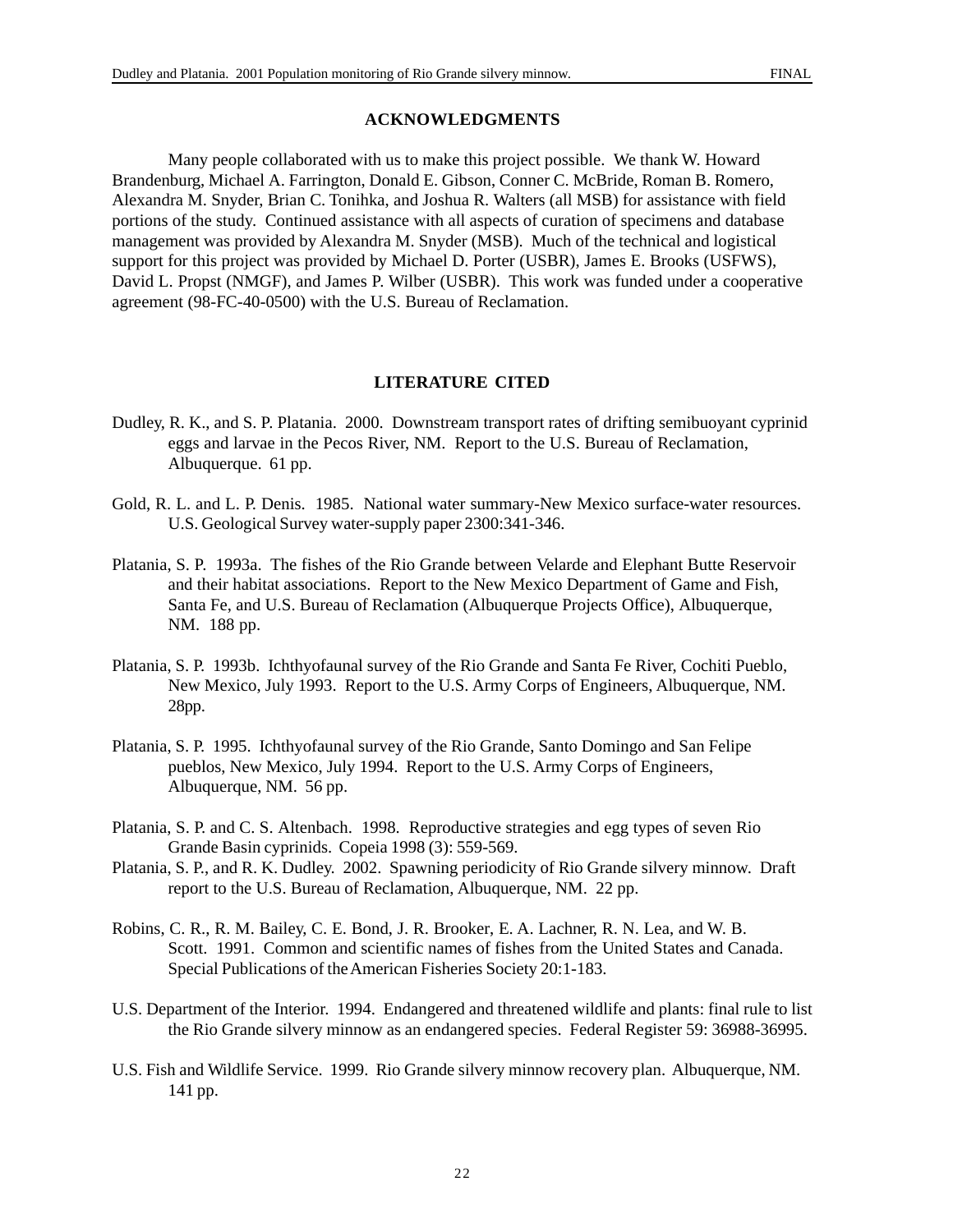### **ACKNOWLEDGMENTS**

Many people collaborated with us to make this project possible. We thank W. Howard Brandenburg, Michael A. Farrington, Donald E. Gibson, Conner C. McBride, Roman B. Romero, Alexandra M. Snyder, Brian C. Tonihka, and Joshua R. Walters (all MSB) for assistance with field portions of the study. Continued assistance with all aspects of curation of specimens and database management was provided by Alexandra M. Snyder (MSB). Much of the technical and logistical support for this project was provided by Michael D. Porter (USBR), James E. Brooks (USFWS), David L. Propst (NMGF), and James P. Wilber (USBR). This work was funded under a cooperative agreement (98-FC-40-0500) with the U.S. Bureau of Reclamation.

### **LITERATURE CITED**

- Dudley, R. K., and S. P. Platania. 2000. Downstream transport rates of drifting semibuoyant cyprinid eggs and larvae in the Pecos River, NM. Report to the U.S. Bureau of Reclamation, Albuquerque. 61 pp.
- Gold, R. L. and L. P. Denis. 1985. National water summary-New Mexico surface-water resources. U.S. Geological Survey water-supply paper 2300:341-346.
- Platania, S. P. 1993a. The fishes of the Rio Grande between Velarde and Elephant Butte Reservoir and their habitat associations. Report to the New Mexico Department of Game and Fish, Santa Fe, and U.S. Bureau of Reclamation (Albuquerque Projects Office), Albuquerque, NM. 188 pp.
- Platania, S. P. 1993b. Ichthyofaunal survey of the Rio Grande and Santa Fe River, Cochiti Pueblo, New Mexico, July 1993. Report to the U.S. Army Corps of Engineers, Albuquerque, NM. 28pp.
- Platania, S. P. 1995. Ichthyofaunal survey of the Rio Grande, Santo Domingo and San Felipe pueblos, New Mexico, July 1994. Report to the U.S. Army Corps of Engineers, Albuquerque, NM. 56 pp.
- Platania, S. P. and C. S. Altenbach. 1998. Reproductive strategies and egg types of seven Rio Grande Basin cyprinids. Copeia 1998 (3): 559-569.
- Platania, S. P., and R. K. Dudley. 2002. Spawning periodicity of Rio Grande silvery minnow. Draft report to the U.S. Bureau of Reclamation, Albuquerque, NM. 22 pp.
- Robins, C. R., R. M. Bailey, C. E. Bond, J. R. Brooker, E. A. Lachner, R. N. Lea, and W. B. Scott. 1991. Common and scientific names of fishes from the United States and Canada. Special Publications of the American Fisheries Society 20:1-183.
- U.S. Department of the Interior. 1994. Endangered and threatened wildlife and plants: final rule to list the Rio Grande silvery minnow as an endangered species. Federal Register 59: 36988-36995.
- U.S. Fish and Wildlife Service. 1999. Rio Grande silvery minnow recovery plan. Albuquerque, NM. 141 pp.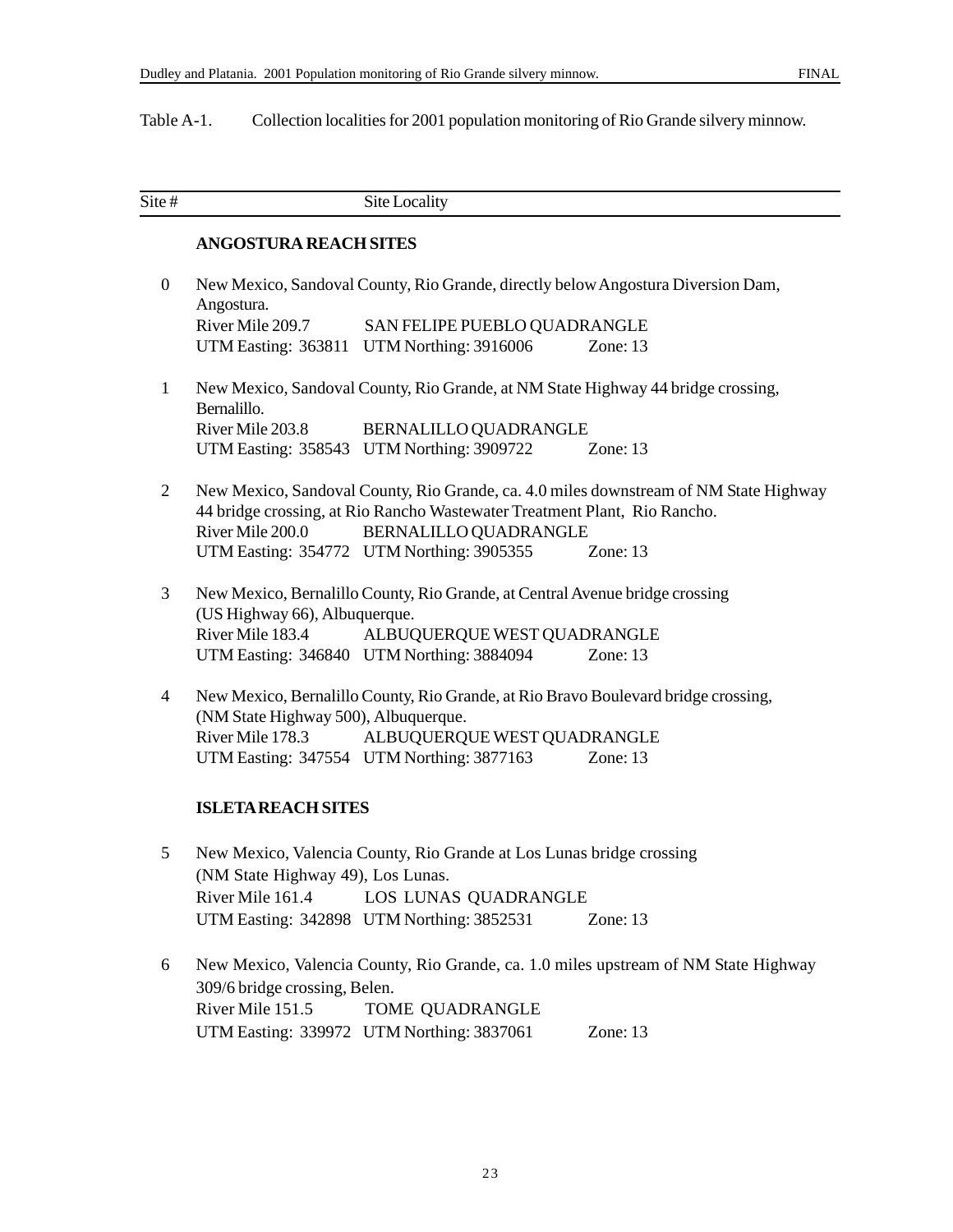Site # Site Locality

Table A-1. Collection localities for 2001 population monitoring of Rio Grande silvery minnow.

|                  | <b>ANGOSTURA REACH SITES</b>                                                                                  |                                                                                    |                                                                                       |
|------------------|---------------------------------------------------------------------------------------------------------------|------------------------------------------------------------------------------------|---------------------------------------------------------------------------------------|
| $\boldsymbol{0}$ | Angostura.                                                                                                    | New Mexico, Sandoval County, Rio Grande, directly below Angostura Diversion Dam,   |                                                                                       |
|                  | River Mile 209.7                                                                                              | SAN FELIPE PUEBLO QUADRANGLE<br>UTM Easting: 363811 UTM Northing: 3916006          | Zone: 13                                                                              |
|                  |                                                                                                               |                                                                                    |                                                                                       |
| $\mathbf{1}$     | Bernalillo.                                                                                                   | New Mexico, Sandoval County, Rio Grande, at NM State Highway 44 bridge crossing,   |                                                                                       |
|                  | River Mile 203.8                                                                                              | BERNALILLO QUADRANGLE                                                              |                                                                                       |
|                  |                                                                                                               | UTM Easting: 358543 UTM Northing: 3909722                                          | Zone: 13                                                                              |
| $\overline{2}$   |                                                                                                               | 44 bridge crossing, at Rio Rancho Wastewater Treatment Plant, Rio Rancho.          | New Mexico, Sandoval County, Rio Grande, ca. 4.0 miles downstream of NM State Highway |
|                  | River Mile 200.0                                                                                              | BERNALILLO QUADRANGLE                                                              |                                                                                       |
|                  |                                                                                                               | UTM Easting: 354772 UTM Northing: 3905355                                          | Zone: $13$                                                                            |
| 3                | New Mexico, Bernalillo County, Rio Grande, at Central Avenue bridge crossing<br>(US Highway 66), Albuquerque. |                                                                                    |                                                                                       |
|                  | River Mile 183.4                                                                                              | ALBUQUERQUE WEST QUADRANGLE                                                        |                                                                                       |
|                  |                                                                                                               | UTM Easting: 346840 UTM Northing: 3884094                                          | Zone: $13$                                                                            |
| 4                | (NM State Highway 500), Albuquerque.                                                                          | New Mexico, Bernalillo County, Rio Grande, at Rio Bravo Boulevard bridge crossing, |                                                                                       |
|                  | River Mile 178.3                                                                                              | ALBUQUERQUE WEST QUADRANGLE                                                        |                                                                                       |
|                  |                                                                                                               | UTM Easting: 347554 UTM Northing: 3877163                                          | Zone: 13                                                                              |
|                  | <b>ISLETA REACH SITES</b>                                                                                     |                                                                                    |                                                                                       |
| 5                | (NM State Highway 49), Los Lunas.                                                                             | New Mexico, Valencia County, Rio Grande at Los Lunas bridge crossing               |                                                                                       |
|                  | River Mile 161.4                                                                                              | LOS LUNAS QUADRANGLE                                                               |                                                                                       |
|                  |                                                                                                               | UTM Easting: 342898 UTM Northing: 3852531                                          | Zone: $13$                                                                            |
| 6                | 309/6 bridge crossing, Belen.<br>River Mile 151.5                                                             | TOME QUADRANGLE                                                                    | New Mexico, Valencia County, Rio Grande, ca. 1.0 miles upstream of NM State Highway   |
|                  |                                                                                                               | UTM Easting: 339972 UTM Northing: 3837061                                          | Zone: 13                                                                              |
|                  |                                                                                                               |                                                                                    |                                                                                       |
|                  |                                                                                                               |                                                                                    |                                                                                       |
|                  |                                                                                                               |                                                                                    |                                                                                       |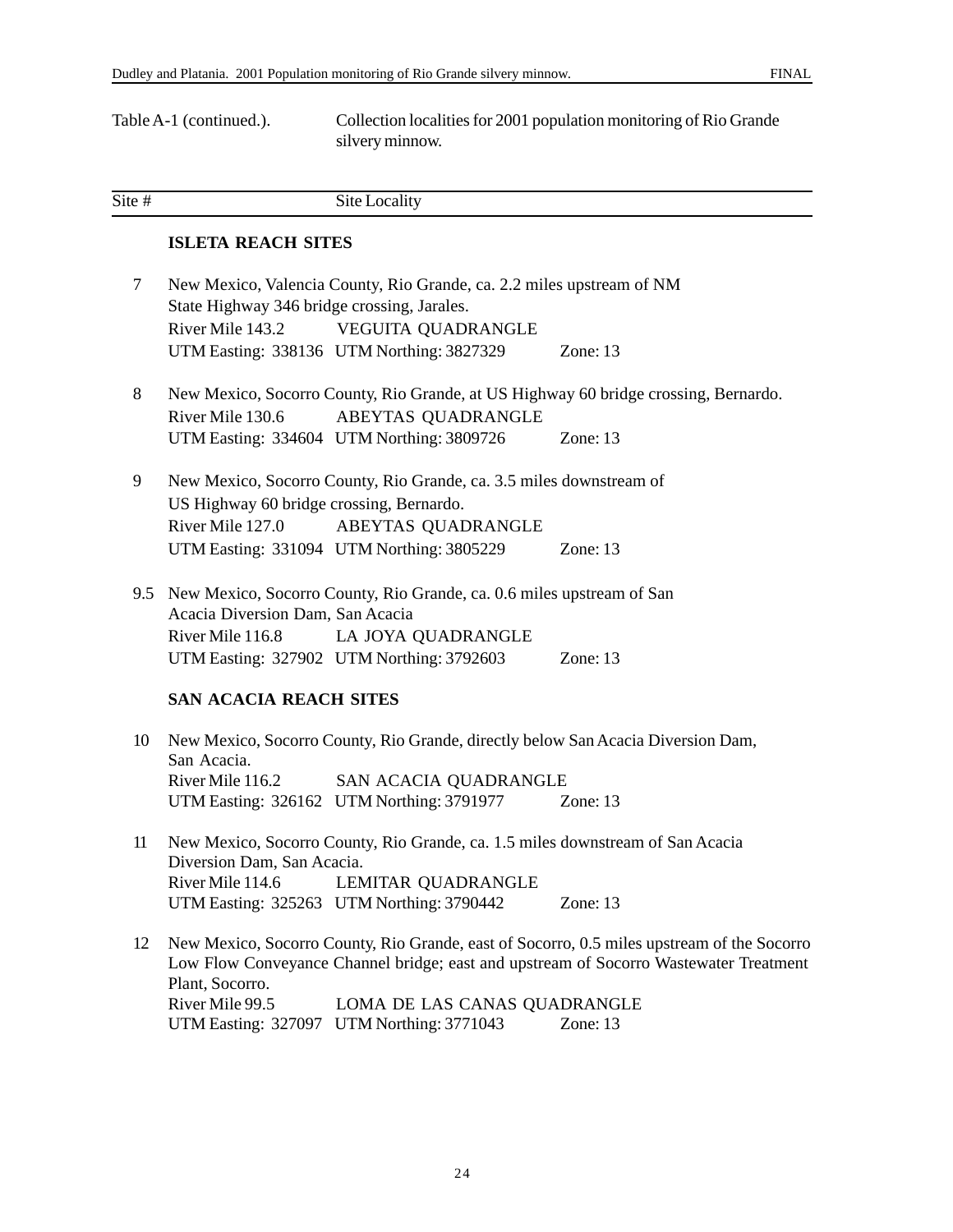Table A-1 (continued.). Collection localities for 2001 population monitoring of Rio Grande silvery minnow.

| Site # | site<br>- OCALITY |  |
|--------|-------------------|--|

### **ISLETA REACH SITES**

- 7 New Mexico, Valencia County, Rio Grande, ca. 2.2 miles upstream of NM State Highway 346 bridge crossing, Jarales. River Mile 143.2 VEGUITA QUADRANGLE UTM Easting: 338136 UTM Northing: 3827329 Zone: 13
- 8 New Mexico, Socorro County, Rio Grande, at US Highway 60 bridge crossing, Bernardo. River Mile 130.6 ABEYTAS QUADRANGLE UTM Easting: 334604 UTM Northing: 3809726 Zone: 13
- 9 New Mexico, Socorro County, Rio Grande, ca. 3.5 miles downstream of US Highway 60 bridge crossing, Bernardo. River Mile 127.0 ABEYTAS QUADRANGLE UTM Easting: 331094 UTM Northing: 3805229 Zone: 13
- 9.5 New Mexico, Socorro County, Rio Grande, ca. 0.6 miles upstream of San Acacia Diversion Dam, San Acacia River Mile 116.8 LA JOYA QUADRANGLE UTM Easting: 327902 UTM Northing: 3792603 Zone: 13

## **SAN ACACIA REACH SITES**

- 10 New Mexico, Socorro County, Rio Grande, directly below San Acacia Diversion Dam, San Acacia. River Mile 116.2 SAN ACACIA QUADRANGLE UTM Easting: 326162 UTM Northing: 3791977 Zone: 13
- 11 New Mexico, Socorro County, Rio Grande, ca. 1.5 miles downstream of San Acacia Diversion Dam, San Acacia. River Mile 114.6 LEMITAR OUADRANGLE UTM Easting: 325263 UTM Northing: 3790442 Zone: 13
- 12 New Mexico, Socorro County, Rio Grande, east of Socorro, 0.5 miles upstream of the Socorro Low Flow Conveyance Channel bridge; east and upstream of Socorro Wastewater Treatment Plant, Socorro. River Mile 99.5 LOMA DE LAS CANAS QUADRANGLE UTM Easting: 327097 UTM Northing: 3771043 Zone: 13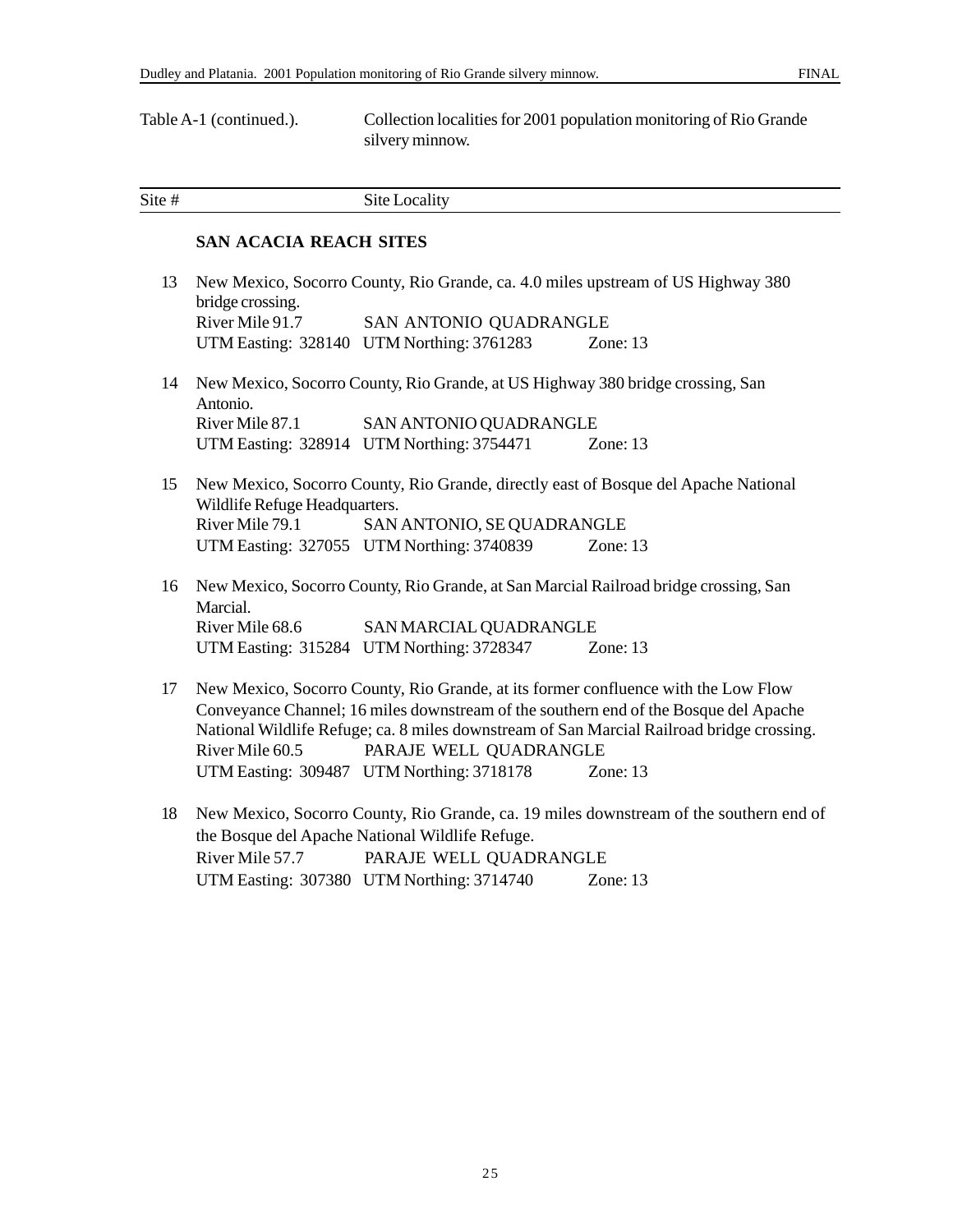Table A-1 (continued.). Collection localities for 2001 population monitoring of Rio Grande silvery minnow.

| Site | ∴ntr |
|------|------|
|      |      |

# **SAN ACACIA REACH SITES**

| 13 | bridge crossing.                                                                                                                                                           |                                           | New Mexico, Socorro County, Rio Grande, ca. 4.0 miles upstream of US Highway 380 |
|----|----------------------------------------------------------------------------------------------------------------------------------------------------------------------------|-------------------------------------------|----------------------------------------------------------------------------------|
|    | River Mile 91.7                                                                                                                                                            | SAN ANTONIO QUADRANGLE                    |                                                                                  |
|    |                                                                                                                                                                            | UTM Easting: 328140 UTM Northing: 3761283 | Zone: $13$                                                                       |
| 14 | New Mexico, Socorro County, Rio Grande, at US Highway 380 bridge crossing, San<br>Antonio.                                                                                 |                                           |                                                                                  |
|    | River Mile 87.1                                                                                                                                                            | SAN ANTONIO QUADRANGLE                    |                                                                                  |
|    |                                                                                                                                                                            | UTM Easting: 328914 UTM Northing: 3754471 | Zone: $13$                                                                       |
| 15 | New Mexico, Socorro County, Rio Grande, directly east of Bosque del Apache National<br>Wildlife Refuge Headquarters.                                                       |                                           |                                                                                  |
|    | River Mile 79.1                                                                                                                                                            | SAN ANTONIO, SE QUADRANGLE                |                                                                                  |
|    |                                                                                                                                                                            | UTM Easting: 327055 UTM Northing: 3740839 | Zone: 13                                                                         |
| 16 | New Mexico, Socorro County, Rio Grande, at San Marcial Railroad bridge crossing, San<br>Marcial.                                                                           |                                           |                                                                                  |
|    |                                                                                                                                                                            | River Mile 68.6 SAN MARCIAL QUADRANGLE    |                                                                                  |
|    |                                                                                                                                                                            | UTM Easting: 315284 UTM Northing: 3728347 | Zone: $13$                                                                       |
| 17 | New Mexico, Socorro County, Rio Grande, at its former confluence with the Low Flow<br>Conveyance Channel; 16 miles downstream of the southern end of the Bosque del Apache |                                           |                                                                                  |
|    | National Wildlife Refuge; ca. 8 miles downstream of San Marcial Railroad bridge crossing.                                                                                  |                                           |                                                                                  |
|    | River Mile 60.5                                                                                                                                                            | PARAJE WELL QUADRANGLE                    |                                                                                  |
|    |                                                                                                                                                                            | UTM Easting: 309487 UTM Northing: 3718178 | Zone: $13$                                                                       |
| 18 | New Mexico, Socorro County, Rio Grande, ca. 19 miles downstream of the southern end of                                                                                     |                                           |                                                                                  |
|    | the Bosque del Apache National Wildlife Refuge.                                                                                                                            |                                           |                                                                                  |
|    |                                                                                                                                                                            | River Mile 57.7 PARAJE WELL QUADRANGLE    |                                                                                  |
|    |                                                                                                                                                                            | UTM Easting: 307380 UTM Northing: 3714740 | Zone: $13$                                                                       |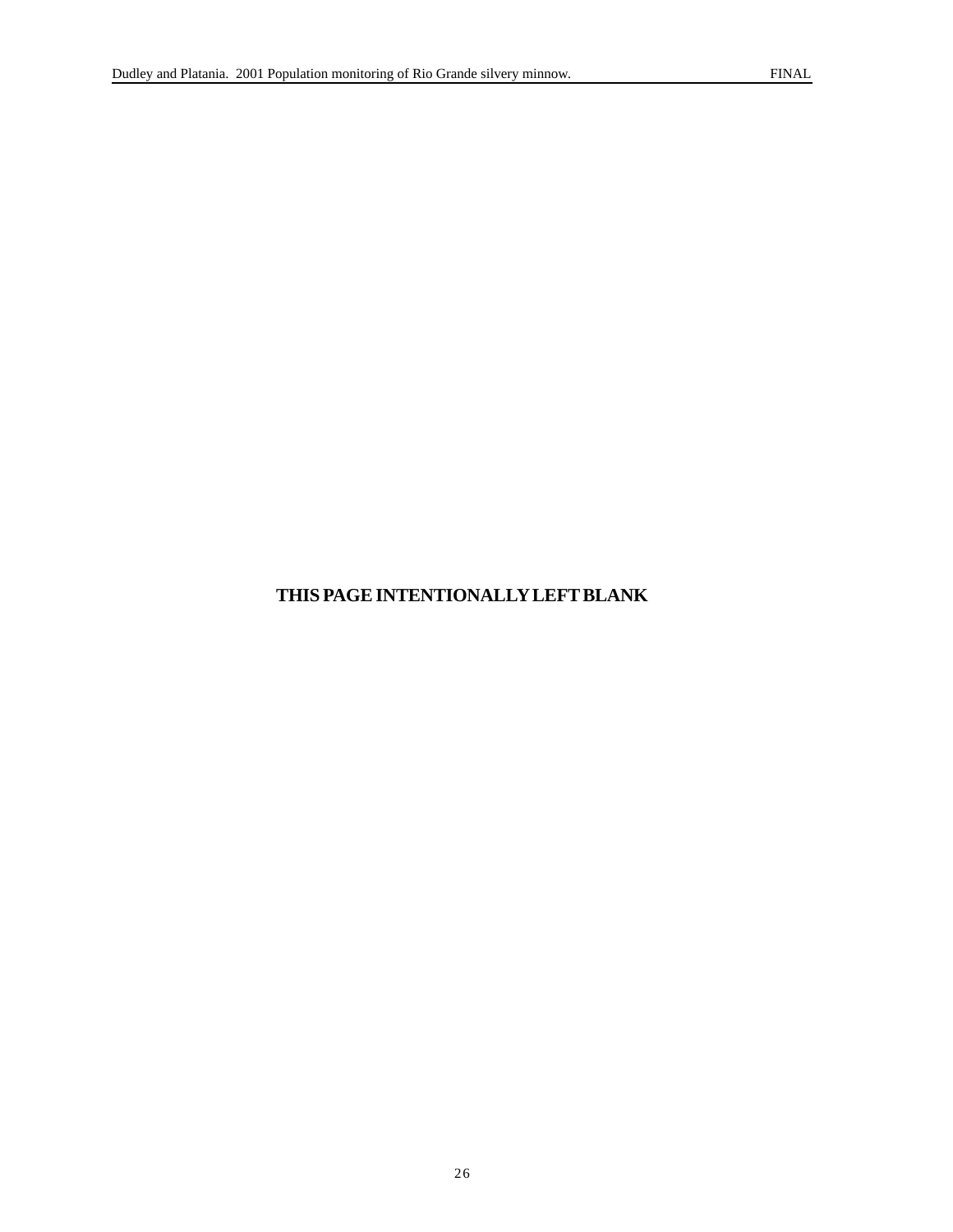# **THIS PAGE INTENTIONALLY LEFT BLANK**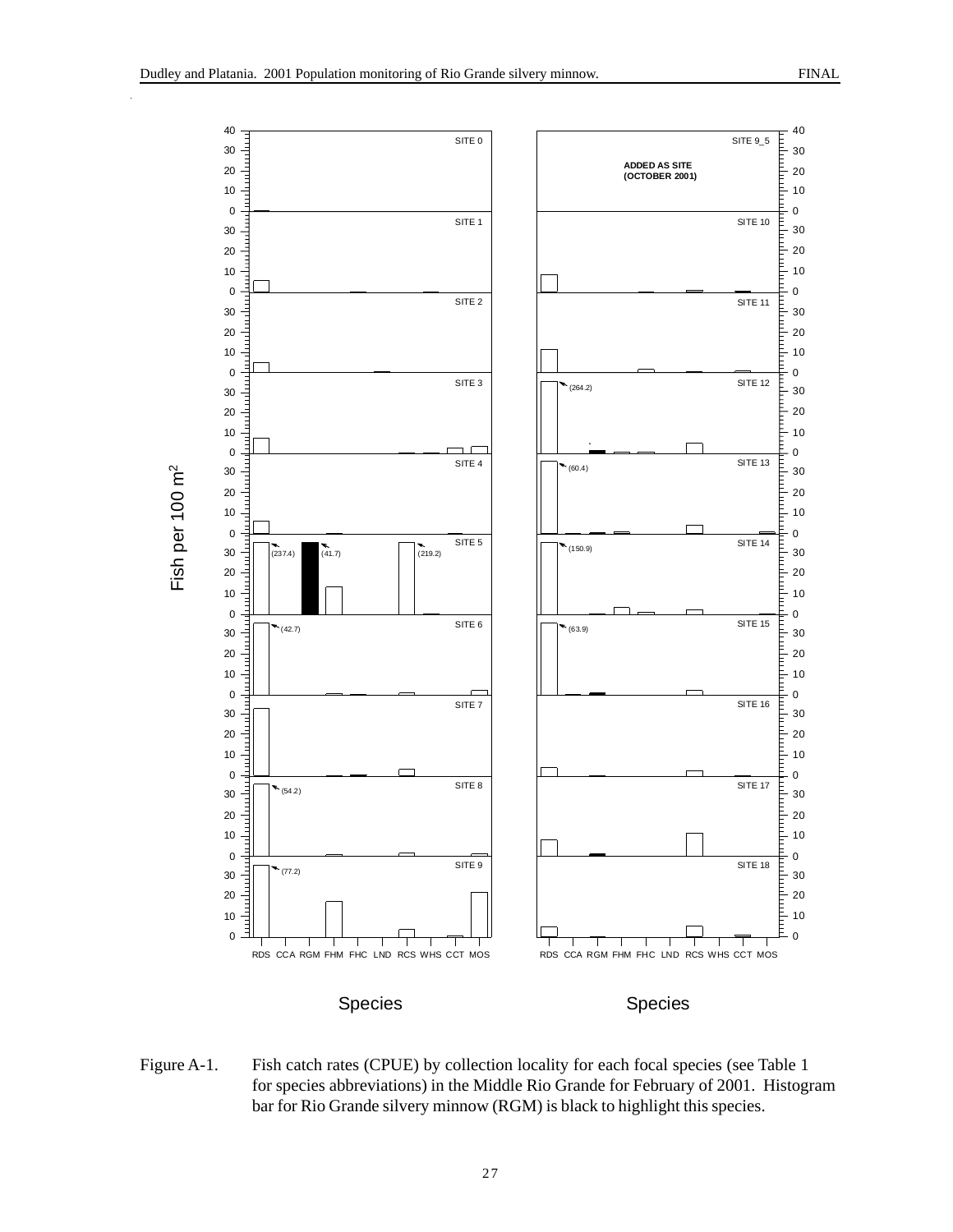

Figure A-1. Fish catch rates (CPUE) by collection locality for each focal species (see Table 1 for species abbreviations) in the Middle Rio Grande for February of 2001. Histogram bar for Rio Grande silvery minnow (RGM) is black to highlight this species.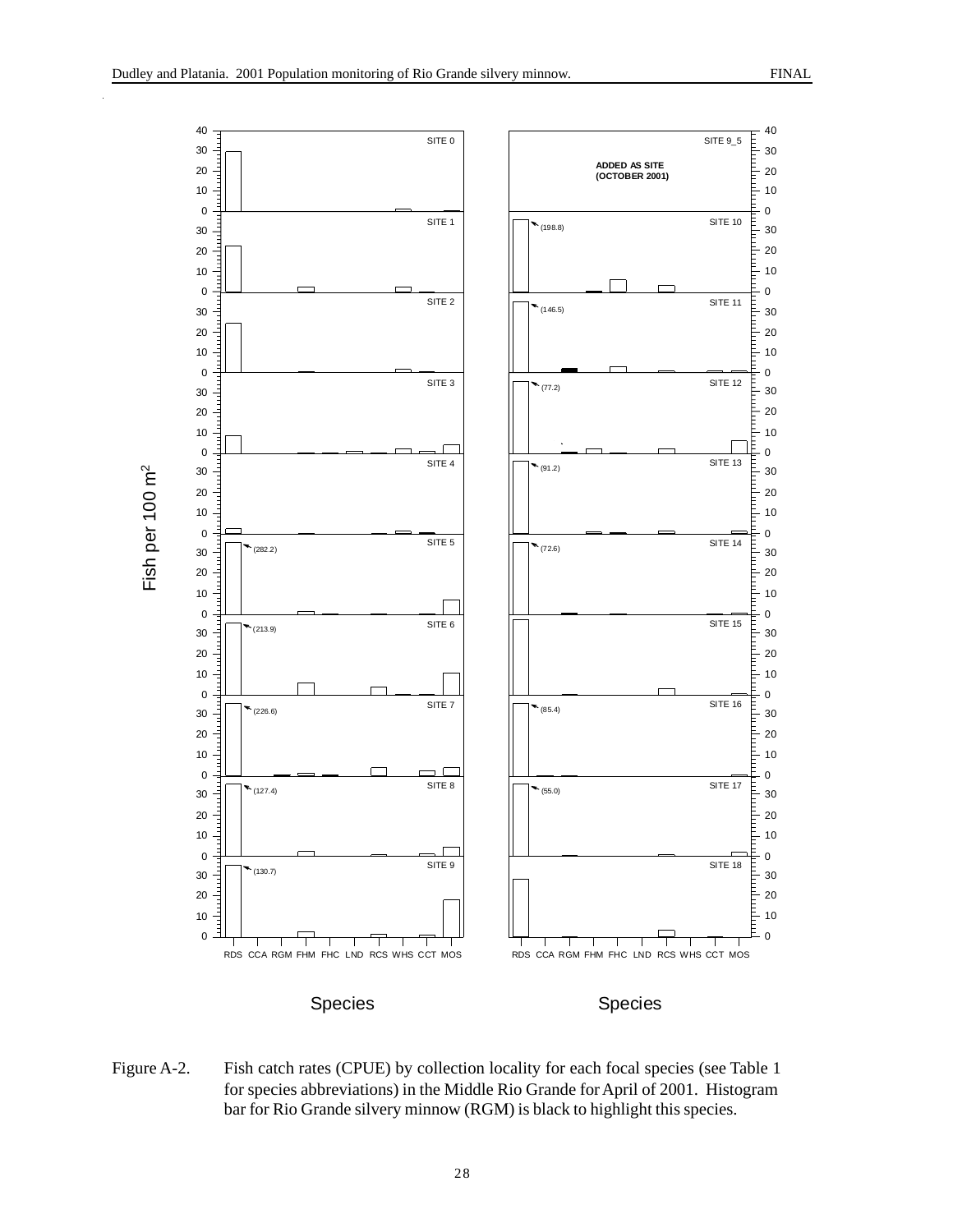

Figure A-2. Fish catch rates (CPUE) by collection locality for each focal species (see Table 1 for species abbreviations) in the Middle Rio Grande for April of 2001. Histogram bar for Rio Grande silvery minnow (RGM) is black to highlight this species.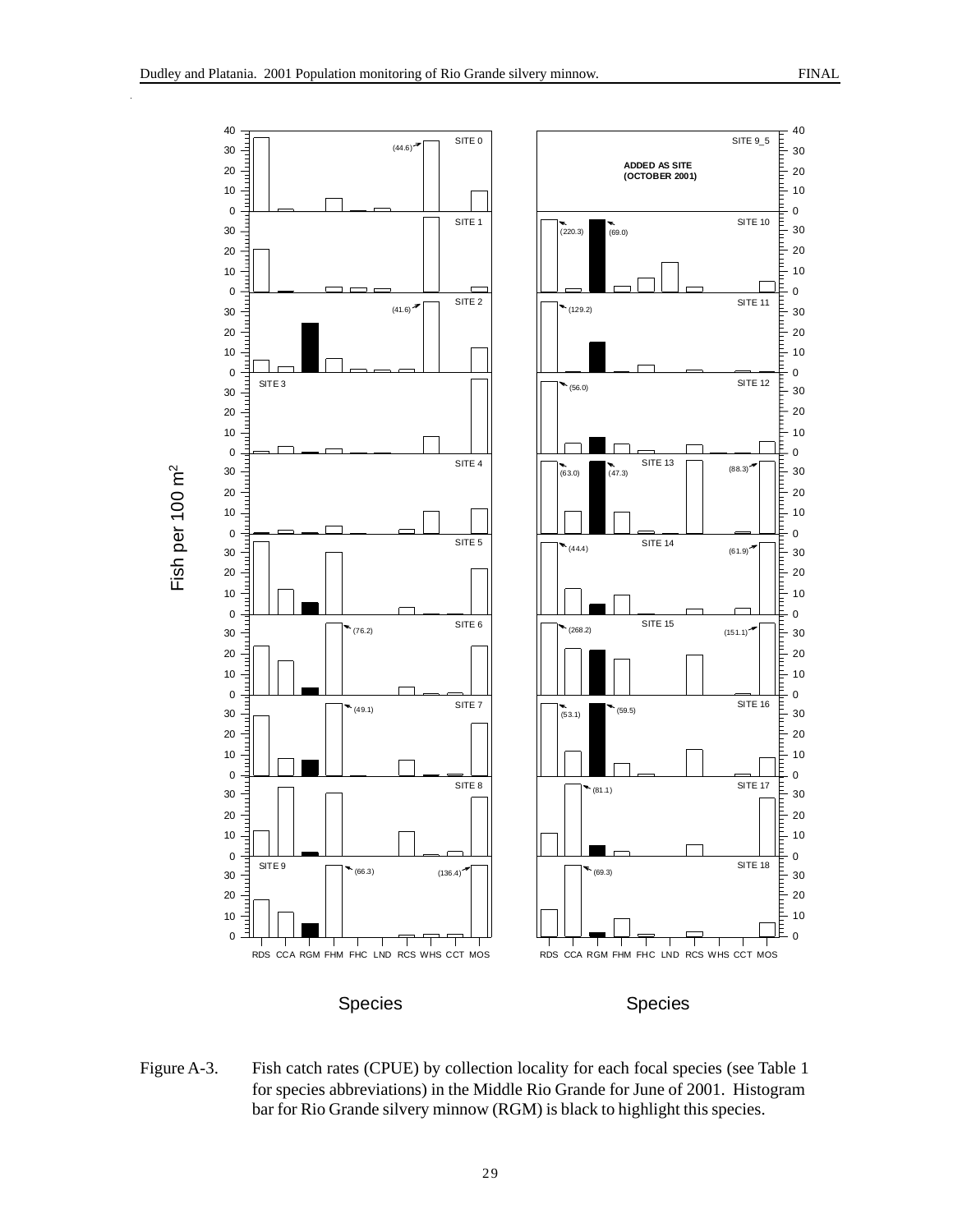

Figure A-3. Fish catch rates (CPUE) by collection locality for each focal species (see Table 1 for species abbreviations) in the Middle Rio Grande for June of 2001. Histogram bar for Rio Grande silvery minnow (RGM) is black to highlight this species.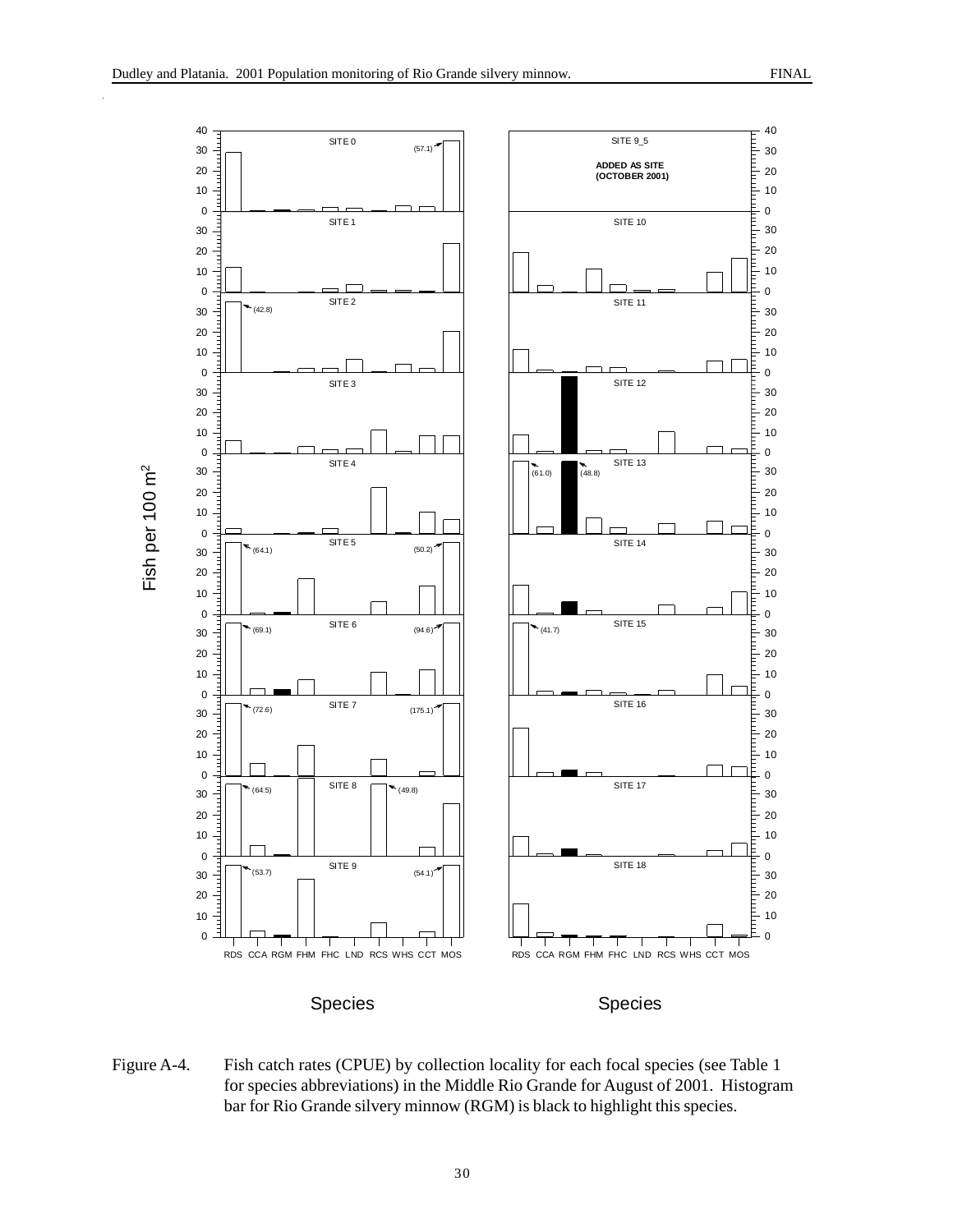

Figure A-4. Fish catch rates (CPUE) by collection locality for each focal species (see Table 1 for species abbreviations) in the Middle Rio Grande for August of 2001. Histogram bar for Rio Grande silvery minnow (RGM) is black to highlight this species.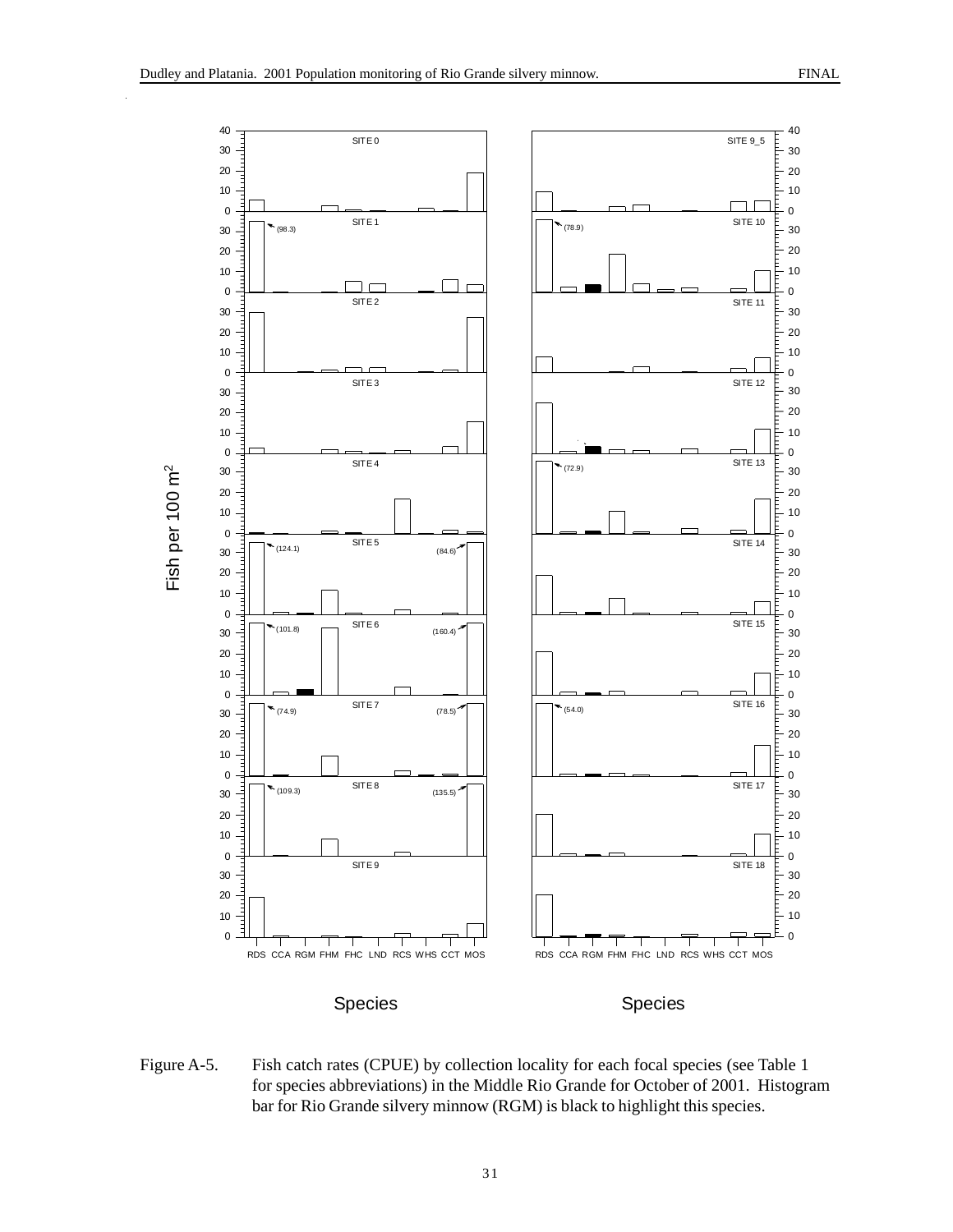

Figure A-5. Fish catch rates (CPUE) by collection locality for each focal species (see Table 1 for species abbreviations) in the Middle Rio Grande for October of 2001. Histogram bar for Rio Grande silvery minnow (RGM) is black to highlight this species.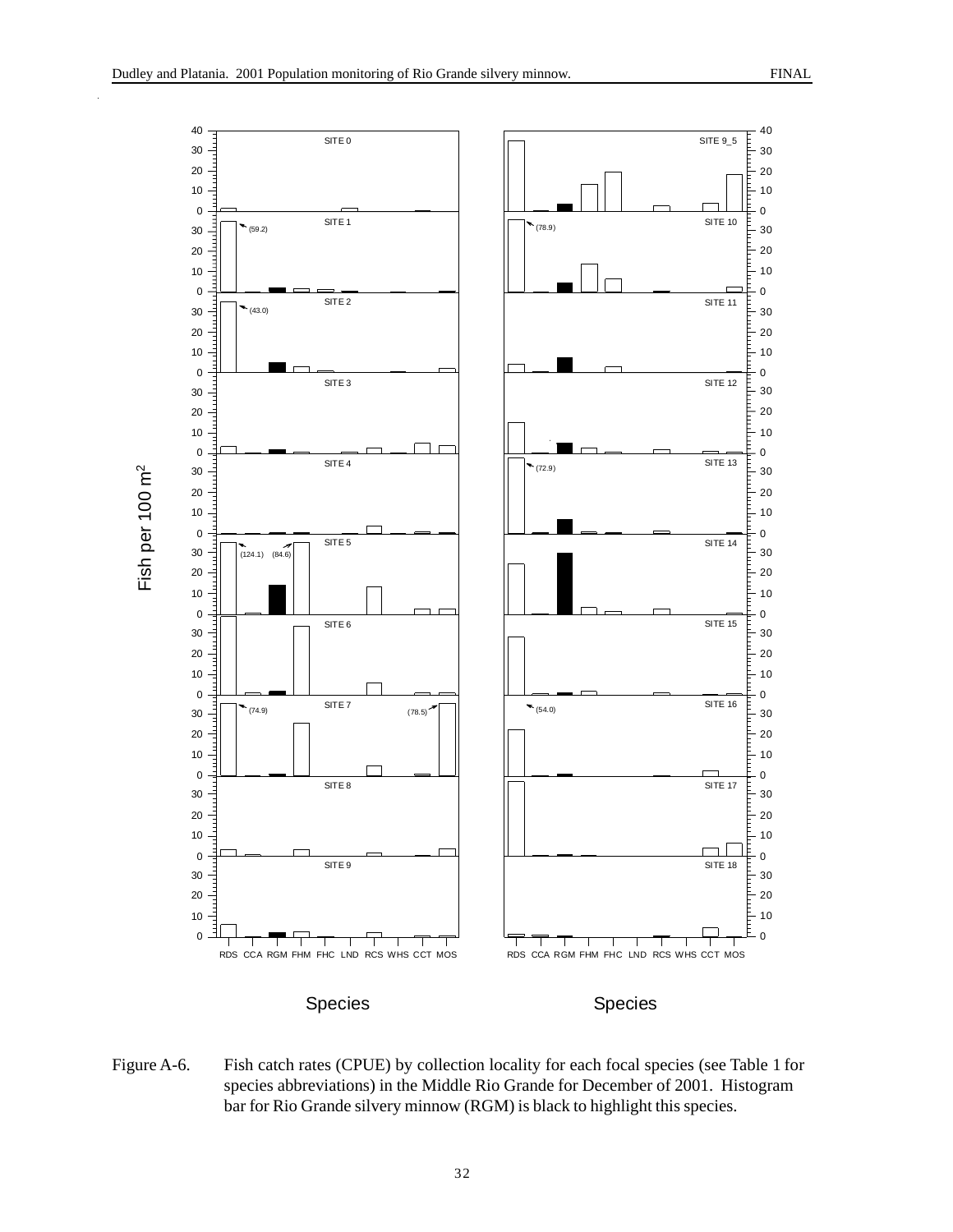

Figure A-6. Fish catch rates (CPUE) by collection locality for each focal species (see Table 1 for species abbreviations) in the Middle Rio Grande for December of 2001. Histogram bar for Rio Grande silvery minnow (RGM) is black to highlight this species.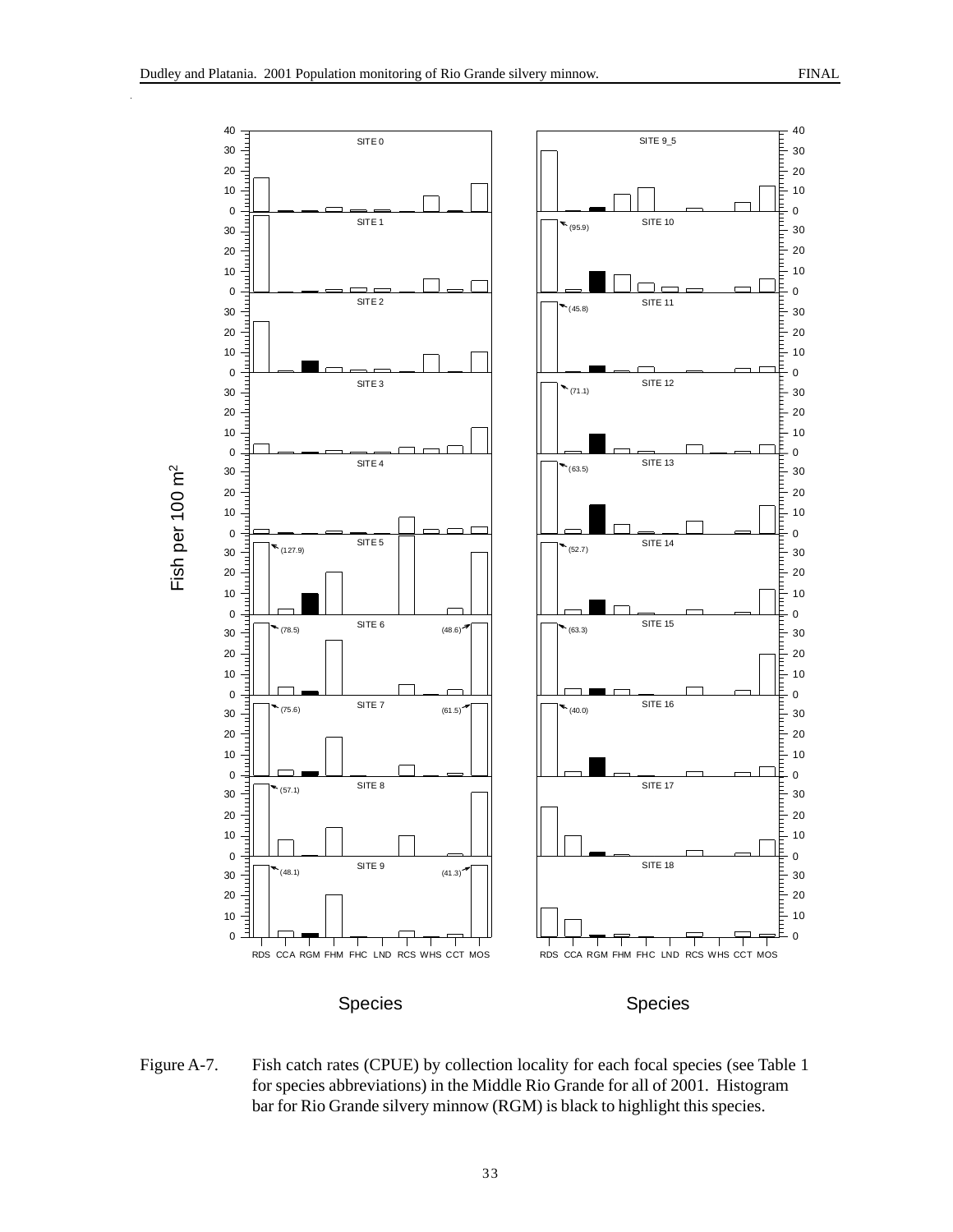

Figure A-7. Fish catch rates (CPUE) by collection locality for each focal species (see Table 1 for species abbreviations) in the Middle Rio Grande for all of 2001. Histogram bar for Rio Grande silvery minnow (RGM) is black to highlight this species.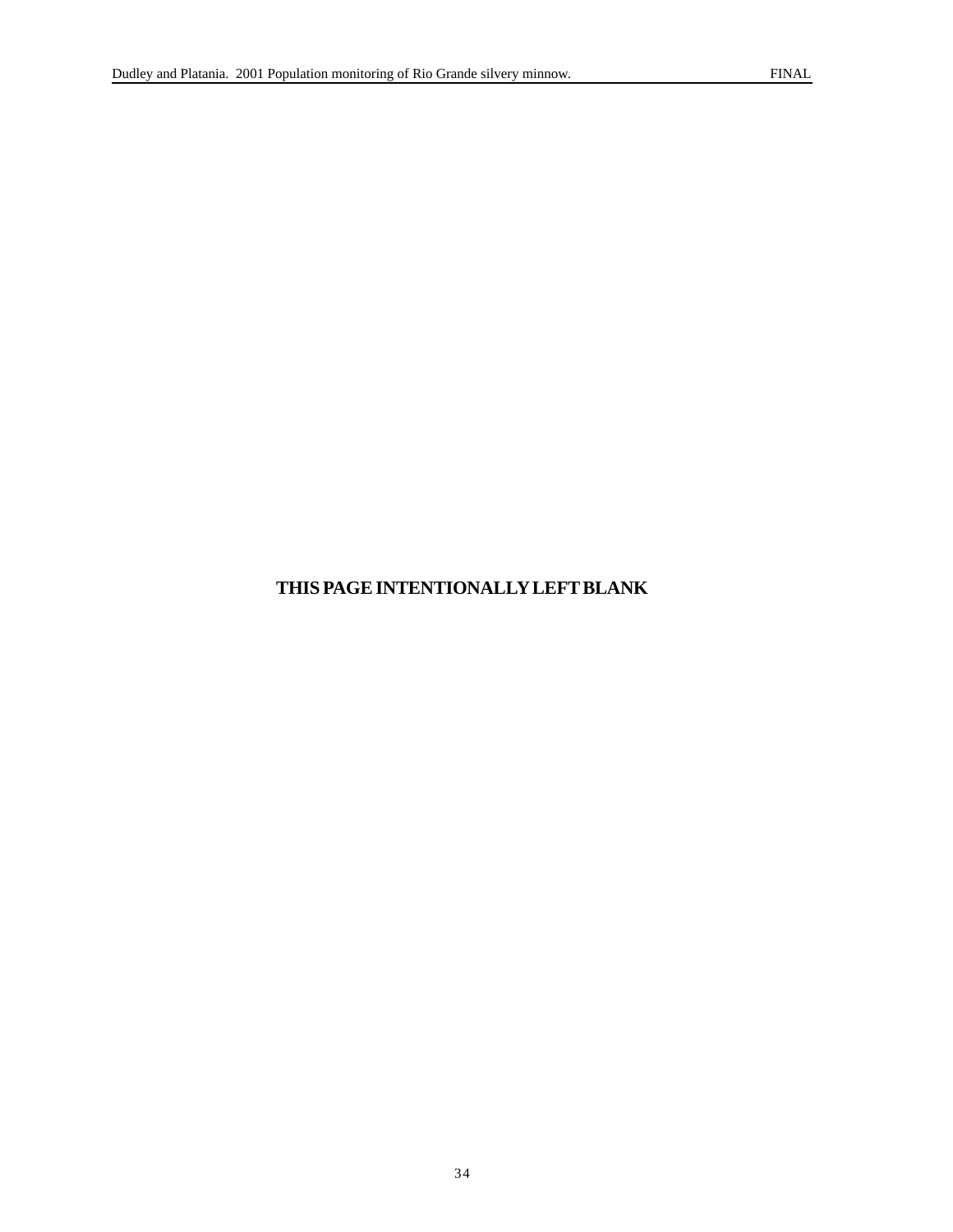# **THIS PAGE INTENTIONALLY LEFT BLANK**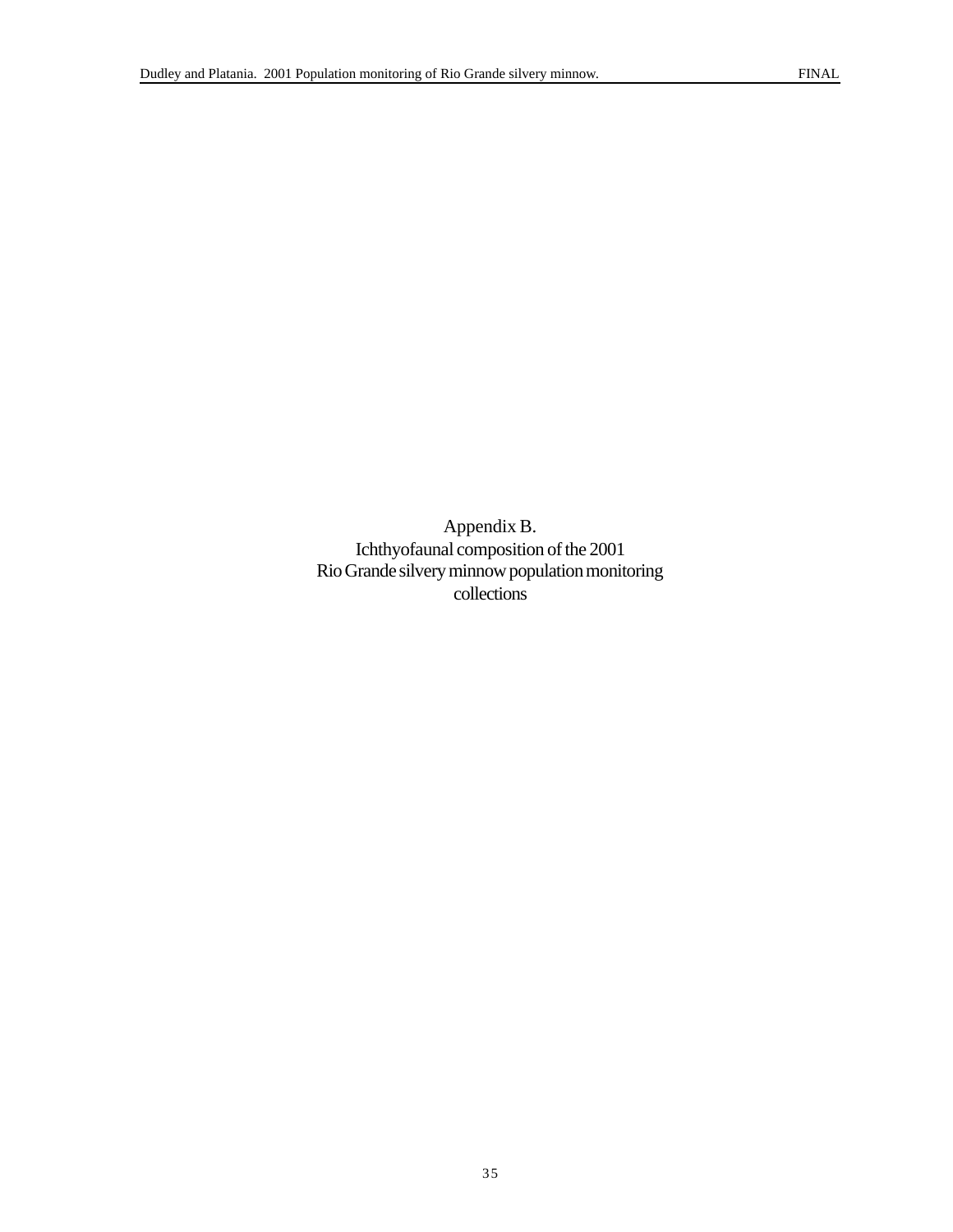Appendix B. Ichthyofaunal composition of the 2001 Rio Grande silvery minnow population monitoring collections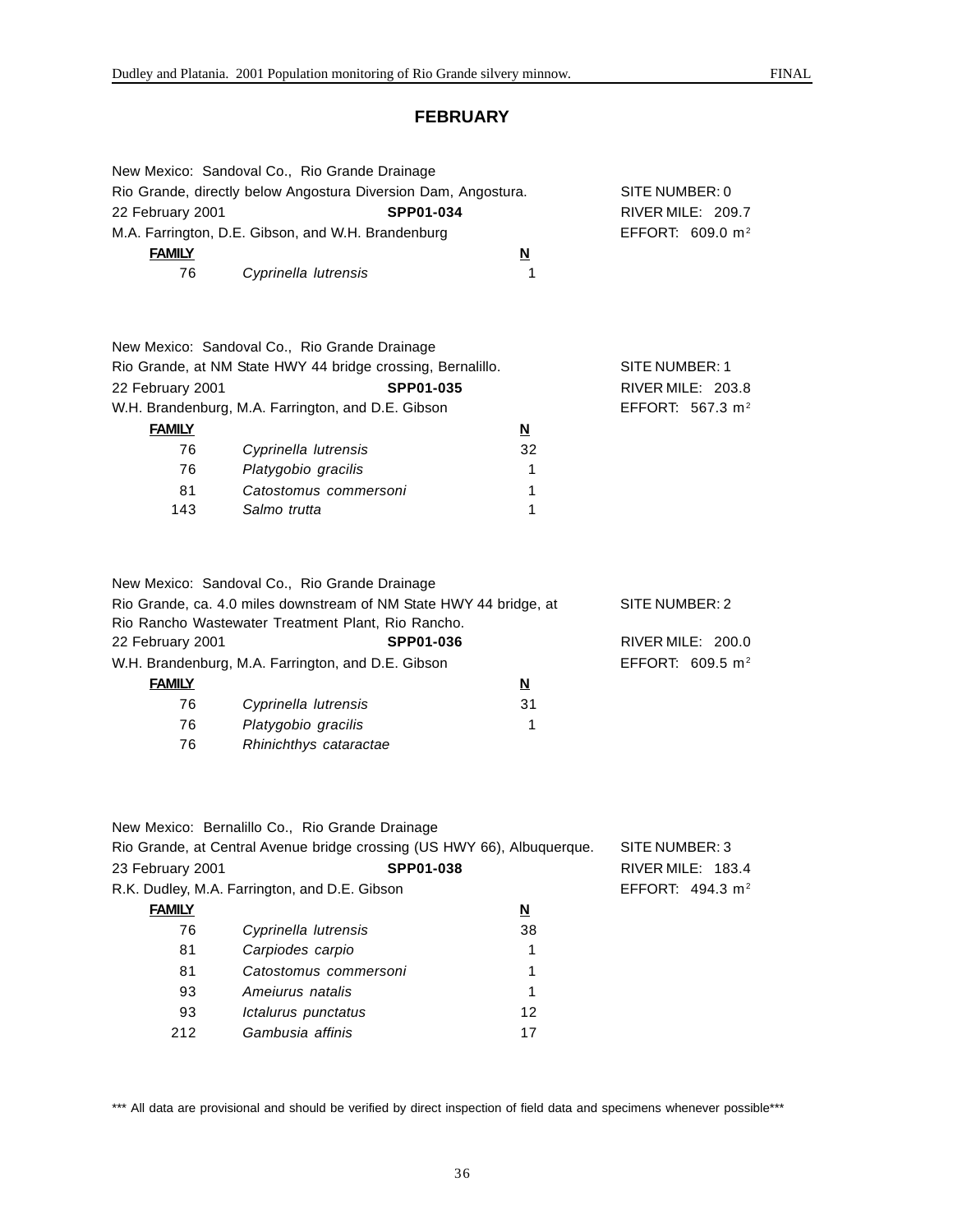# **FEBRUARY**

|                  | New Mexico: Sandoval Co., Rio Grande Drainage                  |           |   |                             |  |
|------------------|----------------------------------------------------------------|-----------|---|-----------------------------|--|
|                  | Rio Grande, directly below Angostura Diversion Dam, Angostura. |           |   | SITE NUMBER: 0              |  |
| 22 February 2001 |                                                                | SPP01-034 |   | RIVER MILE: 209.7           |  |
|                  | M.A. Farrington, D.E. Gibson, and W.H. Brandenburg             |           |   | EFFORT: $609.0 \text{ m}^2$ |  |
| <b>FAMILY</b>    |                                                                |           | N |                             |  |
| 76               | Cyprinella lutrensis                                           |           |   |                             |  |
|                  |                                                                |           |   |                             |  |

|                  | New Mexico: Sandoval Co., Rio Grande Drainage               |                  |                             |
|------------------|-------------------------------------------------------------|------------------|-----------------------------|
|                  | Rio Grande, at NM State HWY 44 bridge crossing, Bernalillo. |                  | SITE NUMBER: 1              |
| 22 February 2001 |                                                             | <b>SPP01-035</b> | RIVER MILE: 203.8           |
|                  | W.H. Brandenburg, M.A. Farrington, and D.E. Gibson          |                  | EFFORT: $567.3 \text{ m}^2$ |
| <b>FAMILY</b>    |                                                             | N                |                             |
| 76               | Cyprinella lutrensis                                        | 32               |                             |
| 76               | Platygobio gracilis                                         | 1                |                             |
| 81               | Catostomus commersoni                                       | 1                |                             |
| 143              | Salmo trutta                                                |                  |                             |

|                  | New Mexico: Sandoval Co., Rio Grande Drainage      |                                                                    |                             |
|------------------|----------------------------------------------------|--------------------------------------------------------------------|-----------------------------|
|                  |                                                    | Rio Grande, ca. 4.0 miles downstream of NM State HWY 44 bridge, at | SITE NUMBER: 2              |
|                  | Rio Rancho Wastewater Treatment Plant, Rio Rancho. |                                                                    |                             |
| 22 February 2001 |                                                    | <b>SPP01-036</b>                                                   | RIVER MILE: 200.0           |
|                  | W.H. Brandenburg, M.A. Farrington, and D.E. Gibson |                                                                    | EFFORT: $609.5 \text{ m}^2$ |
| <b>FAMILY</b>    |                                                    | N                                                                  |                             |
| 76               | Cyprinella lutrensis                               | 31                                                                 |                             |
| 76               | Platygobio gracilis                                |                                                                    |                             |
| 76               | Rhinichthys cataractae                             |                                                                    |                             |

|                  | New Mexico: Bernalillo Co., Rio Grande Drainage |                                                                         |                             |
|------------------|-------------------------------------------------|-------------------------------------------------------------------------|-----------------------------|
|                  |                                                 | Rio Grande, at Central Avenue bridge crossing (US HWY 66), Albuquerque. | SITE NUMBER: 3              |
| 23 February 2001 |                                                 | <b>SPP01-038</b>                                                        | RIVER MILE: 183.4           |
|                  | R.K. Dudley, M.A. Farrington, and D.E. Gibson   |                                                                         | EFFORT: $494.3 \text{ m}^2$ |
| <b>FAMILY</b>    |                                                 | N                                                                       |                             |
| 76               | Cyprinella lutrensis                            | 38                                                                      |                             |
| 81               | Carpiodes carpio                                | 1                                                                       |                             |
| 81               | Catostomus commersoni                           | 1                                                                       |                             |
| 93               | Amejurus natalis                                | 1                                                                       |                             |
| 93               | Ictalurus punctatus                             | 12                                                                      |                             |
| 212              | Gambusia affinis                                | 17                                                                      |                             |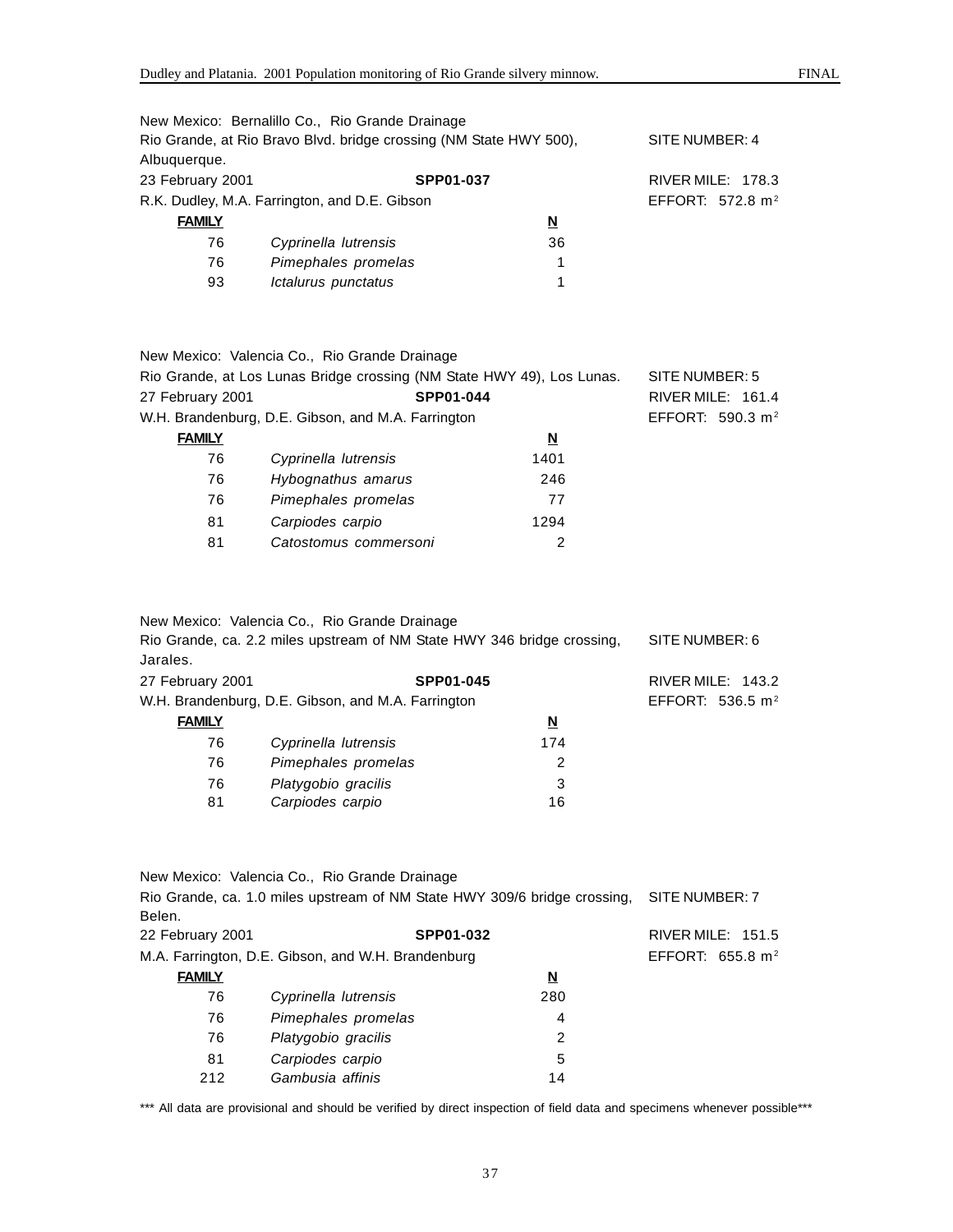|                  | New Mexico: Bernalillo Co., Rio Grande Drainage                    |                  |                             |
|------------------|--------------------------------------------------------------------|------------------|-----------------------------|
|                  | Rio Grande, at Rio Bravo Blvd. bridge crossing (NM State HWY 500), |                  |                             |
| Albuguergue.     |                                                                    |                  |                             |
| 23 February 2001 |                                                                    | <b>SPP01-037</b> | RIVER MILE: 178.3           |
|                  | R.K. Dudley, M.A. Farrington, and D.E. Gibson                      |                  | EFFORT: $572.8 \text{ m}^2$ |
| <b>FAMILY</b>    |                                                                    | N                |                             |
| 76               | Cyprinella lutrensis                                               | 36               |                             |
| 76               | Pimephales promelas                                                |                  |                             |
| 93               | Ictalurus punctatus                                                |                  |                             |

|                  | New Mexico: Valencia Co., Rio Grande Drainage      |                                                                        |                             |
|------------------|----------------------------------------------------|------------------------------------------------------------------------|-----------------------------|
|                  |                                                    | Rio Grande, at Los Lunas Bridge crossing (NM State HWY 49), Los Lunas. | SITE NUMBER: 5              |
| 27 February 2001 |                                                    | <b>SPP01-044</b>                                                       | RIVER MILE: 161.4           |
|                  | W.H. Brandenburg, D.E. Gibson, and M.A. Farrington |                                                                        | EFFORT: $590.3 \text{ m}^2$ |
| <b>FAMILY</b>    |                                                    | N                                                                      |                             |
| 76               | Cyprinella lutrensis                               | 1401                                                                   |                             |
| 76               | Hybognathus amarus                                 | 246                                                                    |                             |
| 76               | Pimephales promelas                                | 77                                                                     |                             |
| 81               | Carpiodes carpio                                   | 1294                                                                   |                             |
| 81               | Catostomus commersoni                              | 2                                                                      |                             |

| New Mexico: Valencia Co., Rio Grande Drainage                                       |                  |     |                    |  |
|-------------------------------------------------------------------------------------|------------------|-----|--------------------|--|
| Rio Grande, ca. 2.2 miles upstream of NM State HWY 346 bridge crossing,<br>Jarales. | SITE NUMBER: 6   |     |                    |  |
| 27 February 2001                                                                    | <b>SPP01-045</b> |     | RIVER MILE: 143.2  |  |
| W.H. Brandenburg, D.E. Gibson, and M.A. Farrington                                  |                  |     | EFFORT: 536.5 $m2$ |  |
| <b>FAMILY</b>                                                                       |                  | N   |                    |  |
| 76<br>Cyprinella lutrensis                                                          |                  | 174 |                    |  |
| 76<br>Pimephales promelas                                                           |                  | 2   |                    |  |
| 76<br>Platygobio gracilis                                                           |                  | 3   |                    |  |
| Carpiodes carpio<br>81                                                              |                  | 16  |                    |  |

| Belen.           | New Mexico: Valencia Co., Rio Grande Drainage      | Rio Grande, ca. 1.0 miles upstream of NM State HWY 309/6 bridge crossing, SITE NUMBER: 7 |                             |
|------------------|----------------------------------------------------|------------------------------------------------------------------------------------------|-----------------------------|
| 22 February 2001 |                                                    | <b>SPP01-032</b>                                                                         | RIVER MILE: $151.5$         |
|                  | M.A. Farrington, D.E. Gibson, and W.H. Brandenburg |                                                                                          | EFFORT: $655.8 \text{ m}^2$ |
| <b>FAMILY</b>    |                                                    | N                                                                                        |                             |
| 76               | Cyprinella lutrensis                               | 280                                                                                      |                             |
| 76               | Pimephales promelas                                | 4                                                                                        |                             |
| 76               | Platygobio gracilis                                | 2                                                                                        |                             |
| 81               | Carpiodes carpio                                   | 5                                                                                        |                             |
| 212              | Gambusia affinis                                   | 14                                                                                       |                             |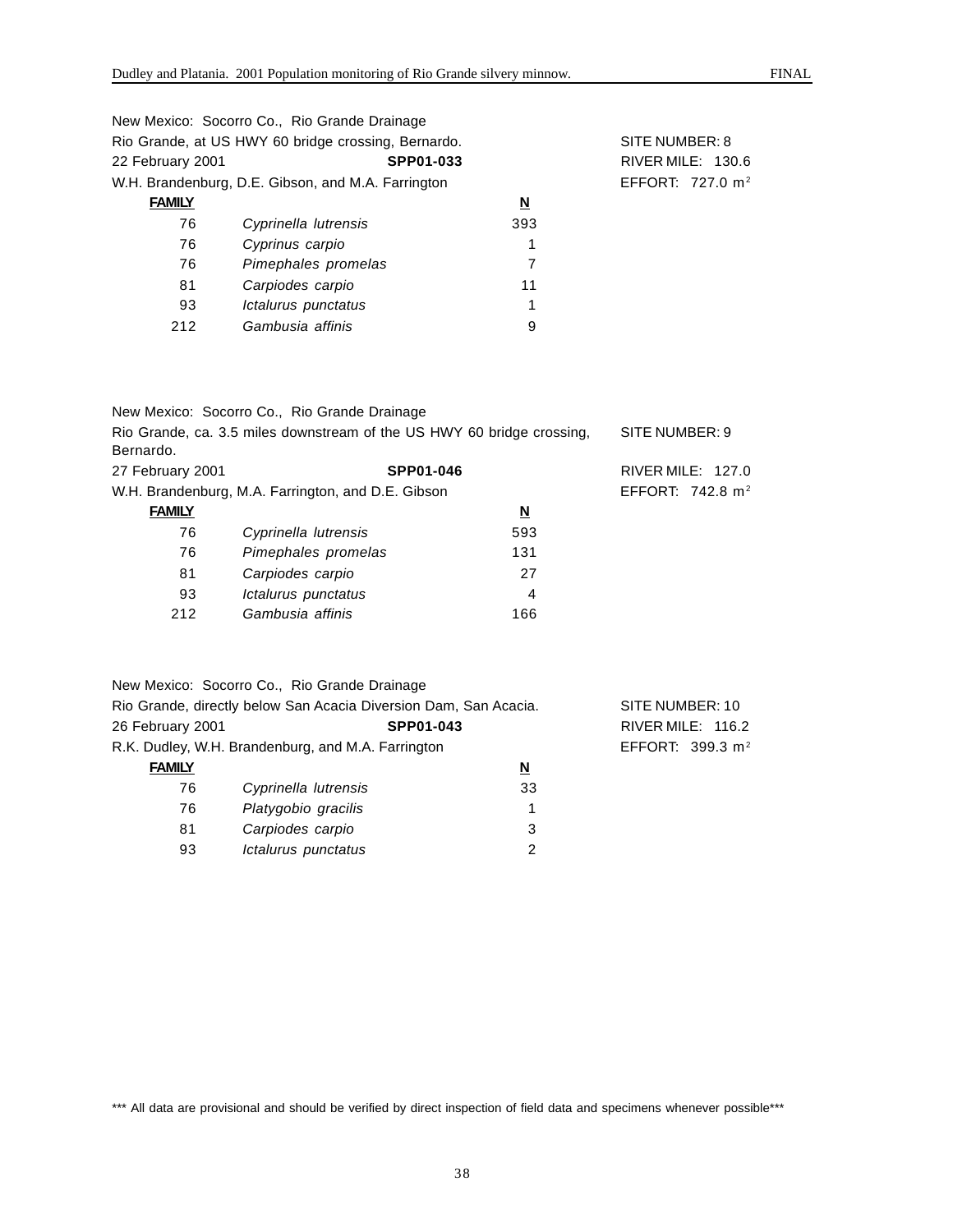|                  | New Mexico: Socorro Co., Rio Grande Drainage        |                  |                              |
|------------------|-----------------------------------------------------|------------------|------------------------------|
|                  | Rio Grande, at US HWY 60 bridge crossing, Bernardo. |                  | SITE NUMBER: 8               |
| 22 February 2001 |                                                     | <b>SPP01-033</b> | RIVER MILE: 130.6            |
|                  | W.H. Brandenburg, D.E. Gibson, and M.A. Farrington  |                  | EFFORT: 727.0 m <sup>2</sup> |
| <b>FAMILY</b>    |                                                     | N                |                              |
| 76               | Cyprinella lutrensis                                | 393              |                              |
| 76               | Cyprinus carpio                                     | 1                |                              |
| 76               | Pimephales promelas                                 | 7                |                              |
| 81               | Carpiodes carpio                                    | 11               |                              |
| 93               | Ictalurus punctatus                                 | 1                |                              |
| 212              | Gambusia affinis                                    | 9                |                              |

|                  | New Mexico: Socorro Co., Rio Grande Drainage                           |                          |                    |  |
|------------------|------------------------------------------------------------------------|--------------------------|--------------------|--|
|                  | Rio Grande, ca. 3.5 miles downstream of the US HWY 60 bridge crossing, |                          |                    |  |
| Bernardo.        |                                                                        |                          |                    |  |
| 27 February 2001 |                                                                        | <b>SPP01-046</b>         | RIVER MILE: 127.0  |  |
|                  | W.H. Brandenburg, M.A. Farrington, and D.E. Gibson                     |                          | EFFORT: 742.8 $m2$ |  |
| <b>FAMILY</b>    |                                                                        | $\underline{\mathsf{N}}$ |                    |  |
| 76               | Cyprinella lutrensis                                                   | 593                      |                    |  |
| 76               | Pimephales promelas                                                    | 131                      |                    |  |
| 81               | Carpiodes carpio                                                       | 27                       |                    |  |
| 93               | Ictalurus punctatus                                                    | 4                        |                    |  |
| 212              | Gambusia affinis                                                       | 166                      |                    |  |
|                  |                                                                        |                          |                    |  |

|                      |                     | SITE NUMBER: 10                                                                                                                                                                            |
|----------------------|---------------------|--------------------------------------------------------------------------------------------------------------------------------------------------------------------------------------------|
|                      |                     | RIVER MILE: 116.2                                                                                                                                                                          |
|                      |                     | EFFORT: $399.3 \text{ m}^2$                                                                                                                                                                |
|                      | N                   |                                                                                                                                                                                            |
| Cyprinella lutrensis | 33                  |                                                                                                                                                                                            |
|                      |                     |                                                                                                                                                                                            |
| Carpiodes carpio     | 3                   |                                                                                                                                                                                            |
| Ictalurus punctatus  | 2                   |                                                                                                                                                                                            |
|                      | Platygobio gracilis | New Mexico: Socorro Co., Rio Grande Drainage<br>Rio Grande, directly below San Acacia Diversion Dam, San Acacia.<br><b>SPP01-043</b><br>R.K. Dudley, W.H. Brandenburg, and M.A. Farrington |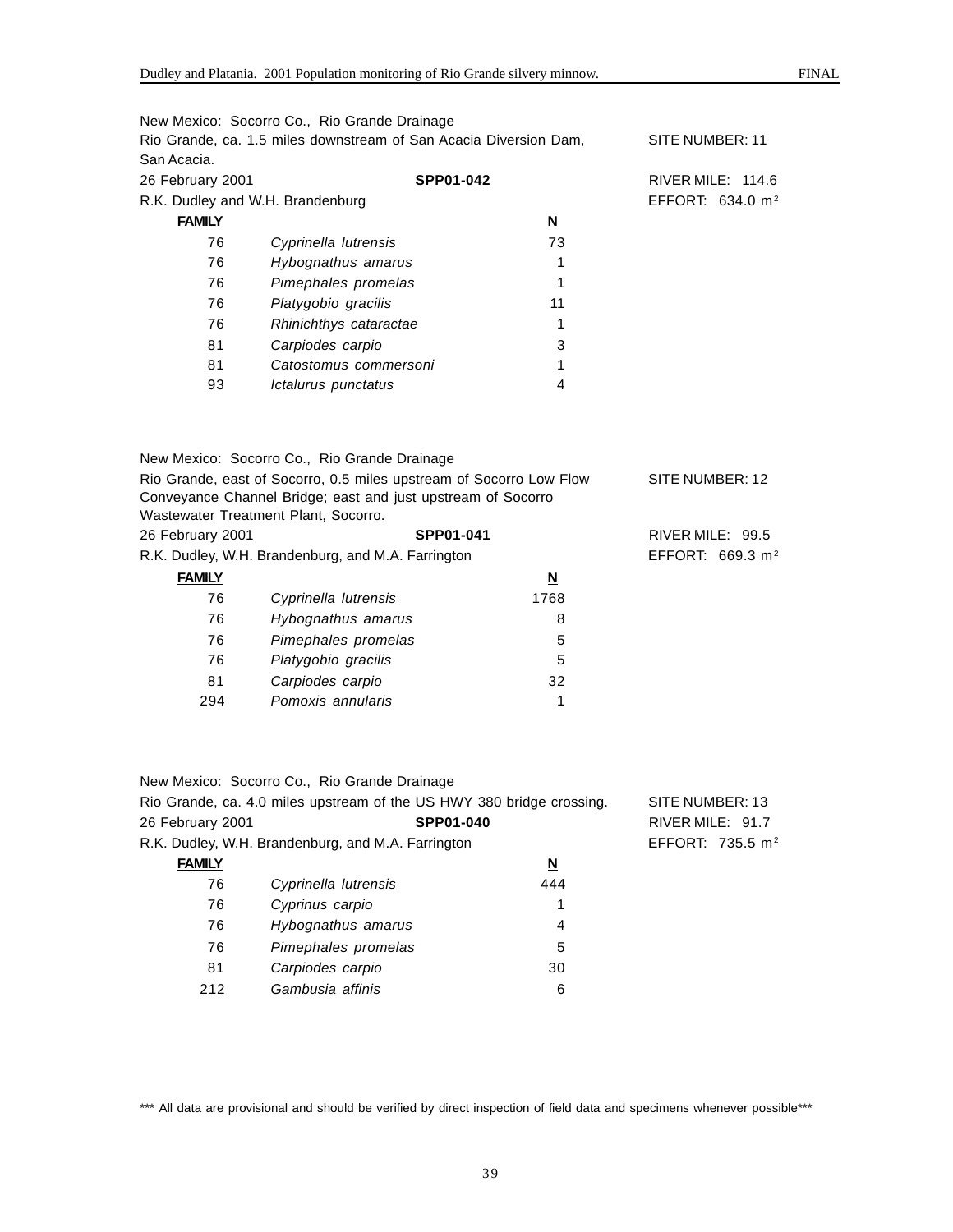|                                  | New Mexico: Socorro Co., Rio Grande Drainage                                                                                                                                                                                |                          |                              |
|----------------------------------|-----------------------------------------------------------------------------------------------------------------------------------------------------------------------------------------------------------------------------|--------------------------|------------------------------|
|                                  | Rio Grande, ca. 1.5 miles downstream of San Acacia Diversion Dam,                                                                                                                                                           |                          | SITE NUMBER: 11              |
| San Acacia.                      |                                                                                                                                                                                                                             |                          |                              |
| 26 February 2001                 |                                                                                                                                                                                                                             | <b>SPP01-042</b>         | RIVER MILE: 114.6            |
| R.K. Dudley and W.H. Brandenburg |                                                                                                                                                                                                                             |                          | EFFORT: 634.0 m <sup>2</sup> |
| <b>FAMILY</b>                    |                                                                                                                                                                                                                             | $\underline{\mathsf{N}}$ |                              |
| 76                               | Cyprinella lutrensis                                                                                                                                                                                                        | 73                       |                              |
| 76                               | Hybognathus amarus                                                                                                                                                                                                          | 1                        |                              |
| 76                               | Pimephales promelas                                                                                                                                                                                                         | 1                        |                              |
| 76                               | Platygobio gracilis                                                                                                                                                                                                         | 11                       |                              |
| 76                               | Rhinichthys cataractae                                                                                                                                                                                                      | 1                        |                              |
| 81                               | Carpiodes carpio                                                                                                                                                                                                            | 3                        |                              |
| 81                               | Catostomus commersoni                                                                                                                                                                                                       | 1                        |                              |
| 93                               | Ictalurus punctatus                                                                                                                                                                                                         | 4                        |                              |
|                                  | New Mexico: Socorro Co., Rio Grande Drainage<br>Rio Grande, east of Socorro, 0.5 miles upstream of Socorro Low Flow<br>Conveyance Channel Bridge; east and just upstream of Socorro<br>Wastewater Treatment Plant, Socorro. |                          | SITE NUMBER: 12              |
| 26 February 2001                 |                                                                                                                                                                                                                             | <b>SPP01-041</b>         | RIVER MILE: 99.5             |
|                                  | R.K. Dudley, W.H. Brandenburg, and M.A. Farrington                                                                                                                                                                          |                          | EFFORT: 669.3 m <sup>2</sup> |
| <b>FAMILY</b>                    |                                                                                                                                                                                                                             |                          |                              |
|                                  |                                                                                                                                                                                                                             | $\overline{\mathbf{N}}$  |                              |
| 76                               | Cyprinella lutrensis                                                                                                                                                                                                        | 1768                     |                              |
| 76                               | Hybognathus amarus                                                                                                                                                                                                          | 8                        |                              |
| 76                               | Pimephales promelas                                                                                                                                                                                                         | 5                        |                              |
| 76                               | Platygobio gracilis                                                                                                                                                                                                         | 5                        |                              |
| 81                               | Carpiodes carpio                                                                                                                                                                                                            | 32                       |                              |
| 294                              | Pomoxis annularis                                                                                                                                                                                                           | 1                        |                              |
|                                  | New Mexico: Socorro Co., Rio Grande Drainage<br>Rio Grande, ca. 4.0 miles upstream of the US HWY 380 bridge crossing.                                                                                                       |                          | SITE NUMBER: 13              |
| 26 February 2001                 |                                                                                                                                                                                                                             | SPP01-040                | RIVER MILE: 91.7             |
|                                  | R.K. Dudley, W.H. Brandenburg, and M.A. Farrington                                                                                                                                                                          |                          | EFFORT: 735.5 m <sup>2</sup> |
| <b>FAMILY</b>                    |                                                                                                                                                                                                                             | $\underline{\mathbf{N}}$ |                              |
| 76                               | Cyprinella lutrensis                                                                                                                                                                                                        | 444                      |                              |
| 76                               | Cyprinus carpio                                                                                                                                                                                                             | 1                        |                              |
| 76                               | Hybognathus amarus                                                                                                                                                                                                          | 4                        |                              |
| 76                               | Pimephales promelas                                                                                                                                                                                                         | 5                        |                              |
| 81                               | Carpiodes carpio                                                                                                                                                                                                            | 30                       |                              |
|                                  |                                                                                                                                                                                                                             |                          |                              |

212 Gambusia affinis 6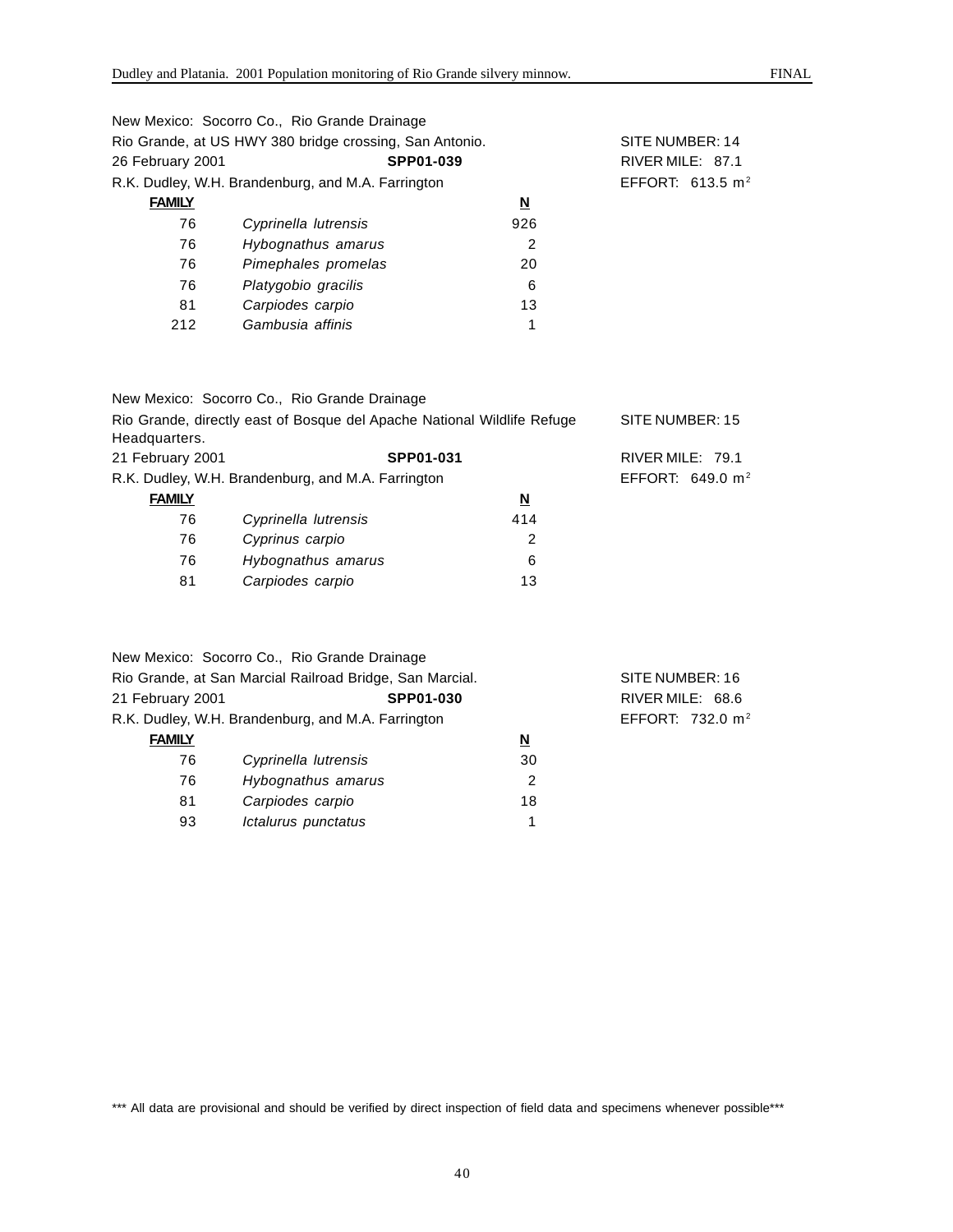|                                                         | New Mexico: Socorro Co., Rio Grande Drainage       |                  |                    |
|---------------------------------------------------------|----------------------------------------------------|------------------|--------------------|
| Rio Grande, at US HWY 380 bridge crossing, San Antonio. | SITE NUMBER: 14                                    |                  |                    |
| 26 February 2001                                        |                                                    | <b>SPP01-039</b> | RIVER MILE: 87.1   |
|                                                         | R.K. Dudley, W.H. Brandenburg, and M.A. Farrington |                  | EFFORT: 613.5 $m2$ |
| <b>FAMILY</b>                                           |                                                    | N                |                    |
| 76                                                      | Cyprinella lutrensis                               | 926              |                    |
| 76                                                      | Hybognathus amarus                                 | 2                |                    |
| 76                                                      | Pimephales promelas                                | 20               |                    |
| 76                                                      | Platygobio gracilis                                | 6                |                    |
| 81                                                      | Carpiodes carpio                                   | 13               |                    |
| 212                                                     | Gambusia affinis                                   |                  |                    |

|                  | New Mexico: Socorro Co., Rio Grande Drainage       |                                                                         |                             |
|------------------|----------------------------------------------------|-------------------------------------------------------------------------|-----------------------------|
|                  |                                                    | Rio Grande, directly east of Bosque del Apache National Wildlife Refuge | SITE NUMBER: 15             |
| Headquarters.    |                                                    |                                                                         |                             |
| 21 February 2001 |                                                    | SPP01-031                                                               | RIVER MILE: 79.1            |
|                  | R.K. Dudley, W.H. Brandenburg, and M.A. Farrington |                                                                         | EFFORT: $649.0 \text{ m}^2$ |
| <b>FAMILY</b>    |                                                    | N                                                                       |                             |
| 76               | Cyprinella lutrensis                               | 414                                                                     |                             |
| 76               | Cyprinus carpio                                    | 2                                                                       |                             |
| 76               | Hybognathus amarus                                 | 6                                                                       |                             |
| 81               | Carpiodes carpio                                   | 13                                                                      |                             |
|                  |                                                    |                                                                         |                             |
|                  |                                                    |                                                                         |                             |
|                  |                                                    |                                                                         |                             |

|                                                          | New Mexico: Socorro Co., Rio Grande Drainage       |                  |                              |
|----------------------------------------------------------|----------------------------------------------------|------------------|------------------------------|
| Rio Grande, at San Marcial Railroad Bridge, San Marcial. | SITE NUMBER: 16                                    |                  |                              |
| 21 February 2001                                         |                                                    | <b>SPP01-030</b> | RIVER MILE: 68.6             |
|                                                          | R.K. Dudley, W.H. Brandenburg, and M.A. Farrington |                  | EFFORT: 732.0 m <sup>2</sup> |
| <b>FAMILY</b>                                            |                                                    | N                |                              |
| 76                                                       | Cyprinella lutrensis                               | 30               |                              |
| 76                                                       | Hybognathus amarus                                 | 2                |                              |
| 81                                                       | Carpiodes carpio                                   | 18               |                              |
| 93                                                       | Ictalurus punctatus                                |                  |                              |
|                                                          |                                                    |                  |                              |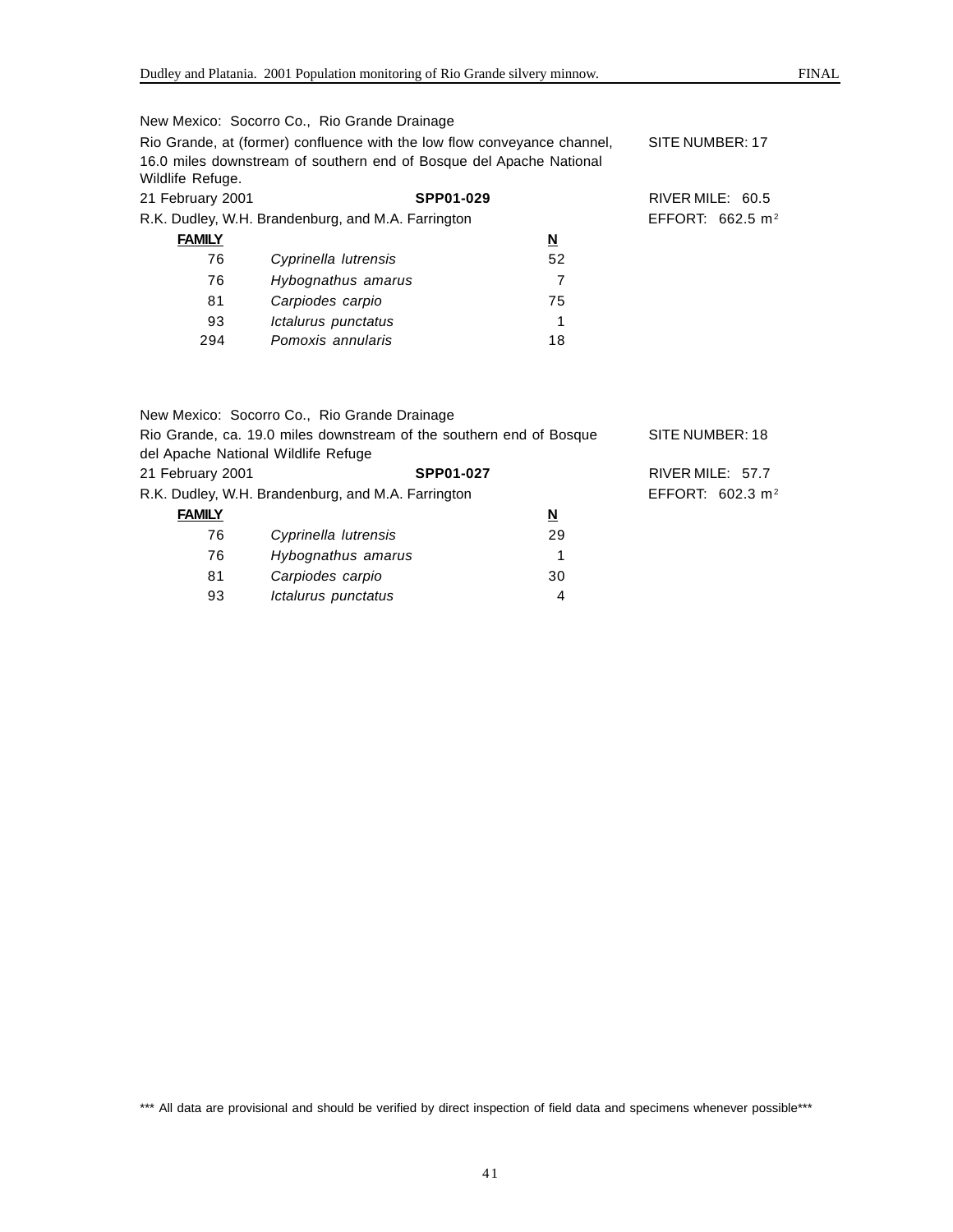| Wildlife Refuge. | New Mexico: Socorro Co., Rio Grande Drainage<br>Rio Grande, at (former) confluence with the low flow conveyance channel,<br>16.0 miles downstream of southern end of Bosque del Apache National |           |    | SITE NUMBER: 17             |
|------------------|-------------------------------------------------------------------------------------------------------------------------------------------------------------------------------------------------|-----------|----|-----------------------------|
| 21 February 2001 |                                                                                                                                                                                                 | SPP01-029 |    | RIVER MILE: 60.5            |
|                  | R.K. Dudley, W.H. Brandenburg, and M.A. Farrington                                                                                                                                              |           |    | EFFORT: $662.5 \text{ m}^2$ |
| <b>FAMILY</b>    |                                                                                                                                                                                                 |           | N  |                             |
| 76               | Cyprinella lutrensis                                                                                                                                                                            |           | 52 |                             |
| 76               | Hybognathus amarus                                                                                                                                                                              |           | 7  |                             |
| 81               | Carpiodes carpio                                                                                                                                                                                |           | 75 |                             |
| 93               | <i><b>Ictalurus punctatus</b></i>                                                                                                                                                               |           | 1  |                             |
| 294              | Pomoxis annularis                                                                                                                                                                               |           | 18 |                             |
|                  |                                                                                                                                                                                                 |           |    |                             |

|                                     | New Mexico: Socorro Co., Rio Grande Drainage       |                                                                     |                             |
|-------------------------------------|----------------------------------------------------|---------------------------------------------------------------------|-----------------------------|
|                                     |                                                    | Rio Grande, ca. 19.0 miles downstream of the southern end of Bosque | SITE NUMBER: 18             |
| del Apache National Wildlife Refuge |                                                    |                                                                     |                             |
| 21 February 2001                    |                                                    | <b>SPP01-027</b>                                                    | RIVER MILE: 57.7            |
|                                     | R.K. Dudley, W.H. Brandenburg, and M.A. Farrington |                                                                     | EFFORT: $602.3 \text{ m}^2$ |
| <b>FAMILY</b>                       |                                                    | N                                                                   |                             |
| 76                                  | Cyprinella lutrensis                               | 29                                                                  |                             |
| 76                                  | Hybognathus amarus                                 | 1                                                                   |                             |
| 81                                  | Carpiodes carpio                                   | 30                                                                  |                             |
| 93                                  | Ictalurus punctatus                                | 4                                                                   |                             |
|                                     |                                                    |                                                                     |                             |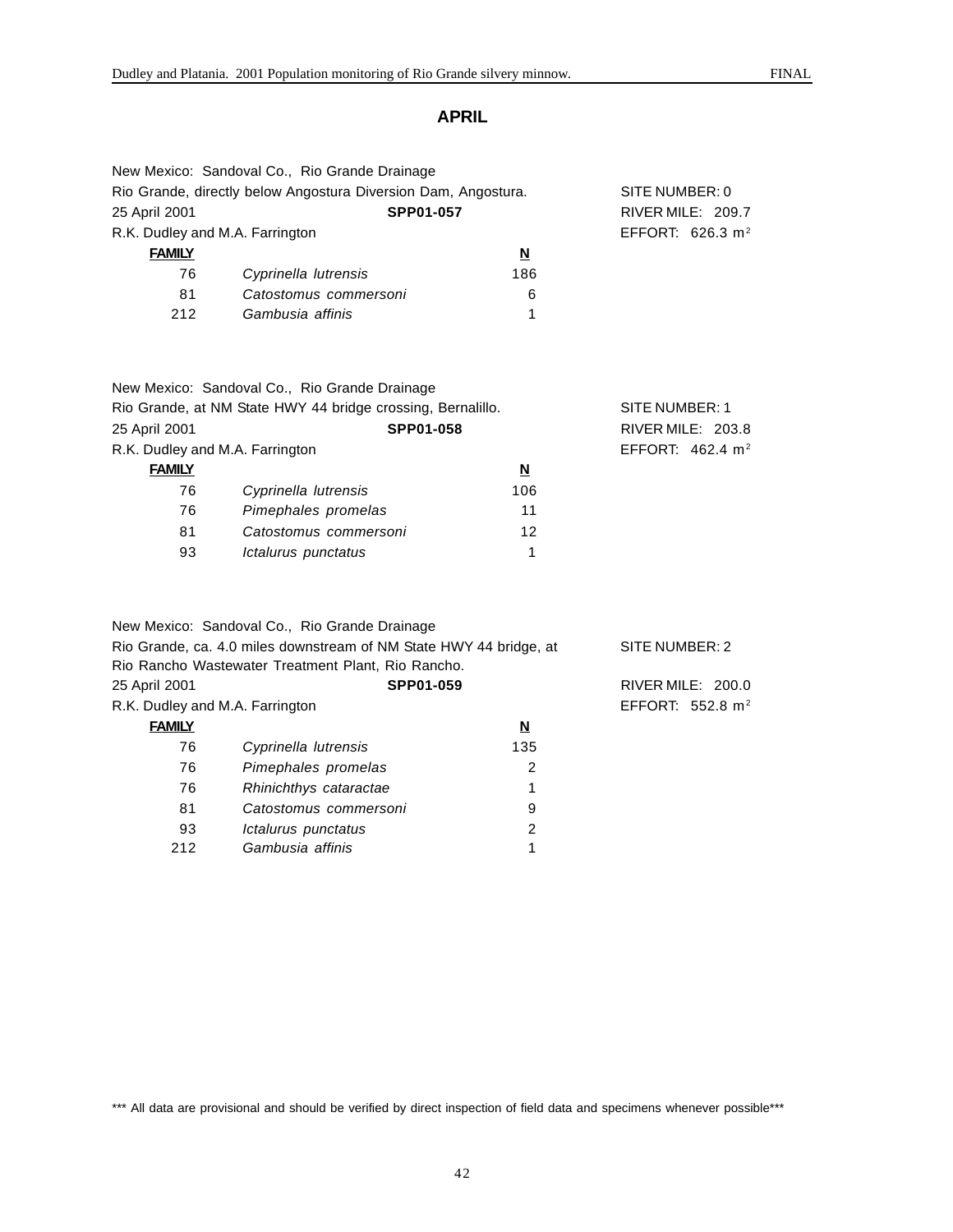#### **APRIL**

|                                                                | New Mexico: Sandoval Co., Rio Grande Drainage |                             |                   |
|----------------------------------------------------------------|-----------------------------------------------|-----------------------------|-------------------|
| Rio Grande, directly below Angostura Diversion Dam, Angostura. | SITE NUMBER: 0                                |                             |                   |
| 25 April 2001                                                  |                                               | <b>SPP01-057</b>            | RIVER MILE: 209.7 |
| R.K. Dudley and M.A. Farrington                                |                                               | EFFORT: $626.3 \text{ m}^2$ |                   |
| <b>FAMILY</b>                                                  |                                               | N                           |                   |
| 76                                                             | Cyprinella lutrensis                          | 186                         |                   |
| 81                                                             | Catostomus commersoni                         | 6                           |                   |
| 212                                                            | Gambusia affinis                              | 1                           |                   |

|                                                             | New Mexico: Sandoval Co., Rio Grande Drainage |                  |                             |
|-------------------------------------------------------------|-----------------------------------------------|------------------|-----------------------------|
| Rio Grande, at NM State HWY 44 bridge crossing, Bernalillo. |                                               |                  | SITE NUMBER: 1              |
| 25 April 2001                                               |                                               | <b>SPP01-058</b> | RIVER MILE: 203.8           |
| R.K. Dudley and M.A. Farrington                             |                                               |                  | EFFORT: $462.4 \text{ m}^2$ |
| <b>FAMILY</b>                                               |                                               | N                |                             |
| 76                                                          | Cyprinella lutrensis                          | 106              |                             |
| 76                                                          | Pimephales promelas                           | 11               |                             |
| 81                                                          | Catostomus commersoni                         | 12               |                             |
| 93                                                          | Ictalurus punctatus                           |                  |                             |

|                                 | New Mexico: Sandoval Co., Rio Grande Drainage                      |          |                             |
|---------------------------------|--------------------------------------------------------------------|----------|-----------------------------|
|                                 | Rio Grande, ca. 4.0 miles downstream of NM State HWY 44 bridge, at |          | SITE NUMBER: 2              |
|                                 | Rio Rancho Wastewater Treatment Plant, Rio Rancho.                 |          |                             |
| 25 April 2001                   | <b>SPP01-059</b>                                                   |          | RIVER MILE: $200.0$         |
| R.K. Dudley and M.A. Farrington |                                                                    |          | EFFORT: $552.8 \text{ m}^2$ |
| <b>FAMILY</b>                   |                                                                    | <u>N</u> |                             |
| 76                              | Cyprinella lutrensis                                               | 135      |                             |
| 76                              | Pimephales promelas                                                | 2        |                             |
| 76                              | Rhinichthys cataractae                                             |          |                             |
| 81                              | Catostomus commersoni                                              | 9        |                             |
| 93                              | <i><b>Ictalurus punctatus</b></i>                                  | 2        |                             |
| 212                             | Gambusia affinis                                                   |          |                             |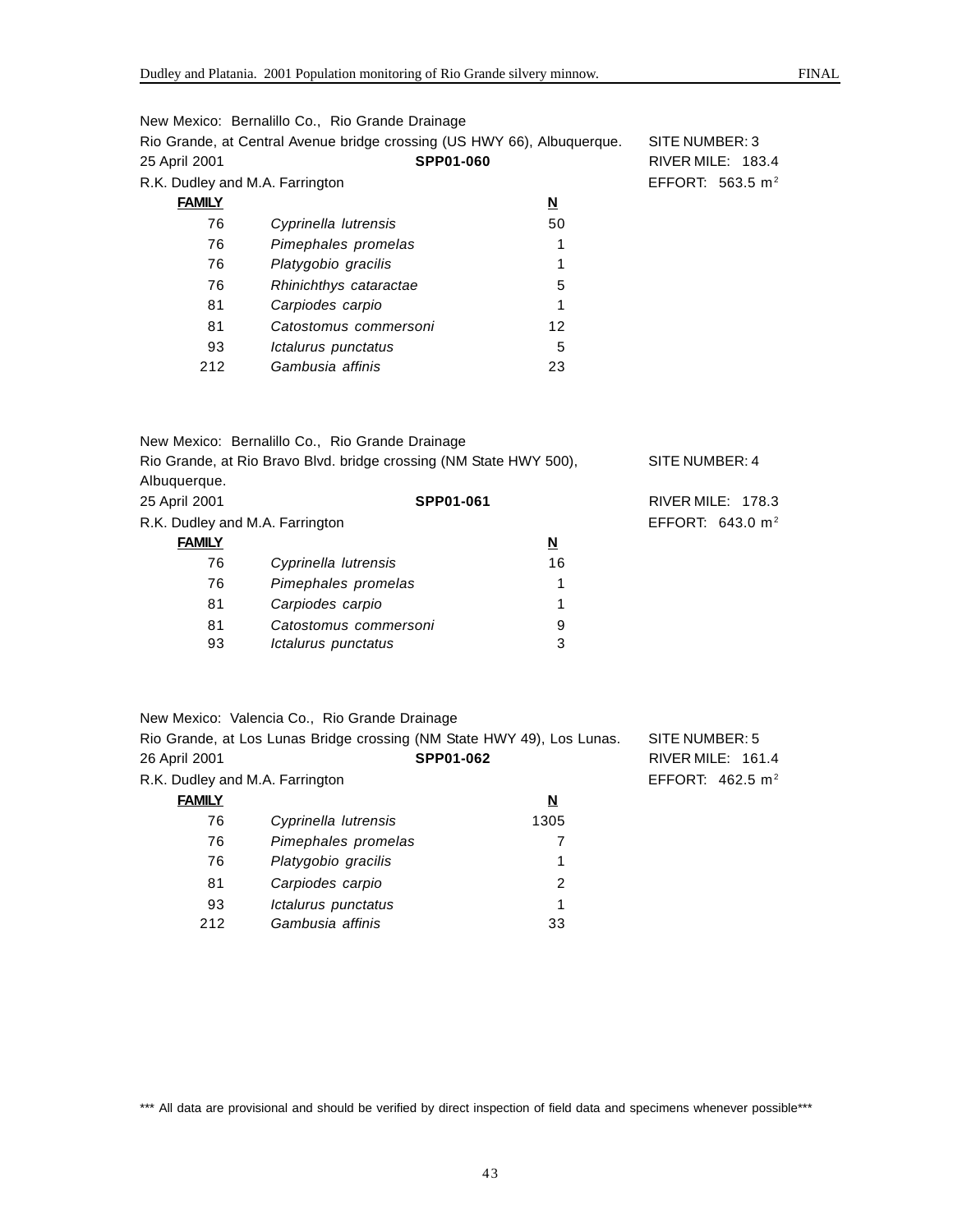|                                 | New Mexico: Bernalillo Co., Rio Grande Drainage                         |    |                    |
|---------------------------------|-------------------------------------------------------------------------|----|--------------------|
|                                 | Rio Grande, at Central Avenue bridge crossing (US HWY 66), Albuquerque. |    | SITE NUMBER: 3     |
| 25 April 2001                   | <b>SPP01-060</b>                                                        |    | RIVER MILE: 183.4  |
| R.K. Dudley and M.A. Farrington |                                                                         |    | EFFORT: 563.5 $m2$ |
| <b>FAMILY</b>                   |                                                                         | N  |                    |
| 76                              | Cyprinella lutrensis                                                    | 50 |                    |
| 76                              | Pimephales promelas                                                     |    |                    |
| 76                              | Platygobio gracilis                                                     |    |                    |
| 76                              | Rhinichthys cataractae                                                  | 5  |                    |
| 81                              | Carpiodes carpio                                                        |    |                    |
| 81                              | Catostomus commersoni                                                   | 12 |                    |
| 93                              | Ictalurus punctatus                                                     | 5  |                    |
| 212                             | Gambusia affinis                                                        | 23 |                    |

|                                 | New Mexico: Bernalillo Co., Rio Grande Drainage                    |    |                             |
|---------------------------------|--------------------------------------------------------------------|----|-----------------------------|
|                                 | Rio Grande, at Rio Bravo Blvd. bridge crossing (NM State HWY 500), |    |                             |
| Albuquerque.                    |                                                                    |    |                             |
| 25 April 2001                   | <b>SPP01-061</b>                                                   |    | RIVER MILE: 178.3           |
| R.K. Dudley and M.A. Farrington |                                                                    |    | EFFORT: $643.0 \text{ m}^2$ |
| <b>FAMILY</b>                   |                                                                    | N  |                             |
| 76                              | Cyprinella lutrensis                                               | 16 |                             |
| 76                              | Pimephales promelas                                                | 1  |                             |
| 81                              | Carpiodes carpio                                                   | 1  |                             |
| 81                              | Catostomus commersoni                                              | 9  |                             |
| 93                              | Ictalurus punctatus                                                | 3  |                             |
|                                 |                                                                    |    |                             |

| New Mexico: Valencia Co., Rio Grande Drainage |  |
|-----------------------------------------------|--|
|-----------------------------------------------|--|

| Rio Grande, at Los Lunas Bridge crossing (NM State HWY 49), Los Lunas. |                      |      | SITE NUMBER: 5               |
|------------------------------------------------------------------------|----------------------|------|------------------------------|
| 26 April 2001                                                          | <b>SPP01-062</b>     |      | RIVER MILE: 161.4            |
| R.K. Dudley and M.A. Farrington                                        |                      |      | EFFORT: 462.5 m <sup>2</sup> |
| <b>FAMILY</b>                                                          |                      | N    |                              |
| 76                                                                     | Cyprinella lutrensis | 1305 |                              |
| 76                                                                     | Pimephales promelas  | 7    |                              |
| 76                                                                     | Platygobio gracilis  | 1    |                              |
| 81                                                                     | Carpiodes carpio     | 2    |                              |
| 93                                                                     | Ictalurus punctatus  | 1    |                              |
| 212                                                                    | Gambusia affinis     | 33   |                              |
|                                                                        |                      |      |                              |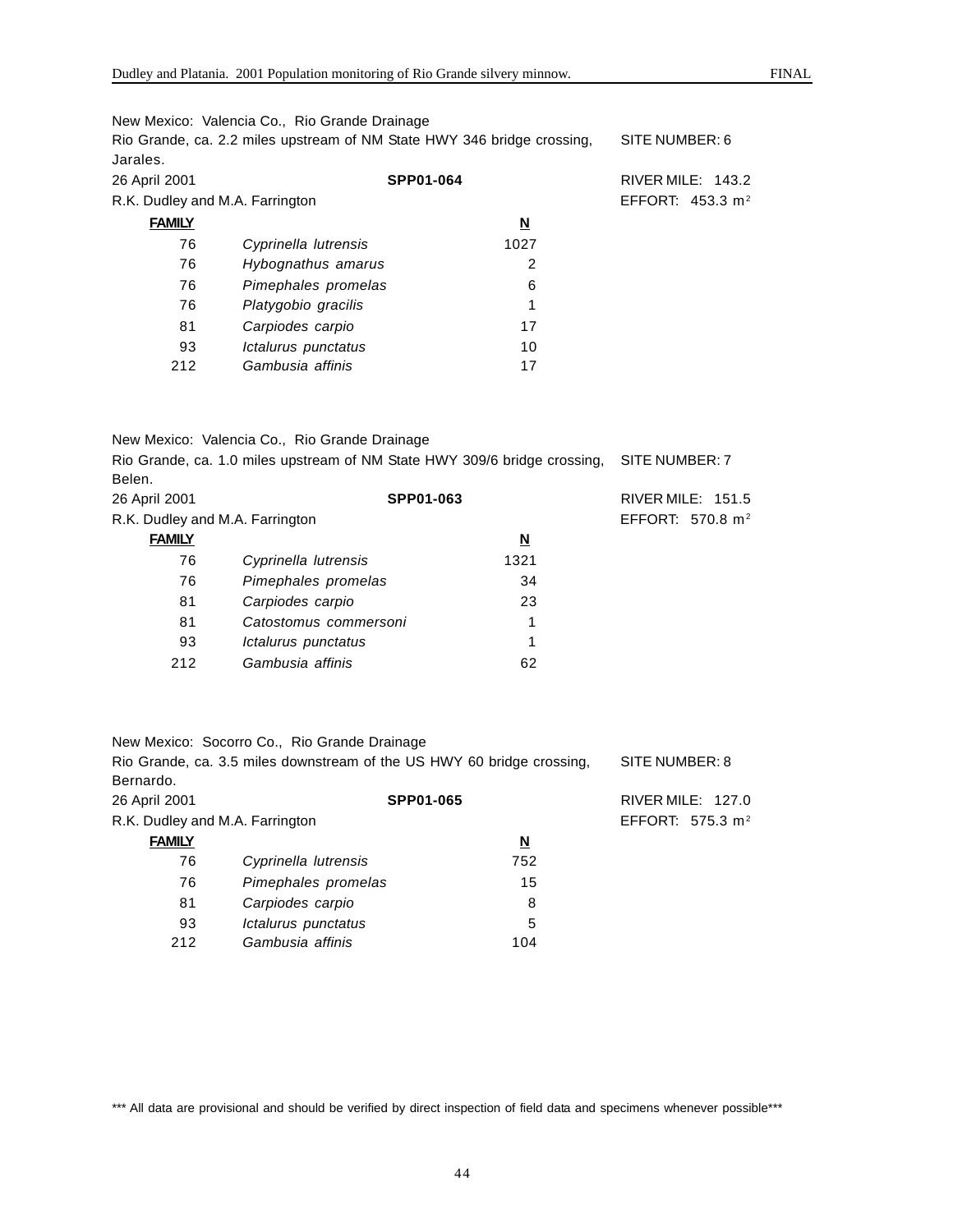|                                                                         | New Mexico: Valencia Co., Rio Grande Drainage |                             |                   |
|-------------------------------------------------------------------------|-----------------------------------------------|-----------------------------|-------------------|
| Rio Grande, ca. 2.2 miles upstream of NM State HWY 346 bridge crossing, |                                               |                             | SITE NUMBER: 6    |
| Jarales.                                                                |                                               |                             |                   |
| 26 April 2001                                                           | <b>SPP01-064</b>                              |                             | RIVER MILE: 143.2 |
| R.K. Dudley and M.A. Farrington                                         |                                               | EFFORT: $453.3 \text{ m}^2$ |                   |
| <b>FAMILY</b>                                                           |                                               | N                           |                   |
| 76                                                                      | Cyprinella lutrensis                          | 1027                        |                   |
| 76                                                                      | Hybognathus amarus                            | 2                           |                   |
| 76                                                                      | Pimephales promelas                           | 6                           |                   |
| 76                                                                      | Platygobio gracilis                           | 1                           |                   |
| 81                                                                      | Carpiodes carpio                              | 17                          |                   |
| 93                                                                      | Ictalurus punctatus                           | 10                          |                   |
| 212                                                                     | Gambusia affinis                              | 17                          |                   |

|                                                                                          | New Mexico: Valencia Co., Rio Grande Drainage |      |                    |
|------------------------------------------------------------------------------------------|-----------------------------------------------|------|--------------------|
| Rio Grande, ca. 1.0 miles upstream of NM State HWY 309/6 bridge crossing, SITE NUMBER: 7 |                                               |      |                    |
| Belen.                                                                                   |                                               |      |                    |
| 26 April 2001                                                                            | SPP01-063                                     |      | RIVER MILE: 151.5  |
| R.K. Dudley and M.A. Farrington                                                          |                                               |      | EFFORT: 570.8 $m2$ |
| <b>FAMILY</b>                                                                            |                                               | N    |                    |
| 76                                                                                       | Cyprinella lutrensis                          | 1321 |                    |
| 76                                                                                       | Pimephales promelas                           | 34   |                    |
| 81                                                                                       | Carpiodes carpio                              | 23   |                    |
| 81                                                                                       | Catostomus commersoni                         |      |                    |
| 93                                                                                       | <i><b>Ictalurus punctatus</b></i>             |      |                    |
| 212                                                                                      | Gambusia affinis                              | 62   |                    |
|                                                                                          |                                               |      |                    |

New Mexico: Socorro Co., Rio Grande Drainage

|                                 | Rio Grande, ca. 3.5 miles downstream of the US HWY 60 bridge crossing, |                  | SITE NUMBER: 8              |
|---------------------------------|------------------------------------------------------------------------|------------------|-----------------------------|
| Bernardo.                       |                                                                        |                  |                             |
| 26 April 2001                   |                                                                        | <b>SPP01-065</b> | RIVER MILE: 127.0           |
| R.K. Dudley and M.A. Farrington |                                                                        |                  | EFFORT: $575.3 \text{ m}^2$ |
| <b>FAMILY</b>                   |                                                                        | N                |                             |
| 76                              | Cyprinella lutrensis                                                   | 752              |                             |
| 76                              | Pimephales promelas                                                    | 15               |                             |
| 81                              | Carpiodes carpio                                                       | 8                |                             |
| 93                              | Ictalurus punctatus                                                    | 5                |                             |
| 212                             | Gambusia affinis                                                       | 104              |                             |
|                                 |                                                                        |                  |                             |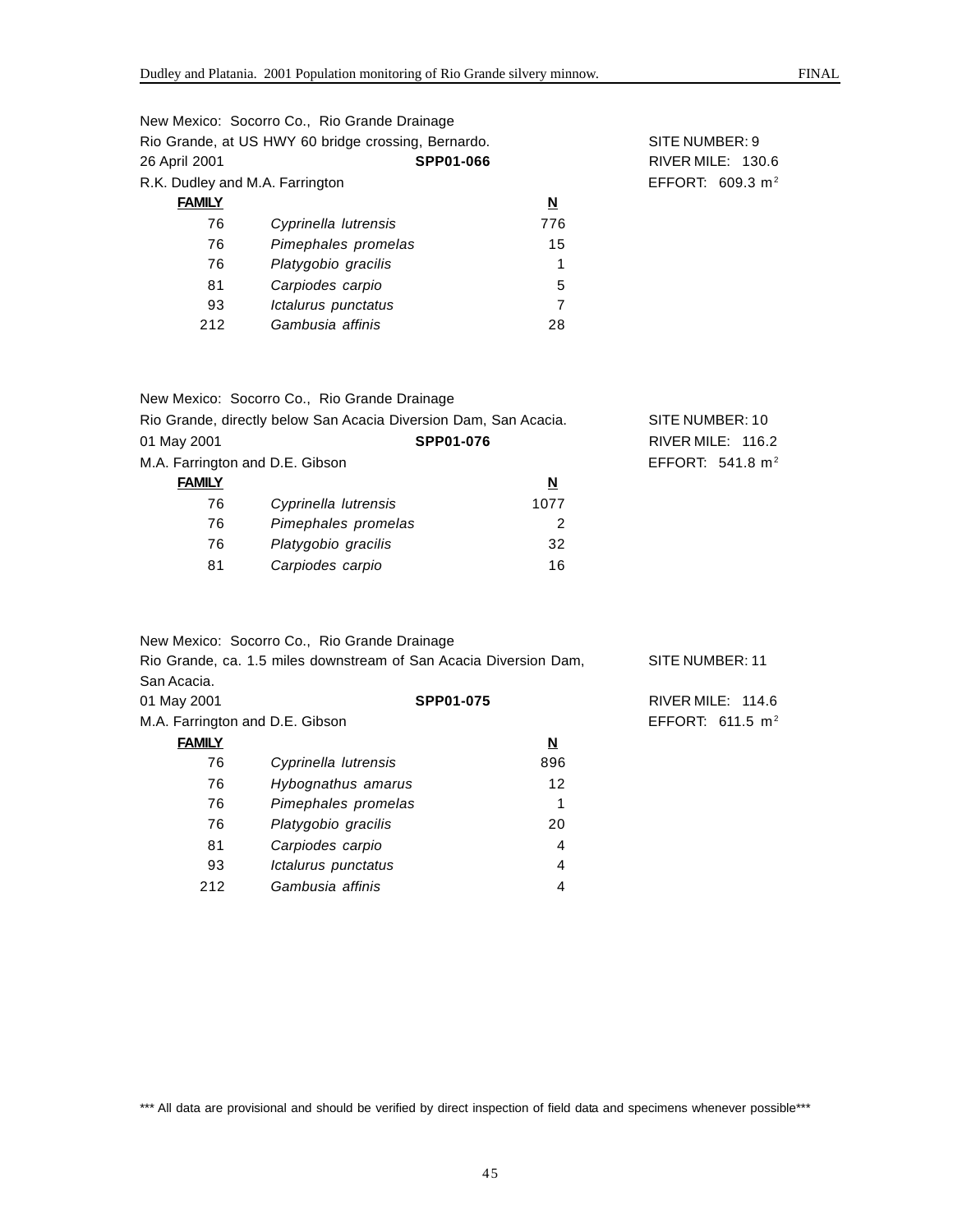|                                                     | New Mexico: Socorro Co., Rio Grande Drainage |     |                    |
|-----------------------------------------------------|----------------------------------------------|-----|--------------------|
| Rio Grande, at US HWY 60 bridge crossing, Bernardo. | SITE NUMBER: 9                               |     |                    |
| 26 April 2001                                       | <b>SPP01-066</b>                             |     | RIVER MILE: 130.6  |
| R.K. Dudley and M.A. Farrington                     |                                              |     | EFFORT: 609.3 $m2$ |
| <b>FAMILY</b>                                       |                                              | N   |                    |
| 76                                                  | Cyprinella lutrensis                         | 776 |                    |
| 76                                                  | Pimephales promelas                          | 15  |                    |
| 76                                                  | Platygobio gracilis                          |     |                    |
| 81                                                  | Carpiodes carpio                             | 5   |                    |
| 93                                                  | Ictalurus punctatus                          |     |                    |
| 212                                                 | Gambusia affinis                             | 28  |                    |

|                                 | New Mexico: Socorro Co., Rio Grande Drainage                     |                  |                             |
|---------------------------------|------------------------------------------------------------------|------------------|-----------------------------|
|                                 | Rio Grande, directly below San Acacia Diversion Dam, San Acacia. |                  | SITE NUMBER: 10             |
| 01 May 2001                     |                                                                  | <b>SPP01-076</b> | RIVER MILE: 116.2           |
| M.A. Farrington and D.E. Gibson |                                                                  |                  | EFFORT: $541.8 \text{ m}^2$ |
| <b>FAMILY</b>                   |                                                                  | N                |                             |
| 76                              | Cyprinella lutrensis                                             | 1077             |                             |
| 76                              | Pimephales promelas                                              | 2                |                             |
| 76                              | Platygobio gracilis                                              | 32               |                             |
| 81                              | Carpiodes carpio                                                 | 16               |                             |

|                                 | New Mexico: Socorro Co., Rio Grande Drainage<br>Rio Grande, ca. 1.5 miles downstream of San Acacia Diversion Dam, |          | SITE NUMBER: 11             |
|---------------------------------|-------------------------------------------------------------------------------------------------------------------|----------|-----------------------------|
| San Acacia.                     |                                                                                                                   |          |                             |
| 01 May 2001                     | SPP01-075                                                                                                         |          | RIVER MILE: 114.6           |
| M.A. Farrington and D.E. Gibson |                                                                                                                   |          | EFFORT: $611.5 \text{ m}^2$ |
| <b>FAMILY</b>                   |                                                                                                                   | <u>N</u> |                             |
| 76                              | Cyprinella lutrensis                                                                                              | 896      |                             |
| 76                              | Hybognathus amarus                                                                                                | 12       |                             |
| 76                              | Pimephales promelas                                                                                               |          |                             |
| 76                              | Platygobio gracilis                                                                                               | 20       |                             |
| 81                              | Carpiodes carpio                                                                                                  | 4        |                             |
| 93                              | Ictalurus punctatus                                                                                               | 4        |                             |
| 212                             | Gambusia affinis                                                                                                  | 4        |                             |
|                                 |                                                                                                                   |          |                             |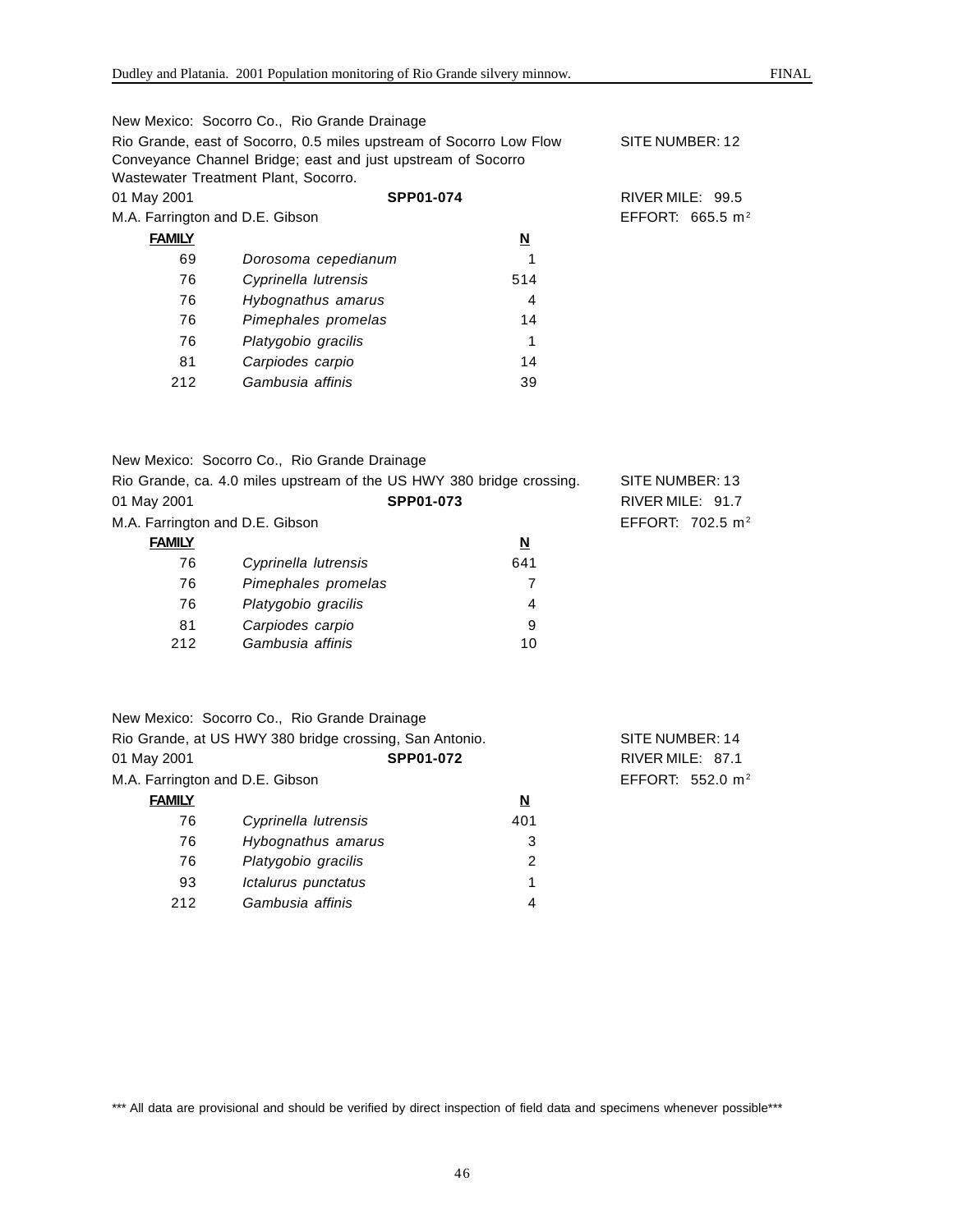| Wastewater Treatment Plant, Socorro. | New Mexico: Socorro Co., Rio Grande Drainage<br>Conveyance Channel Bridge; east and just upstream of Socorro | Rio Grande, east of Socorro, 0.5 miles upstream of Socorro Low Flow | SITE NUMBER: 12             |
|--------------------------------------|--------------------------------------------------------------------------------------------------------------|---------------------------------------------------------------------|-----------------------------|
| 01 May 2001                          |                                                                                                              | SPP01-074                                                           | RIVER MILE: 99.5            |
| M.A. Farrington and D.E. Gibson      |                                                                                                              |                                                                     | EFFORT: $665.5 \text{ m}^2$ |
| <b>FAMILY</b>                        |                                                                                                              | N                                                                   |                             |
| 69                                   | Dorosoma cepedianum                                                                                          |                                                                     |                             |
| 76                                   | Cyprinella lutrensis                                                                                         | 514                                                                 |                             |
| 76                                   | Hybognathus amarus                                                                                           | 4                                                                   |                             |
| 76                                   | Pimephales promelas                                                                                          | 14                                                                  |                             |
| 76                                   | Platygobio gracilis                                                                                          |                                                                     |                             |
| 81                                   | Carpiodes carpio                                                                                             | 14                                                                  |                             |
| 212                                  | Gambusia affinis                                                                                             | 39                                                                  |                             |

|                                 | New Mexico: Socorro Co., Rio Grande Drainage                          |                         |                 |
|---------------------------------|-----------------------------------------------------------------------|-------------------------|-----------------|
|                                 | Rio Grande, ca. 4.0 miles upstream of the US HWY 380 bridge crossing. |                         | SITE NUMBER: 13 |
| 01 May 2001                     |                                                                       | <b>SPP01-073</b>        |                 |
| M.A. Farrington and D.E. Gibson |                                                                       | EFFORT: 702.5 $m2$      |                 |
| <b>FAMILY</b>                   |                                                                       | $\overline{\mathbf{N}}$ |                 |
| 76                              | Cyprinella lutrensis                                                  | 641                     |                 |
| 76                              | Pimephales promelas                                                   | 7                       |                 |
| 76                              | Platygobio gracilis                                                   | 4                       |                 |
| 81                              | Carpiodes carpio                                                      | 9                       |                 |
| 212                             | Gambusia affinis                                                      | 10                      |                 |
|                                 |                                                                       |                         |                 |

|                                                         | New Mexico: Socorro Co., Rio Grande Drainage |                  |                             |
|---------------------------------------------------------|----------------------------------------------|------------------|-----------------------------|
| Rio Grande, at US HWY 380 bridge crossing, San Antonio. | SITE NUMBER: 14                              |                  |                             |
| 01 May 2001                                             |                                              | <b>SPP01-072</b> |                             |
| M.A. Farrington and D.E. Gibson                         |                                              |                  | EFFORT: $552.0 \text{ m}^2$ |
| <b>FAMILY</b>                                           |                                              | N                |                             |
| 76                                                      | Cyprinella lutrensis                         | 401              |                             |
| 76                                                      | Hybognathus amarus                           | 3                |                             |
| 76                                                      | Platygobio gracilis                          | 2                |                             |
| 93                                                      | Ictalurus punctatus                          | 1                |                             |
| 212                                                     | Gambusia affinis                             | 4                |                             |
|                                                         |                                              |                  |                             |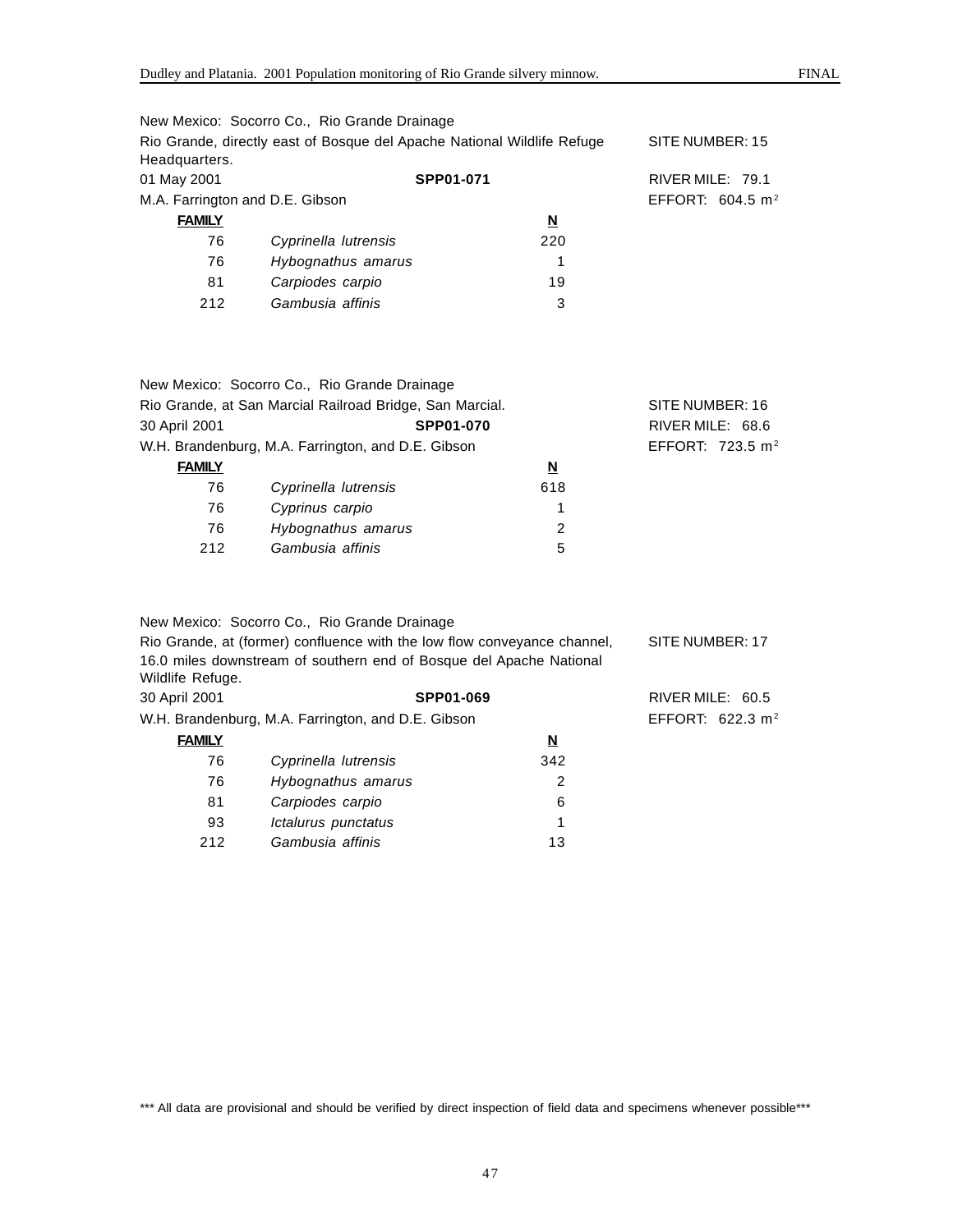| Rio Grande, directly east of Bosque del Apache National Wildlife Refuge |                                                                                                                                                                                                  |  |  |  |
|-------------------------------------------------------------------------|--------------------------------------------------------------------------------------------------------------------------------------------------------------------------------------------------|--|--|--|
|                                                                         |                                                                                                                                                                                                  |  |  |  |
| <b>SPP01-071</b>                                                        | RIVER MILE: 79.1                                                                                                                                                                                 |  |  |  |
|                                                                         | EFFORT: $604.5 \text{ m}^2$                                                                                                                                                                      |  |  |  |
| N                                                                       |                                                                                                                                                                                                  |  |  |  |
| 220                                                                     |                                                                                                                                                                                                  |  |  |  |
| 1                                                                       |                                                                                                                                                                                                  |  |  |  |
| 19                                                                      |                                                                                                                                                                                                  |  |  |  |
| 3                                                                       |                                                                                                                                                                                                  |  |  |  |
|                                                                         |                                                                                                                                                                                                  |  |  |  |
|                                                                         |                                                                                                                                                                                                  |  |  |  |
|                                                                         |                                                                                                                                                                                                  |  |  |  |
|                                                                         |                                                                                                                                                                                                  |  |  |  |
| Rio Grande, at San Marcial Railroad Bridge, San Marcial.                |                                                                                                                                                                                                  |  |  |  |
| 30 April 2001<br><b>SPP01-070</b>                                       |                                                                                                                                                                                                  |  |  |  |
|                                                                         | EFFORT: 723.5 $m2$                                                                                                                                                                               |  |  |  |
|                                                                         | New Mexico: Socorro Co., Rio Grande Drainage<br>Cyprinella lutrensis<br>Hybognathus amarus<br>New Mexico: Socorro Co., Rio Grande Drainage<br>W.H. Brandenburg, M.A. Farrington, and D.E. Gibson |  |  |  |

| FAMILY |                      | N   |  |
|--------|----------------------|-----|--|
| 76     | Cyprinella lutrensis | 618 |  |
| 76     | Cyprinus carpio      |     |  |
| 76     | Hybognathus amarus   |     |  |
| 212    | Gambusia affinis     | 5   |  |
|        |                      |     |  |

| Wildlife Refuge. | New Mexico: Socorro Co., Rio Grande Drainage       | Rio Grande, at (former) confluence with the low flow conveyance channel,<br>16.0 miles downstream of southern end of Bosque del Apache National | SITE NUMBER: 17             |
|------------------|----------------------------------------------------|-------------------------------------------------------------------------------------------------------------------------------------------------|-----------------------------|
| 30 April 2001    |                                                    | SPP01-069                                                                                                                                       | RIVER MILE: 60.5            |
|                  | W.H. Brandenburg, M.A. Farrington, and D.E. Gibson |                                                                                                                                                 | EFFORT: $622.3 \text{ m}^2$ |
| <b>FAMILY</b>    |                                                    | N                                                                                                                                               |                             |
| 76               | Cyprinella lutrensis                               | 342                                                                                                                                             |                             |
| 76               | Hybognathus amarus                                 | 2                                                                                                                                               |                             |
| 81               | Carpiodes carpio                                   | 6                                                                                                                                               |                             |
| 93               | Ictalurus punctatus                                | 1                                                                                                                                               |                             |
| 212              | Gambusia affinis                                   | 13                                                                                                                                              |                             |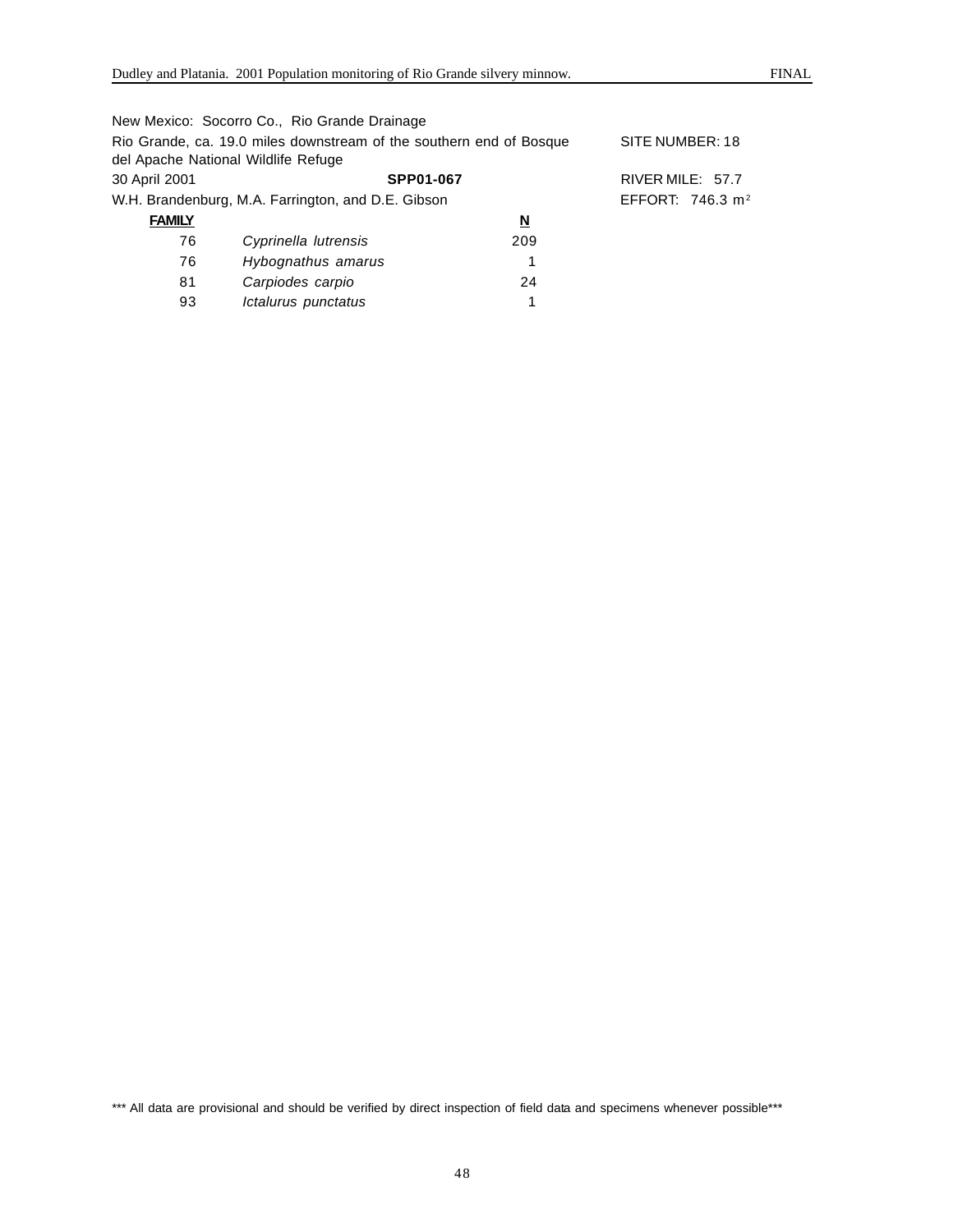|                                                                     | New Mexico: Socorro Co., Rio Grande Drainage |                             |                  |
|---------------------------------------------------------------------|----------------------------------------------|-----------------------------|------------------|
| Rio Grande, ca. 19.0 miles downstream of the southern end of Bosque |                                              |                             | SITE NUMBER: 18  |
| del Apache National Wildlife Refuge                                 |                                              |                             |                  |
| 30 April 2001                                                       |                                              | <b>SPP01-067</b>            | RIVER MILE: 57.7 |
| W.H. Brandenburg, M.A. Farrington, and D.E. Gibson                  |                                              | EFFORT: $746.3 \text{ m}^2$ |                  |
| <b>FAMILY</b>                                                       |                                              | N                           |                  |
| 76                                                                  | Cyprinella lutrensis                         | 209                         |                  |
| 76                                                                  | Hybognathus amarus                           | 1                           |                  |
| 81                                                                  | Carpiodes carpio                             | 24                          |                  |
| 93                                                                  | Ictalurus punctatus                          |                             |                  |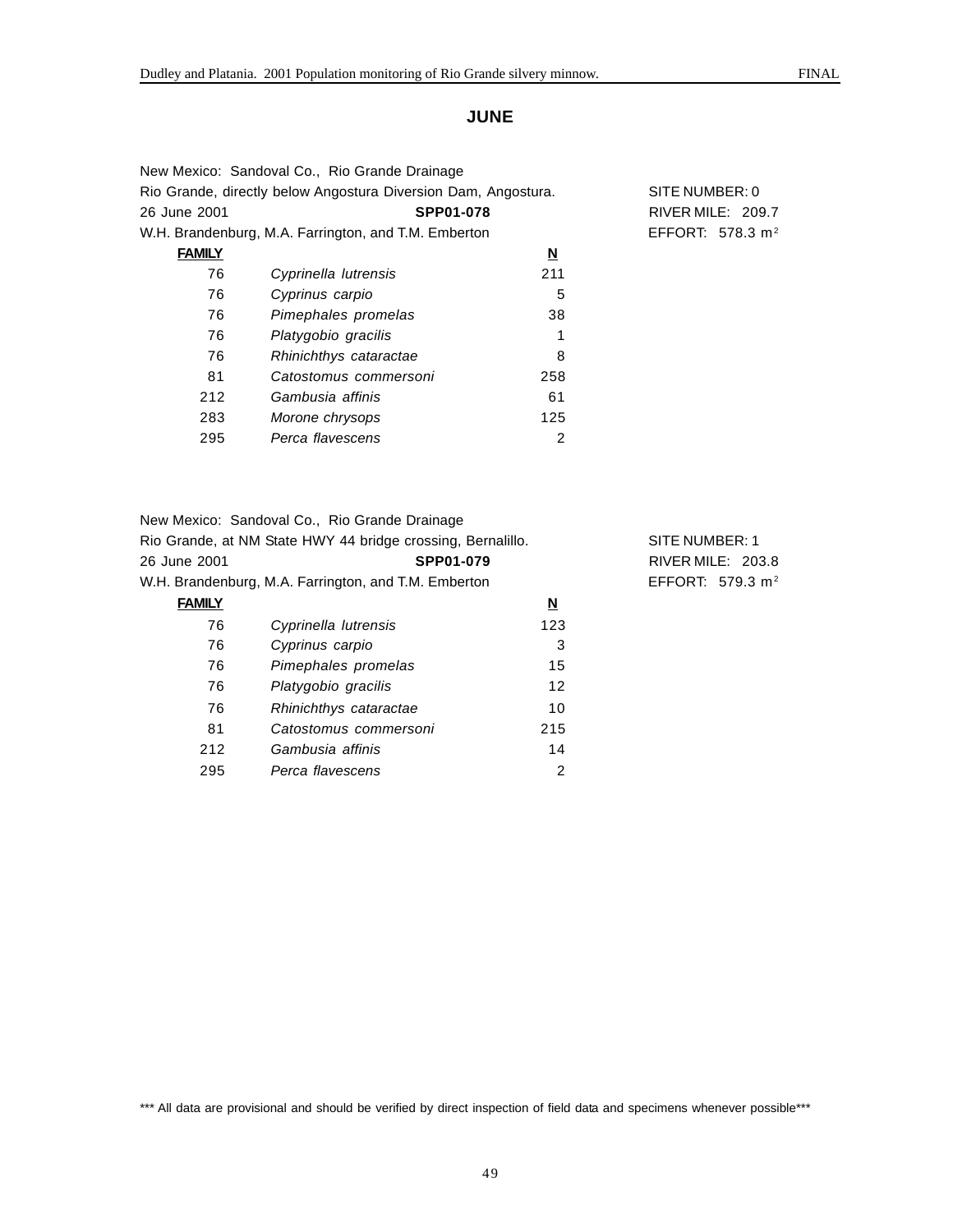#### **JUNE**

|                                                                | New Mexico: Sandoval Co., Rio Grande Drainage               |                |                             |
|----------------------------------------------------------------|-------------------------------------------------------------|----------------|-----------------------------|
| Rio Grande, directly below Angostura Diversion Dam, Angostura. |                                                             |                | SITE NUMBER: 0              |
| 26 June 2001                                                   | <b>SPP01-078</b>                                            |                | RIVER MILE: 209.7           |
|                                                                | W.H. Brandenburg, M.A. Farrington, and T.M. Emberton        |                | EFFORT: $578.3 \text{ m}^2$ |
| <b>FAMILY</b>                                                  |                                                             | N              |                             |
| 76                                                             | Cyprinella lutrensis                                        | 211            |                             |
| 76                                                             | Cyprinus carpio                                             | 5              |                             |
| 76                                                             | Pimephales promelas                                         | 38             |                             |
| 76                                                             | Platygobio gracilis                                         |                |                             |
| 76                                                             | Rhinichthys cataractae                                      | 8              |                             |
| 81                                                             | Catostomus commersoni                                       | 258            |                             |
| 212                                                            | Gambusia affinis                                            | 61             |                             |
| 283                                                            | Morone chrysops                                             | 125            |                             |
| 295                                                            | Perca flavescens                                            | $\overline{2}$ |                             |
|                                                                |                                                             |                |                             |
|                                                                |                                                             |                |                             |
|                                                                |                                                             |                |                             |
|                                                                | New Mexico: Sandoval Co., Rio Grande Drainage               |                |                             |
|                                                                | Die Creade, et NM Ctete UNIV 44 bridge eressing. Dernelille |                | $CITF$ MI IMP $FD.4$        |

| Rio Grande, at NM State HWY 44 bridge crossing, Bernalillo. |                        |                  | SITE NUMBER: 1              |
|-------------------------------------------------------------|------------------------|------------------|-----------------------------|
| 26 June 2001                                                |                        | <b>SPP01-079</b> |                             |
| W.H. Brandenburg, M.A. Farrington, and T.M. Emberton        |                        |                  | EFFORT: $579.3 \text{ m}^2$ |
| <b>FAMILY</b>                                               |                        | N                |                             |
| 76                                                          | Cyprinella lutrensis   | 123              |                             |
| 76                                                          | Cyprinus carpio        | 3                |                             |
| 76                                                          | Pimephales promelas    | 15               |                             |
| 76                                                          | Platygobio gracilis    | 12               |                             |
| 76                                                          | Rhinichthys cataractae | 10               |                             |
| 81                                                          | Catostomus commersoni  | 215              |                             |

212 Gambusia affinis 14 295 Perca flavescens 2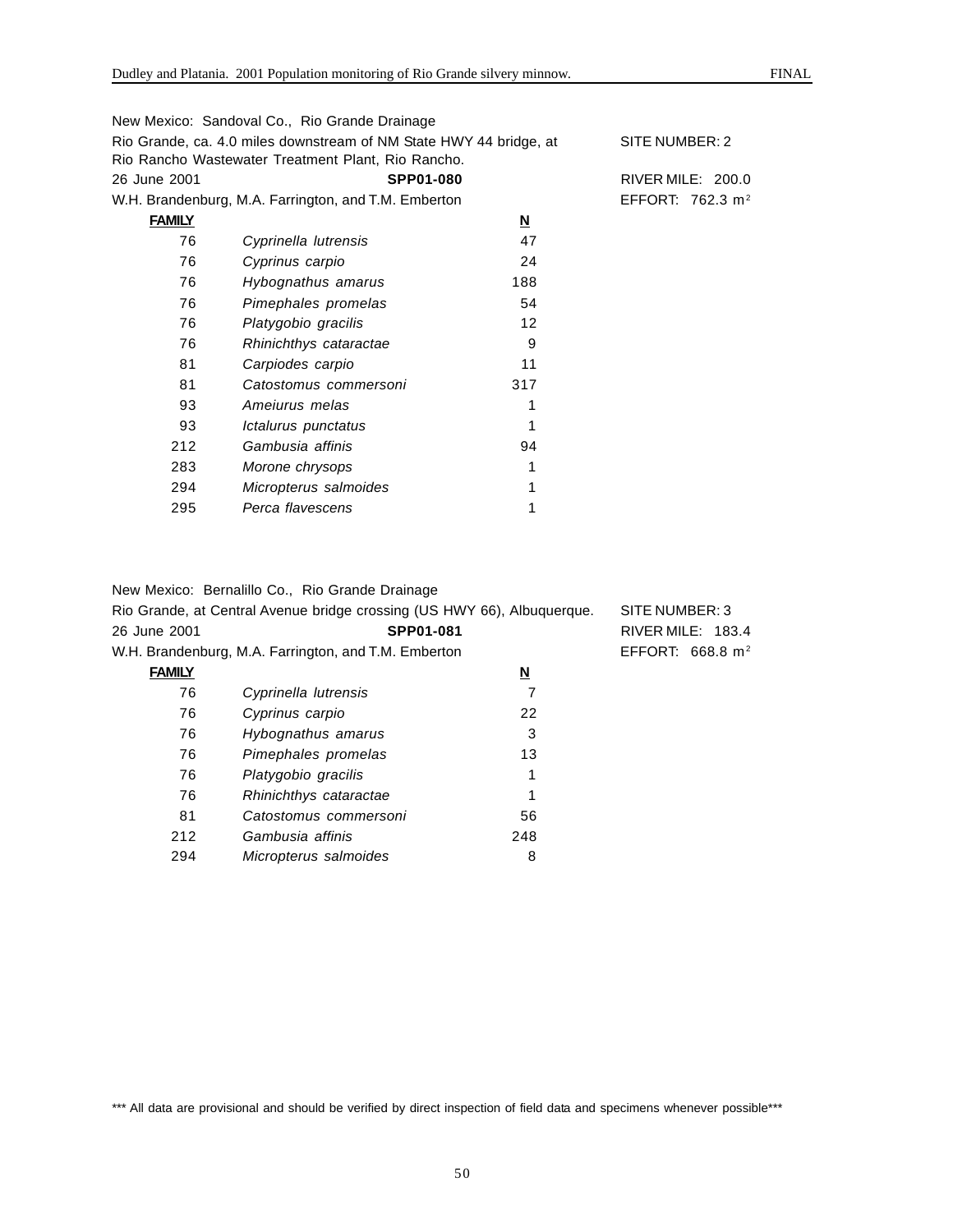|                                                                    | New Mexico: Sandoval Co., Rio Grande Drainage        |                   |                             |
|--------------------------------------------------------------------|------------------------------------------------------|-------------------|-----------------------------|
| Rio Grande, ca. 4.0 miles downstream of NM State HWY 44 bridge, at |                                                      |                   | SITE NUMBER: 2              |
|                                                                    | Rio Rancho Wastewater Treatment Plant, Rio Rancho.   |                   |                             |
| 26 June 2001                                                       | <b>SPP01-080</b>                                     |                   | RIVER MILE: 200.0           |
|                                                                    | W.H. Brandenburg, M.A. Farrington, and T.M. Emberton |                   | EFFORT: $762.3 \text{ m}^2$ |
| <b>FAMILY</b>                                                      |                                                      | N                 |                             |
| 76                                                                 | Cyprinella lutrensis                                 | 47                |                             |
| 76                                                                 | Cyprinus carpio                                      | 24                |                             |
| 76                                                                 | Hybognathus amarus                                   | 188               |                             |
| 76                                                                 | Pimephales promelas                                  | 54                |                             |
| 76                                                                 | Platygobio gracilis                                  | $12 \overline{ }$ |                             |
| 76                                                                 | Rhinichthys cataractae                               | 9                 |                             |
| 81                                                                 | Carpiodes carpio                                     | 11                |                             |
| 81                                                                 | Catostomus commersoni                                | 317               |                             |
| 93                                                                 | Amejurus melas                                       | 1                 |                             |
| 93                                                                 | Ictalurus punctatus                                  | 1                 |                             |
| 212                                                                | Gambusia affinis                                     | 94                |                             |
| 283                                                                | Morone chrysops                                      | 1                 |                             |
| 294                                                                | Micropterus salmoides                                | 1                 |                             |
| 295                                                                | Perca flavescens                                     |                   |                             |
|                                                                    |                                                      |                   |                             |

New Mexico: Bernalillo Co., Rio Grande Drainage

|                                                      | Rio Grande, at Central Avenue bridge crossing (US HWY 66), Albuquerque. |                             | SITE NUMBER: 3    |
|------------------------------------------------------|-------------------------------------------------------------------------|-----------------------------|-------------------|
| 26 June 2001                                         | SPP01-081                                                               |                             | RIVER MILE: 183.4 |
| W.H. Brandenburg, M.A. Farrington, and T.M. Emberton |                                                                         | EFFORT: $668.8 \text{ m}^2$ |                   |
| <b>FAMILY</b>                                        |                                                                         | $\underline{\mathsf{N}}$    |                   |
| 76                                                   | Cyprinella lutrensis                                                    |                             |                   |
| 76                                                   | Cyprinus carpio                                                         | 22                          |                   |
| 76                                                   | Hybognathus amarus                                                      | 3                           |                   |
| 76                                                   | Pimephales promelas                                                     | 13                          |                   |
| 76                                                   | Platygobio gracilis                                                     |                             |                   |
| 76                                                   | Rhinichthys cataractae                                                  |                             |                   |
| 81                                                   | Catostomus commersoni                                                   | 56                          |                   |
| 212                                                  | Gambusia affinis                                                        | 248                         |                   |
| 294                                                  | Micropterus salmoides                                                   | 8                           |                   |
|                                                      |                                                                         |                             |                   |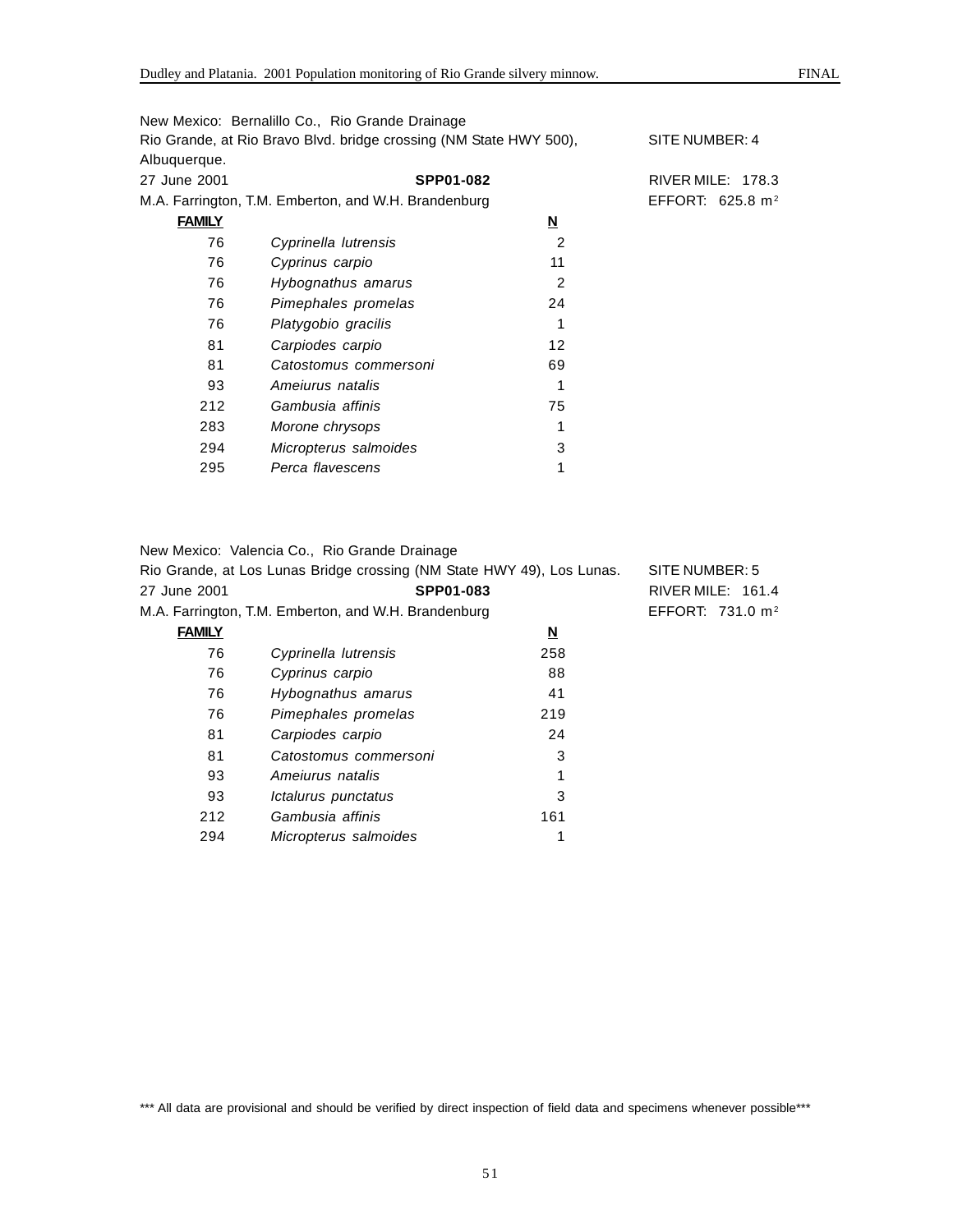|                                                                    | New Mexico: Bernalillo Co., Rio Grande Drainage      |                |                             |
|--------------------------------------------------------------------|------------------------------------------------------|----------------|-----------------------------|
| Rio Grande, at Rio Bravo Blvd. bridge crossing (NM State HWY 500), |                                                      |                | SITE NUMBER: 4              |
| Albuquerque.                                                       |                                                      |                |                             |
| 27 June 2001                                                       | <b>SPP01-082</b>                                     |                | RIVER MILE: 178.3           |
|                                                                    | M.A. Farrington, T.M. Emberton, and W.H. Brandenburg |                | EFFORT: $625.8 \text{ m}^2$ |
| <b>FAMILY</b>                                                      |                                                      | N              |                             |
| 76                                                                 | Cyprinella lutrensis                                 | $\overline{2}$ |                             |
| 76                                                                 | Cyprinus carpio                                      | 11             |                             |
| 76                                                                 | Hybognathus amarus                                   | 2              |                             |
| 76                                                                 | Pimephales promelas                                  | 24             |                             |
| 76                                                                 | Platygobio gracilis                                  |                |                             |
| 81                                                                 | Carpiodes carpio                                     | 12             |                             |
| 81                                                                 | Catostomus commersoni                                | 69             |                             |
| 93                                                                 | Ameiurus natalis                                     |                |                             |
| 212                                                                | Gambusia affinis                                     | 75             |                             |
| 283                                                                | Morone chrysops                                      |                |                             |
| 294                                                                | Micropterus salmoides                                | 3              |                             |
| 295                                                                | Perca flavescens                                     |                |                             |

New Mexico: Valencia Co., Rio Grande Drainage

|                                                      | Rio Grande, at Los Lunas Bridge crossing (NM State HWY 49), Los Lunas. |                             | SITE NUMBER: 5    |
|------------------------------------------------------|------------------------------------------------------------------------|-----------------------------|-------------------|
| 27 June 2001                                         | SPP01-083                                                              |                             | RIVER MILE: 161.4 |
| M.A. Farrington, T.M. Emberton, and W.H. Brandenburg |                                                                        | EFFORT: $731.0 \text{ m}^2$ |                   |
| <b>FAMILY</b>                                        |                                                                        | <u>N</u>                    |                   |
| 76                                                   | Cyprinella lutrensis                                                   | 258                         |                   |
| 76                                                   | Cyprinus carpio                                                        | 88                          |                   |
| 76                                                   | Hybognathus amarus                                                     | 41                          |                   |
| 76                                                   | Pimephales promelas                                                    | 219                         |                   |
| 81                                                   | Carpiodes carpio                                                       | 24                          |                   |
| 81                                                   | Catostomus commersoni                                                  | 3                           |                   |
| 93                                                   | Ameiurus natalis                                                       |                             |                   |
| 93                                                   | Ictalurus punctatus                                                    | 3                           |                   |
| 212                                                  | Gambusia affinis                                                       | 161                         |                   |
| 294                                                  | Micropterus salmoides                                                  | 1                           |                   |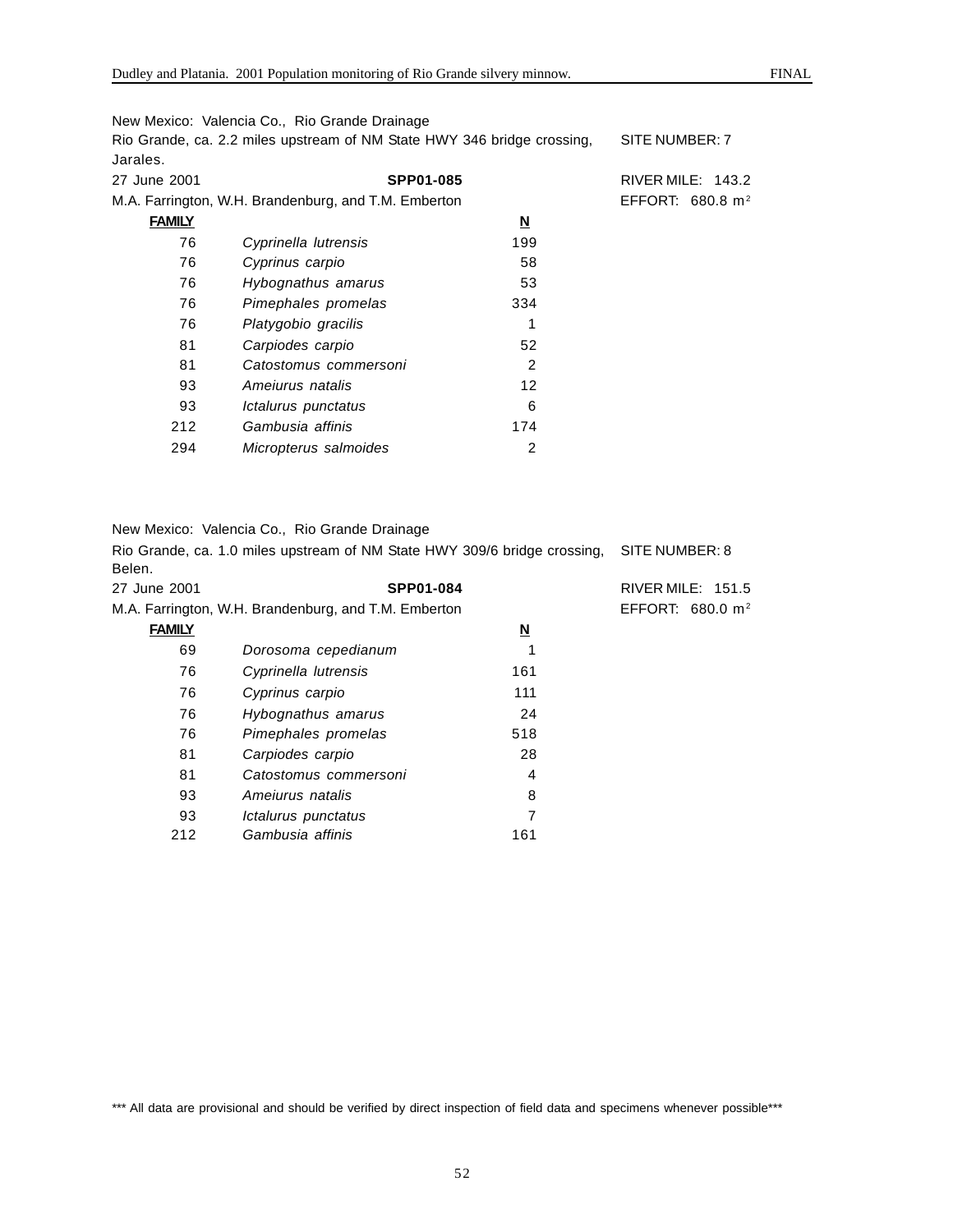| New Mexico: Valencia Co., Rio Grande Drainage                           |               |                                                                          |
|-------------------------------------------------------------------------|---------------|--------------------------------------------------------------------------|
| Rio Grande, ca. 2.2 miles upstream of NM State HWY 346 bridge crossing, |               |                                                                          |
|                                                                         |               |                                                                          |
|                                                                         |               | RIVER MILE: 143.2                                                        |
|                                                                         |               | EFFORT: 680.8 $m2$                                                       |
|                                                                         | N             |                                                                          |
| Cyprinella lutrensis                                                    | 199           |                                                                          |
| Cyprinus carpio                                                         | 58            |                                                                          |
| Hybognathus amarus                                                      | 53            |                                                                          |
| Pimephales promelas                                                     | 334           |                                                                          |
| Platygobio gracilis                                                     |               |                                                                          |
| Carpiodes carpio                                                        | 52            |                                                                          |
| Catostomus commersoni                                                   | $\mathcal{P}$ |                                                                          |
| Ameiurus natalis                                                        | 12            |                                                                          |
| Ictalurus punctatus                                                     | 6             |                                                                          |
| Gambusia affinis                                                        | 174           |                                                                          |
| Micropterus salmoides                                                   | 2             |                                                                          |
|                                                                         |               | <b>SPP01-085</b><br>M.A. Farrington, W.H. Brandenburg, and T.M. Emberton |

New Mexico: Valencia Co., Rio Grande Drainage

| Belen.        | Rio Grande, ca. 1.0 miles upstream of NM State HWY 309/6 bridge crossing,           |          | SITE NUMBER: 8    |
|---------------|-------------------------------------------------------------------------------------|----------|-------------------|
| 27 June 2001  | <b>SPP01-084</b>                                                                    |          | RIVER MILE: 151.5 |
|               | EFFORT: $680.0 \text{ m}^2$<br>M.A. Farrington, W.H. Brandenburg, and T.M. Emberton |          |                   |
| <b>FAMILY</b> |                                                                                     | <u>N</u> |                   |
| 69            | Dorosoma cepedianum                                                                 |          |                   |
| 76            | Cyprinella lutrensis                                                                | 161      |                   |
| 76            | Cyprinus carpio                                                                     | 111      |                   |
| 76            | Hybognathus amarus                                                                  | 24       |                   |
| 76            | Pimephales promelas                                                                 | 518      |                   |
| 81            | Carpiodes carpio                                                                    | 28       |                   |
| 81            | Catostomus commersoni                                                               | 4        |                   |
| 93            | Ameiurus natalis                                                                    | 8        |                   |
| 93            | Ictalurus punctatus                                                                 | 7        |                   |
| 212           | Gambusia affinis                                                                    | 161      |                   |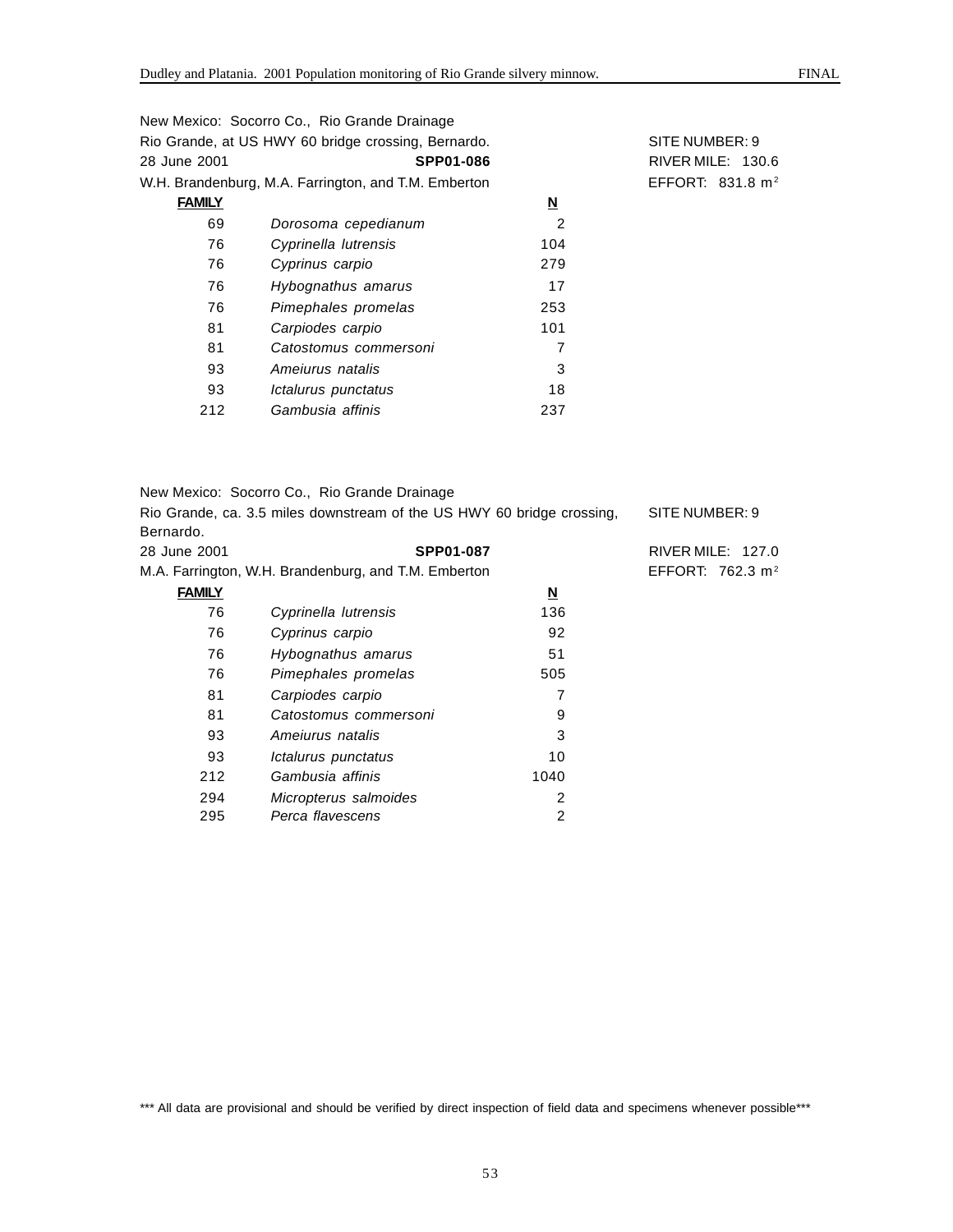|                                                     | New Mexico: Socorro Co., Rio Grande Drainage         |               |                             |
|-----------------------------------------------------|------------------------------------------------------|---------------|-----------------------------|
| Rio Grande, at US HWY 60 bridge crossing, Bernardo. |                                                      |               | SITE NUMBER: 9              |
| 28 June 2001                                        | <b>SPP01-086</b>                                     |               | RIVER MILE: 130.6           |
|                                                     | W.H. Brandenburg, M.A. Farrington, and T.M. Emberton |               | EFFORT: $831.8 \text{ m}^2$ |
| <b>FAMILY</b>                                       |                                                      | <u>N</u>      |                             |
| 69                                                  | Dorosoma cepedianum                                  | $\mathcal{P}$ |                             |
| 76                                                  | Cyprinella lutrensis                                 | 104           |                             |
| 76                                                  | Cyprinus carpio                                      | 279           |                             |
| 76                                                  | Hybognathus amarus                                   | 17            |                             |
| 76                                                  | Pimephales promelas                                  | 253           |                             |
| 81                                                  | Carpiodes carpio                                     | 101           |                             |
| 81                                                  | Catostomus commersoni                                | 7             |                             |
| 93                                                  | Amejurus natalis                                     | 3             |                             |
| 93                                                  | Ictalurus punctatus                                  | 18            |                             |
| 212                                                 | Gambusia affinis                                     | 237           |                             |
|                                                     |                                                      |               |                             |

|               | New Mexico: Socorro Co., Rio Grande Drainage                           |                  |                             |
|---------------|------------------------------------------------------------------------|------------------|-----------------------------|
|               | Rio Grande, ca. 3.5 miles downstream of the US HWY 60 bridge crossing, |                  |                             |
| Bernardo.     |                                                                        |                  |                             |
| 28 June 2001  |                                                                        | <b>SPP01-087</b> | RIVER MILE: 127.0           |
|               | M.A. Farrington, W.H. Brandenburg, and T.M. Emberton                   |                  | EFFORT: $762.3 \text{ m}^2$ |
| <b>FAMILY</b> |                                                                        | <u>N</u>         |                             |
| 76            | Cyprinella lutrensis                                                   | 136              |                             |
| 76            | Cyprinus carpio                                                        | 92               |                             |
| 76            | Hybognathus amarus                                                     | 51               |                             |
| 76            | Pimephales promelas                                                    | 505              |                             |
| 81            | Carpiodes carpio                                                       | 7                |                             |
| 81            | Catostomus commersoni                                                  | 9                |                             |
| 93            | Ameiurus natalis                                                       | 3                |                             |
| 93            | Ictalurus punctatus                                                    | 10               |                             |
| 212           | Gambusia affinis                                                       | 1040             |                             |
| 294           | Micropterus salmoides                                                  | $\overline{2}$   |                             |
| 295           | Perca flavescens                                                       | $\overline{2}$   |                             |
|               |                                                                        |                  |                             |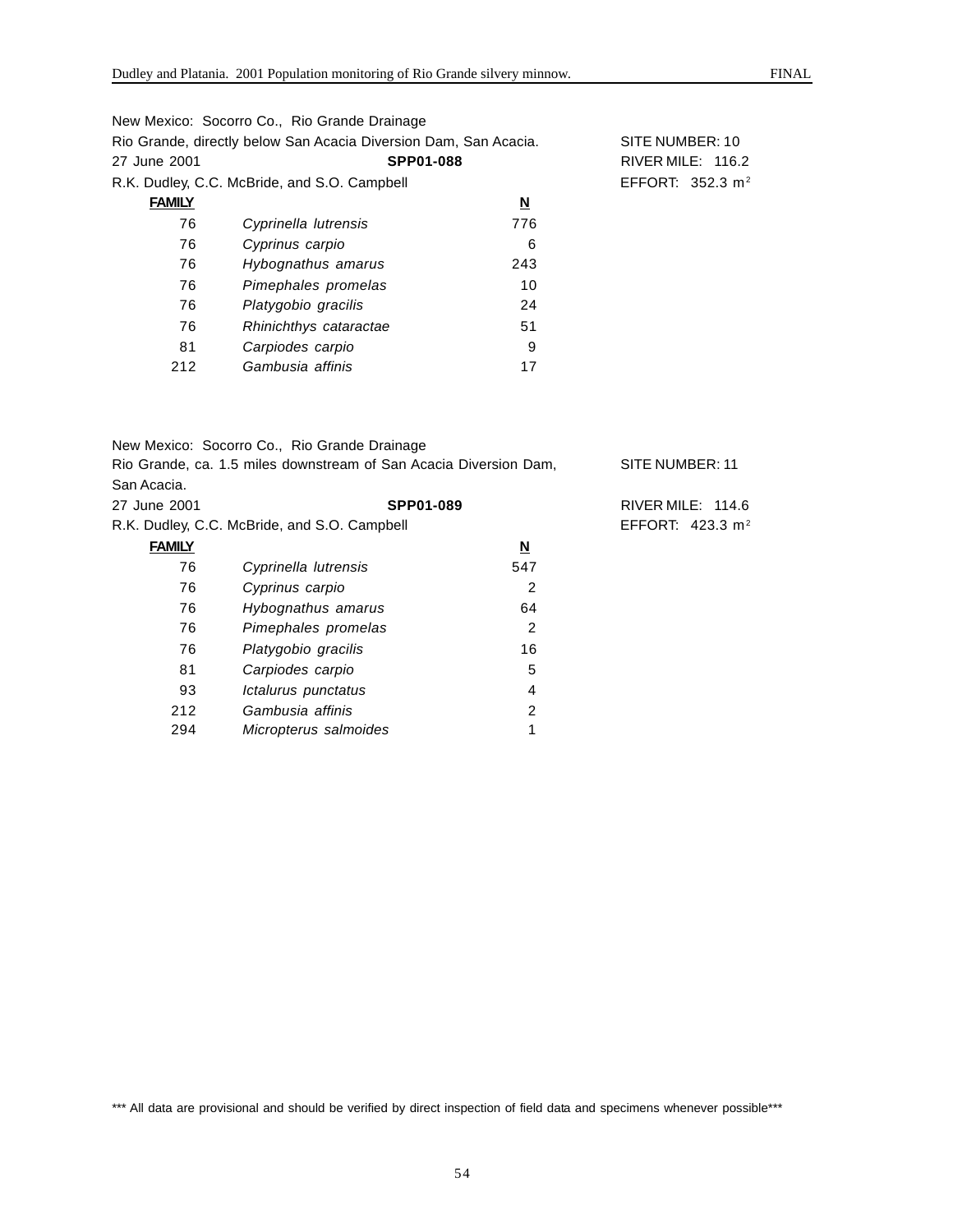|               | New Mexico: Socorro Co., Rio Grande Drainage                     |                  |                             |  |
|---------------|------------------------------------------------------------------|------------------|-----------------------------|--|
|               | Rio Grande, directly below San Acacia Diversion Dam, San Acacia. |                  |                             |  |
| 27 June 2001  |                                                                  | <b>SPP01-088</b> |                             |  |
|               | R.K. Dudley, C.C. McBride, and S.O. Campbell                     |                  | EFFORT: $352.3 \text{ m}^2$ |  |
| <b>FAMILY</b> |                                                                  | N                |                             |  |
| 76            | Cyprinella lutrensis                                             | 776              |                             |  |
| 76            | Cyprinus carpio                                                  | 6                |                             |  |
| 76            | Hybognathus amarus                                               | 243              |                             |  |
| 76            | Pimephales promelas                                              | 10               |                             |  |
| 76            | Platygobio gracilis                                              | 24               |                             |  |
| 76            | Rhinichthys cataractae                                           | 51               |                             |  |
| 81            | Carpiodes carpio                                                 | 9                |                             |  |
| 212           | Gambusia affinis                                                 | 17               |                             |  |

| San Acacia.   | New Mexico: Socorro Co., Rio Grande Drainage<br>Rio Grande, ca. 1.5 miles downstream of San Acacia Diversion Dam, |                          | SITE NUMBER: 11             |
|---------------|-------------------------------------------------------------------------------------------------------------------|--------------------------|-----------------------------|
| 27 June 2001  |                                                                                                                   | <b>SPP01-089</b>         | RIVER MILE: 114.6           |
|               | R.K. Dudley, C.C. McBride, and S.O. Campbell                                                                      |                          | EFFORT: $423.3 \text{ m}^2$ |
| <b>FAMILY</b> |                                                                                                                   | $\underline{\mathbf{N}}$ |                             |
| 76            | Cyprinella lutrensis                                                                                              | 547                      |                             |
| 76            | Cyprinus carpio                                                                                                   | 2                        |                             |
| 76            | Hybognathus amarus                                                                                                | 64                       |                             |
| 76            | Pimephales promelas                                                                                               | 2                        |                             |
| 76            | Platygobio gracilis                                                                                               | 16                       |                             |
| 81            | Carpiodes carpio                                                                                                  | 5                        |                             |
| 93            | Ictalurus punctatus                                                                                               | 4                        |                             |
| 212           | Gambusia affinis                                                                                                  | 2                        |                             |
| 294           | Micropterus salmoides                                                                                             |                          |                             |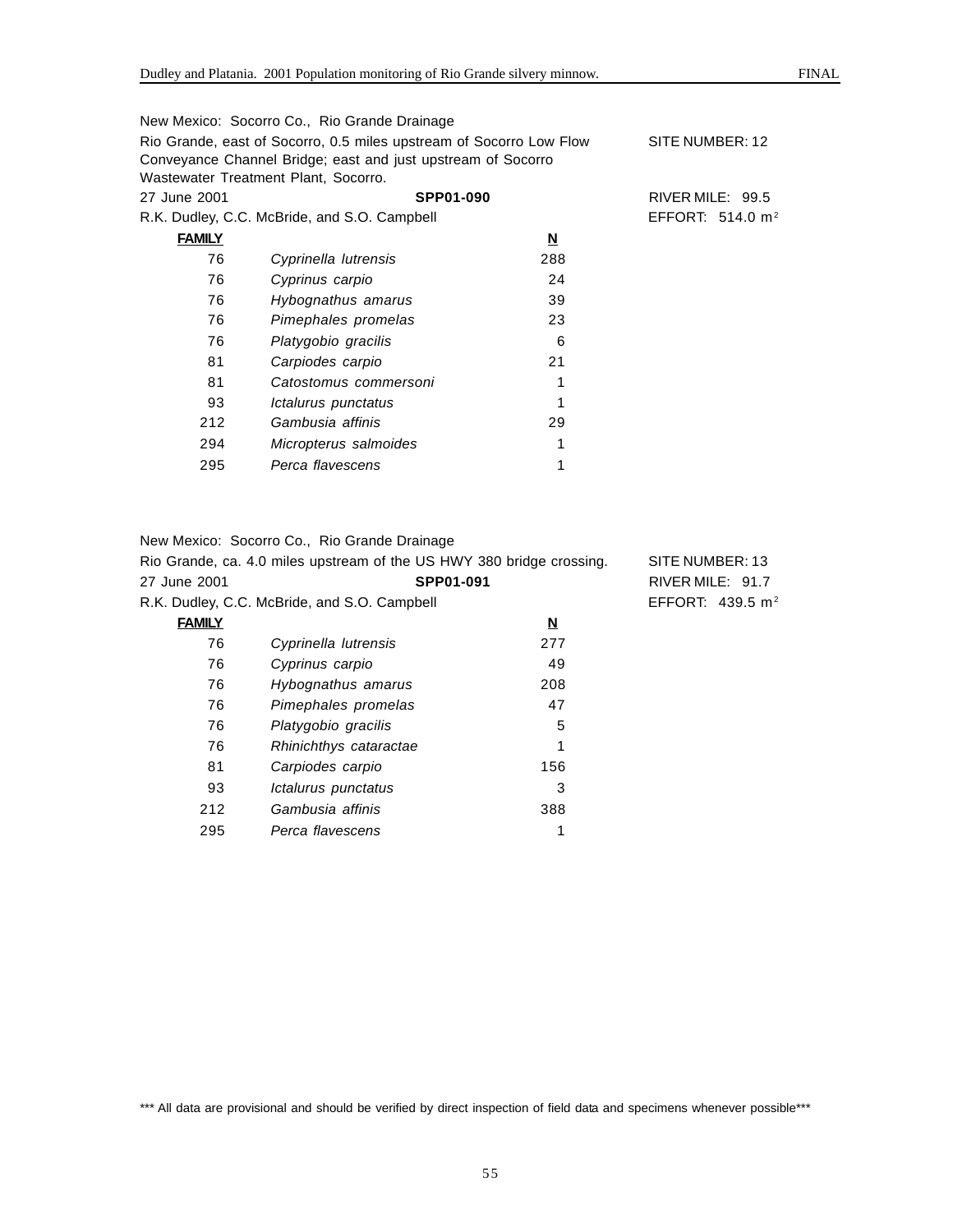| New Mexico: Socorro Co., Rio Grande Drainage                        |                         |                             |
|---------------------------------------------------------------------|-------------------------|-----------------------------|
| Rio Grande, east of Socorro, 0.5 miles upstream of Socorro Low Flow |                         | SITE NUMBER: 12             |
| Conveyance Channel Bridge; east and just upstream of Socorro        |                         |                             |
| Wastewater Treatment Plant, Socorro.                                |                         |                             |
|                                                                     |                         | RIVER MILE: 99.5            |
| R.K. Dudley, C.C. McBride, and S.O. Campbell                        |                         | EFFORT: $514.0 \text{ m}^2$ |
|                                                                     | $\overline{\mathbf{M}}$ |                             |
| Cyprinella lutrensis                                                | 288                     |                             |
| Cyprinus carpio                                                     | 24                      |                             |
| Hybognathus amarus                                                  | 39                      |                             |
| Pimephales promelas                                                 | 23                      |                             |
| Platygobio gracilis                                                 | 6                       |                             |
| Carpiodes carpio                                                    | 21                      |                             |
| Catostomus commersoni                                               |                         |                             |
| Ictalurus punctatus                                                 |                         |                             |
| Gambusia affinis                                                    | 29                      |                             |
| Micropterus salmoides                                               |                         |                             |
| Perca flavescens                                                    |                         |                             |
|                                                                     |                         | <b>SPP01-090</b>            |

New Mexico: Socorro Co., Rio Grande Drainage

| Rio Grande, ca. 4.0 miles upstream of the US HWY 380 bridge crossing. |                        | SITE NUMBER: 13              |  |
|-----------------------------------------------------------------------|------------------------|------------------------------|--|
| 27 June 2001                                                          |                        | <b>SPP01-091</b>             |  |
| R.K. Dudley, C.C. McBride, and S.O. Campbell                          |                        | EFFORT: 439.5 m <sup>2</sup> |  |
| <b>FAMILY</b>                                                         |                        | N                            |  |
| 76                                                                    | Cyprinella lutrensis   | 277                          |  |
| 76                                                                    | Cyprinus carpio        | 49                           |  |
| 76                                                                    | Hybognathus amarus     | 208                          |  |
| 76                                                                    | Pimephales promelas    | 47                           |  |
| 76                                                                    | Platygobio gracilis    | 5                            |  |
| 76                                                                    | Rhinichthys cataractae | 1                            |  |
| 81                                                                    | Carpiodes carpio       | 156                          |  |
| 93                                                                    | Ictalurus punctatus    | 3                            |  |
| 212                                                                   | Gambusia affinis       | 388                          |  |
| 295                                                                   | Perca flavescens       | 1                            |  |
|                                                                       |                        |                              |  |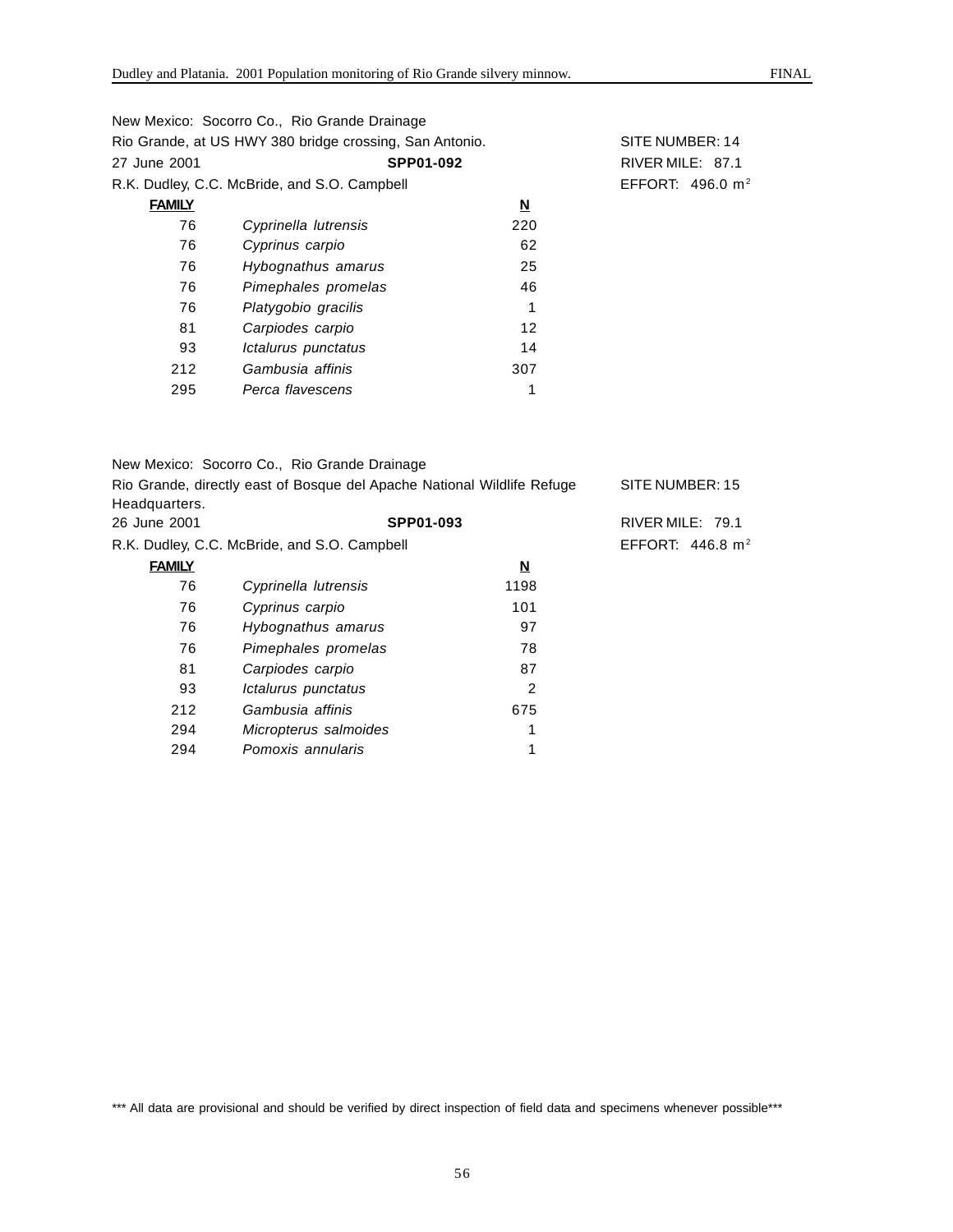|               | New Mexico: Socorro Co., Rio Grande Drainage            |                  |                             |
|---------------|---------------------------------------------------------|------------------|-----------------------------|
|               | Rio Grande, at US HWY 380 bridge crossing, San Antonio. |                  |                             |
| 27 June 2001  |                                                         | <b>SPP01-092</b> | RIVER MILE: 87.1            |
|               | R.K. Dudley, C.C. McBride, and S.O. Campbell            |                  | EFFORT: $496.0 \text{ m}^2$ |
| <b>FAMILY</b> |                                                         | N                |                             |
| 76            | Cyprinella lutrensis                                    | 220              |                             |
| 76            | Cyprinus carpio                                         | 62               |                             |
| 76            | Hybognathus amarus                                      | 25               |                             |
| 76            | Pimephales promelas                                     | 46               |                             |
| 76            | Platygobio gracilis                                     |                  |                             |
| 81            | Carpiodes carpio                                        | 12               |                             |
| 93            | Ictalurus punctatus                                     | 14               |                             |
| 212           | Gambusia affinis                                        | 307              |                             |
| 295           | Perca flavescens                                        | 1                |                             |

|               | New Mexico: Socorro Co., Rio Grande Drainage                            |                  |                             |
|---------------|-------------------------------------------------------------------------|------------------|-----------------------------|
|               | Rio Grande, directly east of Bosque del Apache National Wildlife Refuge |                  | SITE NUMBER: 15             |
| Headquarters. |                                                                         |                  |                             |
| 26 June 2001  |                                                                         | <b>SPP01-093</b> | RIVER MILE: 79.1            |
|               | R.K. Dudley, C.C. McBride, and S.O. Campbell                            |                  | EFFORT: $446.8 \text{ m}^2$ |
| <b>FAMILY</b> |                                                                         | N                |                             |
| 76            | Cyprinella lutrensis                                                    | 1198             |                             |
| 76            | Cyprinus carpio                                                         | 101              |                             |
| 76            | Hybognathus amarus                                                      | 97               |                             |
| 76            | Pimephales promelas                                                     | 78               |                             |
| 81            | Carpiodes carpio                                                        | 87               |                             |
| 93            | Ictalurus punctatus                                                     | $\overline{2}$   |                             |
| 212           | Gambusia affinis                                                        | 675              |                             |
| 294           | Micropterus salmoides                                                   | 1                |                             |
| 294           | Pomoxis annularis                                                       | 1                |                             |
|               |                                                                         |                  |                             |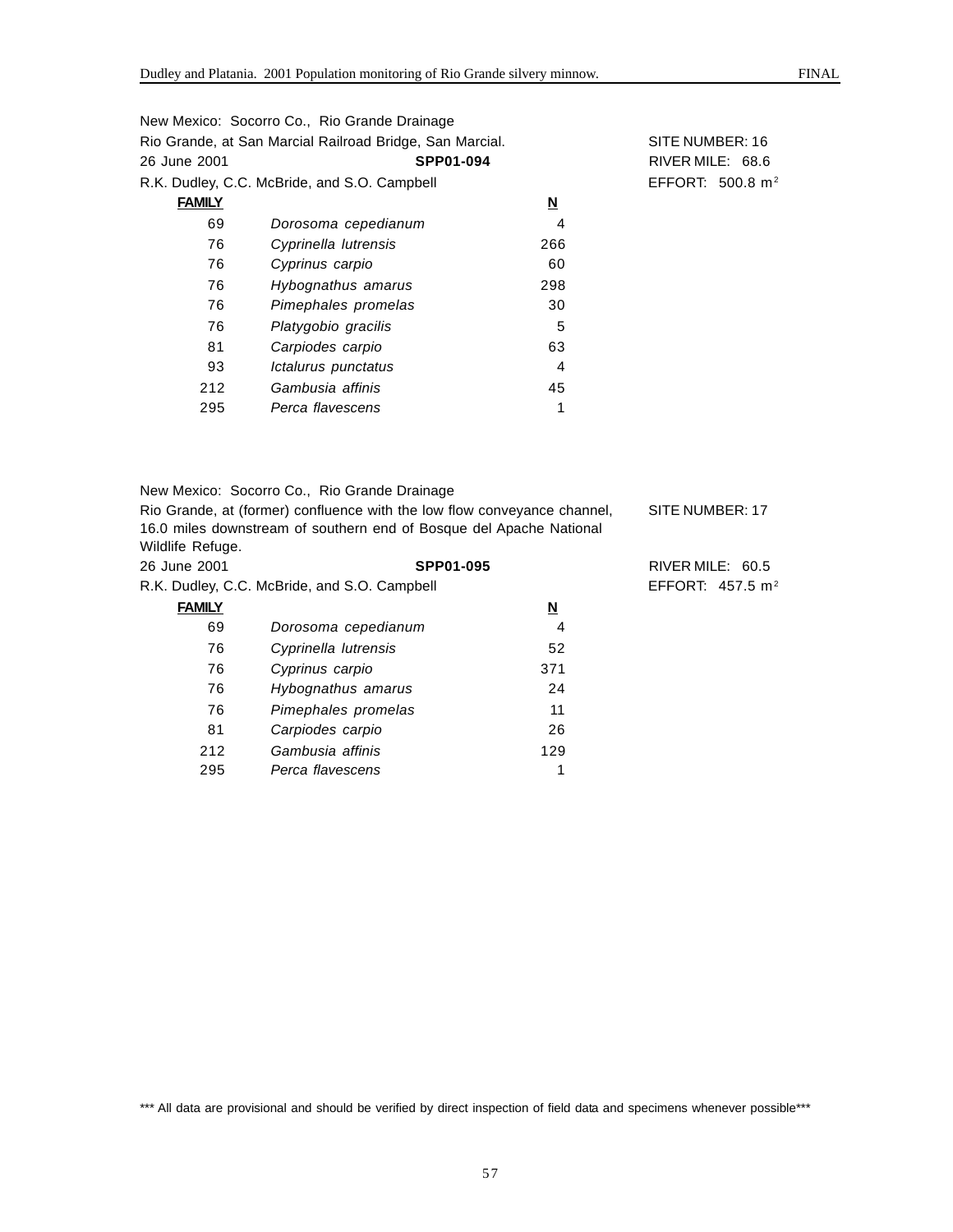| EFFORT: $500.8 \text{ m}^2$<br>R.K. Dudley, C.C. McBride, and S.O. Campbell<br><b>FAMILY</b> | SITE NUMBER: 16<br>RIVER MILE: 68.6 |
|----------------------------------------------------------------------------------------------|-------------------------------------|
|                                                                                              |                                     |
| N                                                                                            |                                     |
| 69<br>Dorosoma cepedianum<br>4                                                               |                                     |
| 76<br>Cyprinella lutrensis<br>266                                                            |                                     |
| 76<br>Cyprinus carpio<br>60                                                                  |                                     |
| 76<br>Hybognathus amarus<br>298                                                              |                                     |
| 76<br>30<br>Pimephales promelas                                                              |                                     |
| 5<br>76<br>Platygobio gracilis                                                               |                                     |
| 81<br>63<br>Carpiodes carpio                                                                 |                                     |
| 93<br>Ictalurus punctatus<br>4                                                               |                                     |
| 212<br>Gambusia affinis<br>45                                                                |                                     |
| 295<br>Perca flavescens                                                                      |                                     |

|                  | New Mexico: Socorro Co., Rio Grande Drainage                             |                  |                             |
|------------------|--------------------------------------------------------------------------|------------------|-----------------------------|
|                  | Rio Grande, at (former) confluence with the low flow conveyance channel, |                  |                             |
|                  | 16.0 miles downstream of southern end of Bosque del Apache National      |                  |                             |
| Wildlife Refuge. |                                                                          |                  |                             |
| 26 June 2001     |                                                                          | <b>SPP01-095</b> | RIVER MILE: 60.5            |
|                  | R.K. Dudley, C.C. McBride, and S.O. Campbell                             |                  | EFFORT: $457.5 \text{ m}^2$ |
| <b>FAMILY</b>    |                                                                          | <u>N</u>         |                             |
| 69               | Dorosoma cepedianum                                                      | 4                |                             |
| 76               | Cyprinella lutrensis                                                     | 52               |                             |
| 76               | Cyprinus carpio                                                          | 371              |                             |
| 76               | Hybognathus amarus                                                       | 24               |                             |
| 76               | Pimephales promelas                                                      | 11               |                             |
| 81               | Carpiodes carpio                                                         | 26               |                             |
| 212              | Gambusia affinis                                                         | 129              |                             |
| 295              | Perca flavescens                                                         |                  |                             |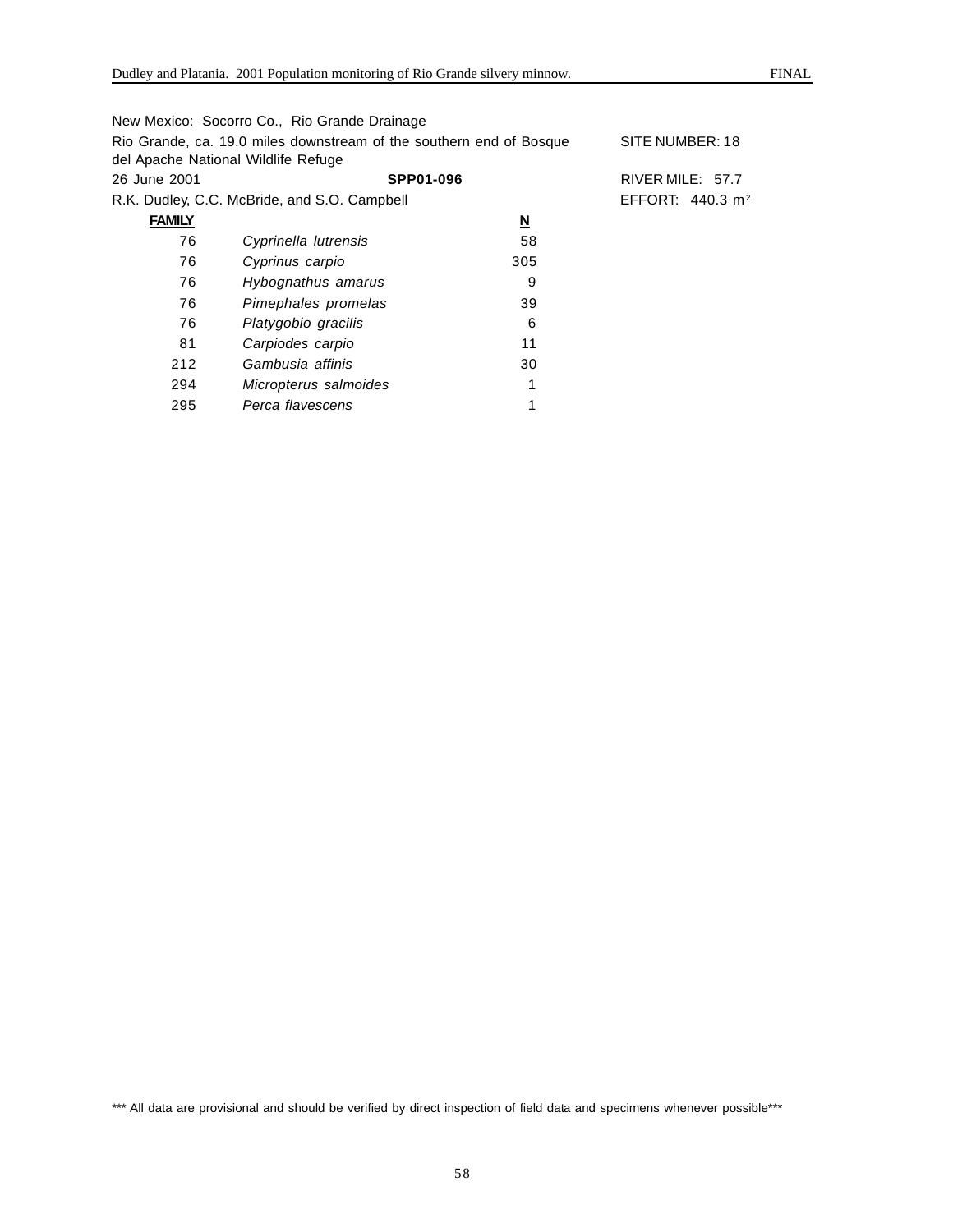|                                                                     | New Mexico: Socorro Co., Rio Grande Drainage |     |                             |
|---------------------------------------------------------------------|----------------------------------------------|-----|-----------------------------|
| Rio Grande, ca. 19.0 miles downstream of the southern end of Bosque |                                              |     | SITE NUMBER: 18             |
| del Apache National Wildlife Refuge                                 |                                              |     |                             |
| 26 June 2001                                                        | <b>SPP01-096</b>                             |     | RIVER MILE: 57.7            |
|                                                                     | R.K. Dudley, C.C. McBride, and S.O. Campbell |     | EFFORT: $440.3 \text{ m}^2$ |
| <b>FAMILY</b>                                                       |                                              | N   |                             |
| 76                                                                  | Cyprinella lutrensis                         | 58  |                             |
| 76                                                                  | Cyprinus carpio                              | 305 |                             |
| 76                                                                  | Hybognathus amarus                           | 9   |                             |
| 76                                                                  | Pimephales promelas                          | 39  |                             |
| 76                                                                  | Platygobio gracilis                          | 6   |                             |
| 81                                                                  | Carpiodes carpio                             | 11  |                             |
| 212                                                                 | Gambusia affinis                             | 30  |                             |
| 294                                                                 | Micropterus salmoides                        | 1   |                             |
| 295                                                                 | Perca flavescens                             |     |                             |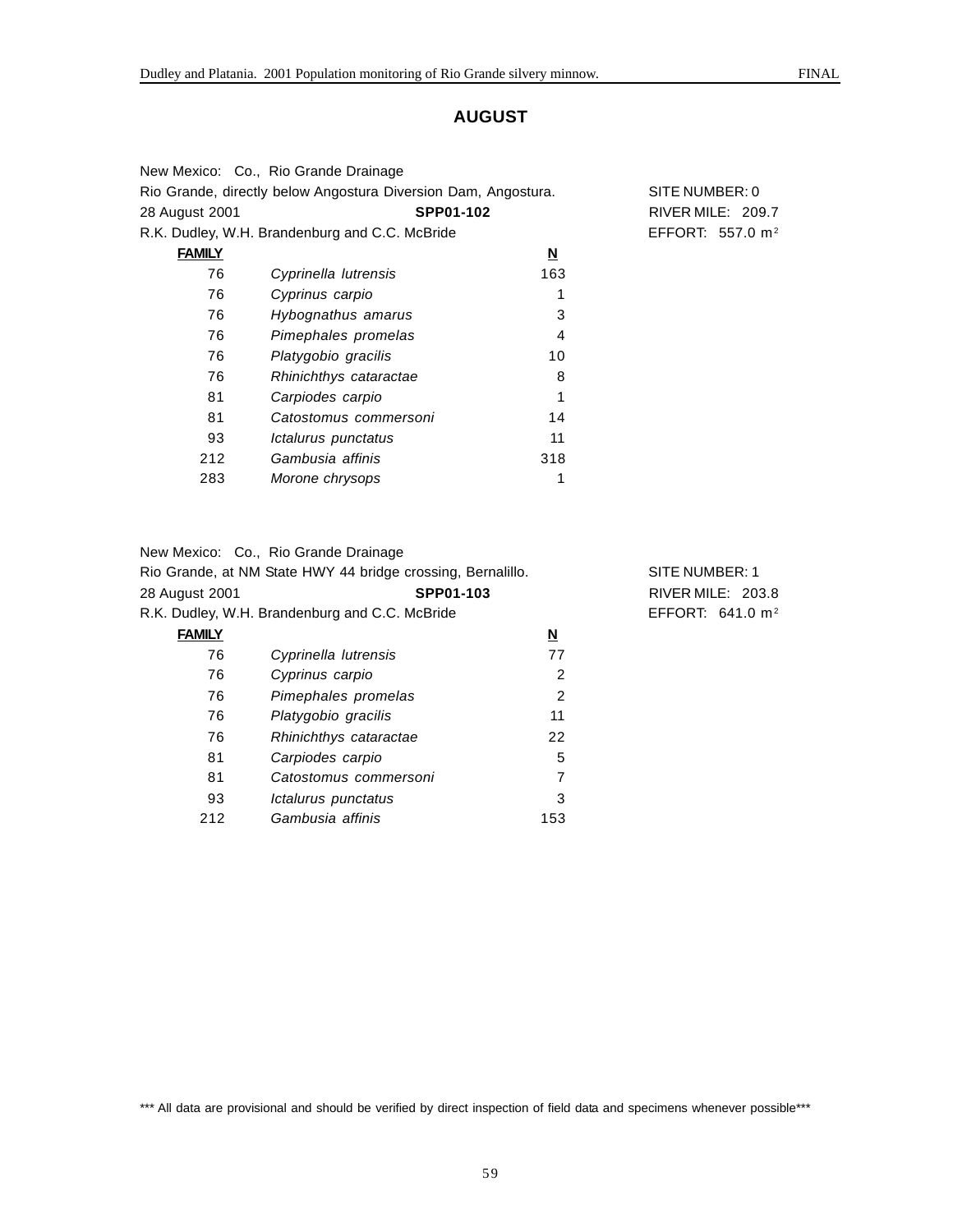## **AUGUST**

|                | New Mexico: Co., Rio Grande Drainage                           |                         |                             |
|----------------|----------------------------------------------------------------|-------------------------|-----------------------------|
|                | Rio Grande, directly below Angostura Diversion Dam, Angostura. |                         | SITE NUMBER: 0              |
| 28 August 2001 | <b>SPP01-102</b>                                               |                         | RIVER MILE: 209.7           |
|                | R.K. Dudley, W.H. Brandenburg and C.C. McBride                 |                         | EFFORT: $557.0 \text{ m}^2$ |
| <b>FAMILY</b>  |                                                                | $\overline{\mathbf{N}}$ |                             |
| 76             | Cyprinella lutrensis                                           | 163                     |                             |
| 76             | Cyprinus carpio                                                |                         |                             |
| 76             | Hybognathus amarus                                             | 3                       |                             |
| 76             | Pimephales promelas                                            | 4                       |                             |
| 76             | Platygobio gracilis                                            | 10                      |                             |
| 76             | Rhinichthys cataractae                                         | 8                       |                             |
| 81             | Carpiodes carpio                                               |                         |                             |
| 81             | Catostomus commersoni                                          | 14                      |                             |
| 93             | Ictalurus punctatus                                            | 11                      |                             |
| 212            | Gambusia affinis                                               | 318                     |                             |
| 283            | Morone chrysops                                                |                         |                             |

|                | New Mexico: Co., Rio Grande Drainage                        |                |                             |
|----------------|-------------------------------------------------------------|----------------|-----------------------------|
|                | Rio Grande, at NM State HWY 44 bridge crossing, Bernalillo. |                | SITE NUMBER: 1              |
| 28 August 2001 | <b>SPP01-103</b>                                            |                | RIVER MILE: 203.8           |
|                | R.K. Dudley, W.H. Brandenburg and C.C. McBride              |                | EFFORT: $641.0 \text{ m}^2$ |
| <b>FAMILY</b>  |                                                             | N              |                             |
| 76             | Cyprinella lutrensis                                        | 77             |                             |
| 76             | Cyprinus carpio                                             | 2              |                             |
| 76             | Pimephales promelas                                         | $\overline{2}$ |                             |
| 76             | Platygobio gracilis                                         | 11             |                             |
| 76             | Rhinichthys cataractae                                      | 22             |                             |
| 81             | Carpiodes carpio                                            | 5              |                             |
| 81             | Catostomus commersoni                                       | 7              |                             |
| 93             | Ictalurus punctatus                                         | 3              |                             |
| 212            | Gambusia affinis                                            | 153            |                             |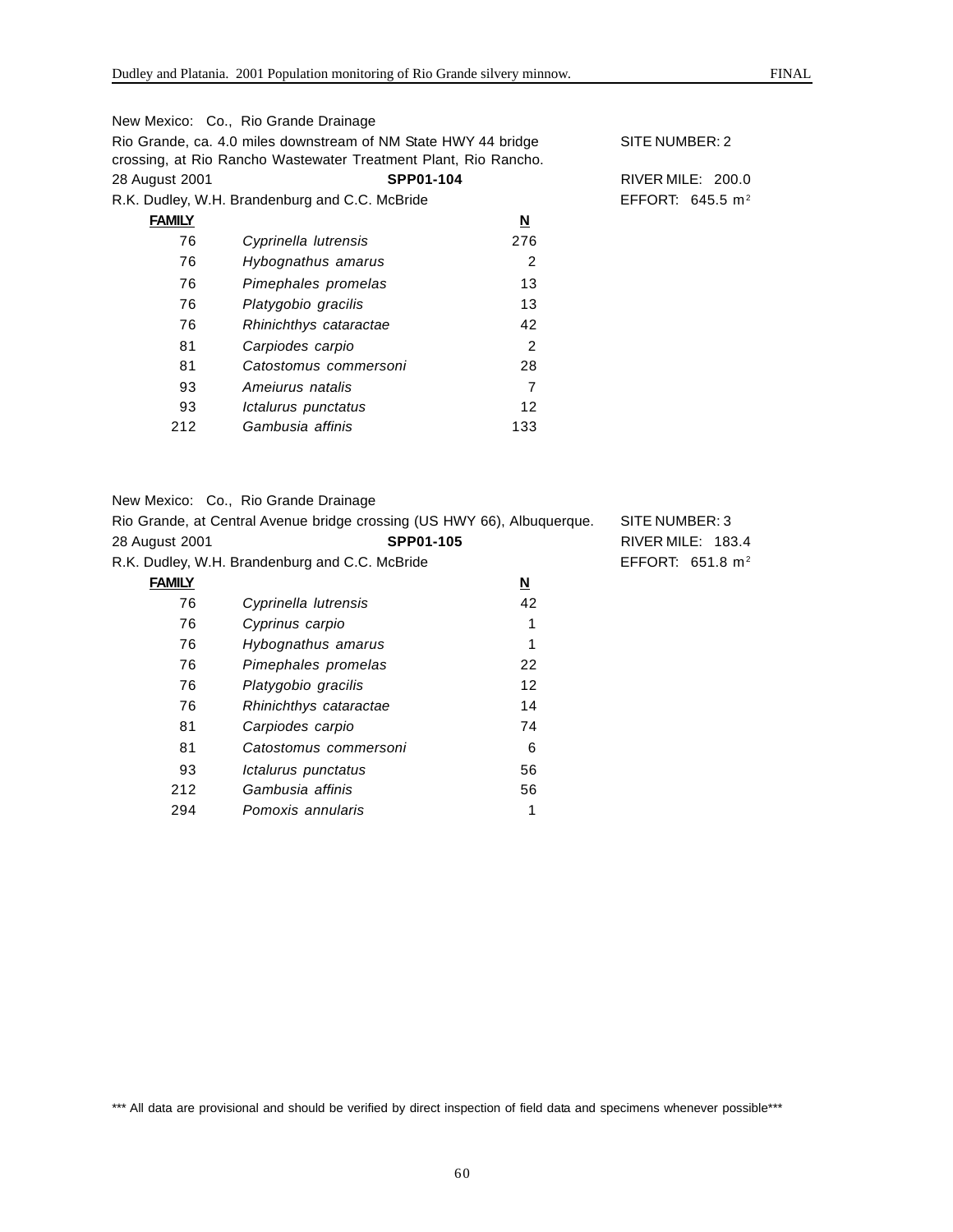|                | New Mexico: Co., Rio Grande Drainage                            |           |                             |
|----------------|-----------------------------------------------------------------|-----------|-----------------------------|
|                | Rio Grande, ca. 4.0 miles downstream of NM State HWY 44 bridge  |           | SITE NUMBER: 2              |
|                | crossing, at Rio Rancho Wastewater Treatment Plant, Rio Rancho. |           |                             |
| 28 August 2001 |                                                                 | SPP01-104 | RIVER MILE: 200.0           |
|                | R.K. Dudley, W.H. Brandenburg and C.C. McBride                  |           | EFFORT: $645.5 \text{ m}^2$ |
| <b>FAMILY</b>  |                                                                 | N         |                             |
| 76             | Cyprinella lutrensis                                            | 276       |                             |
| 76             | Hybognathus amarus                                              | 2         |                             |
| 76             | Pimephales promelas                                             | 13        |                             |
| 76             | Platygobio gracilis                                             | 13        |                             |
| 76             | Rhinichthys cataractae                                          | 42        |                             |
| 81             | Carpiodes carpio                                                | 2         |                             |
| 81             | Catostomus commersoni                                           | 28        |                             |
| 93             | Ameiurus natalis                                                | 7         |                             |
| 93             | Ictalurus punctatus                                             | 12        |                             |
| 212            | Gambusia affinis                                                | 133       |                             |
|                |                                                                 |           |                             |

|                                                | New Mexico: Co., Rio Grande Drainage                                    |                             |                   |
|------------------------------------------------|-------------------------------------------------------------------------|-----------------------------|-------------------|
|                                                | Rio Grande, at Central Avenue bridge crossing (US HWY 66), Albuquerque. |                             | SITE NUMBER: 3    |
| 28 August 2001                                 | SPP01-105                                                               |                             | RIVER MILE: 183.4 |
| R.K. Dudley, W.H. Brandenburg and C.C. McBride |                                                                         | EFFORT: $651.8 \text{ m}^2$ |                   |
| <b>FAMILY</b>                                  |                                                                         | N                           |                   |
| 76                                             | Cyprinella lutrensis                                                    | 42                          |                   |
| 76                                             | Cyprinus carpio                                                         |                             |                   |
| 76                                             | Hybognathus amarus                                                      |                             |                   |
| 76                                             | Pimephales promelas                                                     | 22                          |                   |
| 76                                             | Platygobio gracilis                                                     | 12                          |                   |
| 76                                             | Rhinichthys cataractae                                                  | 14                          |                   |
| 81                                             | Carpiodes carpio                                                        | 74                          |                   |
| 81                                             | Catostomus commersoni                                                   | 6                           |                   |
| 93                                             | Ictalurus punctatus                                                     | 56                          |                   |
| 212                                            | Gambusia affinis                                                        | 56                          |                   |
| 294                                            | Pomoxis annularis                                                       |                             |                   |
|                                                |                                                                         |                             |                   |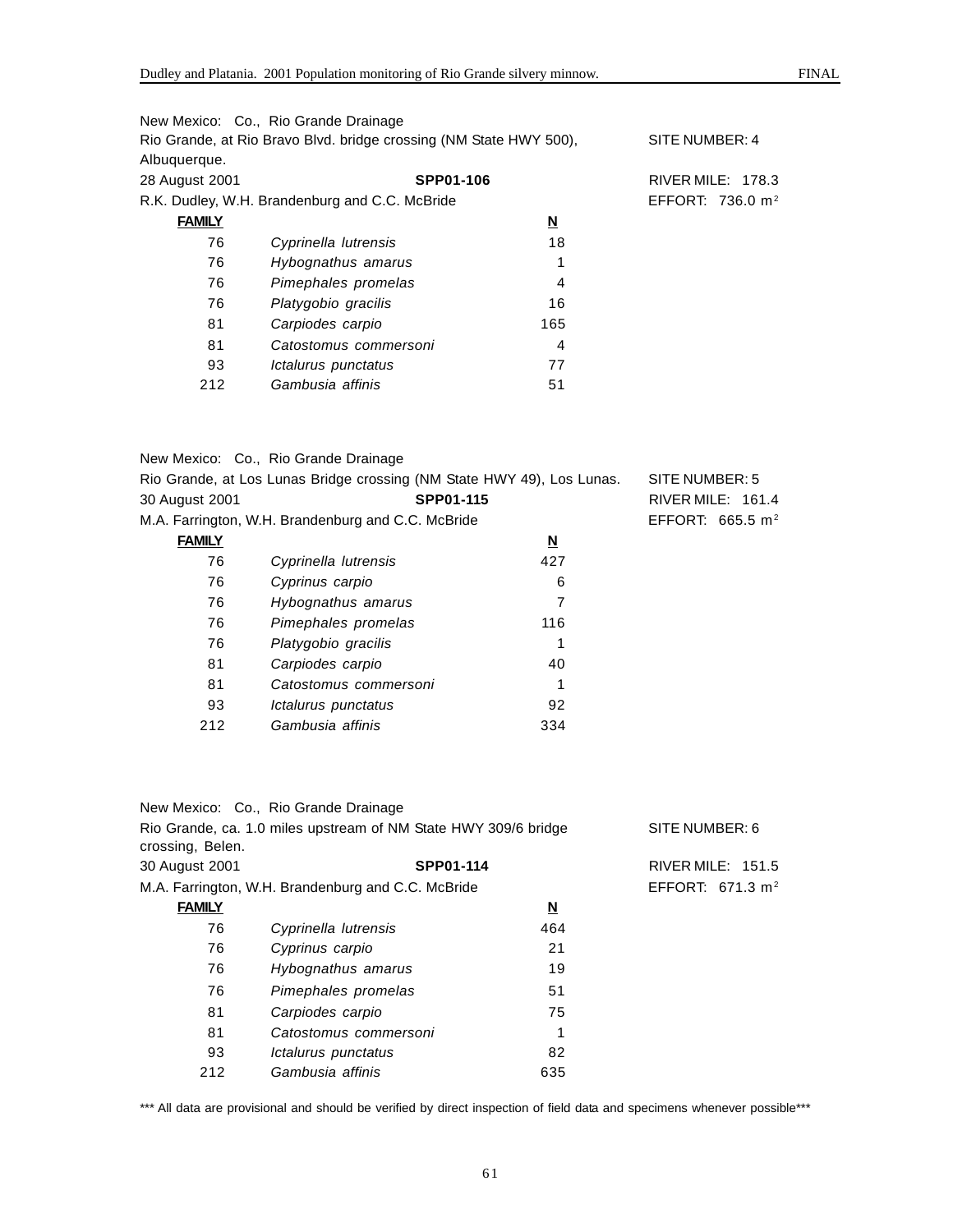|                  | New Mexico: Co., Rio Grande Drainage<br>Rio Grande, at Rio Bravo Blvd. bridge crossing (NM State HWY 500), |                          | SITE NUMBER: 4               |
|------------------|------------------------------------------------------------------------------------------------------------|--------------------------|------------------------------|
| Albuquerque.     |                                                                                                            |                          |                              |
| 28 August 2001   | <b>SPP01-106</b>                                                                                           |                          | RIVER MILE: 178.3            |
|                  | R.K. Dudley, W.H. Brandenburg and C.C. McBride                                                             |                          | EFFORT: 736.0 m <sup>2</sup> |
| <b>FAMILY</b>    |                                                                                                            | $\underline{\mathsf{N}}$ |                              |
| 76               | Cyprinella lutrensis                                                                                       | 18                       |                              |
| 76               | Hybognathus amarus                                                                                         | 1                        |                              |
| 76               | Pimephales promelas                                                                                        | 4                        |                              |
| 76               | Platygobio gracilis                                                                                        | 16                       |                              |
| 81               | Carpiodes carpio                                                                                           | 165                      |                              |
| 81               | Catostomus commersoni                                                                                      | $\overline{4}$           |                              |
| 93               | Ictalurus punctatus                                                                                        | 77                       |                              |
| 212              | Gambusia affinis                                                                                           | 51                       |                              |
|                  | New Mexico: Co., Rio Grande Drainage                                                                       |                          |                              |
|                  | Rio Grande, at Los Lunas Bridge crossing (NM State HWY 49), Los Lunas.                                     |                          | SITE NUMBER: 5               |
| 30 August 2001   | <b>SPP01-115</b>                                                                                           |                          | RIVER MILE: 161.4            |
|                  | M.A. Farrington, W.H. Brandenburg and C.C. McBride                                                         |                          | EFFORT: $665.5 \text{ m}^2$  |
| <b>FAMILY</b>    |                                                                                                            | $\underline{\mathsf{N}}$ |                              |
| 76               | Cyprinella lutrensis                                                                                       | 427                      |                              |
| 76               | Cyprinus carpio                                                                                            | 6                        |                              |
| 76               | Hybognathus amarus                                                                                         | $\overline{7}$           |                              |
| 76               | Pimephales promelas                                                                                        | 116                      |                              |
| 76               | Platygobio gracilis                                                                                        | 1                        |                              |
| 81               | Carpiodes carpio                                                                                           | 40                       |                              |
| 81               | Catostomus commersoni                                                                                      | 1                        |                              |
| 93               | Ictalurus punctatus                                                                                        | 92                       |                              |
| 212              | Gambusia affinis                                                                                           | 334                      |                              |
|                  | New Mexico: Co., Rio Grande Drainage                                                                       |                          |                              |
|                  | Rio Grande, ca. 1.0 miles upstream of NM State HWY 309/6 bridge                                            |                          | SITE NUMBER: 6               |
| crossing, Belen. |                                                                                                            |                          |                              |
| 30 August 2001   | <b>SPP01-114</b>                                                                                           |                          | RIVER MILE: 151.5            |
|                  | M.A. Farrington, W.H. Brandenburg and C.C. McBride                                                         |                          | EFFORT: 671.3 m <sup>2</sup> |
| <b>FAMILY</b>    |                                                                                                            | $\underline{\mathsf{N}}$ |                              |
| 76               | Cyprinella lutrensis                                                                                       | 464                      |                              |
| 76               | Cyprinus carpio                                                                                            | 21                       |                              |
| 76               | Hybognathus amarus                                                                                         | 19                       |                              |
| 76               | Pimephales promelas                                                                                        | 51                       |                              |
| 81               | Carpiodes carpio                                                                                           | 75                       |                              |
| 81               | Catostomus commersoni                                                                                      | 1                        |                              |
| 93               | Ictalurus punctatus                                                                                        | 82                       |                              |
| 212              | Gambusia affinis                                                                                           | 635                      |                              |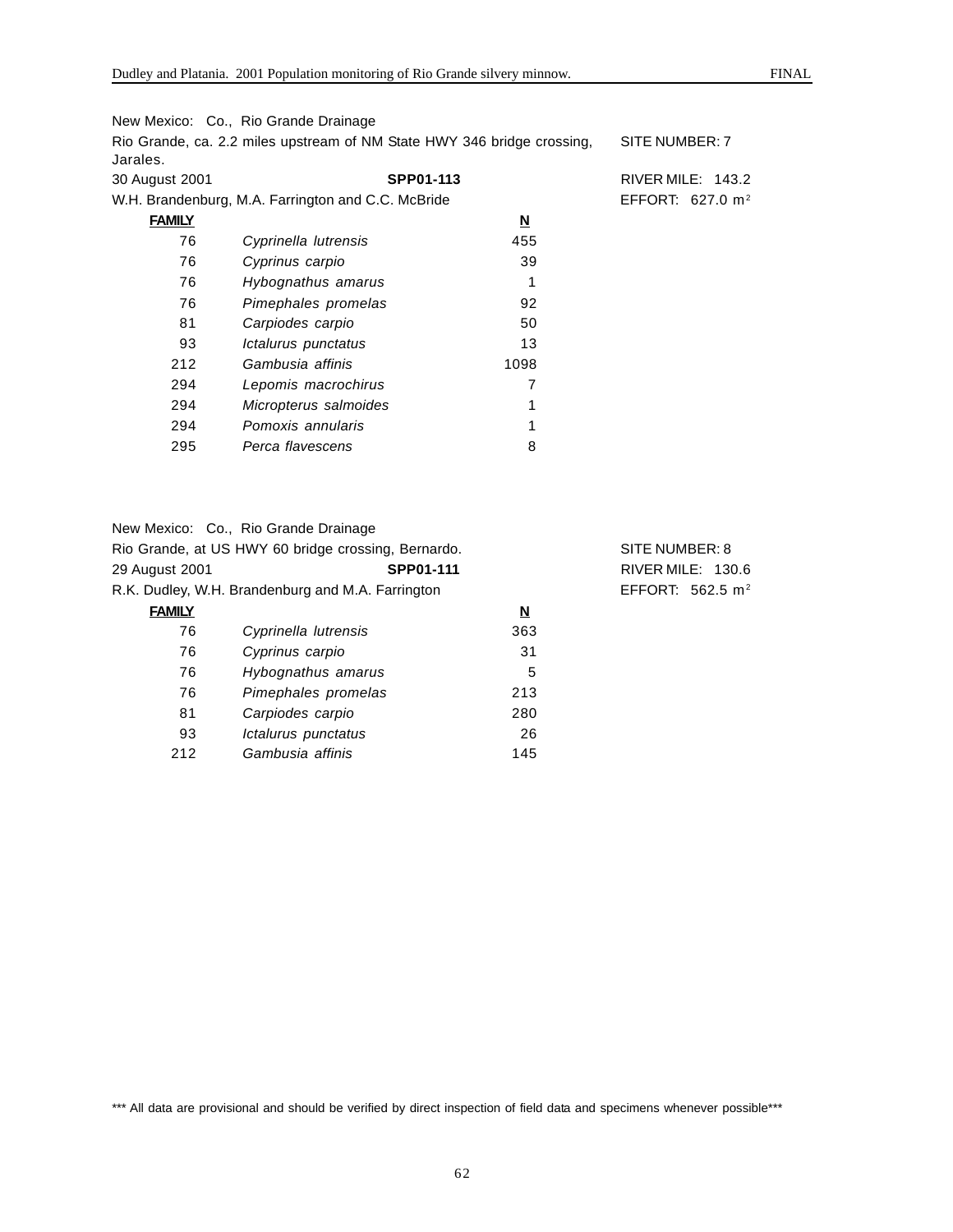|                | New Mexico: Co., Rio Grande Drainage               |                                                                         |                             |
|----------------|----------------------------------------------------|-------------------------------------------------------------------------|-----------------------------|
| Jarales.       |                                                    | Rio Grande, ca. 2.2 miles upstream of NM State HWY 346 bridge crossing, | SITE NUMBER: 7              |
| 30 August 2001 |                                                    | <b>SPP01-113</b>                                                        | RIVER MILE: 143.2           |
|                | W.H. Brandenburg, M.A. Farrington and C.C. McBride |                                                                         | EFFORT: $627.0 \text{ m}^2$ |
| <b>FAMILY</b>  |                                                    | <u>N</u>                                                                |                             |
| 76             | Cyprinella lutrensis                               | 455                                                                     |                             |
| 76             | Cyprinus carpio                                    | 39                                                                      |                             |
| 76             | Hybognathus amarus                                 |                                                                         |                             |
| 76             | Pimephales promelas                                | 92                                                                      |                             |
| 81             | Carpiodes carpio                                   | 50                                                                      |                             |
| 93             | Ictalurus punctatus                                | 13                                                                      |                             |
| 212            | Gambusia affinis                                   | 1098                                                                    |                             |
| 294            | Lepomis macrochirus                                | 7                                                                       |                             |
| 294            | Micropterus salmoides                              | 1                                                                       |                             |
| 294            | Pomoxis annularis                                  |                                                                         |                             |
| 295            | Perca flavescens                                   | 8                                                                       |                             |
|                |                                                    |                                                                         |                             |
|                |                                                    |                                                                         |                             |

|                                                     | New Mexico: Co., Rio Grande Drainage              |           |                             |
|-----------------------------------------------------|---------------------------------------------------|-----------|-----------------------------|
| Rio Grande, at US HWY 60 bridge crossing, Bernardo. | SITE NUMBER: 8                                    |           |                             |
| 29 August 2001                                      |                                                   | SPP01-111 | RIVER MILE: 130.6           |
|                                                     | R.K. Dudley, W.H. Brandenburg and M.A. Farrington |           | EFFORT: $562.5 \text{ m}^2$ |
| <b>FAMILY</b>                                       |                                                   | N         |                             |
| 76                                                  | Cyprinella lutrensis                              | 363       |                             |
| 76                                                  | Cyprinus carpio                                   | 31        |                             |
| 76                                                  | Hybognathus amarus                                | 5         |                             |
| 76                                                  | Pimephales promelas                               | 213       |                             |
| 81                                                  | Carpiodes carpio                                  | 280       |                             |
| 93                                                  | Ictalurus punctatus                               | 26        |                             |
| 212                                                 | Gambusia affinis                                  | 145       |                             |
|                                                     |                                                   |           |                             |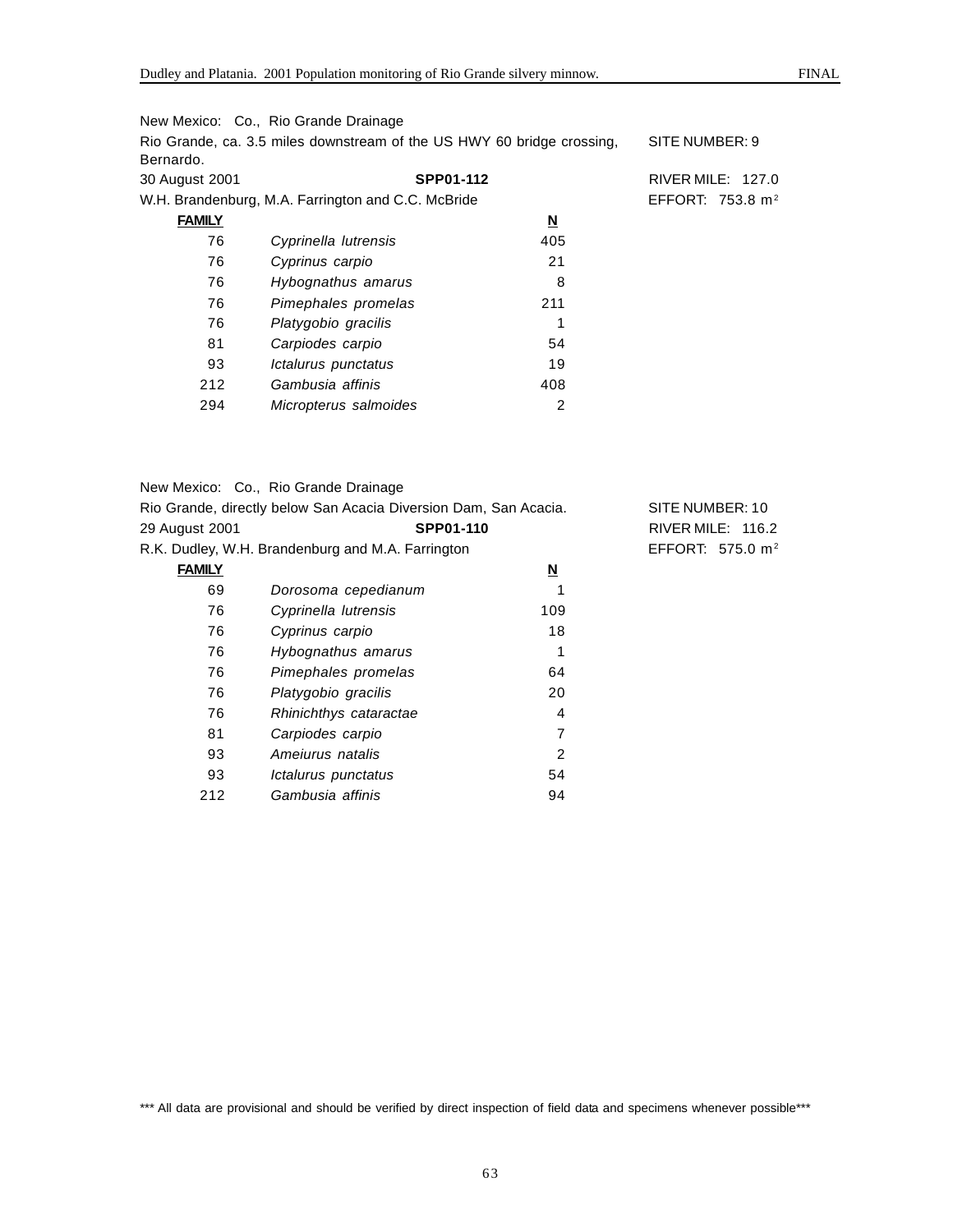| Bernardo.      | New Mexico: Co., Rio Grande Drainage               | Rio Grande, ca. 3.5 miles downstream of the US HWY 60 bridge crossing, | SITE NUMBER: 9     |
|----------------|----------------------------------------------------|------------------------------------------------------------------------|--------------------|
| 30 August 2001 |                                                    | <b>SPP01-112</b>                                                       | RIVER MILE: 127.0  |
|                | W.H. Brandenburg, M.A. Farrington and C.C. McBride |                                                                        | EFFORT: 753.8 $m2$ |
| <b>FAMILY</b>  |                                                    | $\overline{\mathbf{N}}$                                                |                    |
| 76             | Cyprinella lutrensis                               | 405                                                                    |                    |
| 76             | Cyprinus carpio                                    | 21                                                                     |                    |
| 76             | Hybognathus amarus                                 | 8                                                                      |                    |
| 76             | Pimephales promelas                                | 211                                                                    |                    |
| 76             | Platygobio gracilis                                | 1                                                                      |                    |
| 81             | Carpiodes carpio                                   | 54                                                                     |                    |
| 93             | Ictalurus punctatus                                | 19                                                                     |                    |
| 212            | Gambusia affinis                                   | 408                                                                    |                    |
| 294            | Micropterus salmoides                              | $\overline{2}$                                                         |                    |
|                |                                                    |                                                                        |                    |
|                | New Mexico: Co., Rio Grande Drainage               |                                                                        |                    |

| Rio Grande, directly below San Acacia Diversion Dam, San Acacia. |                                                   | SITE NUMBER: 10         |                             |
|------------------------------------------------------------------|---------------------------------------------------|-------------------------|-----------------------------|
| 29 August 2001                                                   | <b>SPP01-110</b>                                  |                         | RIVER MILE: 116.2           |
|                                                                  | R.K. Dudley, W.H. Brandenburg and M.A. Farrington |                         | EFFORT: $575.0 \text{ m}^2$ |
| <b>FAMILY</b>                                                    |                                                   | $\overline{\mathbf{M}}$ |                             |
| 69                                                               | Dorosoma cepedianum                               |                         |                             |
| 76                                                               | Cyprinella lutrensis                              | 109                     |                             |
| 76                                                               | Cyprinus carpio                                   | 18                      |                             |
| 76                                                               | Hybognathus amarus                                |                         |                             |
| 76                                                               | Pimephales promelas                               | 64                      |                             |
| 76                                                               | Platygobio gracilis                               | 20                      |                             |
| 76                                                               | Rhinichthys cataractae                            | 4                       |                             |
| 81                                                               | Carpiodes carpio                                  | 7                       |                             |
| 93                                                               | Amejurus natalis                                  | 2                       |                             |
| 93                                                               | Ictalurus punctatus                               | 54                      |                             |
| 212                                                              | Gambusia affinis                                  | 94                      |                             |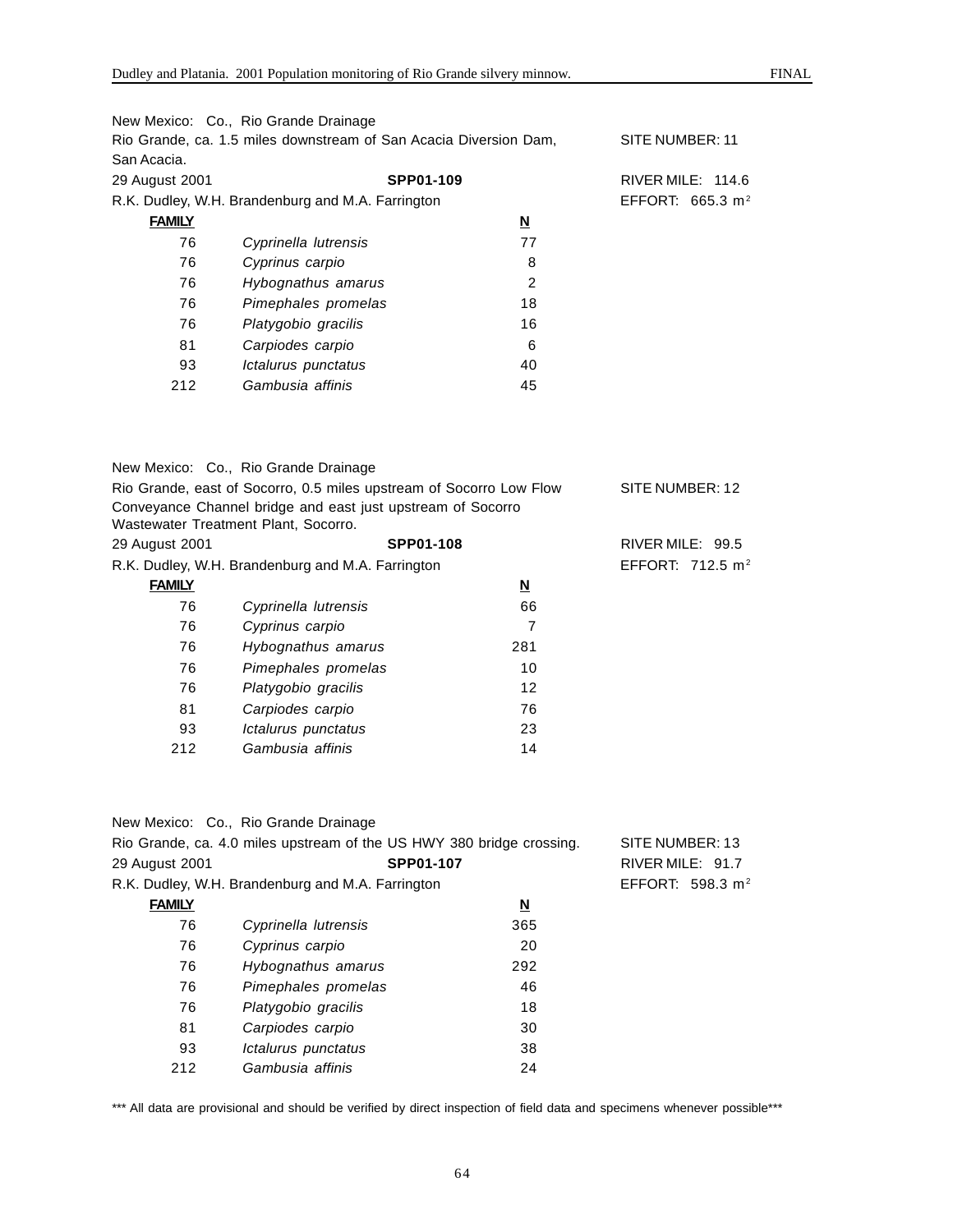|                | New Mexico: Co., Rio Grande Drainage                                                                                                                                                                               |                |                              |
|----------------|--------------------------------------------------------------------------------------------------------------------------------------------------------------------------------------------------------------------|----------------|------------------------------|
|                | Rio Grande, ca. 1.5 miles downstream of San Acacia Diversion Dam,                                                                                                                                                  |                | SITE NUMBER: 11              |
| San Acacia.    |                                                                                                                                                                                                                    |                |                              |
| 29 August 2001 | <b>SPP01-109</b>                                                                                                                                                                                                   |                | RIVER MILE: 114.6            |
|                | R.K. Dudley, W.H. Brandenburg and M.A. Farrington                                                                                                                                                                  |                | EFFORT: 665.3 m <sup>2</sup> |
| <b>FAMILY</b>  |                                                                                                                                                                                                                    | N              |                              |
| 76             | Cyprinella lutrensis                                                                                                                                                                                               | 77             |                              |
| 76             | Cyprinus carpio                                                                                                                                                                                                    | 8              |                              |
| 76             | Hybognathus amarus                                                                                                                                                                                                 | 2              |                              |
| 76             | Pimephales promelas                                                                                                                                                                                                | 18             |                              |
| 76             | Platygobio gracilis                                                                                                                                                                                                | 16             |                              |
| 81             | Carpiodes carpio                                                                                                                                                                                                   | 6              |                              |
| 93             | Ictalurus punctatus                                                                                                                                                                                                | 40             |                              |
| 212            | Gambusia affinis                                                                                                                                                                                                   | 45             |                              |
|                | New Mexico: Co., Rio Grande Drainage<br>Rio Grande, east of Socorro, 0.5 miles upstream of Socorro Low Flow<br>Conveyance Channel bridge and east just upstream of Socorro<br>Wastewater Treatment Plant, Socorro. |                | SITE NUMBER: 12              |
| 29 August 2001 | SPP01-108                                                                                                                                                                                                          |                | RIVER MILE: 99.5             |
|                | R.K. Dudley, W.H. Brandenburg and M.A. Farrington                                                                                                                                                                  |                | EFFORT: 712.5 m <sup>2</sup> |
| <b>FAMILY</b>  |                                                                                                                                                                                                                    | N              |                              |
| 76             | Cyprinella lutrensis                                                                                                                                                                                               | 66             |                              |
| 76             | Cyprinus carpio                                                                                                                                                                                                    | $\overline{7}$ |                              |
| 76             | Hybognathus amarus                                                                                                                                                                                                 | 281            |                              |
| 76             | Pimephales promelas                                                                                                                                                                                                | 10             |                              |
| 76             | Platygobio gracilis                                                                                                                                                                                                | 12             |                              |
| 81             | Carpiodes carpio                                                                                                                                                                                                   | 76             |                              |
| 93             | Ictalurus punctatus                                                                                                                                                                                                | 23             |                              |
| 212            | Gambusia affinis                                                                                                                                                                                                   | 14             |                              |

|                                                                       | New Mexico: Co., Rio Grande Drainage              |           |                    |
|-----------------------------------------------------------------------|---------------------------------------------------|-----------|--------------------|
| Rio Grande, ca. 4.0 miles upstream of the US HWY 380 bridge crossing. |                                                   |           | SITE NUMBER: 13    |
| 29 August 2001                                                        |                                                   | SPP01-107 | RIVER MILE: 91.7   |
|                                                                       | R.K. Dudley, W.H. Brandenburg and M.A. Farrington |           | EFFORT: 598.3 $m2$ |
| <b>FAMILY</b>                                                         |                                                   | N         |                    |
| 76                                                                    | Cyprinella lutrensis                              | 365       |                    |
| 76                                                                    | Cyprinus carpio                                   | 20        |                    |
| 76                                                                    | Hybognathus amarus                                | 292       |                    |
| 76                                                                    | Pimephales promelas                               | 46        |                    |
| 76                                                                    | Platygobio gracilis                               | 18        |                    |
| 81                                                                    | Carpiodes carpio                                  | 30        |                    |
| 93                                                                    | Ictalurus punctatus                               | 38        |                    |
| 212                                                                   | Gambusia affinis                                  | 24        |                    |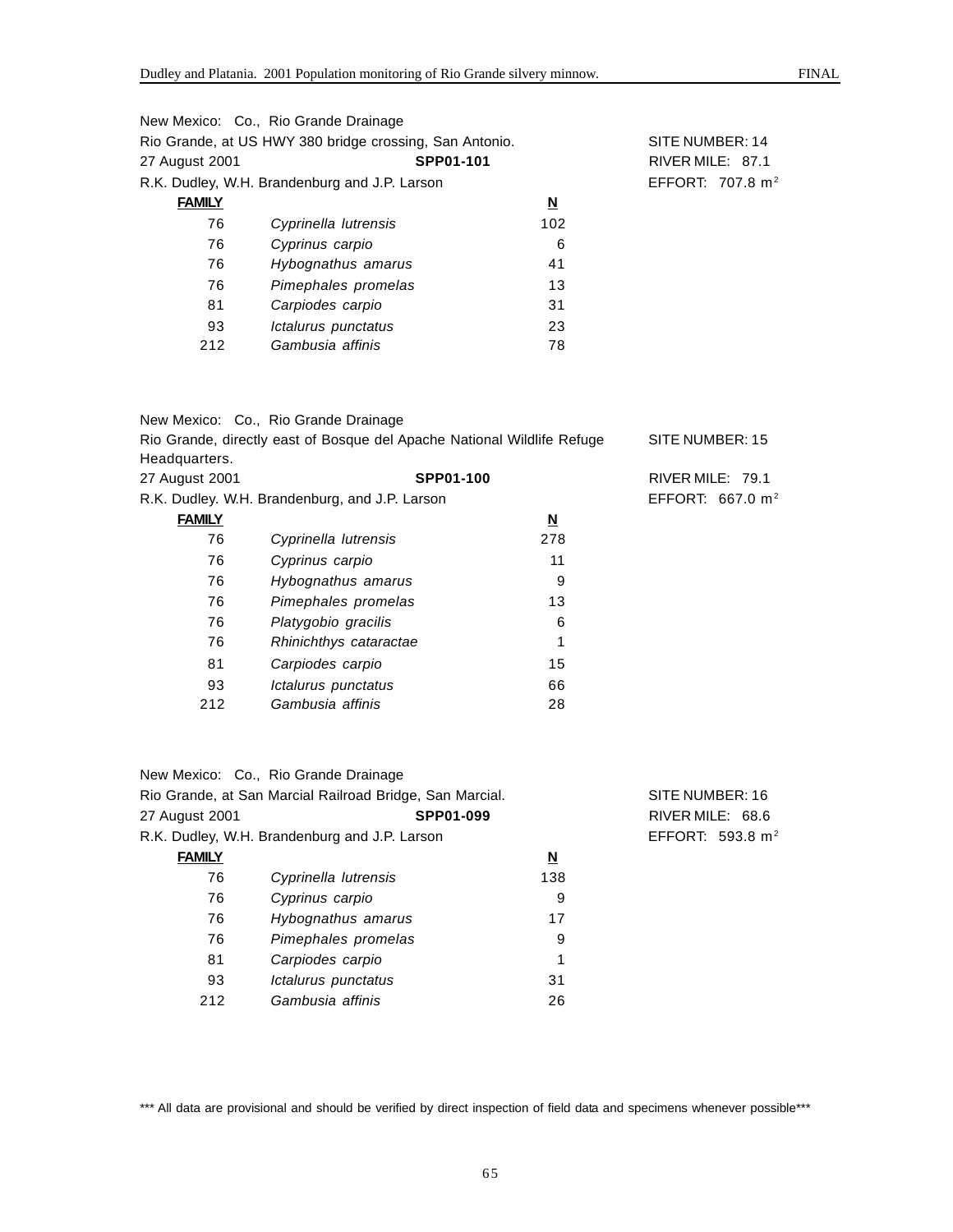New Mexico: Co., Rio Grande Drainage

| <b>SPP01-101</b><br>27 August 2001<br>R.K. Dudley, W.H. Brandenburg and J.P. Larson<br>$\underline{\mathsf{N}}$<br><b>FAMILY</b><br>76<br>102<br>Cyprinella lutrensis<br>76<br>Cyprinus carpio<br>6<br>76<br>41<br>Hybognathus amarus<br>76<br>13<br>Pimephales promelas<br>81<br>Carpiodes carpio<br>31<br>93<br>23<br>Ictalurus punctatus<br>212<br>Gambusia affinis<br>78<br>New Mexico: Co., Rio Grande Drainage<br>Rio Grande, directly east of Bosque del Apache National Wildlife Refuge<br>SITE NUMBER: 15<br>Headquarters.<br><b>SPP01-100</b><br>RIVER MILE: 79.1<br>27 August 2001<br>EFFORT: 667.0 m <sup>2</sup><br>R.K. Dudley. W.H. Brandenburg, and J.P. Larson<br><b>FAMILY</b><br>$\overline{\mathsf{M}}$<br>278<br>76<br>Cyprinella lutrensis<br>11<br>76<br>Cyprinus carpio<br>76<br>Hybognathus amarus<br>9<br>76<br>Pimephales promelas<br>13<br>76<br>Platygobio gracilis<br>6<br>76<br>1<br>Rhinichthys cataractae<br>81<br>Carpiodes carpio<br>15<br>93<br>Ictalurus punctatus<br>66<br>Gambusia affinis<br>28<br>212<br>New Mexico: Co., Rio Grande Drainage<br>Rio Grande, at San Marcial Railroad Bridge, San Marcial.<br>SITE NUMBER: 16<br>SPP01-099<br>RIVER MILE: 68.6<br>27 August 2001<br>R.K. Dudley, W.H. Brandenburg and J.P. Larson<br>EFFORT: 593.8 m <sup>2</sup><br><b>FAMILY</b><br>$\underline{\mathbf{N}}$<br>76<br>Cyprinella lutrensis<br>138 | SITE NUMBER: 14<br>RIVER MILE: 87.1<br>EFFORT: 707.8 m <sup>2</sup> |
|---------------------------------------------------------------------------------------------------------------------------------------------------------------------------------------------------------------------------------------------------------------------------------------------------------------------------------------------------------------------------------------------------------------------------------------------------------------------------------------------------------------------------------------------------------------------------------------------------------------------------------------------------------------------------------------------------------------------------------------------------------------------------------------------------------------------------------------------------------------------------------------------------------------------------------------------------------------------------------------------------------------------------------------------------------------------------------------------------------------------------------------------------------------------------------------------------------------------------------------------------------------------------------------------------------------------------------------------------------------------------------------------|---------------------------------------------------------------------|
|                                                                                                                                                                                                                                                                                                                                                                                                                                                                                                                                                                                                                                                                                                                                                                                                                                                                                                                                                                                                                                                                                                                                                                                                                                                                                                                                                                                             |                                                                     |
|                                                                                                                                                                                                                                                                                                                                                                                                                                                                                                                                                                                                                                                                                                                                                                                                                                                                                                                                                                                                                                                                                                                                                                                                                                                                                                                                                                                             |                                                                     |
|                                                                                                                                                                                                                                                                                                                                                                                                                                                                                                                                                                                                                                                                                                                                                                                                                                                                                                                                                                                                                                                                                                                                                                                                                                                                                                                                                                                             |                                                                     |
|                                                                                                                                                                                                                                                                                                                                                                                                                                                                                                                                                                                                                                                                                                                                                                                                                                                                                                                                                                                                                                                                                                                                                                                                                                                                                                                                                                                             |                                                                     |
|                                                                                                                                                                                                                                                                                                                                                                                                                                                                                                                                                                                                                                                                                                                                                                                                                                                                                                                                                                                                                                                                                                                                                                                                                                                                                                                                                                                             |                                                                     |
|                                                                                                                                                                                                                                                                                                                                                                                                                                                                                                                                                                                                                                                                                                                                                                                                                                                                                                                                                                                                                                                                                                                                                                                                                                                                                                                                                                                             |                                                                     |
|                                                                                                                                                                                                                                                                                                                                                                                                                                                                                                                                                                                                                                                                                                                                                                                                                                                                                                                                                                                                                                                                                                                                                                                                                                                                                                                                                                                             |                                                                     |
|                                                                                                                                                                                                                                                                                                                                                                                                                                                                                                                                                                                                                                                                                                                                                                                                                                                                                                                                                                                                                                                                                                                                                                                                                                                                                                                                                                                             |                                                                     |
|                                                                                                                                                                                                                                                                                                                                                                                                                                                                                                                                                                                                                                                                                                                                                                                                                                                                                                                                                                                                                                                                                                                                                                                                                                                                                                                                                                                             |                                                                     |
|                                                                                                                                                                                                                                                                                                                                                                                                                                                                                                                                                                                                                                                                                                                                                                                                                                                                                                                                                                                                                                                                                                                                                                                                                                                                                                                                                                                             |                                                                     |
|                                                                                                                                                                                                                                                                                                                                                                                                                                                                                                                                                                                                                                                                                                                                                                                                                                                                                                                                                                                                                                                                                                                                                                                                                                                                                                                                                                                             |                                                                     |
|                                                                                                                                                                                                                                                                                                                                                                                                                                                                                                                                                                                                                                                                                                                                                                                                                                                                                                                                                                                                                                                                                                                                                                                                                                                                                                                                                                                             |                                                                     |
|                                                                                                                                                                                                                                                                                                                                                                                                                                                                                                                                                                                                                                                                                                                                                                                                                                                                                                                                                                                                                                                                                                                                                                                                                                                                                                                                                                                             |                                                                     |
|                                                                                                                                                                                                                                                                                                                                                                                                                                                                                                                                                                                                                                                                                                                                                                                                                                                                                                                                                                                                                                                                                                                                                                                                                                                                                                                                                                                             |                                                                     |
|                                                                                                                                                                                                                                                                                                                                                                                                                                                                                                                                                                                                                                                                                                                                                                                                                                                                                                                                                                                                                                                                                                                                                                                                                                                                                                                                                                                             |                                                                     |
|                                                                                                                                                                                                                                                                                                                                                                                                                                                                                                                                                                                                                                                                                                                                                                                                                                                                                                                                                                                                                                                                                                                                                                                                                                                                                                                                                                                             |                                                                     |
|                                                                                                                                                                                                                                                                                                                                                                                                                                                                                                                                                                                                                                                                                                                                                                                                                                                                                                                                                                                                                                                                                                                                                                                                                                                                                                                                                                                             |                                                                     |
|                                                                                                                                                                                                                                                                                                                                                                                                                                                                                                                                                                                                                                                                                                                                                                                                                                                                                                                                                                                                                                                                                                                                                                                                                                                                                                                                                                                             |                                                                     |
|                                                                                                                                                                                                                                                                                                                                                                                                                                                                                                                                                                                                                                                                                                                                                                                                                                                                                                                                                                                                                                                                                                                                                                                                                                                                                                                                                                                             |                                                                     |
|                                                                                                                                                                                                                                                                                                                                                                                                                                                                                                                                                                                                                                                                                                                                                                                                                                                                                                                                                                                                                                                                                                                                                                                                                                                                                                                                                                                             |                                                                     |
|                                                                                                                                                                                                                                                                                                                                                                                                                                                                                                                                                                                                                                                                                                                                                                                                                                                                                                                                                                                                                                                                                                                                                                                                                                                                                                                                                                                             |                                                                     |
|                                                                                                                                                                                                                                                                                                                                                                                                                                                                                                                                                                                                                                                                                                                                                                                                                                                                                                                                                                                                                                                                                                                                                                                                                                                                                                                                                                                             |                                                                     |
|                                                                                                                                                                                                                                                                                                                                                                                                                                                                                                                                                                                                                                                                                                                                                                                                                                                                                                                                                                                                                                                                                                                                                                                                                                                                                                                                                                                             |                                                                     |
|                                                                                                                                                                                                                                                                                                                                                                                                                                                                                                                                                                                                                                                                                                                                                                                                                                                                                                                                                                                                                                                                                                                                                                                                                                                                                                                                                                                             |                                                                     |
|                                                                                                                                                                                                                                                                                                                                                                                                                                                                                                                                                                                                                                                                                                                                                                                                                                                                                                                                                                                                                                                                                                                                                                                                                                                                                                                                                                                             |                                                                     |
|                                                                                                                                                                                                                                                                                                                                                                                                                                                                                                                                                                                                                                                                                                                                                                                                                                                                                                                                                                                                                                                                                                                                                                                                                                                                                                                                                                                             |                                                                     |
|                                                                                                                                                                                                                                                                                                                                                                                                                                                                                                                                                                                                                                                                                                                                                                                                                                                                                                                                                                                                                                                                                                                                                                                                                                                                                                                                                                                             |                                                                     |
|                                                                                                                                                                                                                                                                                                                                                                                                                                                                                                                                                                                                                                                                                                                                                                                                                                                                                                                                                                                                                                                                                                                                                                                                                                                                                                                                                                                             |                                                                     |
|                                                                                                                                                                                                                                                                                                                                                                                                                                                                                                                                                                                                                                                                                                                                                                                                                                                                                                                                                                                                                                                                                                                                                                                                                                                                                                                                                                                             |                                                                     |
|                                                                                                                                                                                                                                                                                                                                                                                                                                                                                                                                                                                                                                                                                                                                                                                                                                                                                                                                                                                                                                                                                                                                                                                                                                                                                                                                                                                             |                                                                     |
| 76<br>Cyprinus carpio<br>9                                                                                                                                                                                                                                                                                                                                                                                                                                                                                                                                                                                                                                                                                                                                                                                                                                                                                                                                                                                                                                                                                                                                                                                                                                                                                                                                                                  |                                                                     |
| 76<br>Hybognathus amarus<br>17                                                                                                                                                                                                                                                                                                                                                                                                                                                                                                                                                                                                                                                                                                                                                                                                                                                                                                                                                                                                                                                                                                                                                                                                                                                                                                                                                              |                                                                     |
| Pimephales promelas<br>76<br>9                                                                                                                                                                                                                                                                                                                                                                                                                                                                                                                                                                                                                                                                                                                                                                                                                                                                                                                                                                                                                                                                                                                                                                                                                                                                                                                                                              |                                                                     |
| 81<br>Carpiodes carpio<br>1                                                                                                                                                                                                                                                                                                                                                                                                                                                                                                                                                                                                                                                                                                                                                                                                                                                                                                                                                                                                                                                                                                                                                                                                                                                                                                                                                                 |                                                                     |
| 93<br>Ictalurus punctatus<br>31                                                                                                                                                                                                                                                                                                                                                                                                                                                                                                                                                                                                                                                                                                                                                                                                                                                                                                                                                                                                                                                                                                                                                                                                                                                                                                                                                             |                                                                     |
| Gambusia affinis<br>212<br>26                                                                                                                                                                                                                                                                                                                                                                                                                                                                                                                                                                                                                                                                                                                                                                                                                                                                                                                                                                                                                                                                                                                                                                                                                                                                                                                                                               |                                                                     |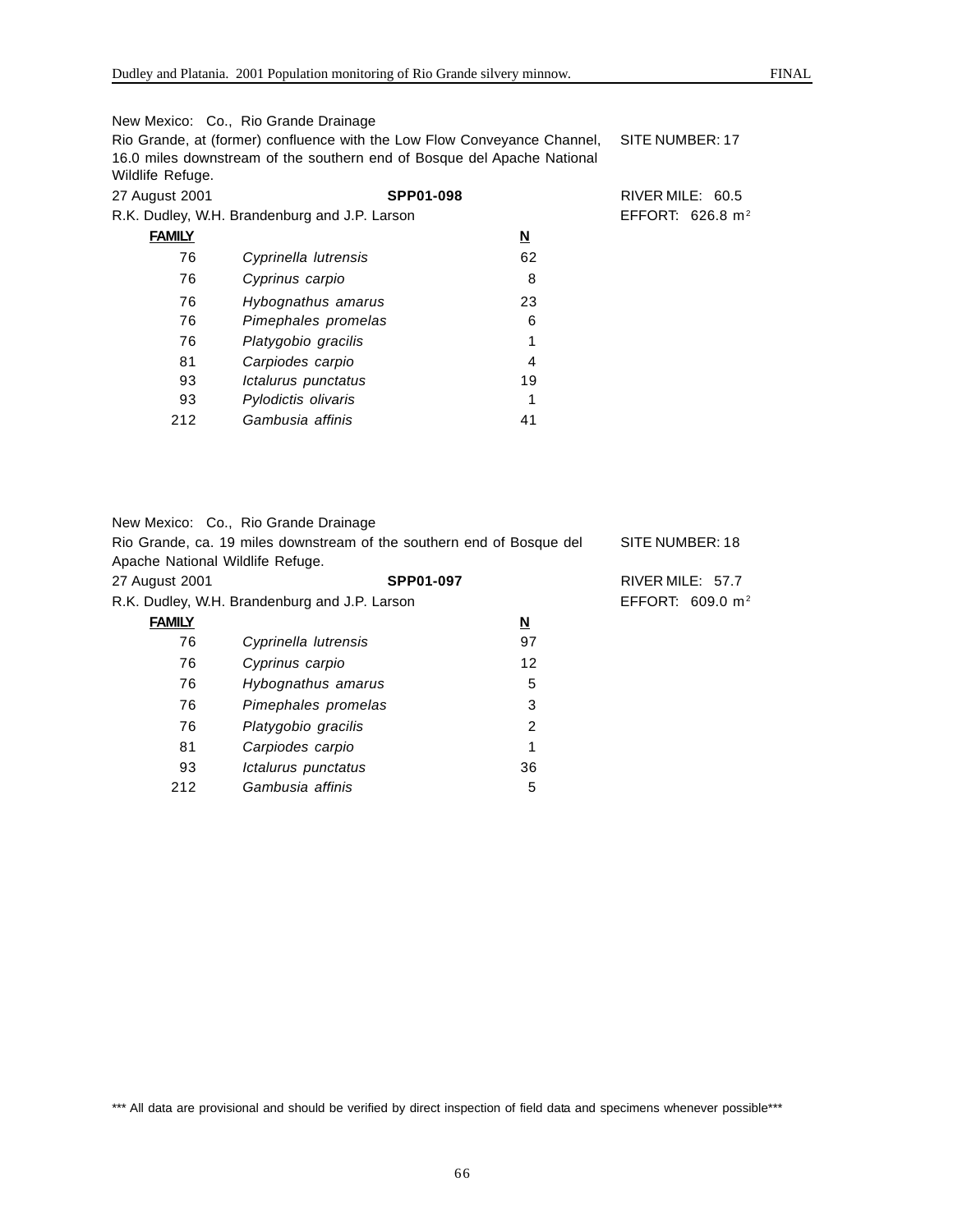New Mexico: Co., Rio Grande Drainage

| Rio Grande, at (former) confluence with the Low Flow Conveyance Channel,<br>16.0 miles downstream of the southern end of Bosque del Apache National<br>Wildlife Refuge. |                                               |                          | SITE NUMBER: 17             |
|-------------------------------------------------------------------------------------------------------------------------------------------------------------------------|-----------------------------------------------|--------------------------|-----------------------------|
| 27 August 2001                                                                                                                                                          |                                               | <b>SPP01-098</b>         | RIVER MILE: 60.5            |
|                                                                                                                                                                         | R.K. Dudley, W.H. Brandenburg and J.P. Larson |                          | EFFORT: $626.8 \text{ m}^2$ |
| <b>FAMILY</b>                                                                                                                                                           |                                               | $\underline{\mathbf{N}}$ |                             |
| 76                                                                                                                                                                      | Cyprinella lutrensis                          | 62                       |                             |
| 76                                                                                                                                                                      | Cyprinus carpio                               | 8                        |                             |
| 76                                                                                                                                                                      | Hybognathus amarus                            | 23                       |                             |
| 76                                                                                                                                                                      | Pimephales promelas                           | 6                        |                             |
| 76                                                                                                                                                                      | Platygobio gracilis                           | 1                        |                             |
| 81                                                                                                                                                                      | Carpiodes carpio                              | 4                        |                             |
| 93                                                                                                                                                                      | Ictalurus punctatus                           | 19                       |                             |
| 93                                                                                                                                                                      | Pylodictis olivaris                           | 1                        |                             |
| 212                                                                                                                                                                     | Gambusia affinis                              | 41                       |                             |
|                                                                                                                                                                         |                                               |                          |                             |

|                                  | New Mexico: Co., Rio Grande Drainage          |                                                                       |                             |
|----------------------------------|-----------------------------------------------|-----------------------------------------------------------------------|-----------------------------|
|                                  |                                               | Rio Grande, ca. 19 miles downstream of the southern end of Bosque del | SITE NUMBER: 18             |
| Apache National Wildlife Refuge. |                                               |                                                                       |                             |
| 27 August 2001                   |                                               | <b>SPP01-097</b>                                                      | RIVER MILE: 57.7            |
|                                  | R.K. Dudley, W.H. Brandenburg and J.P. Larson |                                                                       | EFFORT: $609.0 \text{ m}^2$ |
| <b>FAMILY</b>                    |                                               | N                                                                     |                             |
| 76                               | Cyprinella lutrensis                          | 97                                                                    |                             |
| 76                               | Cyprinus carpio                               | 12                                                                    |                             |
| 76                               | Hybognathus amarus                            | 5                                                                     |                             |
| 76                               | Pimephales promelas                           | 3                                                                     |                             |
| 76                               | Platygobio gracilis                           | 2                                                                     |                             |
| 81                               | Carpiodes carpio                              | 1                                                                     |                             |
| 93                               | Ictalurus punctatus                           | 36                                                                    |                             |
| 212                              | Gambusia affinis                              | 5                                                                     |                             |
|                                  |                                               |                                                                       |                             |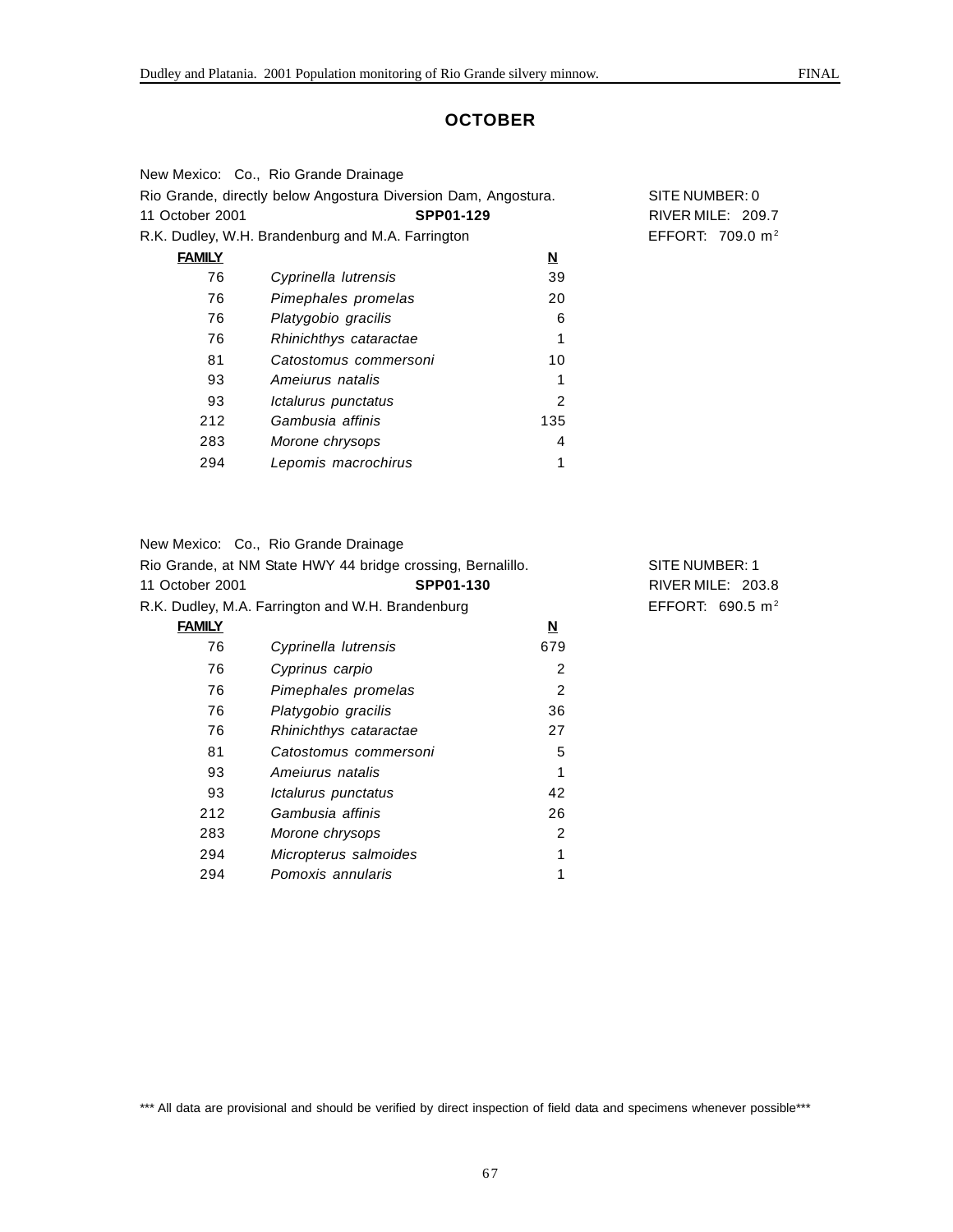## **OCTOBER**

|                 | New Mexico: Co., Rio Grande Drainage                           |                          |                             |
|-----------------|----------------------------------------------------------------|--------------------------|-----------------------------|
|                 | Rio Grande, directly below Angostura Diversion Dam, Angostura. |                          | SITE NUMBER: 0              |
| 11 October 2001 |                                                                | SPP01-129                | RIVER MILE: 209.7           |
|                 | R.K. Dudley, W.H. Brandenburg and M.A. Farrington              |                          | EFFORT: $709.0 \text{ m}^2$ |
| <b>FAMILY</b>   |                                                                | $\underline{\mathbf{N}}$ |                             |
| 76              | Cyprinella lutrensis                                           | 39                       |                             |
| 76              | Pimephales promelas                                            | 20                       |                             |
| 76              | Platygobio gracilis                                            | 6                        |                             |
| 76              | Rhinichthys cataractae                                         |                          |                             |
| 81              | Catostomus commersoni                                          | 10                       |                             |
| 93              | Ameiurus natalis                                               | 1                        |                             |
| 93              | Ictalurus punctatus                                            | $\mathfrak{p}$           |                             |
| 212             | Gambusia affinis                                               | 135                      |                             |
| 283             | Morone chrysops                                                | 4                        |                             |
| 294             | Lepomis macrochirus                                            | 1                        |                             |
|                 |                                                                |                          |                             |
|                 |                                                                |                          |                             |

|                                                             | New Mexico: Co., Rio Grande Drainage              |                  |                             |
|-------------------------------------------------------------|---------------------------------------------------|------------------|-----------------------------|
| Rio Grande, at NM State HWY 44 bridge crossing, Bernalillo. |                                                   |                  | SITE NUMBER: 1              |
| 11 October 2001                                             |                                                   | <b>SPP01-130</b> | RIVER MILE: 203.8           |
|                                                             | R.K. Dudley, M.A. Farrington and W.H. Brandenburg |                  | EFFORT: $690.5 \text{ m}^2$ |
| <b>FAMILY</b>                                               |                                                   | N                |                             |
| 76                                                          | Cyprinella lutrensis                              | 679              |                             |
| 76                                                          | Cyprinus carpio                                   | 2                |                             |
| 76                                                          | Pimephales promelas                               | 2                |                             |
| 76                                                          | Platygobio gracilis                               | 36               |                             |
| 76                                                          | Rhinichthys cataractae                            | 27               |                             |
| 81                                                          | Catostomus commersoni                             | 5                |                             |
| 93                                                          | Amejurus natalis                                  | 1                |                             |
| 93                                                          | Ictalurus punctatus                               | 42               |                             |
| 212                                                         | Gambusia affinis                                  | 26               |                             |
| 283                                                         | Morone chrysops                                   | 2                |                             |
| 294                                                         | Micropterus salmoides                             | 1                |                             |
| 294                                                         | Pomoxis annularis                                 |                  |                             |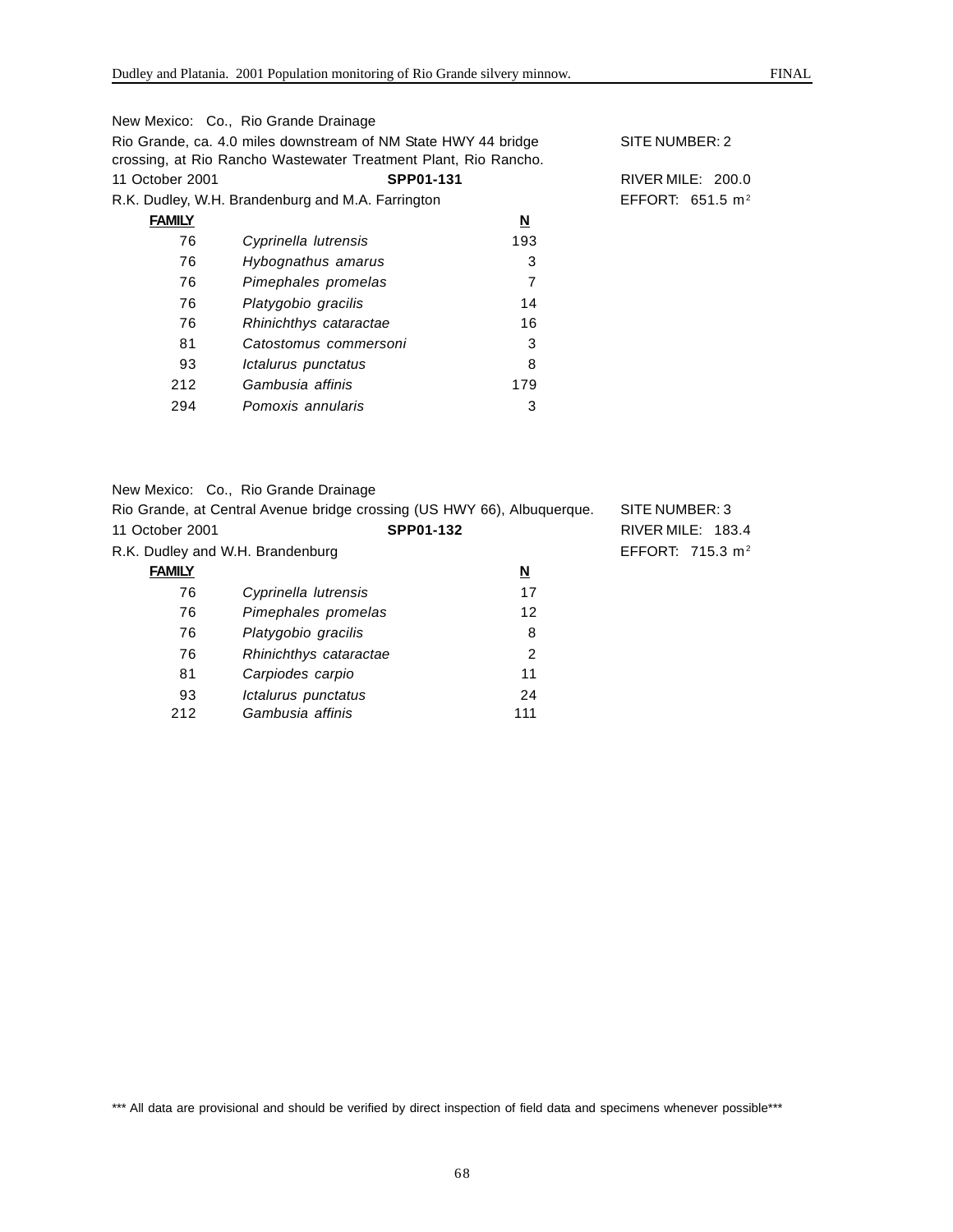|                 | New Mexico: Co., Rio Grande Drainage<br>Rio Grande, ca. 4.0 miles downstream of NM State HWY 44 bridge |     | SITE NUMBER: 2              |
|-----------------|--------------------------------------------------------------------------------------------------------|-----|-----------------------------|
| 11 October 2001 | crossing, at Rio Rancho Wastewater Treatment Plant, Rio Rancho.<br>SPP01-131                           |     |                             |
|                 |                                                                                                        |     | RIVER MILE: 200.0           |
|                 | R.K. Dudley, W.H. Brandenburg and M.A. Farrington                                                      |     | EFFORT: $651.5 \text{ m}^2$ |
| <b>FAMILY</b>   |                                                                                                        | N   |                             |
| 76              | Cyprinella lutrensis                                                                                   | 193 |                             |
| 76              | Hybognathus amarus                                                                                     | 3   |                             |
| 76              | Pimephales promelas                                                                                    | 7   |                             |
| 76              | Platygobio gracilis                                                                                    | 14  |                             |
| 76              | Rhinichthys cataractae                                                                                 | 16  |                             |
| 81              | Catostomus commersoni                                                                                  | 3   |                             |
| 93              | Ictalurus punctatus                                                                                    | 8   |                             |
| 212             | Gambusia affinis                                                                                       | 179 |                             |
| 294             | Pomoxis annularis                                                                                      | 3   |                             |

|                 | New Mexico: Co., Rio Grande Drainage |                                                                         |                    |
|-----------------|--------------------------------------|-------------------------------------------------------------------------|--------------------|
|                 |                                      | Rio Grande, at Central Avenue bridge crossing (US HWY 66), Albuquerque. | SITE NUMBER: 3     |
| 11 October 2001 |                                      | SPP01-132                                                               | RIVER MILE: 183.4  |
|                 | R.K. Dudley and W.H. Brandenburg     |                                                                         | EFFORT: 715.3 $m2$ |
| <b>FAMILY</b>   |                                      | N                                                                       |                    |
| 76              | Cyprinella lutrensis                 | 17                                                                      |                    |
| 76              | Pimephales promelas                  | 12                                                                      |                    |
| 76              | Platygobio gracilis                  | 8                                                                       |                    |
| 76              | Rhinichthys cataractae               | 2                                                                       |                    |
| 81              | Carpiodes carpio                     | 11                                                                      |                    |
| 93              | Ictalurus punctatus                  | 24                                                                      |                    |
| 212             | Gambusia affinis                     | 111                                                                     |                    |
|                 |                                      |                                                                         |                    |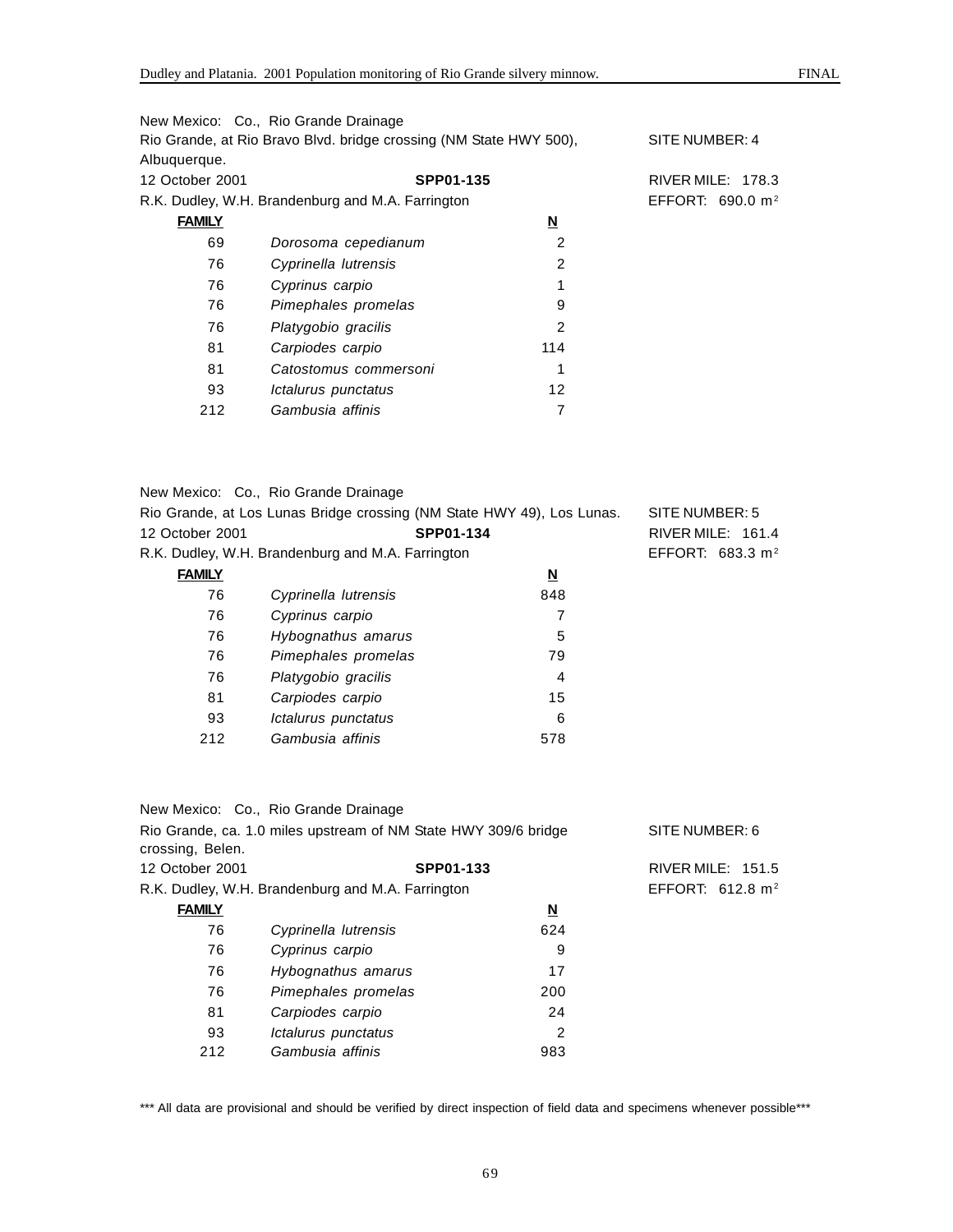|                  | New Mexico: Co., Rio Grande Drainage                               |                                                                        |                              |
|------------------|--------------------------------------------------------------------|------------------------------------------------------------------------|------------------------------|
|                  | Rio Grande, at Rio Bravo Blvd. bridge crossing (NM State HWY 500), |                                                                        | SITE NUMBER: 4               |
| Albuquerque.     |                                                                    |                                                                        |                              |
| 12 October 2001  |                                                                    | <b>SPP01-135</b>                                                       | RIVER MILE: 178.3            |
|                  | R.K. Dudley, W.H. Brandenburg and M.A. Farrington                  |                                                                        | EFFORT: 690.0 m <sup>2</sup> |
| <b>FAMILY</b>    |                                                                    | $\underline{\mathsf{N}}$                                               |                              |
| 69               | Dorosoma cepedianum                                                | 2                                                                      |                              |
| 76               | Cyprinella lutrensis                                               | $\overline{c}$                                                         |                              |
| 76               | Cyprinus carpio                                                    | 1                                                                      |                              |
| 76               | Pimephales promelas                                                | 9                                                                      |                              |
| 76               | Platygobio gracilis                                                | 2                                                                      |                              |
| 81               | Carpiodes carpio                                                   | 114                                                                    |                              |
| 81               | Catostomus commersoni                                              | 1                                                                      |                              |
| 93               | Ictalurus punctatus                                                | 12                                                                     |                              |
| 212              | Gambusia affinis                                                   | $\overline{7}$                                                         |                              |
|                  |                                                                    |                                                                        |                              |
|                  | New Mexico: Co., Rio Grande Drainage                               |                                                                        |                              |
|                  |                                                                    | Rio Grande, at Los Lunas Bridge crossing (NM State HWY 49), Los Lunas. | SITE NUMBER: 5               |
| 12 October 2001  |                                                                    | SPP01-134                                                              | RIVER MILE: 161.4            |
|                  | R.K. Dudley, W.H. Brandenburg and M.A. Farrington                  |                                                                        | EFFORT: 683.3 m <sup>2</sup> |
| <b>FAMILY</b>    |                                                                    | $\underline{\mathsf{N}}$                                               |                              |
| 76               | Cyprinella lutrensis                                               | 848                                                                    |                              |
| 76               | Cyprinus carpio                                                    | 7                                                                      |                              |
| 76               | Hybognathus amarus                                                 | 5                                                                      |                              |
| 76               | Pimephales promelas                                                | 79                                                                     |                              |
| 76               | Platygobio gracilis                                                | $\overline{4}$                                                         |                              |
| 81               | Carpiodes carpio                                                   | 15                                                                     |                              |
| 93               | Ictalurus punctatus                                                | 6                                                                      |                              |
| 212              | Gambusia affinis                                                   | 578                                                                    |                              |
|                  | New Mexico: Co., Rio Grande Drainage                               |                                                                        |                              |
| crossing, Belen. | Rio Grande, ca. 1.0 miles upstream of NM State HWY 309/6 bridge    |                                                                        | SITE NUMBER: 6               |
| 12 October 2001  |                                                                    | <b>SPP01-133</b>                                                       | RIVER MILE: 151.5            |
|                  | R.K. Dudley, W.H. Brandenburg and M.A. Farrington                  |                                                                        | EFFORT: 612.8 m <sup>2</sup> |
| <b>FAMILY</b>    |                                                                    | $\overline{\mathbf{M}}$                                                |                              |
| 76               | Cyprinella lutrensis                                               | 624                                                                    |                              |
| 76               | Cyprinus carpio                                                    | 9                                                                      |                              |
| 76               | Hybognathus amarus                                                 | 17                                                                     |                              |
| 76               | Pimephales promelas                                                | 200                                                                    |                              |
| 81               | Carpiodes carpio                                                   | 24                                                                     |                              |
| 93               | Ictalurus punctatus                                                | 2                                                                      |                              |
| 212              | Gambusia affinis                                                   | 983                                                                    |                              |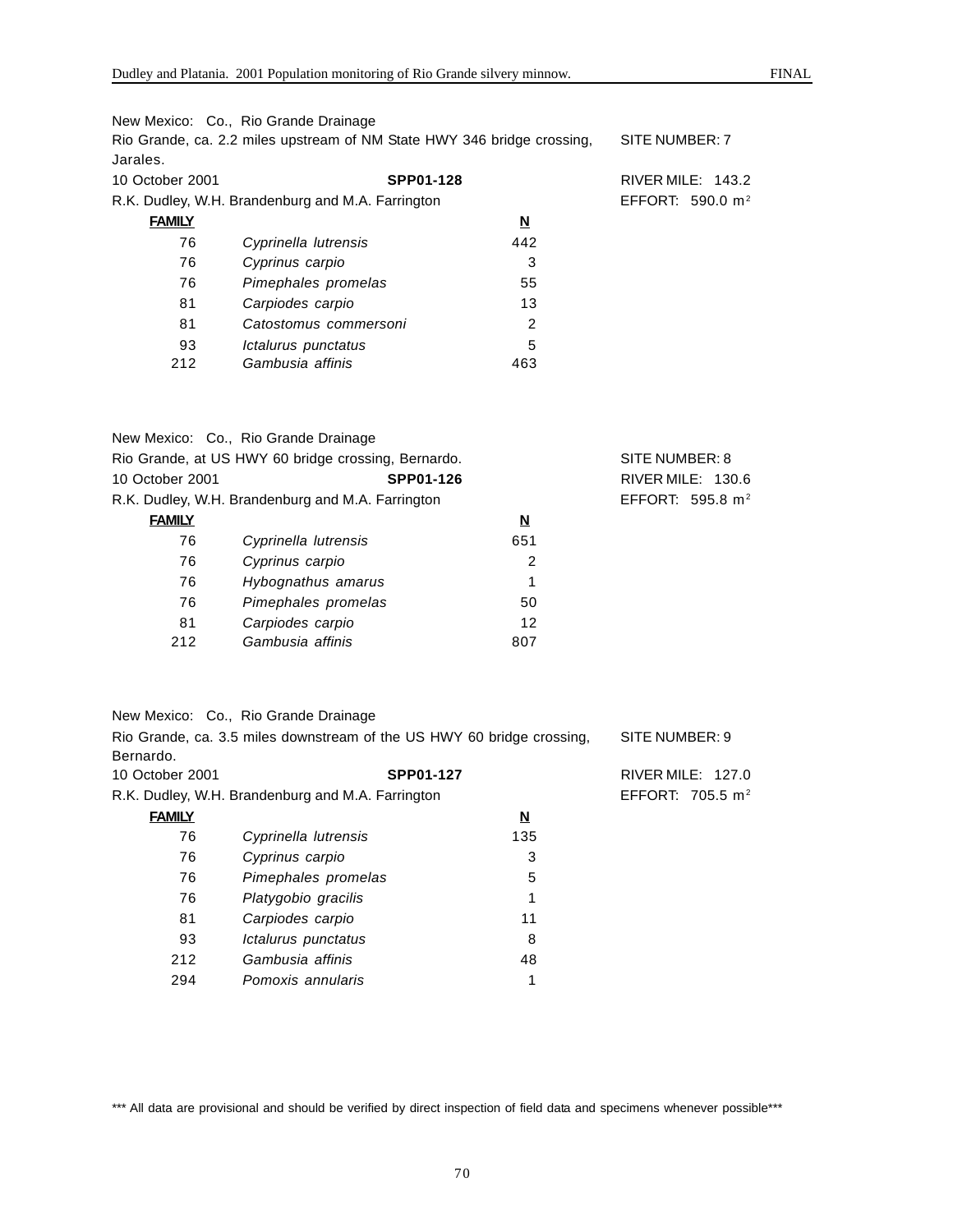|                                                                         | New Mexico: Co., Rio Grande Drainage              |                  |                    |
|-------------------------------------------------------------------------|---------------------------------------------------|------------------|--------------------|
| Rio Grande, ca. 2.2 miles upstream of NM State HWY 346 bridge crossing, |                                                   |                  | SITE NUMBER: 7     |
| Jarales.                                                                |                                                   |                  |                    |
| 10 October 2001                                                         |                                                   | <b>SPP01-128</b> | RIVER MILE: 143.2  |
|                                                                         | R.K. Dudley, W.H. Brandenburg and M.A. Farrington |                  | EFFORT: 590.0 $m2$ |
| <b>FAMILY</b>                                                           |                                                   | N                |                    |
| 76                                                                      | Cyprinella lutrensis                              | 442              |                    |
| 76                                                                      | Cyprinus carpio                                   | 3                |                    |
| 76                                                                      | Pimephales promelas                               | 55               |                    |
| 81                                                                      | Carpiodes carpio                                  | 13               |                    |
| 81                                                                      | Catostomus commersoni                             | 2                |                    |
| 93                                                                      | Ictalurus punctatus                               | 5                |                    |
| 212                                                                     | Gambusia affinis                                  | 463              |                    |
|                                                                         |                                                   |                  |                    |
|                                                                         |                                                   |                  |                    |
|                                                                         | New Mexico: Co. Rio Grande Drainage               |                  |                    |

|                                                     | <b>INGW INIGATOU.</b> OU., TWO OTATING DTAILING   |           |    |                             |
|-----------------------------------------------------|---------------------------------------------------|-----------|----|-----------------------------|
| Rio Grande, at US HWY 60 bridge crossing, Bernardo. |                                                   |           |    | SITE NUMBER: 8              |
| 10 October 2001                                     |                                                   | SPP01-126 |    | RIVER MILE: 130.6           |
|                                                     | R.K. Dudley, W.H. Brandenburg and M.A. Farrington |           |    | EFFORT: $595.8 \text{ m}^2$ |
| <b>FAMILY</b>                                       |                                                   | N         |    |                             |
| 76                                                  | Cyprinella lutrensis                              | 651       |    |                             |
| 76                                                  | Cyprinus carpio                                   |           | 2  |                             |
| 76                                                  | Hybognathus amarus                                |           | 1  |                             |
| 76                                                  | Pimephales promelas                               |           | 50 |                             |
| 81                                                  | Carpiodes carpio                                  |           | 12 |                             |
| 212                                                 | Gambusia affinis                                  | 807       |    |                             |

|  | New Mexico: Co., Rio Grande Drainage |
|--|--------------------------------------|
|--|--------------------------------------|

| Bernardo.       |                                                   | Rio Grande, ca. 3.5 miles downstream of the US HWY 60 bridge crossing, | SITE NUMBER: 9      |
|-----------------|---------------------------------------------------|------------------------------------------------------------------------|---------------------|
| 10 October 2001 |                                                   | SPP01-127                                                              | RIVER MILE: $127.0$ |
|                 | R.K. Dudley, W.H. Brandenburg and M.A. Farrington |                                                                        | EFFORT: 705.5 $m2$  |
| <b>FAMILY</b>   |                                                   | N                                                                      |                     |
| 76              | Cyprinella lutrensis                              | 135                                                                    |                     |
| 76              | Cyprinus carpio                                   | 3                                                                      |                     |
| 76              | Pimephales promelas                               | 5                                                                      |                     |
| 76              | Platygobio gracilis                               | 1                                                                      |                     |
| 81              | Carpiodes carpio                                  | 11                                                                     |                     |
| 93              | Ictalurus punctatus                               | 8                                                                      |                     |
| 212             | Gambusia affinis                                  | 48                                                                     |                     |
| 294             | Pomoxis annularis                                 |                                                                        |                     |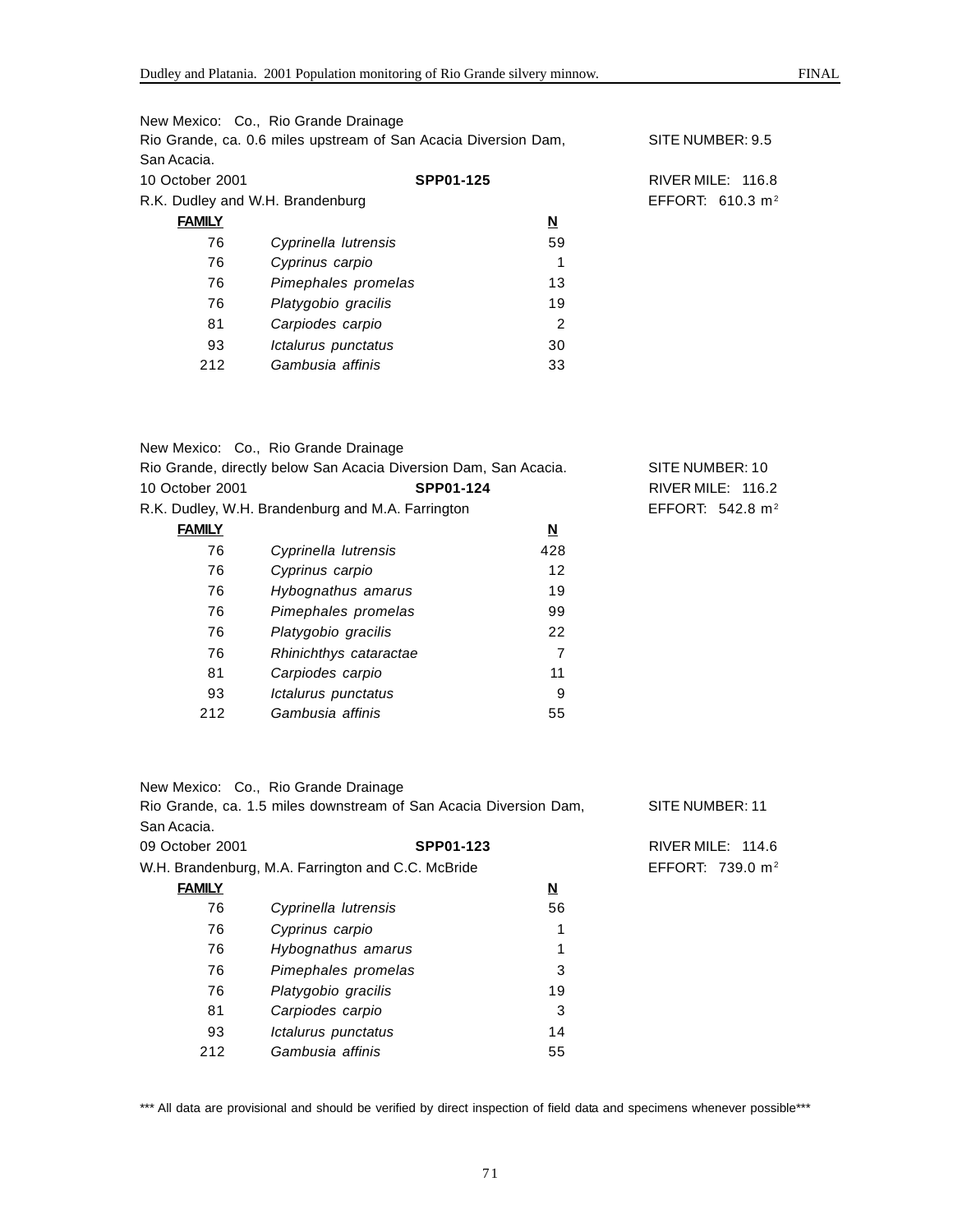|                                                                         | New Mexico: Co., Rio Grande Drainage<br>Rio Grande, ca. 0.6 miles upstream of San Acacia Diversion Dam, |                          |                                                   |
|-------------------------------------------------------------------------|---------------------------------------------------------------------------------------------------------|--------------------------|---------------------------------------------------|
| San Acacia.                                                             | SITE NUMBER: 9.5<br>RIVER MILE: 116.8                                                                   |                          |                                                   |
| 10 October 2001<br><b>SPP01-125</b><br>R.K. Dudley and W.H. Brandenburg |                                                                                                         |                          |                                                   |
|                                                                         |                                                                                                         |                          | EFFORT: 610.3 m <sup>2</sup>                      |
| <b>FAMILY</b>                                                           |                                                                                                         | $\underline{\mathsf{N}}$ |                                                   |
| 76                                                                      | Cyprinella lutrensis                                                                                    | 59                       |                                                   |
| 76                                                                      | Cyprinus carpio                                                                                         | 1                        |                                                   |
| 76                                                                      | Pimephales promelas                                                                                     | 13                       |                                                   |
| 76                                                                      | Platygobio gracilis                                                                                     | 19                       |                                                   |
| 81                                                                      | Carpiodes carpio                                                                                        | 2                        |                                                   |
|                                                                         |                                                                                                         |                          |                                                   |
| 93<br>212                                                               | Ictalurus punctatus<br>Gambusia affinis                                                                 | 30<br>33                 |                                                   |
|                                                                         |                                                                                                         |                          |                                                   |
|                                                                         | New Mexico: Co., Rio Grande Drainage                                                                    |                          |                                                   |
|                                                                         | Rio Grande, directly below San Acacia Diversion Dam, San Acacia.<br><b>SPP01-124</b>                    |                          | SITE NUMBER: 10                                   |
| 10 October 2001                                                         |                                                                                                         |                          | RIVER MILE: 116.2<br>EFFORT: 542.8 m <sup>2</sup> |
|                                                                         | R.K. Dudley, W.H. Brandenburg and M.A. Farrington                                                       |                          |                                                   |
| <b>FAMILY</b>                                                           |                                                                                                         | $\underline{\mathsf{N}}$ |                                                   |
| 76                                                                      | Cyprinella lutrensis                                                                                    | 428                      |                                                   |
| 76                                                                      | Cyprinus carpio                                                                                         | 12                       |                                                   |
| 76                                                                      | Hybognathus amarus                                                                                      | 19                       |                                                   |
| 76                                                                      | Pimephales promelas                                                                                     | 99                       |                                                   |
| 76                                                                      | Platygobio gracilis                                                                                     | 22                       |                                                   |
| 76                                                                      | Rhinichthys cataractae                                                                                  | $\overline{7}$           |                                                   |
| 81                                                                      | Carpiodes carpio                                                                                        | 11                       |                                                   |
| 93                                                                      | Ictalurus punctatus                                                                                     | 9                        |                                                   |
| 212                                                                     | Gambusia affinis                                                                                        | 55                       |                                                   |
|                                                                         | New Mexico: Co., Rio Grande Drainage                                                                    |                          |                                                   |
|                                                                         | Rio Grande, ca. 1.5 miles downstream of San Acacia Diversion Dam,                                       |                          | SITE NUMBER: 11                                   |
| San Acacia.                                                             |                                                                                                         |                          |                                                   |
| 09 October 2001                                                         | <b>SPP01-123</b>                                                                                        |                          | RIVER MILE: 114.6                                 |
|                                                                         | W.H. Brandenburg, M.A. Farrington and C.C. McBride                                                      |                          | EFFORT: 739.0 m <sup>2</sup>                      |
| <b>FAMILY</b>                                                           |                                                                                                         | $\underline{\mathsf{N}}$ |                                                   |
| 76                                                                      | Cyprinella lutrensis                                                                                    | 56                       |                                                   |
| 76                                                                      | Cyprinus carpio                                                                                         | 1                        |                                                   |
| 76                                                                      | Hybognathus amarus                                                                                      | 1                        |                                                   |
| 76                                                                      | Pimephales promelas                                                                                     | 3                        |                                                   |
| 76                                                                      | Platygobio gracilis                                                                                     | 19                       |                                                   |
| 81                                                                      | Carpiodes carpio                                                                                        | 3                        |                                                   |
| 93                                                                      | Ictalurus punctatus                                                                                     | 14                       |                                                   |
| 212                                                                     | Gambusia affinis                                                                                        | 55                       |                                                   |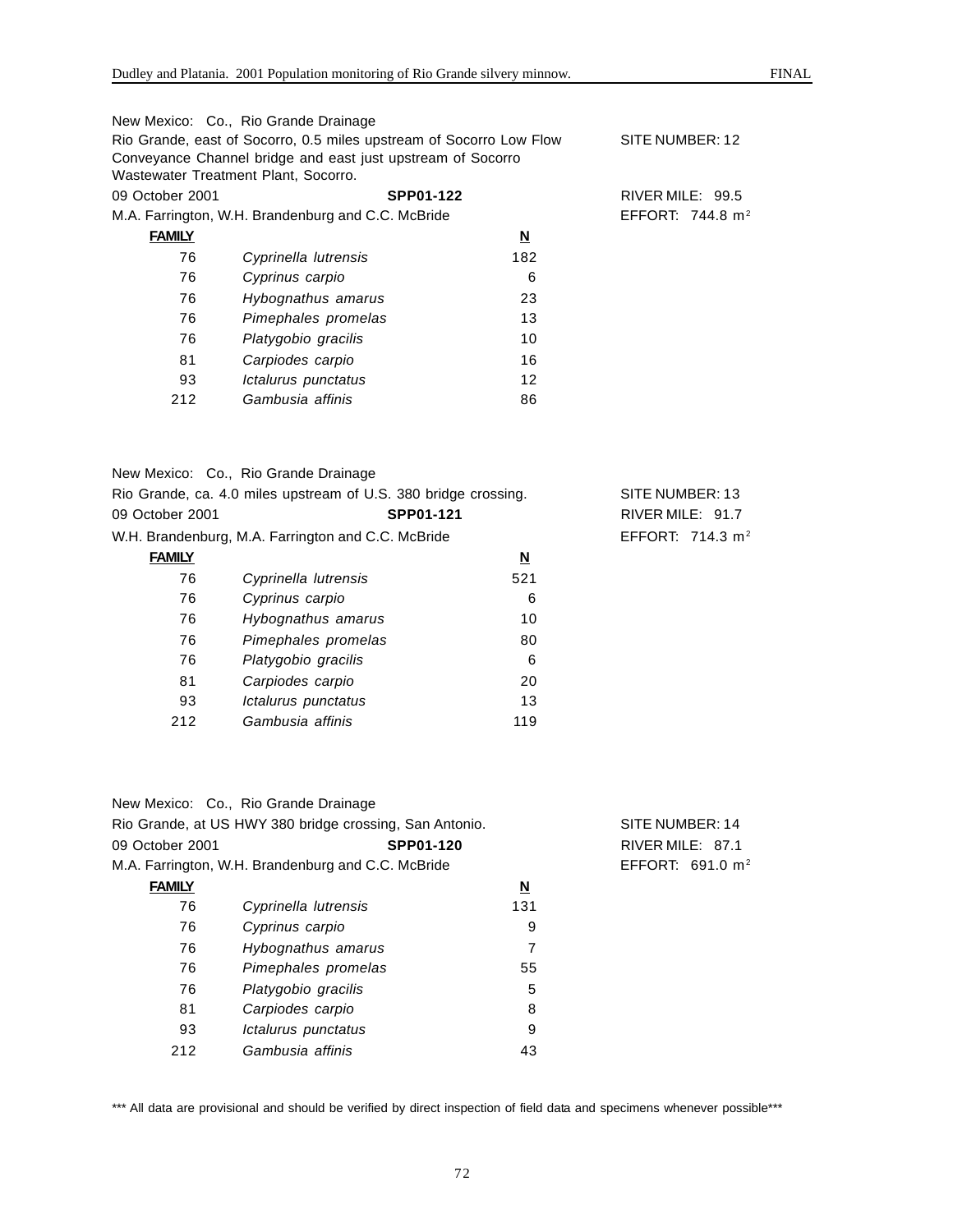|                 | New Mexico: Co., Rio Grande Drainage                                |                         |                              |
|-----------------|---------------------------------------------------------------------|-------------------------|------------------------------|
|                 | Rio Grande, east of Socorro, 0.5 miles upstream of Socorro Low Flow |                         | SITE NUMBER: 12              |
|                 | Conveyance Channel bridge and east just upstream of Socorro         |                         |                              |
|                 | Wastewater Treatment Plant, Socorro.                                |                         |                              |
| 09 October 2001 | <b>SPP01-122</b>                                                    |                         | RIVER MILE: 99.5             |
|                 | M.A. Farrington, W.H. Brandenburg and C.C. McBride                  |                         | EFFORT: $744.8 \text{ m}^2$  |
| <b>FAMILY</b>   |                                                                     | $\overline{\mathbf{M}}$ |                              |
| 76              | Cyprinella lutrensis                                                | 182                     |                              |
| 76              | Cyprinus carpio                                                     | 6                       |                              |
| 76              | Hybognathus amarus                                                  | 23                      |                              |
| 76              | Pimephales promelas                                                 | 13                      |                              |
| 76              | Platygobio gracilis                                                 | 10                      |                              |
| 81              | Carpiodes carpio                                                    | 16                      |                              |
| 93              | Ictalurus punctatus                                                 | 12                      |                              |
| 212             | Gambusia affinis                                                    | 86                      |                              |
|                 | New Mexico: Co., Rio Grande Drainage                                |                         |                              |
|                 | Rio Grande, ca. 4.0 miles upstream of U.S. 380 bridge crossing.     |                         | SITE NUMBER: 13              |
| 09 October 2001 | SPP01-121                                                           |                         | RIVER MILE: 91.7             |
|                 | W.H. Brandenburg, M.A. Farrington and C.C. McBride                  |                         | EFFORT: 714.3 m <sup>2</sup> |
| <b>FAMILY</b>   |                                                                     | N                       |                              |
| 76              | Cyprinella lutrensis                                                | 521                     |                              |
| 76              | Cyprinus carpio                                                     | 6                       |                              |
| 76              | Hybognathus amarus                                                  | 10                      |                              |
| 76              | Pimephales promelas                                                 | 80                      |                              |
| 76              | Platygobio gracilis                                                 | 6                       |                              |
| 81              | Carpiodes carpio                                                    | 20                      |                              |
| 93              | Ictalurus punctatus                                                 | 13                      |                              |
| 212             | Gambusia affinis                                                    | 119                     |                              |
|                 | New Mexico: Co., Rio Grande Drainage                                |                         |                              |
|                 | Rio Grande, at US HWY 380 bridge crossing, San Antonio.             |                         | SITE NUMBER: 14              |
| 09 October 2001 | SPP01-120                                                           |                         | RIVER MILE: 87.1             |
|                 | M.A. Farrington, W.H. Brandenburg and C.C. McBride                  |                         | EFFORT: 691.0 m <sup>2</sup> |
| <b>FAMILY</b>   |                                                                     |                         |                              |
| 76              | Cyprinella lutrensis                                                | <u>N</u><br>131         |                              |
| 76              | Cyprinus carpio                                                     | 9                       |                              |
| 76              | Hybognathus amarus                                                  | $\overline{7}$          |                              |
| 76              | Pimephales promelas                                                 | 55                      |                              |
| 76              | Platygobio gracilis                                                 | 5                       |                              |
| 81              | Carpiodes carpio                                                    | 8                       |                              |
|                 |                                                                     |                         |                              |

93 Ictalurus punctatus 1993 1996 212 Gambusia affinis 43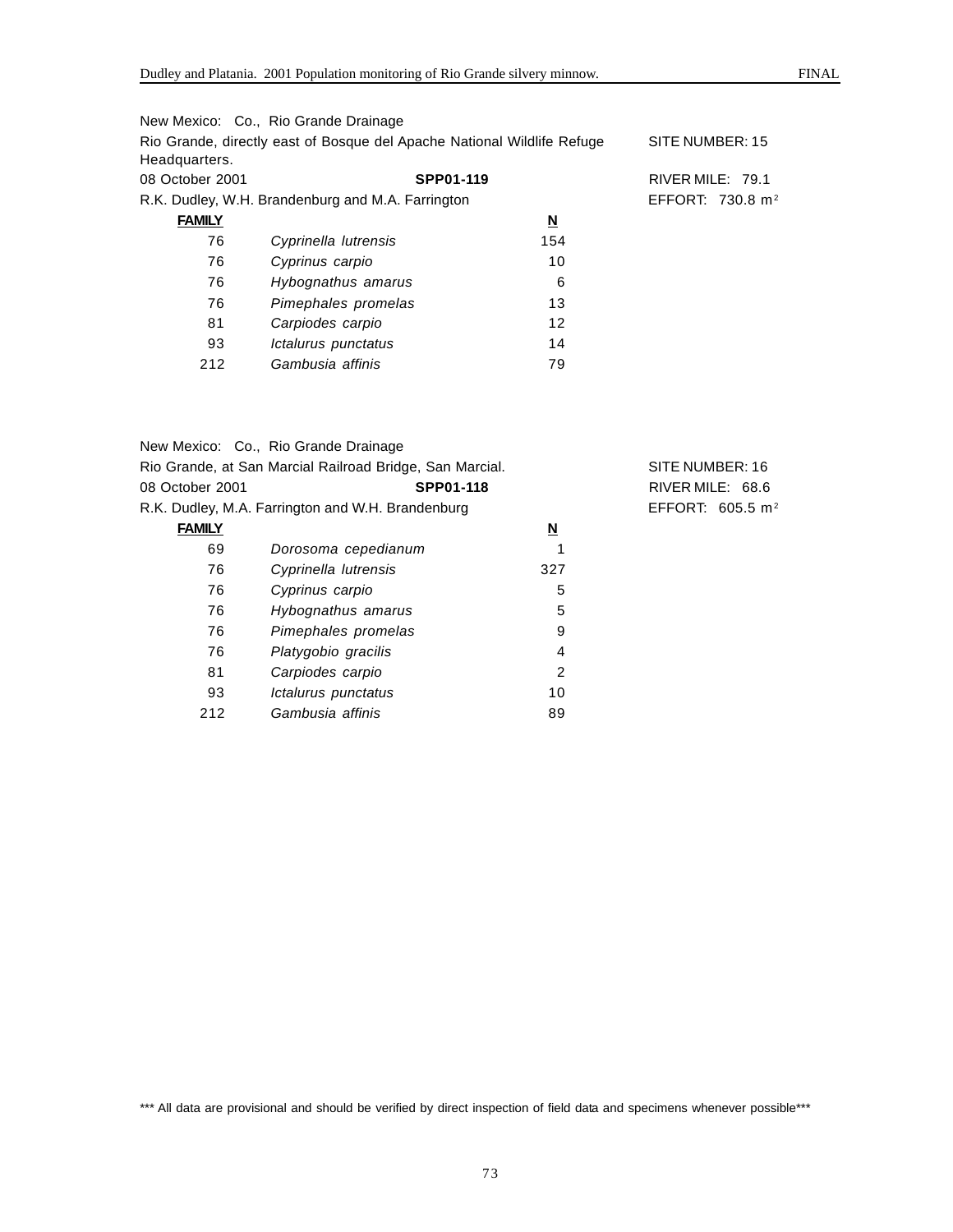| SITE NUMBER: 15<br>RIVER MILE: 79.1<br>EFFORT: 730.8 $m2$ |
|-----------------------------------------------------------|
|                                                           |
|                                                           |
|                                                           |
|                                                           |
|                                                           |
|                                                           |
|                                                           |
|                                                           |
|                                                           |
|                                                           |
|                                                           |
|                                                           |
|                                                           |

|                 | New Mexico: Co., Rio Grande Drainage                     |                  |                             |
|-----------------|----------------------------------------------------------|------------------|-----------------------------|
|                 | Rio Grande, at San Marcial Railroad Bridge, San Marcial. |                  | SITE NUMBER: 16             |
| 08 October 2001 |                                                          | <b>SPP01-118</b> | RIVER MILE: 68.6            |
|                 | R.K. Dudley, M.A. Farrington and W.H. Brandenburg        |                  | EFFORT: $605.5 \text{ m}^2$ |
| <b>FAMILY</b>   |                                                          | N                |                             |
| 69              | Dorosoma cepedianum                                      |                  |                             |
| 76              | Cyprinella lutrensis                                     | 327              |                             |
| 76              | Cyprinus carpio                                          | 5                |                             |
| 76              | Hybognathus amarus                                       | 5                |                             |
| 76              | Pimephales promelas                                      | 9                |                             |
| 76              | Platygobio gracilis                                      | 4                |                             |
| 81              | Carpiodes carpio                                         | 2                |                             |
| 93              | Ictalurus punctatus                                      | 10               |                             |
| 212             | Gambusia affinis                                         | 89               |                             |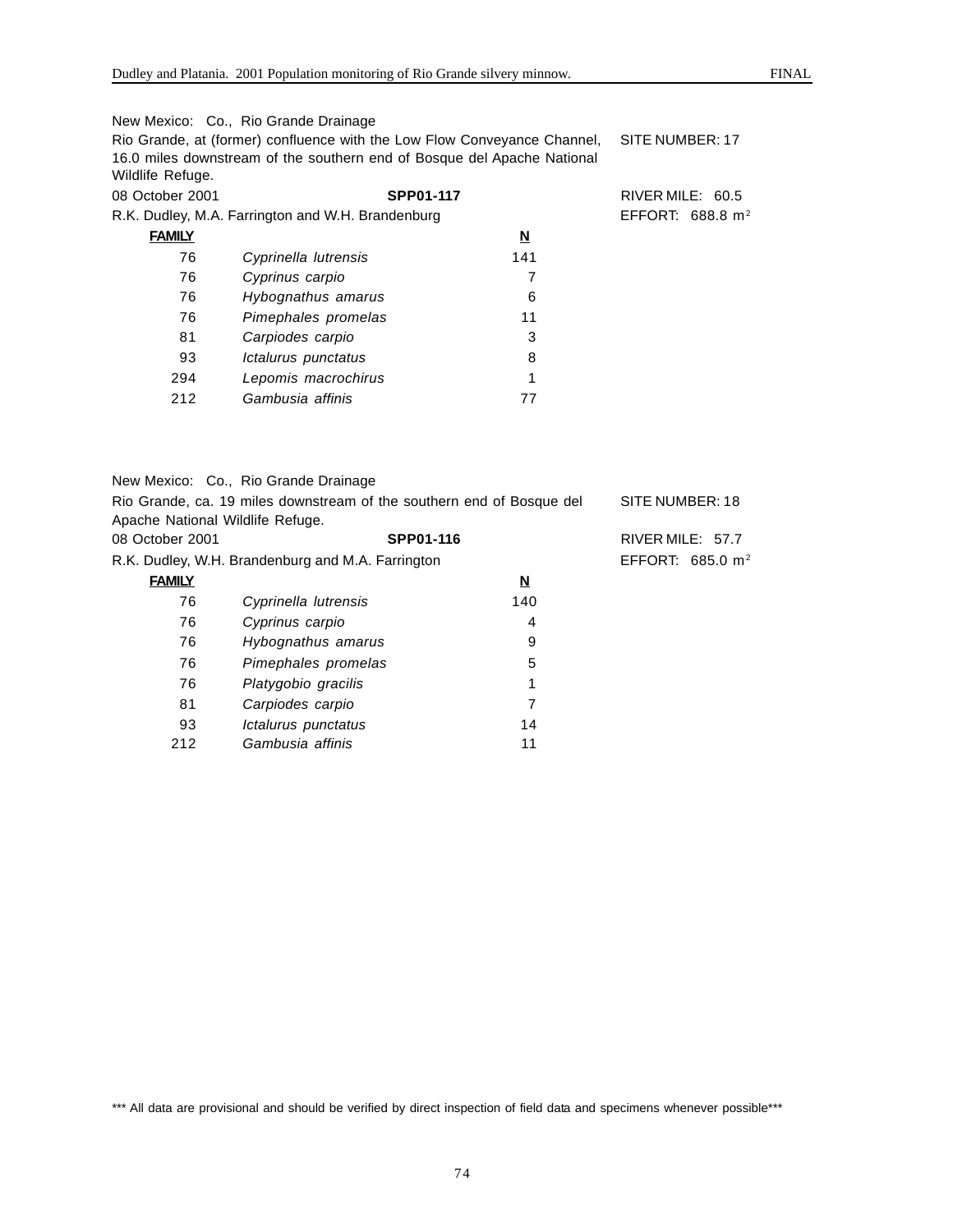New Mexico: Co., Rio Grande Drainage

| Wildlife Refuge. |                                                   | Rio Grande, at (former) confluence with the Low Flow Conveyance Channel,<br>16.0 miles downstream of the southern end of Bosque del Apache National | SITE NUMBER: 17             |
|------------------|---------------------------------------------------|-----------------------------------------------------------------------------------------------------------------------------------------------------|-----------------------------|
| 08 October 2001  |                                                   | <b>SPP01-117</b>                                                                                                                                    | RIVER MILE: 60.5            |
|                  | R.K. Dudley, M.A. Farrington and W.H. Brandenburg |                                                                                                                                                     | EFFORT: $688.8 \text{ m}^2$ |
| <b>FAMILY</b>    |                                                   | N                                                                                                                                                   |                             |
| 76               | Cyprinella lutrensis                              | 141                                                                                                                                                 |                             |
| 76               | Cyprinus carpio                                   | 7                                                                                                                                                   |                             |
| 76               | Hybognathus amarus                                | 6                                                                                                                                                   |                             |
| 76               | Pimephales promelas                               | 11                                                                                                                                                  |                             |
| 81               | Carpiodes carpio                                  | 3                                                                                                                                                   |                             |
| 93               | Ictalurus punctatus                               | 8                                                                                                                                                   |                             |
| 294              | Lepomis macrochirus                               | 1                                                                                                                                                   |                             |
| 212              | Gambusia affinis                                  | 77                                                                                                                                                  |                             |

|                                  | New Mexico: Co., Rio Grande Drainage                                  |     |                             |
|----------------------------------|-----------------------------------------------------------------------|-----|-----------------------------|
|                                  | Rio Grande, ca. 19 miles downstream of the southern end of Bosque del |     | SITE NUMBER: 18             |
| Apache National Wildlife Refuge. |                                                                       |     |                             |
| 08 October 2001                  | <b>SPP01-116</b>                                                      |     | RIVER MILE: 57.7            |
|                                  | R.K. Dudley, W.H. Brandenburg and M.A. Farrington                     |     | EFFORT: $685.0 \text{ m}^2$ |
| <b>FAMILY</b>                    |                                                                       | N   |                             |
| 76                               | Cyprinella lutrensis                                                  | 140 |                             |
| 76                               | Cyprinus carpio                                                       | 4   |                             |
| 76                               | Hybognathus amarus                                                    | 9   |                             |
| 76                               | Pimephales promelas                                                   | 5   |                             |
| 76                               | Platygobio gracilis                                                   | 1   |                             |
| 81                               | Carpiodes carpio                                                      | 7   |                             |
| 93                               | Ictalurus punctatus                                                   | 14  |                             |
| 212                              | Gambusia affinis                                                      | 11  |                             |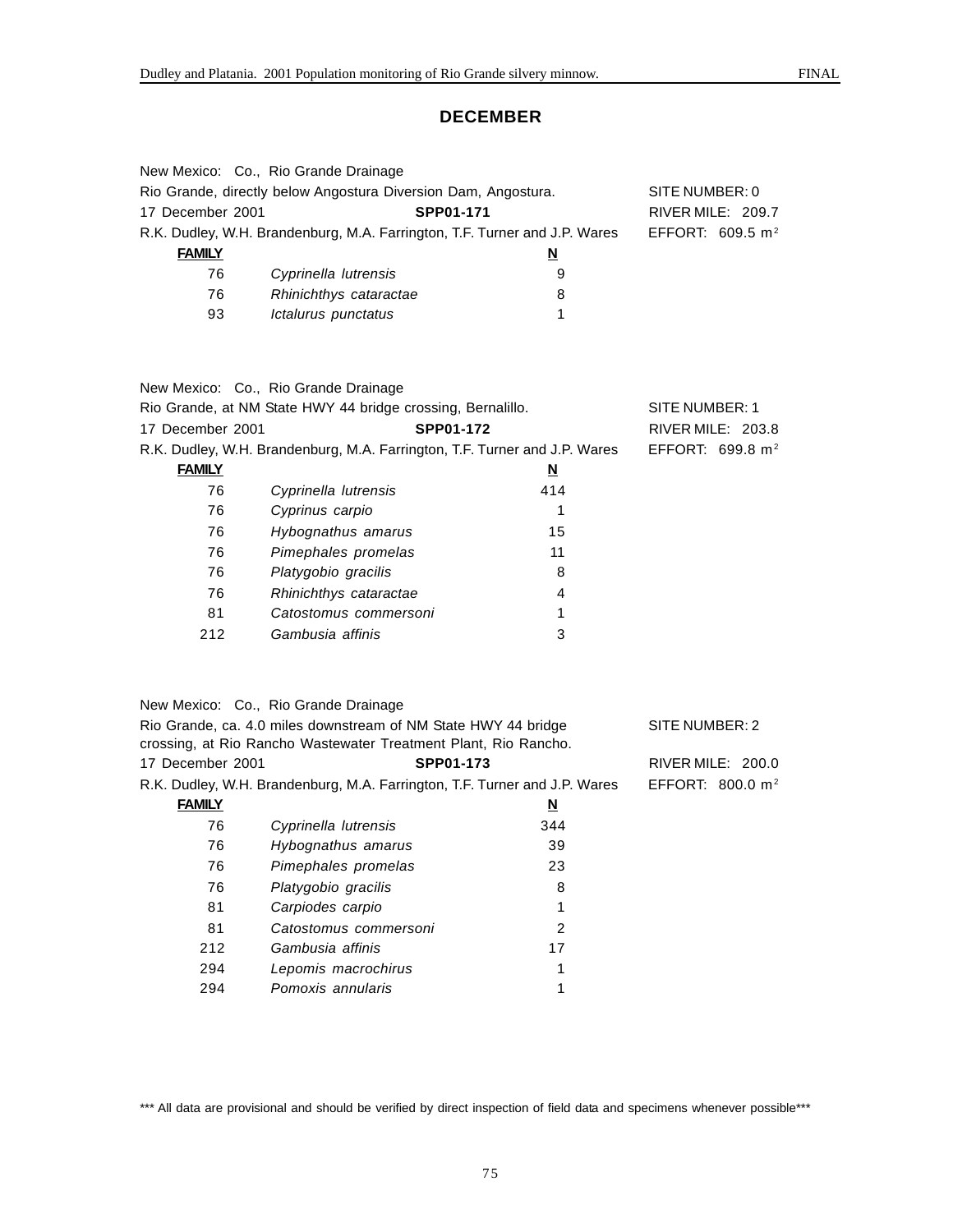## **DECEMBER**

|                                                                            | New Mexico: Co., Rio Grande Drainage                                                                   |                  |                              |
|----------------------------------------------------------------------------|--------------------------------------------------------------------------------------------------------|------------------|------------------------------|
|                                                                            | Rio Grande, directly below Angostura Diversion Dam, Angostura.                                         |                  | SITE NUMBER: 0               |
| 17 December 2001<br><b>SPP01-171</b>                                       |                                                                                                        |                  | RIVER MILE: 209.7            |
| R.K. Dudley, W.H. Brandenburg, M.A. Farrington, T.F. Turner and J.P. Wares | EFFORT: $609.5 \text{ m}^2$                                                                            |                  |                              |
| <b>FAMILY</b>                                                              |                                                                                                        | N                |                              |
| 76                                                                         | Cyprinella lutrensis                                                                                   | 9                |                              |
| 76                                                                         | Rhinichthys cataractae                                                                                 | 8                |                              |
| 93                                                                         | Ictalurus punctatus                                                                                    | 1                |                              |
|                                                                            | New Mexico: Co., Rio Grande Drainage                                                                   |                  |                              |
|                                                                            | Rio Grande, at NM State HWY 44 bridge crossing, Bernalillo.                                            |                  | SITE NUMBER: 1               |
| 17 December 2001                                                           |                                                                                                        | <b>SPP01-172</b> | RIVER MILE: 203.8            |
|                                                                            | R.K. Dudley, W.H. Brandenburg, M.A. Farrington, T.F. Turner and J.P. Wares                             |                  | EFFORT: $699.8 \text{ m}^2$  |
| <b>FAMILY</b>                                                              |                                                                                                        | N                |                              |
| 76                                                                         | Cyprinella lutrensis                                                                                   | 414              |                              |
| 76                                                                         | Cyprinus carpio                                                                                        | 1                |                              |
| 76                                                                         | Hybognathus amarus                                                                                     | 15               |                              |
| 76                                                                         | Pimephales promelas                                                                                    | 11               |                              |
| 76                                                                         | Platygobio gracilis                                                                                    | 8                |                              |
| 76                                                                         | Rhinichthys cataractae                                                                                 | 4                |                              |
| 81                                                                         | Catostomus commersoni                                                                                  | 1                |                              |
| 212                                                                        | Gambusia affinis                                                                                       | 3                |                              |
|                                                                            | New Mexico: Co., Rio Grande Drainage<br>Rio Grande, ca. 4.0 miles downstream of NM State HWY 44 bridge |                  | SITE NUMBER: 2               |
|                                                                            | crossing, at Rio Rancho Wastewater Treatment Plant, Rio Rancho.                                        |                  |                              |
| 17 December 2001                                                           |                                                                                                        | <b>SPP01-173</b> | RIVER MILE: 200.0            |
| <b>FAMILY</b>                                                              | R.K. Dudley, W.H. Brandenburg, M.A. Farrington, T.F. Turner and J.P. Wares                             | N                | EFFORT: 800.0 m <sup>2</sup> |
| 76                                                                         |                                                                                                        | 344              |                              |
| 76                                                                         | Cyprinella lutrensis                                                                                   | 39               |                              |
| 76                                                                         | Hybognathus amarus                                                                                     | 23               |                              |
|                                                                            | Pimephales promelas                                                                                    |                  |                              |
| 76                                                                         | Platygobio gracilis                                                                                    | 8                |                              |
| 81                                                                         | Carpiodes carpio                                                                                       | 1                |                              |
| 81                                                                         | Catostomus commersoni<br>Gambusia affinis                                                              | 2                |                              |
| 212<br>294                                                                 |                                                                                                        | 17               |                              |
| 294                                                                        | Lepomis macrochirus<br>Pomoxis annularis                                                               | 1<br>1           |                              |
|                                                                            |                                                                                                        |                  |                              |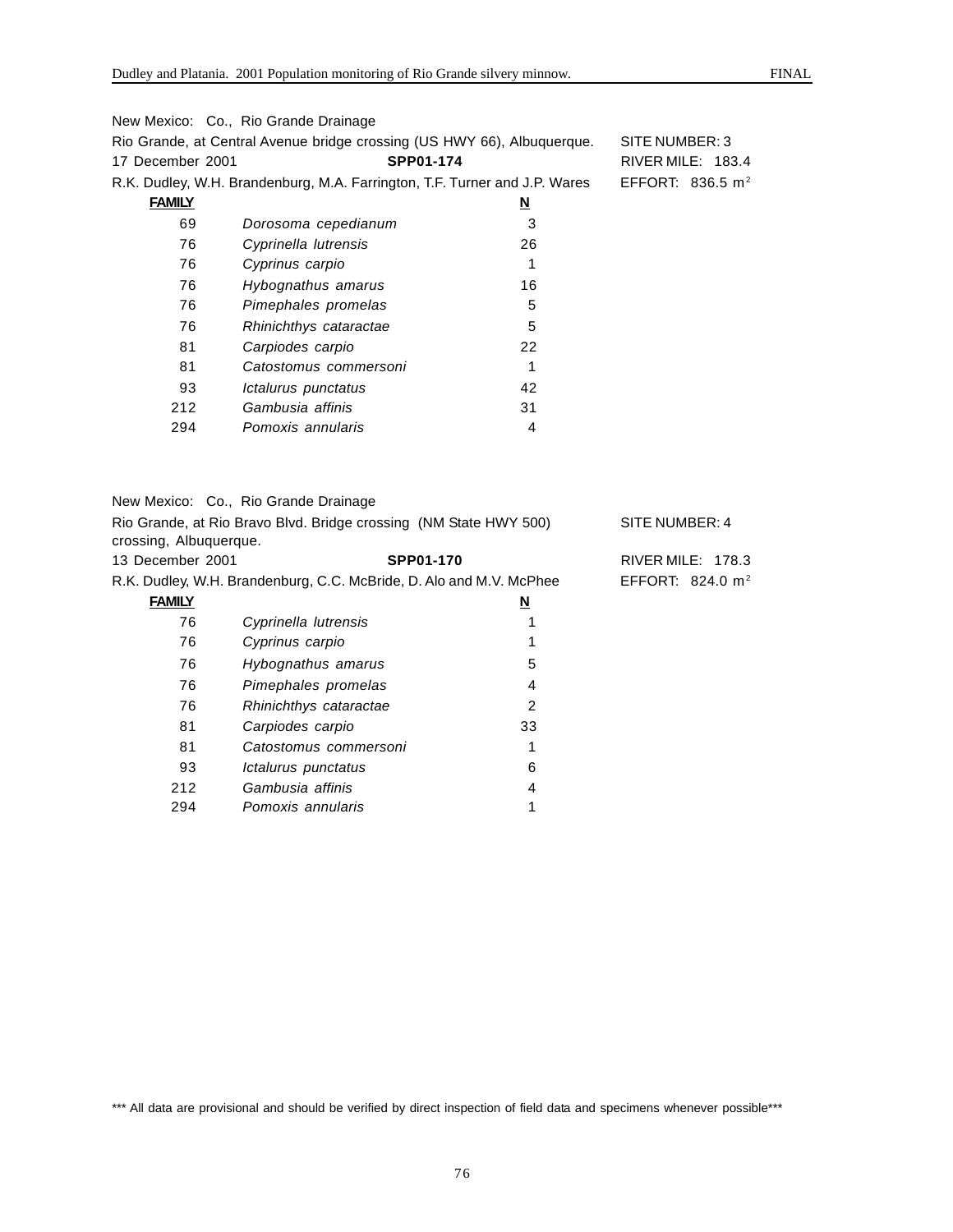Cyprinus carpio 1 Hybognathus amarus 5 Pimephales promelas 4 76 Rhinichthys cataractae 2 Carpiodes carpio 33 Catostomus commersoni 1 Ictalurus punctatus 6 Gambusia affinis 4 Pomoxis annularis 1

|                        | New Mexico: Co., Rio Grande Drainage                                       |                          |                             |
|------------------------|----------------------------------------------------------------------------|--------------------------|-----------------------------|
|                        | Rio Grande, at Central Avenue bridge crossing (US HWY 66), Albuquerque.    |                          | SITE NUMBER: 3              |
| 17 December 2001       | <b>SPP01-174</b>                                                           |                          | RIVER MILE: 183.4           |
|                        | R.K. Dudley, W.H. Brandenburg, M.A. Farrington, T.F. Turner and J.P. Wares |                          | EFFORT: 836.5 $m2$          |
| <b>FAMILY</b>          |                                                                            | N                        |                             |
| 69                     | Dorosoma cepedianum                                                        | 3                        |                             |
| 76                     | Cyprinella lutrensis                                                       | 26                       |                             |
| 76                     | Cyprinus carpio                                                            | 1                        |                             |
| 76                     | Hybognathus amarus                                                         | 16                       |                             |
| 76                     | Pimephales promelas                                                        | 5                        |                             |
| 76                     | Rhinichthys cataractae                                                     | 5                        |                             |
| 81                     | Carpiodes carpio                                                           | 22                       |                             |
| 81                     | Catostomus commersoni                                                      | 1                        |                             |
| 93                     | Ictalurus punctatus                                                        | 42                       |                             |
| 212                    | Gambusia affinis                                                           | 31                       |                             |
| 294                    | Pomoxis annularis                                                          | 4                        |                             |
|                        |                                                                            |                          |                             |
|                        | New Mexico: Co., Rio Grande Drainage                                       |                          |                             |
| crossing, Albuquerque. | Rio Grande, at Rio Bravo Blvd. Bridge crossing (NM State HWY 500)          |                          | SITE NUMBER: 4              |
| 13 December 2001       | SPP01-170                                                                  |                          | RIVER MILE: 178.3           |
|                        | R.K. Dudley, W.H. Brandenburg, C.C. McBride, D. Alo and M.V. McPhee        |                          | EFFORT: $824.0 \text{ m}^2$ |
| <b>FAMILY</b>          |                                                                            | $\underline{\mathsf{N}}$ |                             |
| 76                     | Cyprinella lutrensis                                                       | 1                        |                             |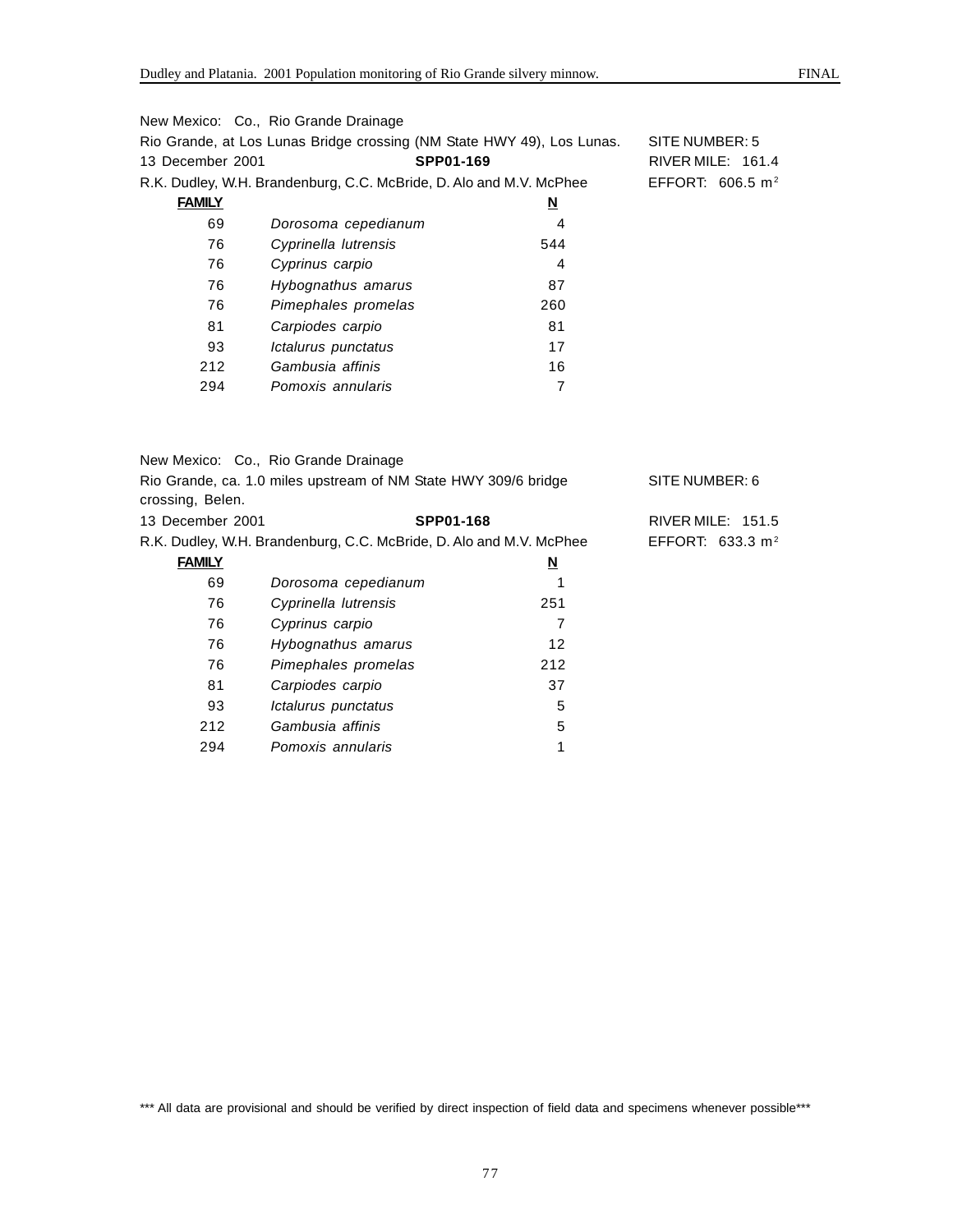Cyprinella lutrensis 251 Cyprinus carpio 7 Hybognathus amarus 12 Pimephales promelas 212 Carpiodes carpio 37 93 Ictalurus punctatus 6 Gambusia affinis 5 Pomoxis annularis 1

|                  | New Mexico: Co., Rio Grande Drainage |                                                                        |                             |
|------------------|--------------------------------------|------------------------------------------------------------------------|-----------------------------|
|                  |                                      | Rio Grande, at Los Lunas Bridge crossing (NM State HWY 49), Los Lunas. | SITE NUMBER: 5              |
| 13 December 2001 |                                      | SPP01-169                                                              | RIVER MILE: 161.4           |
|                  |                                      | R.K. Dudley, W.H. Brandenburg, C.C. McBride, D. Alo and M.V. McPhee    | EFFORT: $606.5 \text{ m}^2$ |
| <b>FAMILY</b>    |                                      | N                                                                      |                             |
| 69               | Dorosoma cepedianum                  | 4                                                                      |                             |
| 76               | Cyprinella lutrensis                 | 544                                                                    |                             |
| 76               | Cyprinus carpio                      | $\overline{\mathbf{4}}$                                                |                             |
| 76               | Hybognathus amarus                   | 87                                                                     |                             |
| 76               | Pimephales promelas                  | 260                                                                    |                             |
| 81               | Carpiodes carpio                     | 81                                                                     |                             |
| 93               | Ictalurus punctatus                  | 17                                                                     |                             |
| 212              | Gambusia affinis                     | 16                                                                     |                             |
| 294              | Pomoxis annularis                    | $\overline{7}$                                                         |                             |
|                  |                                      |                                                                        |                             |
|                  | New Mexico: Co., Rio Grande Drainage |                                                                        |                             |
| crossing, Belen. |                                      | Rio Grande, ca. 1.0 miles upstream of NM State HWY 309/6 bridge        | SITE NUMBER: 6              |
| 13 December 2001 |                                      | SPP01-168                                                              | RIVER MILE: 151.5           |
|                  |                                      | R.K. Dudley, W.H. Brandenburg, C.C. McBride, D. Alo and M.V. McPhee    | EFFORT: $633.3 \text{ m}^2$ |
| <b>FAMILY</b>    |                                      | $\underline{\mathsf{N}}$                                               |                             |
| 69               | Dorosoma cepedianum                  | 1                                                                      |                             |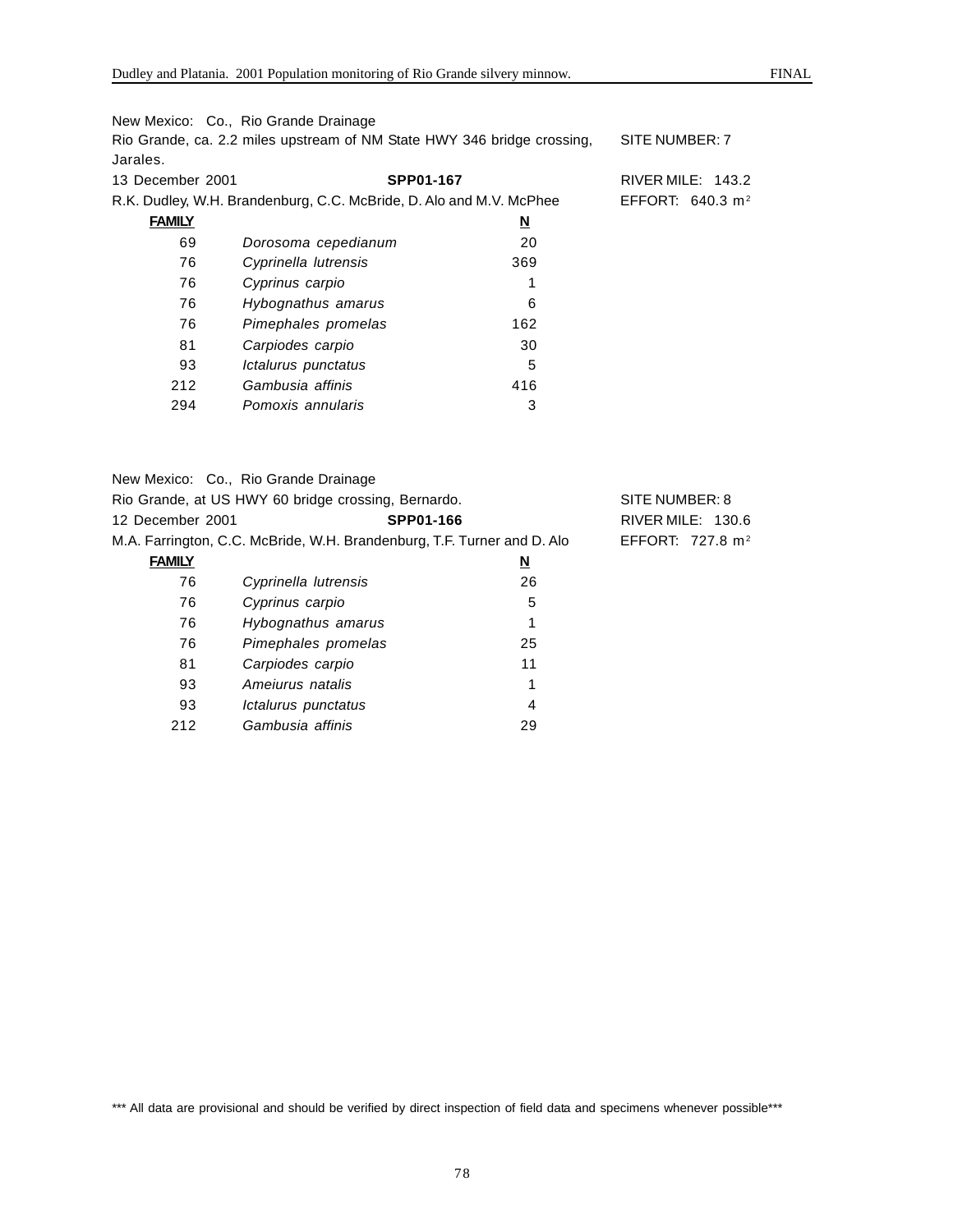Cyprinus carpio 5 Hybognathus amarus 1 Pimephales promelas 25 Carpiodes carpio 11 Ameiurus natalis 1 Ictalurus punctatus 4 Gambusia affinis 29

|                  | New Mexico: Co., Rio Grande Drainage                |                                                                         |                             |
|------------------|-----------------------------------------------------|-------------------------------------------------------------------------|-----------------------------|
|                  |                                                     | Rio Grande, ca. 2.2 miles upstream of NM State HWY 346 bridge crossing, | SITE NUMBER: 7              |
| Jarales.         |                                                     |                                                                         |                             |
| 13 December 2001 |                                                     | SPP01-167                                                               | RIVER MILE: 143.2           |
|                  |                                                     | R.K. Dudley, W.H. Brandenburg, C.C. McBride, D. Alo and M.V. McPhee     | EFFORT: $640.3 \text{ m}^2$ |
| <b>FAMILY</b>    |                                                     | N                                                                       |                             |
| 69               | Dorosoma cepedianum                                 | 20                                                                      |                             |
| 76               | Cyprinella lutrensis                                | 369                                                                     |                             |
| 76               | Cyprinus carpio                                     | 1                                                                       |                             |
| 76               | Hybognathus amarus                                  | 6                                                                       |                             |
| 76               | Pimephales promelas                                 | 162                                                                     |                             |
| 81               | Carpiodes carpio                                    | 30                                                                      |                             |
| 93               | Ictalurus punctatus                                 | 5                                                                       |                             |
| 212              | Gambusia affinis                                    | 416                                                                     |                             |
| 294              | Pomoxis annularis                                   | 3                                                                       |                             |
|                  | New Mexico: Co., Rio Grande Drainage                |                                                                         |                             |
|                  | Rio Grande, at US HWY 60 bridge crossing, Bernardo. |                                                                         | SITE NUMBER: 8              |
| 12 December 2001 |                                                     | SPP01-166                                                               | RIVER MILE: 130.6           |
|                  |                                                     |                                                                         |                             |
|                  |                                                     | M.A. Farrington, C.C. McBride, W.H. Brandenburg, T.F. Turner and D. Alo | EFFORT: $727.8 \text{ m}^2$ |
| <b>FAMILY</b>    |                                                     | N                                                                       |                             |
| 76               | Cyprinella lutrensis                                | 26                                                                      |                             |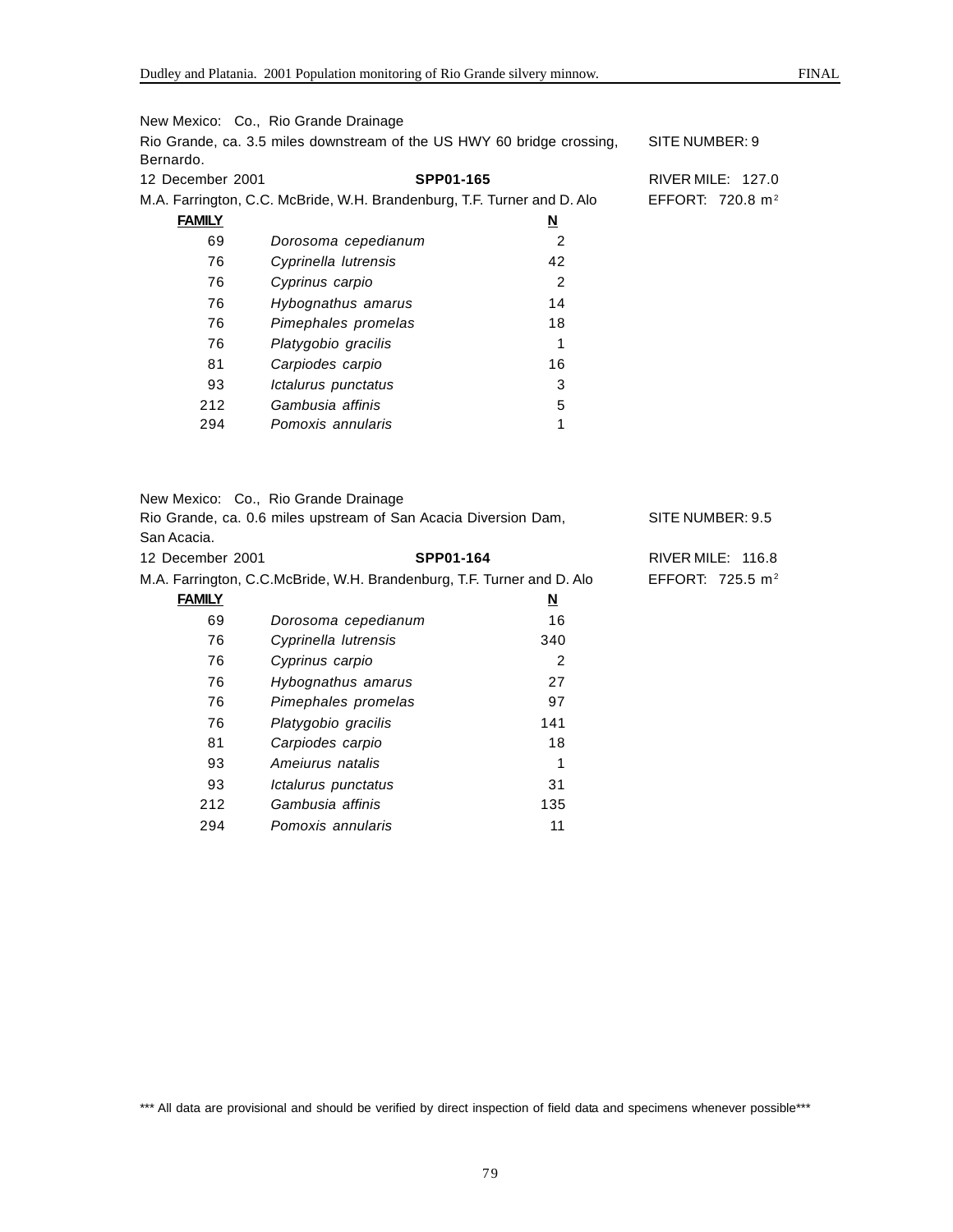|                                                                         | New Mexico: Co., Rio Grande Drainage                                                                    |                          |                              |
|-------------------------------------------------------------------------|---------------------------------------------------------------------------------------------------------|--------------------------|------------------------------|
|                                                                         | Rio Grande, ca. 3.5 miles downstream of the US HWY 60 bridge crossing,                                  |                          | SITE NUMBER: 9               |
| Bernardo.                                                               |                                                                                                         |                          |                              |
| 12 December 2001                                                        | SPP01-165                                                                                               |                          | RIVER MILE: 127.0            |
| M.A. Farrington, C.C. McBride, W.H. Brandenburg, T.F. Turner and D. Alo | EFFORT: 720.8 m <sup>2</sup>                                                                            |                          |                              |
| <b>FAMILY</b>                                                           |                                                                                                         | $\underline{\mathbf{N}}$ |                              |
| 69                                                                      | Dorosoma cepedianum                                                                                     | $\overline{c}$           |                              |
| 76                                                                      | Cyprinella lutrensis                                                                                    | 42                       |                              |
| 76                                                                      | Cyprinus carpio                                                                                         | $\overline{2}$           |                              |
| 76                                                                      | Hybognathus amarus                                                                                      | 14                       |                              |
| 76                                                                      | Pimephales promelas                                                                                     | 18                       |                              |
| 76                                                                      | Platygobio gracilis                                                                                     | 1                        |                              |
| 81                                                                      | Carpiodes carpio                                                                                        | 16                       |                              |
| 93                                                                      | Ictalurus punctatus                                                                                     | 3                        |                              |
| 212                                                                     | Gambusia affinis                                                                                        | 5                        |                              |
| 294                                                                     | Pomoxis annularis                                                                                       | 1                        |                              |
| San Acacia.                                                             | New Mexico: Co., Rio Grande Drainage<br>Rio Grande, ca. 0.6 miles upstream of San Acacia Diversion Dam, |                          | SITE NUMBER: 9.5             |
| 12 December 2001                                                        | <b>SPP01-164</b>                                                                                        |                          | RIVER MILE: 116.8            |
|                                                                         | M.A. Farrington, C.C.McBride, W.H. Brandenburg, T.F. Turner and D. Alo                                  |                          | EFFORT: 725.5 m <sup>2</sup> |
| <b>FAMILY</b>                                                           |                                                                                                         | $\underline{\mathsf{N}}$ |                              |
| 69                                                                      | Dorosoma cepedianum                                                                                     | 16                       |                              |
| 76                                                                      | Cyprinella lutrensis                                                                                    | 340                      |                              |
| 76                                                                      | Cyprinus carpio                                                                                         | 2                        |                              |
| 76                                                                      | Hybognathus amarus                                                                                      | 27                       |                              |
| 76                                                                      | Pimephales promelas                                                                                     | 97                       |                              |
| 76                                                                      | Platygobio gracilis                                                                                     | 141                      |                              |
| 81                                                                      | Carpiodes carpio                                                                                        | 18                       |                              |
| 93                                                                      | Amejurus natalis                                                                                        | 1                        |                              |
| 93                                                                      | Ictalurus punctatus                                                                                     | 31                       |                              |
| 212                                                                     | Gambusia affinis                                                                                        | 135                      |                              |
| 294                                                                     | Pomoxis annularis                                                                                       | 11                       |                              |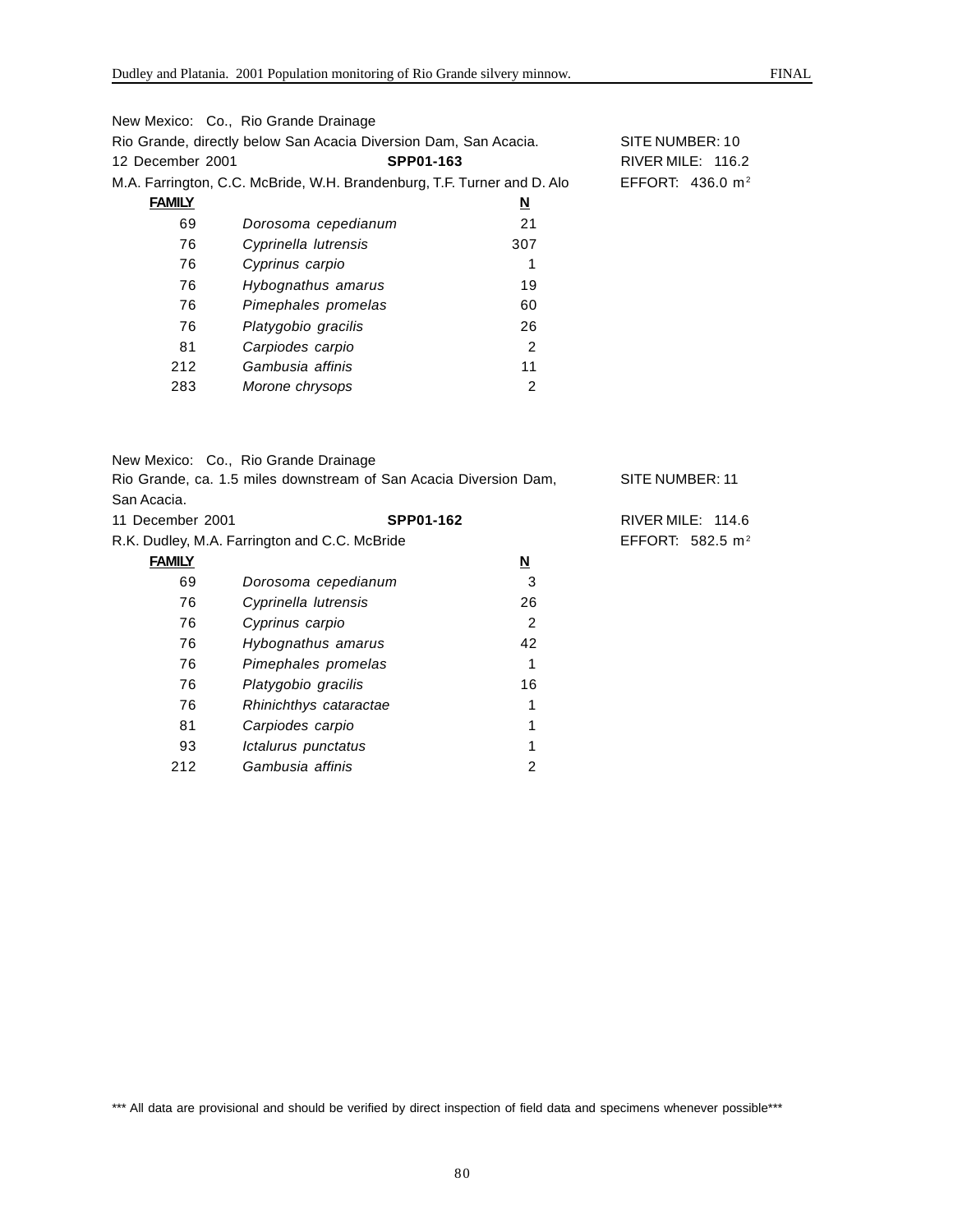|                  | New Mexico: Co., Rio Grande Drainage                                    |     |                              |
|------------------|-------------------------------------------------------------------------|-----|------------------------------|
|                  | Rio Grande, directly below San Acacia Diversion Dam, San Acacia.        |     | SITE NUMBER: 10              |
| 12 December 2001 | SPP01-163                                                               |     | RIVER MILE: 116.2            |
|                  | M.A. Farrington, C.C. McBride, W.H. Brandenburg, T.F. Turner and D. Alo |     | EFFORT: 436.0 m <sup>2</sup> |
| <b>FAMILY</b>    |                                                                         | N   |                              |
| 69               | Dorosoma cepedianum                                                     | 21  |                              |
| 76               | Cyprinella lutrensis                                                    | 307 |                              |
| 76               | Cyprinus carpio                                                         | 1   |                              |
| 76               | Hybognathus amarus                                                      | 19  |                              |
| 76               | Pimephales promelas                                                     | 60  |                              |
| 76               | Platygobio gracilis                                                     | 26  |                              |
| 81               | Carpiodes carpio                                                        | 2   |                              |
| 212              | Gambusia affinis                                                        | 11  |                              |
| 283              | Morone chrysops                                                         | 2   |                              |
|                  |                                                                         |     |                              |
|                  |                                                                         |     |                              |
|                  |                                                                         |     |                              |
|                  | New Mexico: Co., Rio Grande Drainage                                    |     |                              |
| $O = A + A$      | Rio Grande, ca. 1.5 miles downstream of San Acacia Diversion Dam,       |     | SITE NUMBER: 11              |

| San Acacia.                   |                                               |  |                   |                             |
|-------------------------------|-----------------------------------------------|--|-------------------|-----------------------------|
| SPP01-162<br>11 December 2001 |                                               |  | RIVER MILE: 114.6 |                             |
|                               | R.K. Dudley, M.A. Farrington and C.C. McBride |  |                   | EFFORT: $582.5 \text{ m}^2$ |
| <b>FAMILY</b>                 |                                               |  | <u>N</u>          |                             |
| 69                            | Dorosoma cepedianum                           |  | 3                 |                             |
| 76                            | Cyprinella lutrensis                          |  | 26                |                             |
| 76                            | Cyprinus carpio                               |  | 2                 |                             |
| 76                            | Hybognathus amarus                            |  | 42                |                             |
| 76                            | Pimephales promelas                           |  |                   |                             |
| 76                            | Platygobio gracilis                           |  | 16                |                             |
| 76                            | Rhinichthys cataractae                        |  | 1                 |                             |
| 81                            | Carpiodes carpio                              |  | 1                 |                             |
| 93                            | Ictalurus punctatus                           |  |                   |                             |
| 212                           | Gambusia affinis                              |  | 2                 |                             |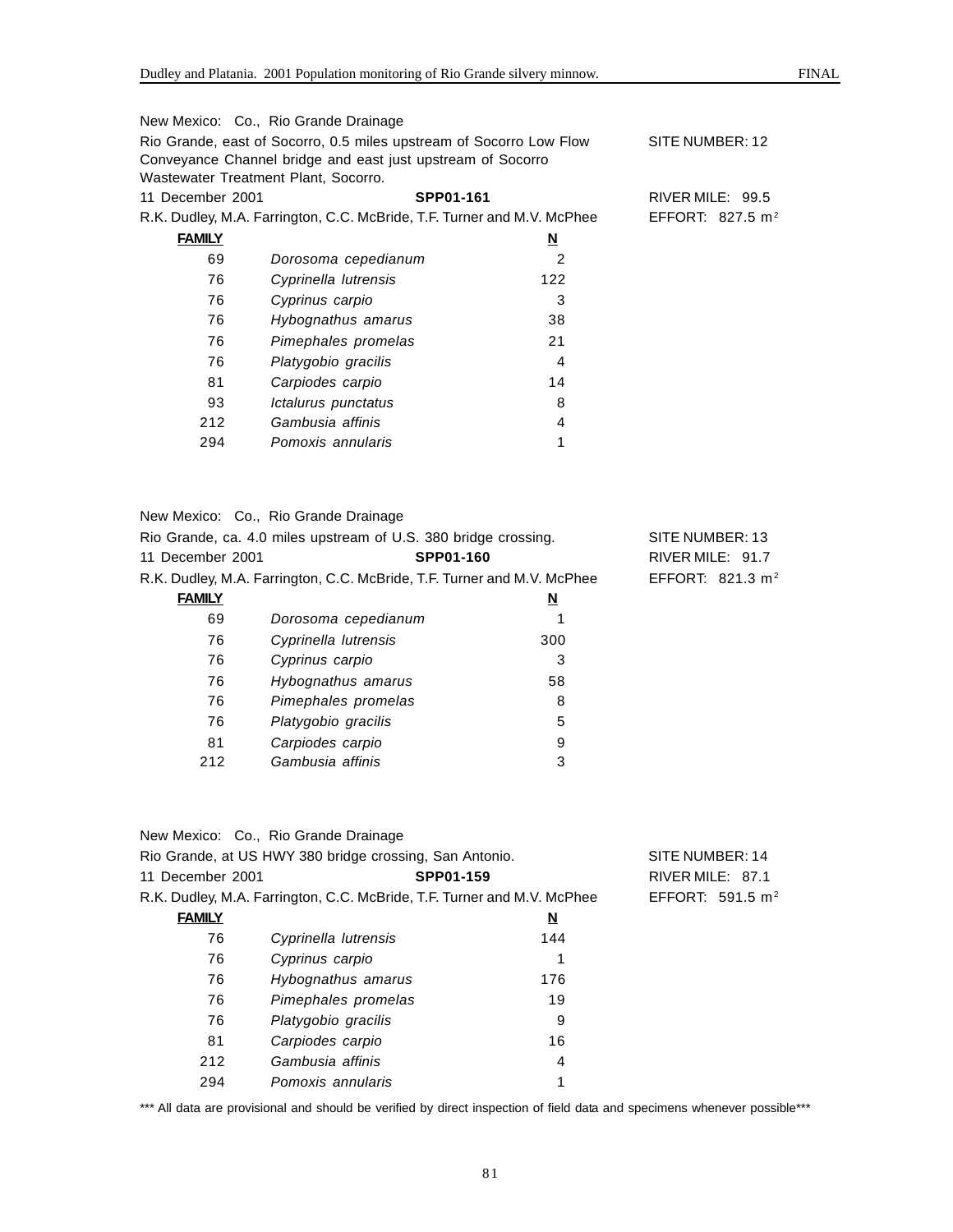|                  | New Mexico: Co., Rio Grande Drainage                                    |                          |                             |
|------------------|-------------------------------------------------------------------------|--------------------------|-----------------------------|
|                  | Rio Grande, east of Socorro, 0.5 miles upstream of Socorro Low Flow     |                          | SITE NUMBER: 12             |
|                  | Conveyance Channel bridge and east just upstream of Socorro             |                          |                             |
|                  | Wastewater Treatment Plant, Socorro.                                    |                          |                             |
| 11 December 2001 | SPP01-161                                                               |                          | RIVER MILE: 99.5            |
|                  | R.K. Dudley, M.A. Farrington, C.C. McBride, T.F. Turner and M.V. McPhee |                          | EFFORT: $827.5 \text{ m}^2$ |
| <b>FAMILY</b>    |                                                                         | $\underline{\mathsf{N}}$ |                             |
| 69               | Dorosoma cepedianum                                                     | $\overline{2}$           |                             |
| 76               | Cyprinella lutrensis                                                    | 122                      |                             |
| 76               | Cyprinus carpio                                                         | 3                        |                             |
| 76               | Hybognathus amarus                                                      | 38                       |                             |
| 76               | Pimephales promelas                                                     | 21                       |                             |
| 76               | Platygobio gracilis                                                     | $\overline{4}$           |                             |
| 81               | Carpiodes carpio                                                        | 14                       |                             |
| 93               | Ictalurus punctatus                                                     | 8                        |                             |
| 212              | Gambusia affinis                                                        | 4                        |                             |
| 294              | Pomoxis annularis                                                       | 1                        |                             |
|                  |                                                                         |                          |                             |
|                  | New Mexico: Co., Rio Grande Drainage                                    |                          |                             |
|                  | Rio Grande, ca. 4.0 miles upstream of U.S. 380 bridge crossing.         |                          | SITE NUMBER: 13             |
| 11 December 2001 | SPP01-160                                                               |                          | RIVER MILE: 91.7            |
|                  | R.K. Dudley, M.A. Farrington, C.C. McBride, T.F. Turner and M.V. McPhee |                          | EFFORT: $821.3 \text{ m}^2$ |
| <b>FAMILY</b>    |                                                                         | $\overline{\mathbf{N}}$  |                             |

| 69  | Dorosoma cepedianum  |     |
|-----|----------------------|-----|
| 76  | Cyprinella lutrensis | 300 |
| 76  | Cyprinus carpio      | 3   |
| 76  | Hybognathus amarus   | 58  |
| 76  | Pimephales promelas  | 8   |
| 76  | Platygobio gracilis  | 5   |
| 81  | Carpiodes carpio     | 9   |
| 212 | Gambusia affinis     | 3   |
|     |                      |     |
|     |                      |     |

|                               | New Mexico: Co., Rio Grande Drainage                    |                                                                         |                             |
|-------------------------------|---------------------------------------------------------|-------------------------------------------------------------------------|-----------------------------|
|                               | Rio Grande, at US HWY 380 bridge crossing, San Antonio. |                                                                         | SITE NUMBER: 14             |
| SPP01-159<br>11 December 2001 |                                                         |                                                                         | RIVER MILE: 87.1            |
|                               |                                                         | R.K. Dudley, M.A. Farrington, C.C. McBride, T.F. Turner and M.V. McPhee | EFFORT: $591.5 \text{ m}^2$ |
| <b>FAMILY</b>                 |                                                         | <u>N</u>                                                                |                             |
| 76                            | Cyprinella lutrensis                                    | 144                                                                     |                             |
| 76                            | Cyprinus carpio                                         | 1                                                                       |                             |
| 76                            | Hybognathus amarus                                      | 176                                                                     |                             |
| 76                            | Pimephales promelas                                     | 19                                                                      |                             |
| 76                            | Platygobio gracilis                                     | 9                                                                       |                             |
| 81                            | Carpiodes carpio                                        | 16                                                                      |                             |
| 212                           | Gambusia affinis                                        | 4                                                                       |                             |
| 294                           | Pomoxis annularis                                       | 1                                                                       |                             |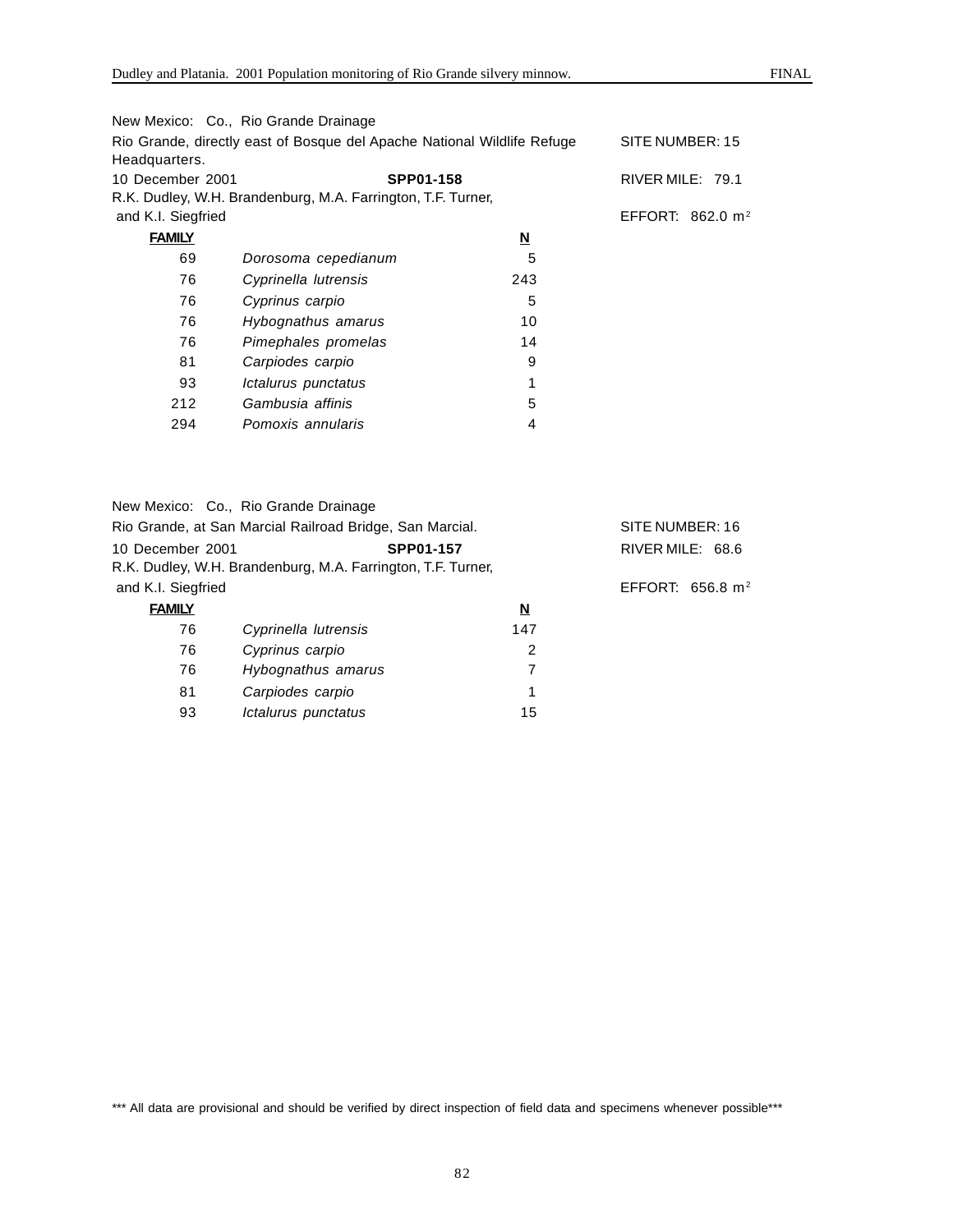|                    | New Mexico: Co., Rio Grande Drainage                         |                                                                         |                             |
|--------------------|--------------------------------------------------------------|-------------------------------------------------------------------------|-----------------------------|
|                    |                                                              | Rio Grande, directly east of Bosque del Apache National Wildlife Refuge | SITE NUMBER: 15             |
| Headquarters.      |                                                              |                                                                         |                             |
| 10 December 2001   |                                                              | <b>SPP01-158</b>                                                        | RIVER MILE: 79.1            |
|                    | R.K. Dudley, W.H. Brandenburg, M.A. Farrington, T.F. Turner, |                                                                         |                             |
| and K.I. Siegfried |                                                              |                                                                         | EFFORT: $862.0 \text{ m}^2$ |
| <b>FAMILY</b>      |                                                              | <u>N</u>                                                                |                             |
| 69                 | Dorosoma cepedianum                                          | 5                                                                       |                             |
| 76                 | Cyprinella lutrensis                                         | 243                                                                     |                             |
| 76                 | Cyprinus carpio                                              | 5                                                                       |                             |
| 76                 | Hybognathus amarus                                           | 10                                                                      |                             |
| 76                 | Pimephales promelas                                          | 14                                                                      |                             |
| 81                 | Carpiodes carpio                                             | 9                                                                       |                             |
| 93                 | Ictalurus punctatus                                          | 1                                                                       |                             |
| 212                | Gambusia affinis                                             | 5                                                                       |                             |
| 294                | Pomoxis annularis                                            | 4                                                                       |                             |
|                    |                                                              |                                                                         |                             |
|                    | New Mexico: Co., Rio Grande Drainage                         |                                                                         |                             |
|                    | Rio Grande, at San Marcial Railroad Bridge, San Marcial.     |                                                                         | SITE NUMBER: 16             |
| 10 December 2001   |                                                              | SPP01-157                                                               | RIVER MILE: 68.6            |
|                    | R.K. Dudley, W.H. Brandenburg, M.A. Farrington, T.F. Turner, |                                                                         |                             |
| and K.I. Siegfried |                                                              |                                                                         | EFFORT: $656.8 \text{ m}^2$ |
|                    |                                                              |                                                                         |                             |

| FAMILY |                      | N   |
|--------|----------------------|-----|
| 76     | Cyprinella lutrensis | 147 |
| 76     | Cyprinus carpio      |     |
| 76     | Hybognathus amarus   |     |
| 81     | Carpiodes carpio     |     |
| 93     | Ictalurus punctatus  | 15  |
|        |                      |     |